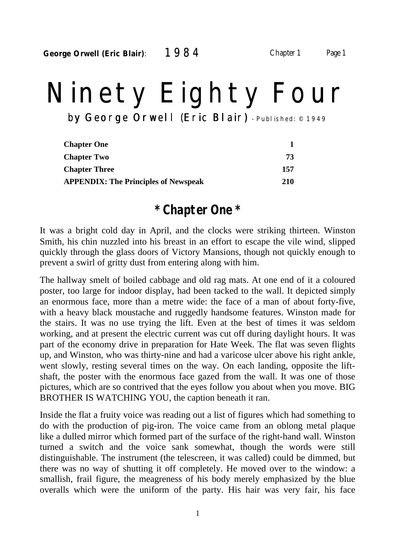# Ninety Eighty Four by George Orwell (Eric Blair) - Published: © 1949

| <b>Chapter One</b>                          |     |
|---------------------------------------------|-----|
| <b>Chapter Two</b>                          | 73  |
| <b>Chapter Three</b>                        | 157 |
| <b>APPENDIX: The Principles of Newspeak</b> | 210 |

# **\* Chapter One \***

It was a bright cold day in April, and the clocks were striking thirteen. Winston Smith, his chin nuzzled into his breast in an effort to escape the vile wind, slipped quickly through the glass doors of Victory Mansions, though not quickly enough to prevent a swirl of gritty dust from entering along with him.

The hallway smelt of boiled cabbage and old rag mats. At one end of it a coloured poster, too large for indoor display, had been tacked to the wall. It depicted simply an enormous face, more than a metre wide: the face of a man of about forty-five, with a heavy black moustache and ruggedly handsome features. Winston made for the stairs. It was no use trying the lift. Even at the best of times it was seldom working, and at present the electric current was cut off during daylight hours. It was part of the economy drive in preparation for Hate Week. The flat was seven flights up, and Winston, who was thirty-nine and had a varicose ulcer above his right ankle, went slowly, resting several times on the way. On each landing, opposite the liftshaft, the poster with the enormous face gazed from the wall. It was one of those pictures, which are so contrived that the eyes follow you about when you move. BIG BROTHER IS WATCHING YOU, the caption beneath it ran.

Inside the flat a fruity voice was reading out a list of figures which had something to do with the production of pig-iron. The voice came from an oblong metal plaque like a dulled mirror which formed part of the surface of the right-hand wall. Winston turned a switch and the voice sank somewhat, though the words were still distinguishable. The instrument (the telescreen, it was called) could be dimmed, but there was no way of shutting it off completely. He moved over to the window: a smallish, frail figure, the meagreness of his body merely emphasized by the blue overalls which were the uniform of the party. His hair was very fair, his face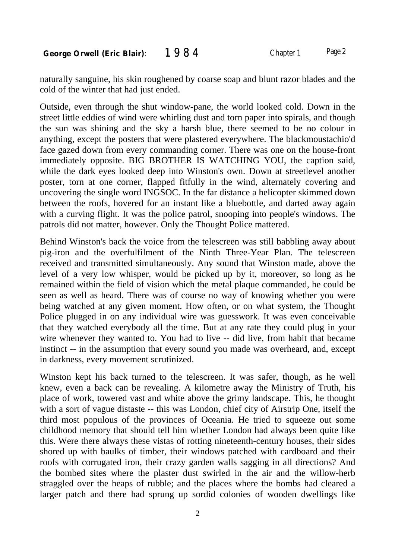naturally sanguine, his skin roughened by coarse soap and blunt razor blades and the cold of the winter that had just ended.

Outside, even through the shut window-pane, the world looked cold. Down in the street little eddies of wind were whirling dust and torn paper into spirals, and though the sun was shining and the sky a harsh blue, there seemed to be no colour in anything, except the posters that were plastered everywhere. The blackmoustachio'd face gazed down from every commanding corner. There was one on the house-front immediately opposite. BIG BROTHER IS WATCHING YOU, the caption said, while the dark eyes looked deep into Winston's own. Down at streetlevel another poster, torn at one corner, flapped fitfully in the wind, alternately covering and uncovering the single word INGSOC. In the far distance a helicopter skimmed down between the roofs, hovered for an instant like a bluebottle, and darted away again with a curving flight. It was the police patrol, snooping into people's windows. The patrols did not matter, however. Only the Thought Police mattered.

Behind Winston's back the voice from the telescreen was still babbling away about pig-iron and the overfulfilment of the Ninth Three-Year Plan. The telescreen received and transmitted simultaneously. Any sound that Winston made, above the level of a very low whisper, would be picked up by it, moreover, so long as he remained within the field of vision which the metal plaque commanded, he could be seen as well as heard. There was of course no way of knowing whether you were being watched at any given moment. How often, or on what system, the Thought Police plugged in on any individual wire was guesswork. It was even conceivable that they watched everybody all the time. But at any rate they could plug in your wire whenever they wanted to. You had to live -- did live, from habit that became instinct -- in the assumption that every sound you made was overheard, and, except in darkness, every movement scrutinized.

Winston kept his back turned to the telescreen. It was safer, though, as he well knew, even a back can be revealing. A kilometre away the Ministry of Truth, his place of work, towered vast and white above the grimy landscape. This, he thought with a sort of vague distaste -- this was London, chief city of Airstrip One, itself the third most populous of the provinces of Oceania. He tried to squeeze out some childhood memory that should tell him whether London had always been quite like this. Were there always these vistas of rotting nineteenth-century houses, their sides shored up with baulks of timber, their windows patched with cardboard and their roofs with corrugated iron, their crazy garden walls sagging in all directions? And the bombed sites where the plaster dust swirled in the air and the willow-herb straggled over the heaps of rubble; and the places where the bombs had cleared a larger patch and there had sprung up sordid colonies of wooden dwellings like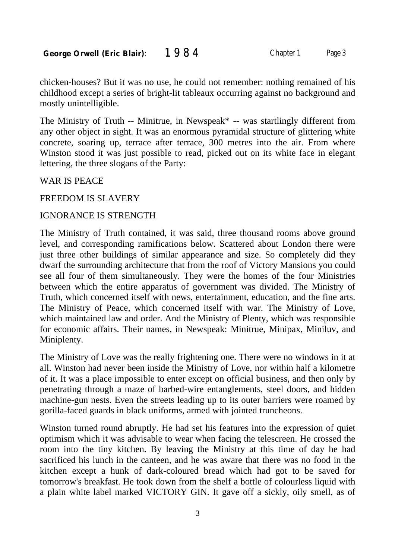chicken-houses? But it was no use, he could not remember: nothing remained of his childhood except a series of bright-lit tableaux occurring against no background and mostly unintelligible.

The Ministry of Truth -- Minitrue, in Newspeak\* -- was startlingly different from any other object in sight. It was an enormous pyramidal structure of glittering white concrete, soaring up, terrace after terrace, 300 metres into the air. From where Winston stood it was just possible to read, picked out on its white face in elegant lettering, the three slogans of the Party:

WAR IS PEACE

FREEDOM IS SLAVERY

#### IGNORANCE IS STRENGTH

The Ministry of Truth contained, it was said, three thousand rooms above ground level, and corresponding ramifications below. Scattered about London there were just three other buildings of similar appearance and size. So completely did they dwarf the surrounding architecture that from the roof of Victory Mansions you could see all four of them simultaneously. They were the homes of the four Ministries between which the entire apparatus of government was divided. The Ministry of Truth, which concerned itself with news, entertainment, education, and the fine arts. The Ministry of Peace, which concerned itself with war. The Ministry of Love, which maintained law and order. And the Ministry of Plenty, which was responsible for economic affairs. Their names, in Newspeak: Minitrue, Minipax, Miniluv, and Miniplenty.

The Ministry of Love was the really frightening one. There were no windows in it at all. Winston had never been inside the Ministry of Love, nor within half a kilometre of it. It was a place impossible to enter except on official business, and then only by penetrating through a maze of barbed-wire entanglements, steel doors, and hidden machine-gun nests. Even the streets leading up to its outer barriers were roamed by gorilla-faced guards in black uniforms, armed with jointed truncheons.

Winston turned round abruptly. He had set his features into the expression of quiet optimism which it was advisable to wear when facing the telescreen. He crossed the room into the tiny kitchen. By leaving the Ministry at this time of day he had sacrificed his lunch in the canteen, and he was aware that there was no food in the kitchen except a hunk of dark-coloured bread which had got to be saved for tomorrow's breakfast. He took down from the shelf a bottle of colourless liquid with a plain white label marked VICTORY GIN. It gave off a sickly, oily smell, as of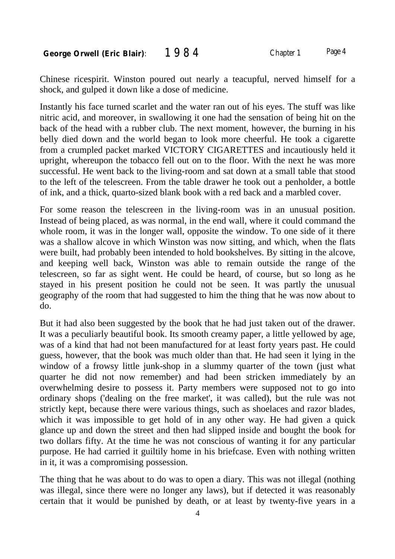Chinese ricespirit. Winston poured out nearly a teacupful, nerved himself for a shock, and gulped it down like a dose of medicine.

Instantly his face turned scarlet and the water ran out of his eyes. The stuff was like nitric acid, and moreover, in swallowing it one had the sensation of being hit on the back of the head with a rubber club. The next moment, however, the burning in his belly died down and the world began to look more cheerful. He took a cigarette from a crumpled packet marked VICTORY CIGARETTES and incautiously held it upright, whereupon the tobacco fell out on to the floor. With the next he was more successful. He went back to the living-room and sat down at a small table that stood to the left of the telescreen. From the table drawer he took out a penholder, a bottle of ink, and a thick, quarto-sized blank book with a red back and a marbled cover.

For some reason the telescreen in the living-room was in an unusual position. Instead of being placed, as was normal, in the end wall, where it could command the whole room, it was in the longer wall, opposite the window. To one side of it there was a shallow alcove in which Winston was now sitting, and which, when the flats were built, had probably been intended to hold bookshelves. By sitting in the alcove, and keeping well back, Winston was able to remain outside the range of the telescreen, so far as sight went. He could be heard, of course, but so long as he stayed in his present position he could not be seen. It was partly the unusual geography of the room that had suggested to him the thing that he was now about to do.

But it had also been suggested by the book that he had just taken out of the drawer. It was a peculiarly beautiful book. Its smooth creamy paper, a little yellowed by age, was of a kind that had not been manufactured for at least forty years past. He could guess, however, that the book was much older than that. He had seen it lying in the window of a frowsy little junk-shop in a slummy quarter of the town (just what quarter he did not now remember) and had been stricken immediately by an overwhelming desire to possess it. Party members were supposed not to go into ordinary shops ('dealing on the free market', it was called), but the rule was not strictly kept, because there were various things, such as shoelaces and razor blades, which it was impossible to get hold of in any other way. He had given a quick glance up and down the street and then had slipped inside and bought the book for two dollars fifty. At the time he was not conscious of wanting it for any particular purpose. He had carried it guiltily home in his briefcase. Even with nothing written in it, it was a compromising possession.

The thing that he was about to do was to open a diary. This was not illegal (nothing was illegal, since there were no longer any laws), but if detected it was reasonably certain that it would be punished by death, or at least by twenty-five years in a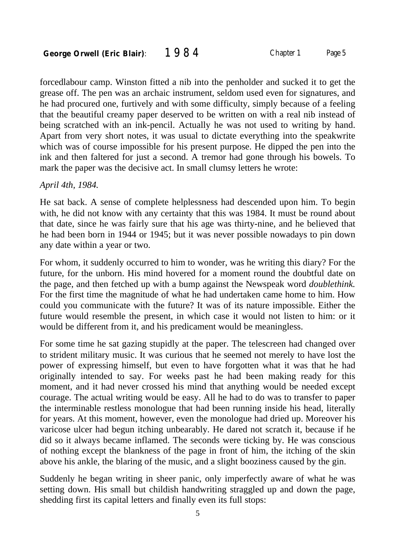forcedlabour camp. Winston fitted a nib into the penholder and sucked it to get the grease off. The pen was an archaic instrument, seldom used even for signatures, and he had procured one, furtively and with some difficulty, simply because of a feeling that the beautiful creamy paper deserved to be written on with a real nib instead of being scratched with an ink-pencil. Actually he was not used to writing by hand. Apart from very short notes, it was usual to dictate everything into the speakwrite which was of course impossible for his present purpose. He dipped the pen into the ink and then faltered for just a second. A tremor had gone through his bowels. To mark the paper was the decisive act. In small clumsy letters he wrote:

#### *April 4th, 1984.*

He sat back. A sense of complete helplessness had descended upon him. To begin with, he did not know with any certainty that this was 1984. It must be round about that date, since he was fairly sure that his age was thirty-nine, and he believed that he had been born in 1944 or 1945; but it was never possible nowadays to pin down any date within a year or two.

For whom, it suddenly occurred to him to wonder, was he writing this diary? For the future, for the unborn. His mind hovered for a moment round the doubtful date on the page, and then fetched up with a bump against the Newspeak word *doublethink.* For the first time the magnitude of what he had undertaken came home to him. How could you communicate with the future? It was of its nature impossible. Either the future would resemble the present, in which case it would not listen to him: or it would be different from it, and his predicament would be meaningless.

For some time he sat gazing stupidly at the paper. The telescreen had changed over to strident military music. It was curious that he seemed not merely to have lost the power of expressing himself, but even to have forgotten what it was that he had originally intended to say. For weeks past he had been making ready for this moment, and it had never crossed his mind that anything would be needed except courage. The actual writing would be easy. All he had to do was to transfer to paper the interminable restless monologue that had been running inside his head, literally for years. At this moment, however, even the monologue had dried up. Moreover his varicose ulcer had begun itching unbearably. He dared not scratch it, because if he did so it always became inflamed. The seconds were ticking by. He was conscious of nothing except the blankness of the page in front of him, the itching of the skin above his ankle, the blaring of the music, and a slight booziness caused by the gin.

Suddenly he began writing in sheer panic, only imperfectly aware of what he was setting down. His small but childish handwriting straggled up and down the page, shedding first its capital letters and finally even its full stops: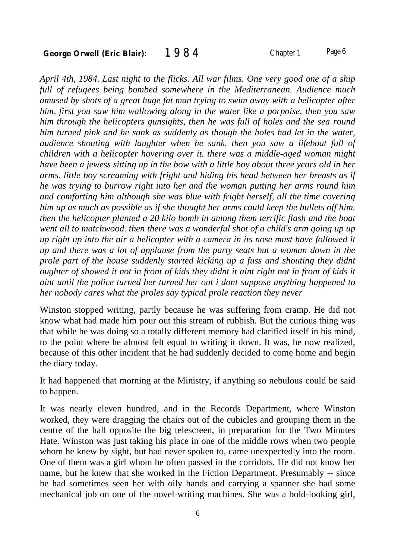*April 4th, 1984. Last night to the flicks. All war films. One very good one of a ship full of refugees being bombed somewhere in the Mediterranean. Audience much amused by shots of a great huge fat man trying to swim away with a helicopter after him, first you saw him wallowing along in the water like a porpoise, then you saw him through the helicopters gunsights, then he was full of holes and the sea round him turned pink and he sank as suddenly as though the holes had let in the water, audience shouting with laughter when he sank. then you saw a lifeboat full of children with a helicopter hovering over it. there was a middle-aged woman might have been a jewess sitting up in the bow with a little boy about three years old in her arms. little boy screaming with fright and hiding his head between her breasts as if he was trying to burrow right into her and the woman putting her arms round him and comforting him although she was blue with fright herself, all the time covering him up as much as possible as if she thought her arms could keep the bullets off him. then the helicopter planted a 20 kilo bomb in among them terrific flash and the boat went all to matchwood. then there was a wonderful shot of a child's arm going up up up right up into the air a helicopter with a camera in its nose must have followed it up and there was a lot of applause from the party seats but a woman down in the prole part of the house suddenly started kicking up a fuss and shouting they didnt oughter of showed it not in front of kids they didnt it aint right not in front of kids it aint until the police turned her turned her out i dont suppose anything happened to her nobody cares what the proles say typical prole reaction they never*

Winston stopped writing, partly because he was suffering from cramp. He did not know what had made him pour out this stream of rubbish. But the curious thing was that while he was doing so a totally different memory had clarified itself in his mind, to the point where he almost felt equal to writing it down. It was, he now realized, because of this other incident that he had suddenly decided to come home and begin the diary today.

It had happened that morning at the Ministry, if anything so nebulous could be said to happen.

It was nearly eleven hundred, and in the Records Department, where Winston worked, they were dragging the chairs out of the cubicles and grouping them in the centre of the hall opposite the big telescreen, in preparation for the Two Minutes Hate. Winston was just taking his place in one of the middle rows when two people whom he knew by sight, but had never spoken to, came unexpectedly into the room. One of them was a girl whom he often passed in the corridors. He did not know her name, but he knew that she worked in the Fiction Department. Presumably -- since he had sometimes seen her with oily hands and carrying a spanner she had some mechanical job on one of the novel-writing machines. She was a bold-looking girl,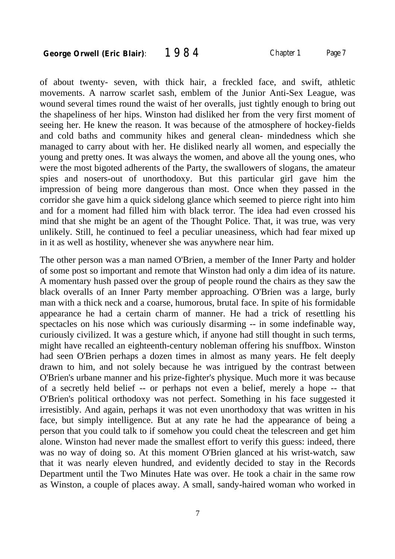of about twenty- seven, with thick hair, a freckled face, and swift, athletic movements. A narrow scarlet sash, emblem of the Junior Anti-Sex League, was wound several times round the waist of her overalls, just tightly enough to bring out the shapeliness of her hips. Winston had disliked her from the very first moment of seeing her. He knew the reason. It was because of the atmosphere of hockey-fields and cold baths and community hikes and general clean- mindedness which she managed to carry about with her. He disliked nearly all women, and especially the young and pretty ones. It was always the women, and above all the young ones, who were the most bigoted adherents of the Party, the swallowers of slogans, the amateur spies and nosers-out of unorthodoxy. But this particular girl gave him the impression of being more dangerous than most. Once when they passed in the corridor she gave him a quick sidelong glance which seemed to pierce right into him and for a moment had filled him with black terror. The idea had even crossed his mind that she might be an agent of the Thought Police. That, it was true, was very unlikely. Still, he continued to feel a peculiar uneasiness, which had fear mixed up in it as well as hostility, whenever she was anywhere near him.

The other person was a man named O'Brien, a member of the Inner Party and holder of some post so important and remote that Winston had only a dim idea of its nature. A momentary hush passed over the group of people round the chairs as they saw the black overalls of an Inner Party member approaching. O'Brien was a large, burly man with a thick neck and a coarse, humorous, brutal face. In spite of his formidable appearance he had a certain charm of manner. He had a trick of resettling his spectacles on his nose which was curiously disarming -- in some indefinable way, curiously civilized. It was a gesture which, if anyone had still thought in such terms, might have recalled an eighteenth-century nobleman offering his snuffbox. Winston had seen O'Brien perhaps a dozen times in almost as many years. He felt deeply drawn to him, and not solely because he was intrigued by the contrast between O'Brien's urbane manner and his prize-fighter's physique. Much more it was because of a secretly held belief -- or perhaps not even a belief, merely a hope -- that O'Brien's political orthodoxy was not perfect. Something in his face suggested it irresistibly. And again, perhaps it was not even unorthodoxy that was written in his face, but simply intelligence. But at any rate he had the appearance of being a person that you could talk to if somehow you could cheat the telescreen and get him alone. Winston had never made the smallest effort to verify this guess: indeed, there was no way of doing so. At this moment O'Brien glanced at his wrist-watch, saw that it was nearly eleven hundred, and evidently decided to stay in the Records Department until the Two Minutes Hate was over. He took a chair in the same row as Winston, a couple of places away. A small, sandy-haired woman who worked in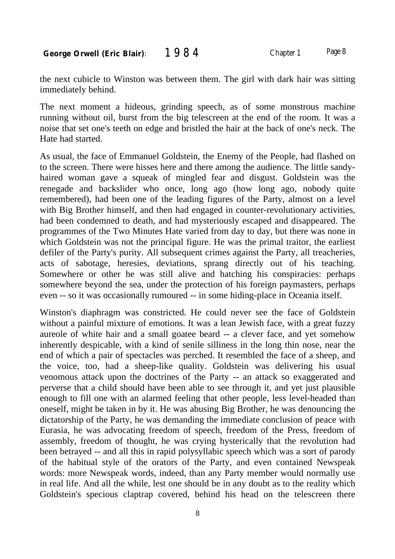the next cubicle to Winston was between them. The girl with dark hair was sitting immediately behind.

The next moment a hideous, grinding speech, as of some monstrous machine running without oil, burst from the big telescreen at the end of the room. It was a noise that set one's teeth on edge and bristled the hair at the back of one's neck. The Hate had started.

As usual, the face of Emmanuel Goldstein, the Enemy of the People, had flashed on to the screen. There were hisses here and there among the audience. The little sandyhaired woman gave a squeak of mingled fear and disgust. Goldstein was the renegade and backslider who once, long ago (how long ago, nobody quite remembered), had been one of the leading figures of the Party, almost on a level with Big Brother himself, and then had engaged in counter-revolutionary activities, had been condemned to death, and had mysteriously escaped and disappeared. The programmes of the Two Minutes Hate varied from day to day, but there was none in which Goldstein was not the principal figure. He was the primal traitor, the earliest defiler of the Party's purity. All subsequent crimes against the Party, all treacheries, acts of sabotage, heresies, deviations, sprang directly out of his teaching. Somewhere or other he was still alive and hatching his conspiracies: perhaps somewhere beyond the sea, under the protection of his foreign paymasters, perhaps even -- so it was occasionally rumoured -- in some hiding-place in Oceania itself.

Winston's diaphragm was constricted. He could never see the face of Goldstein without a painful mixture of emotions. It was a lean Jewish face, with a great fuzzy aureole of white hair and a small goatee beard -- a clever face, and yet somehow inherently despicable, with a kind of senile silliness in the long thin nose, near the end of which a pair of spectacles was perched. It resembled the face of a sheep, and the voice, too, had a sheep-like quality. Goldstein was delivering his usual venomous attack upon the doctrines of the Party -- an attack so exaggerated and perverse that a child should have been able to see through it, and yet just plausible enough to fill one with an alarmed feeling that other people, less level-headed than oneself, might be taken in by it. He was abusing Big Brother, he was denouncing the dictatorship of the Party, he was demanding the immediate conclusion of peace with Eurasia, he was advocating freedom of speech, freedom of the Press, freedom of assembly, freedom of thought, he was crying hysterically that the revolution had been betrayed -- and all this in rapid polysyllabic speech which was a sort of parody of the habitual style of the orators of the Party, and even contained Newspeak words: more Newspeak words, indeed, than any Party member would normally use in real life. And all the while, lest one should be in any doubt as to the reality which Goldstein's specious claptrap covered, behind his head on the telescreen there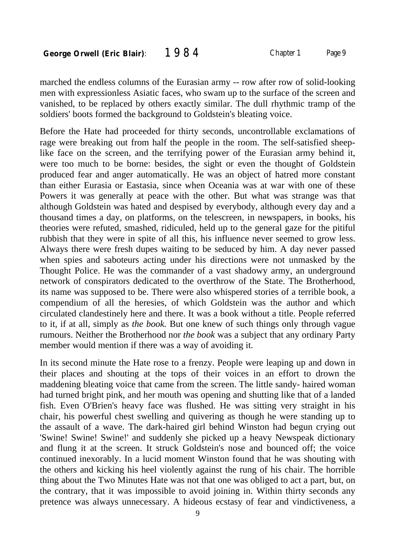marched the endless columns of the Eurasian army -- row after row of solid-looking men with expressionless Asiatic faces, who swam up to the surface of the screen and vanished, to be replaced by others exactly similar. The dull rhythmic tramp of the soldiers' boots formed the background to Goldstein's bleating voice.

Before the Hate had proceeded for thirty seconds, uncontrollable exclamations of rage were breaking out from half the people in the room. The self-satisfied sheeplike face on the screen, and the terrifying power of the Eurasian army behind it, were too much to be borne: besides, the sight or even the thought of Goldstein produced fear and anger automatically. He was an object of hatred more constant than either Eurasia or Eastasia, since when Oceania was at war with one of these Powers it was generally at peace with the other. But what was strange was that although Goldstein was hated and despised by everybody, although every day and a thousand times a day, on platforms, on the telescreen, in newspapers, in books, his theories were refuted, smashed, ridiculed, held up to the general gaze for the pitiful rubbish that they were in spite of all this, his influence never seemed to grow less. Always there were fresh dupes waiting to be seduced by him. A day never passed when spies and saboteurs acting under his directions were not unmasked by the Thought Police. He was the commander of a vast shadowy army, an underground network of conspirators dedicated to the overthrow of the State. The Brotherhood, its name was supposed to be. There were also whispered stories of a terrible book, a compendium of all the heresies, of which Goldstein was the author and which circulated clandestinely here and there. It was a book without a title. People referred to it, if at all, simply as *the book.* But one knew of such things only through vague rumours. Neither the Brotherhood nor *the book* was a subject that any ordinary Party member would mention if there was a way of avoiding it.

In its second minute the Hate rose to a frenzy. People were leaping up and down in their places and shouting at the tops of their voices in an effort to drown the maddening bleating voice that came from the screen. The little sandy- haired woman had turned bright pink, and her mouth was opening and shutting like that of a landed fish. Even O'Brien's heavy face was flushed. He was sitting very straight in his chair, his powerful chest swelling and quivering as though he were standing up to the assault of a wave. The dark-haired girl behind Winston had begun crying out 'Swine! Swine! Swine!' and suddenly she picked up a heavy Newspeak dictionary and flung it at the screen. It struck Goldstein's nose and bounced off; the voice continued inexorably. In a lucid moment Winston found that he was shouting with the others and kicking his heel violently against the rung of his chair. The horrible thing about the Two Minutes Hate was not that one was obliged to act a part, but, on the contrary, that it was impossible to avoid joining in. Within thirty seconds any pretence was always unnecessary. A hideous ecstasy of fear and vindictiveness, a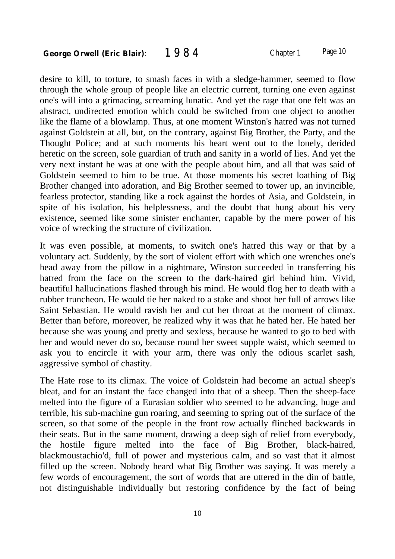desire to kill, to torture, to smash faces in with a sledge-hammer, seemed to flow through the whole group of people like an electric current, turning one even against one's will into a grimacing, screaming lunatic. And yet the rage that one felt was an abstract, undirected emotion which could be switched from one object to another like the flame of a blowlamp. Thus, at one moment Winston's hatred was not turned against Goldstein at all, but, on the contrary, against Big Brother, the Party, and the Thought Police; and at such moments his heart went out to the lonely, derided heretic on the screen, sole guardian of truth and sanity in a world of lies. And yet the very next instant he was at one with the people about him, and all that was said of Goldstein seemed to him to be true. At those moments his secret loathing of Big Brother changed into adoration, and Big Brother seemed to tower up, an invincible, fearless protector, standing like a rock against the hordes of Asia, and Goldstein, in spite of his isolation, his helplessness, and the doubt that hung about his very existence, seemed like some sinister enchanter, capable by the mere power of his voice of wrecking the structure of civilization.

It was even possible, at moments, to switch one's hatred this way or that by a voluntary act. Suddenly, by the sort of violent effort with which one wrenches one's head away from the pillow in a nightmare, Winston succeeded in transferring his hatred from the face on the screen to the dark-haired girl behind him. Vivid, beautiful hallucinations flashed through his mind. He would flog her to death with a rubber truncheon. He would tie her naked to a stake and shoot her full of arrows like Saint Sebastian. He would ravish her and cut her throat at the moment of climax. Better than before, moreover, he realized why it was that he hated her. He hated her because she was young and pretty and sexless, because he wanted to go to bed with her and would never do so, because round her sweet supple waist, which seemed to ask you to encircle it with your arm, there was only the odious scarlet sash, aggressive symbol of chastity.

The Hate rose to its climax. The voice of Goldstein had become an actual sheep's bleat, and for an instant the face changed into that of a sheep. Then the sheep-face melted into the figure of a Eurasian soldier who seemed to be advancing, huge and terrible, his sub-machine gun roaring, and seeming to spring out of the surface of the screen, so that some of the people in the front row actually flinched backwards in their seats. But in the same moment, drawing a deep sigh of relief from everybody, the hostile figure melted into the face of Big Brother, black-haired, blackmoustachio'd, full of power and mysterious calm, and so vast that it almost filled up the screen. Nobody heard what Big Brother was saying. It was merely a few words of encouragement, the sort of words that are uttered in the din of battle, not distinguishable individually but restoring confidence by the fact of being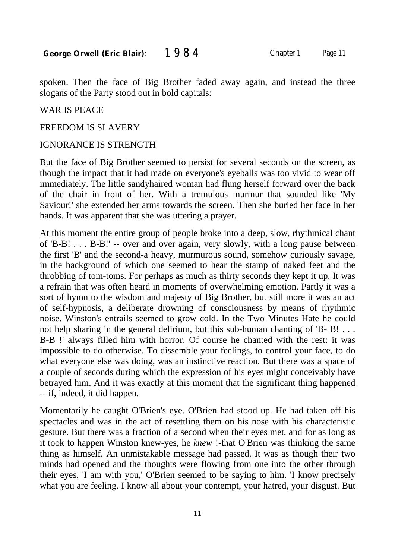spoken. Then the face of Big Brother faded away again, and instead the three slogans of the Party stood out in bold capitals:

#### WAR IS PEACE

#### FREEDOM IS SLAVERY

#### IGNORANCE IS STRENGTH

But the face of Big Brother seemed to persist for several seconds on the screen, as though the impact that it had made on everyone's eyeballs was too vivid to wear off immediately. The little sandyhaired woman had flung herself forward over the back of the chair in front of her. With a tremulous murmur that sounded like 'My Saviour!' she extended her arms towards the screen. Then she buried her face in her hands. It was apparent that she was uttering a prayer.

At this moment the entire group of people broke into a deep, slow, rhythmical chant of 'B-B! . . . B-B!' -- over and over again, very slowly, with a long pause between the first 'B' and the second-a heavy, murmurous sound, somehow curiously savage, in the background of which one seemed to hear the stamp of naked feet and the throbbing of tom-toms. For perhaps as much as thirty seconds they kept it up. It was a refrain that was often heard in moments of overwhelming emotion. Partly it was a sort of hymn to the wisdom and majesty of Big Brother, but still more it was an act of self-hypnosis, a deliberate drowning of consciousness by means of rhythmic noise. Winston's entrails seemed to grow cold. In the Two Minutes Hate he could not help sharing in the general delirium, but this sub-human chanting of 'B- B! . . . B-B !' always filled him with horror. Of course he chanted with the rest: it was impossible to do otherwise. To dissemble your feelings, to control your face, to do what everyone else was doing, was an instinctive reaction. But there was a space of a couple of seconds during which the expression of his eyes might conceivably have betrayed him. And it was exactly at this moment that the significant thing happened -- if, indeed, it did happen.

Momentarily he caught O'Brien's eye. O'Brien had stood up. He had taken off his spectacles and was in the act of resettling them on his nose with his characteristic gesture. But there was a fraction of a second when their eyes met, and for as long as it took to happen Winston knew-yes, he *knew* !-that O'Brien was thinking the same thing as himself. An unmistakable message had passed. It was as though their two minds had opened and the thoughts were flowing from one into the other through their eyes. 'I am with you,' O'Brien seemed to be saying to him. 'I know precisely what you are feeling. I know all about your contempt, your hatred, your disgust. But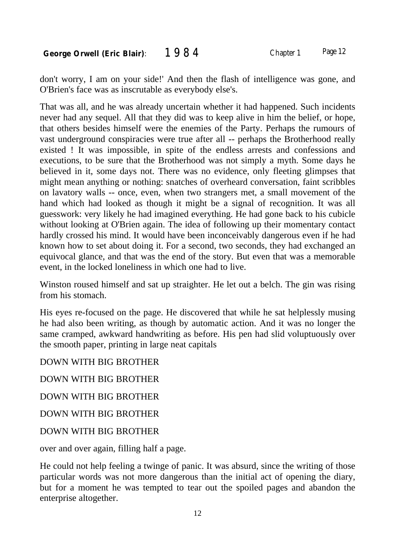don't worry, I am on your side!' And then the flash of intelligence was gone, and O'Brien's face was as inscrutable as everybody else's.

That was all, and he was already uncertain whether it had happened. Such incidents never had any sequel. All that they did was to keep alive in him the belief, or hope, that others besides himself were the enemies of the Party. Perhaps the rumours of vast underground conspiracies were true after all -- perhaps the Brotherhood really existed ! It was impossible, in spite of the endless arrests and confessions and executions, to be sure that the Brotherhood was not simply a myth. Some days he believed in it, some days not. There was no evidence, only fleeting glimpses that might mean anything or nothing: snatches of overheard conversation, faint scribbles on lavatory walls -- once, even, when two strangers met, a small movement of the hand which had looked as though it might be a signal of recognition. It was all guesswork: very likely he had imagined everything. He had gone back to his cubicle without looking at O'Brien again. The idea of following up their momentary contact hardly crossed his mind. It would have been inconceivably dangerous even if he had known how to set about doing it. For a second, two seconds, they had exchanged an equivocal glance, and that was the end of the story. But even that was a memorable event, in the locked loneliness in which one had to live.

Winston roused himself and sat up straighter. He let out a belch. The gin was rising from his stomach.

His eyes re-focused on the page. He discovered that while he sat helplessly musing he had also been writing, as though by automatic action. And it was no longer the same cramped, awkward handwriting as before. His pen had slid voluptuously over the smooth paper, printing in large neat capitals

DOWN WITH BIG BROTHER

DOWN WITH BIG BROTHER

DOWN WITH BIG BROTHER

DOWN WITH BIG BROTHER

#### DOWN WITH BIG BROTHER

over and over again, filling half a page.

He could not help feeling a twinge of panic. It was absurd, since the writing of those particular words was not more dangerous than the initial act of opening the diary, but for a moment he was tempted to tear out the spoiled pages and abandon the enterprise altogether.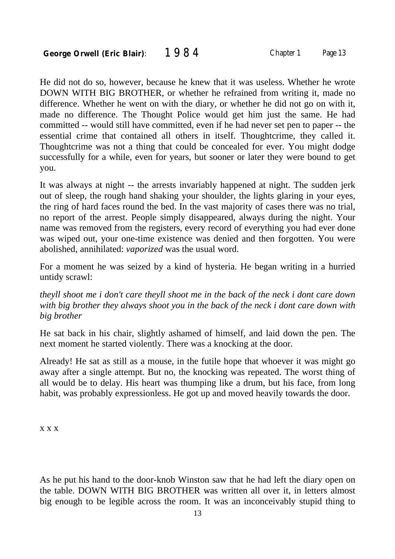He did not do so, however, because he knew that it was useless. Whether he wrote DOWN WITH BIG BROTHER, or whether he refrained from writing it, made no difference. Whether he went on with the diary, or whether he did not go on with it, made no difference. The Thought Police would get him just the same. He had committed -- would still have committed, even if he had never set pen to paper -- the essential crime that contained all others in itself. Thoughtcrime, they called it. Thoughtcrime was not a thing that could be concealed for ever. You might dodge successfully for a while, even for years, but sooner or later they were bound to get you.

It was always at night -- the arrests invariably happened at night. The sudden jerk out of sleep, the rough hand shaking your shoulder, the lights glaring in your eyes, the ring of hard faces round the bed. In the vast majority of cases there was no trial, no report of the arrest. People simply disappeared, always during the night. Your name was removed from the registers, every record of everything you had ever done was wiped out, your one-time existence was denied and then forgotten. You were abolished, annihilated: *vaporized* was the usual word.

For a moment he was seized by a kind of hysteria. He began writing in a hurried untidy scrawl:

*theyll shoot me i don't care theyll shoot me in the back of the neck i dont care down with big brother they always shoot you in the back of the neck i dont care down with big brother*

He sat back in his chair, slightly ashamed of himself, and laid down the pen. The next moment he started violently. There was a knocking at the door.

Already! He sat as still as a mouse, in the futile hope that whoever it was might go away after a single attempt. But no, the knocking was repeated. The worst thing of all would be to delay. His heart was thumping like a drum, but his face, from long habit, was probably expressionless. He got up and moved heavily towards the door.

x x x

As he put his hand to the door-knob Winston saw that he had left the diary open on the table. DOWN WITH BIG BROTHER was written all over it, in letters almost big enough to be legible across the room. It was an inconceivably stupid thing to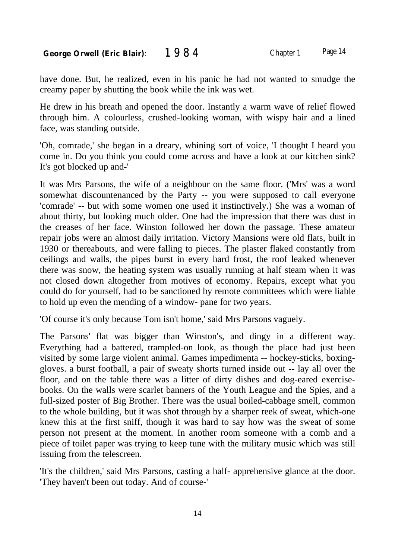have done. But, he realized, even in his panic he had not wanted to smudge the creamy paper by shutting the book while the ink was wet.

He drew in his breath and opened the door. Instantly a warm wave of relief flowed through him. A colourless, crushed-looking woman, with wispy hair and a lined face, was standing outside.

'Oh, comrade,' she began in a dreary, whining sort of voice, 'I thought I heard you come in. Do you think you could come across and have a look at our kitchen sink? It's got blocked up and-'

It was Mrs Parsons, the wife of a neighbour on the same floor. ('Mrs' was a word somewhat discountenanced by the Party -- you were supposed to call everyone 'comrade' -- but with some women one used it instinctively.) She was a woman of about thirty, but looking much older. One had the impression that there was dust in the creases of her face. Winston followed her down the passage. These amateur repair jobs were an almost daily irritation. Victory Mansions were old flats, built in 1930 or thereabouts, and were falling to pieces. The plaster flaked constantly from ceilings and walls, the pipes burst in every hard frost, the roof leaked whenever there was snow, the heating system was usually running at half steam when it was not closed down altogether from motives of economy. Repairs, except what you could do for yourself, had to be sanctioned by remote committees which were liable to hold up even the mending of a window- pane for two years.

'Of course it's only because Tom isn't home,' said Mrs Parsons vaguely.

The Parsons' flat was bigger than Winston's, and dingy in a different way. Everything had a battered, trampled-on look, as though the place had just been visited by some large violent animal. Games impedimenta -- hockey-sticks, boxinggloves. a burst football, a pair of sweaty shorts turned inside out -- lay all over the floor, and on the table there was a litter of dirty dishes and dog-eared exercisebooks. On the walls were scarlet banners of the Youth League and the Spies, and a full-sized poster of Big Brother. There was the usual boiled-cabbage smell, common to the whole building, but it was shot through by a sharper reek of sweat, which-one knew this at the first sniff, though it was hard to say how was the sweat of some person not present at the moment. In another room someone with a comb and a piece of toilet paper was trying to keep tune with the military music which was still issuing from the telescreen.

'It's the children,' said Mrs Parsons, casting a half- apprehensive glance at the door. 'They haven't been out today. And of course-'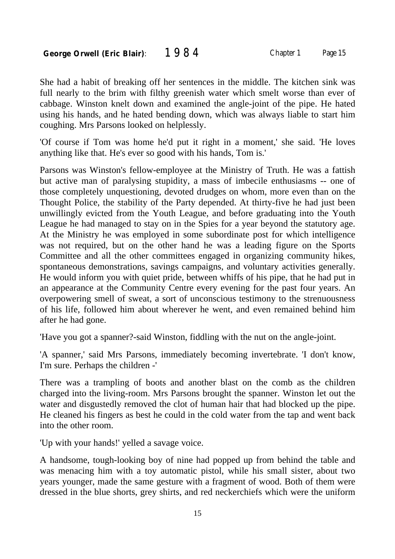She had a habit of breaking off her sentences in the middle. The kitchen sink was full nearly to the brim with filthy greenish water which smelt worse than ever of cabbage. Winston knelt down and examined the angle-joint of the pipe. He hated using his hands, and he hated bending down, which was always liable to start him coughing. Mrs Parsons looked on helplessly.

'Of course if Tom was home he'd put it right in a moment,' she said. 'He loves anything like that. He's ever so good with his hands, Tom is.'

Parsons was Winston's fellow-employee at the Ministry of Truth. He was a fattish but active man of paralysing stupidity, a mass of imbecile enthusiasms -- one of those completely unquestioning, devoted drudges on whom, more even than on the Thought Police, the stability of the Party depended. At thirty-five he had just been unwillingly evicted from the Youth League, and before graduating into the Youth League he had managed to stay on in the Spies for a year beyond the statutory age. At the Ministry he was employed in some subordinate post for which intelligence was not required, but on the other hand he was a leading figure on the Sports Committee and all the other committees engaged in organizing community hikes, spontaneous demonstrations, savings campaigns, and voluntary activities generally. He would inform you with quiet pride, between whiffs of his pipe, that he had put in an appearance at the Community Centre every evening for the past four years. An overpowering smell of sweat, a sort of unconscious testimony to the strenuousness of his life, followed him about wherever he went, and even remained behind him after he had gone.

'Have you got a spanner?-said Winston, fiddling with the nut on the angle-joint.

'A spanner,' said Mrs Parsons, immediately becoming invertebrate. 'I don't know, I'm sure. Perhaps the children -'

There was a trampling of boots and another blast on the comb as the children charged into the living-room. Mrs Parsons brought the spanner. Winston let out the water and disgustedly removed the clot of human hair that had blocked up the pipe. He cleaned his fingers as best he could in the cold water from the tap and went back into the other room.

'Up with your hands!' yelled a savage voice.

A handsome, tough-looking boy of nine had popped up from behind the table and was menacing him with a toy automatic pistol, while his small sister, about two years younger, made the same gesture with a fragment of wood. Both of them were dressed in the blue shorts, grey shirts, and red neckerchiefs which were the uniform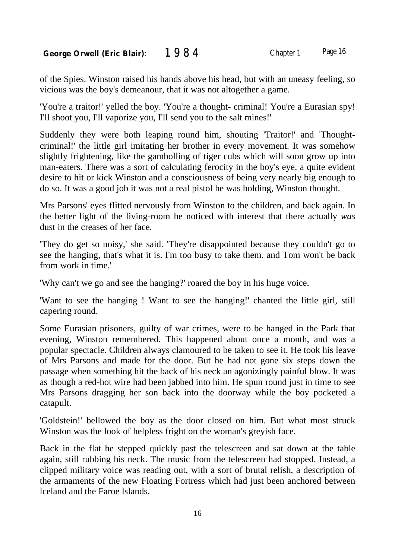of the Spies. Winston raised his hands above his head, but with an uneasy feeling, so vicious was the boy's demeanour, that it was not altogether a game.

'You're a traitor!' yelled the boy. 'You're a thought- criminal! You're a Eurasian spy! I'll shoot you, I'll vaporize you, I'll send you to the salt mines!'

Suddenly they were both leaping round him, shouting 'Traitor!' and 'Thoughtcriminal!' the little girl imitating her brother in every movement. It was somehow slightly frightening, like the gambolling of tiger cubs which will soon grow up into man-eaters. There was a sort of calculating ferocity in the boy's eye, a quite evident desire to hit or kick Winston and a consciousness of being very nearly big enough to do so. It was a good job it was not a real pistol he was holding, Winston thought.

Mrs Parsons' eyes flitted nervously from Winston to the children, and back again. In the better light of the living-room he noticed with interest that there actually *was* dust in the creases of her face.

'They do get so noisy,' she said. 'They're disappointed because they couldn't go to see the hanging, that's what it is. I'm too busy to take them. and Tom won't be back from work in time.'

'Why can't we go and see the hanging?' roared the boy in his huge voice.

'Want to see the hanging ! Want to see the hanging!' chanted the little girl, still capering round.

Some Eurasian prisoners, guilty of war crimes, were to be hanged in the Park that evening, Winston remembered. This happened about once a month, and was a popular spectacle. Children always clamoured to be taken to see it. He took his leave of Mrs Parsons and made for the door. But he had not gone six steps down the passage when something hit the back of his neck an agonizingly painful blow. It was as though a red-hot wire had been jabbed into him. He spun round just in time to see Mrs Parsons dragging her son back into the doorway while the boy pocketed a catapult.

'Goldstein!' bellowed the boy as the door closed on him. But what most struck Winston was the look of helpless fright on the woman's greyish face.

Back in the flat he stepped quickly past the telescreen and sat down at the table again, still rubbing his neck. The music from the telescreen had stopped. Instead, a clipped military voice was reading out, with a sort of brutal relish, a description of the armaments of the new Floating Fortress which had just been anchored between lceland and the Faroe lslands.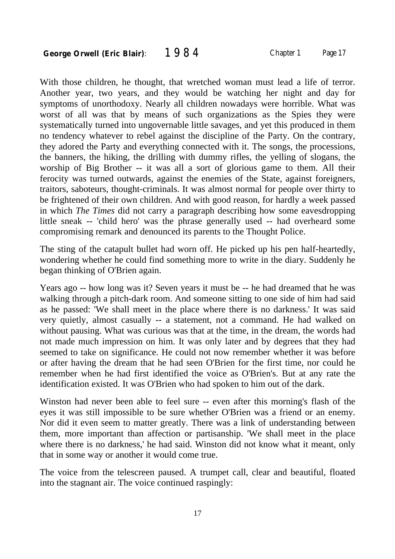With those children, he thought, that wretched woman must lead a life of terror. Another year, two years, and they would be watching her night and day for symptoms of unorthodoxy. Nearly all children nowadays were horrible. What was worst of all was that by means of such organizations as the Spies they were systematically turned into ungovernable little savages, and yet this produced in them no tendency whatever to rebel against the discipline of the Party. On the contrary, they adored the Party and everything connected with it. The songs, the processions, the banners, the hiking, the drilling with dummy rifles, the yelling of slogans, the worship of Big Brother -- it was all a sort of glorious game to them. All their ferocity was turned outwards, against the enemies of the State, against foreigners, traitors, saboteurs, thought-criminals. It was almost normal for people over thirty to be frightened of their own children. And with good reason, for hardly a week passed in which *The Times* did not carry a paragraph describing how some eavesdropping little sneak -- 'child hero' was the phrase generally used -- had overheard some compromising remark and denounced its parents to the Thought Police.

The sting of the catapult bullet had worn off. He picked up his pen half-heartedly, wondering whether he could find something more to write in the diary. Suddenly he began thinking of O'Brien again.

Years ago -- how long was it? Seven years it must be -- he had dreamed that he was walking through a pitch-dark room. And someone sitting to one side of him had said as he passed: 'We shall meet in the place where there is no darkness.' It was said very quietly, almost casually -- a statement, not a command. He had walked on without pausing. What was curious was that at the time, in the dream, the words had not made much impression on him. It was only later and by degrees that they had seemed to take on significance. He could not now remember whether it was before or after having the dream that he had seen O'Brien for the first time, nor could he remember when he had first identified the voice as O'Brien's. But at any rate the identification existed. It was O'Brien who had spoken to him out of the dark.

Winston had never been able to feel sure -- even after this morning's flash of the eyes it was still impossible to be sure whether O'Brien was a friend or an enemy. Nor did it even seem to matter greatly. There was a link of understanding between them, more important than affection or partisanship. 'We shall meet in the place where there is no darkness,' he had said. Winston did not know what it meant, only that in some way or another it would come true.

The voice from the telescreen paused. A trumpet call, clear and beautiful, floated into the stagnant air. The voice continued raspingly: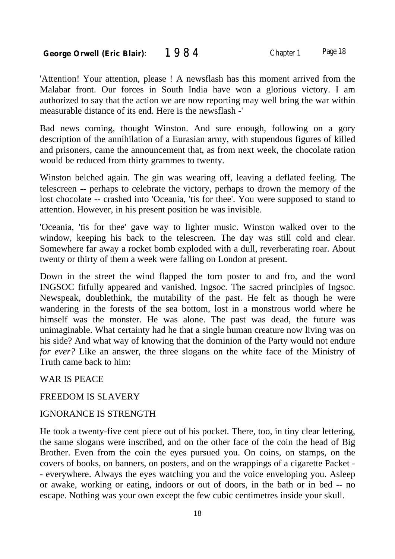'Attention! Your attention, please ! A newsflash has this moment arrived from the Malabar front. Our forces in South India have won a glorious victory. I am authorized to say that the action we are now reporting may well bring the war within measurable distance of its end. Here is the newsflash -'

Bad news coming, thought Winston. And sure enough, following on a gory description of the annihilation of a Eurasian army, with stupendous figures of killed and prisoners, came the announcement that, as from next week, the chocolate ration would be reduced from thirty grammes to twenty.

Winston belched again. The gin was wearing off, leaving a deflated feeling. The telescreen -- perhaps to celebrate the victory, perhaps to drown the memory of the lost chocolate -- crashed into 'Oceania, 'tis for thee'. You were supposed to stand to attention. However, in his present position he was invisible.

'Oceania, 'tis for thee' gave way to lighter music. Winston walked over to the window, keeping his back to the telescreen. The day was still cold and clear. Somewhere far away a rocket bomb exploded with a dull, reverberating roar. About twenty or thirty of them a week were falling on London at present.

Down in the street the wind flapped the torn poster to and fro, and the word INGSOC fitfully appeared and vanished. Ingsoc. The sacred principles of Ingsoc. Newspeak, doublethink, the mutability of the past. He felt as though he were wandering in the forests of the sea bottom, lost in a monstrous world where he himself was the monster. He was alone. The past was dead, the future was unimaginable. What certainty had he that a single human creature now living was on his side? And what way of knowing that the dominion of the Party would not endure *for ever?* Like an answer, the three slogans on the white face of the Ministry of Truth came back to him:

WAR IS PEACE

## FREEDOM IS SLAVERY

#### IGNORANCE IS STRENGTH

He took a twenty-five cent piece out of his pocket. There, too, in tiny clear lettering, the same slogans were inscribed, and on the other face of the coin the head of Big Brother. Even from the coin the eyes pursued you. On coins, on stamps, on the covers of books, on banners, on posters, and on the wrappings of a cigarette Packet - - everywhere. Always the eyes watching you and the voice enveloping you. Asleep or awake, working or eating, indoors or out of doors, in the bath or in bed -- no escape. Nothing was your own except the few cubic centimetres inside your skull.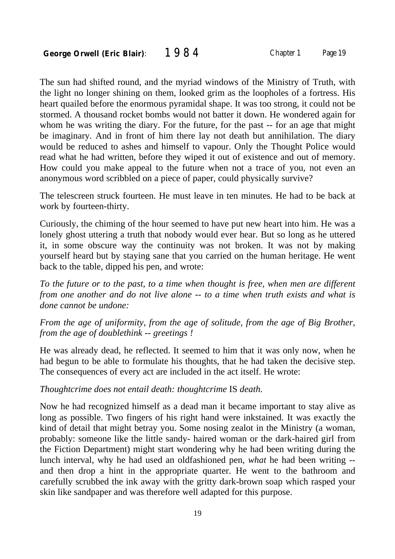The sun had shifted round, and the myriad windows of the Ministry of Truth, with the light no longer shining on them, looked grim as the loopholes of a fortress. His heart quailed before the enormous pyramidal shape. It was too strong, it could not be stormed. A thousand rocket bombs would not batter it down. He wondered again for whom he was writing the diary. For the future, for the past -- for an age that might be imaginary. And in front of him there lay not death but annihilation. The diary would be reduced to ashes and himself to vapour. Only the Thought Police would read what he had written, before they wiped it out of existence and out of memory. How could you make appeal to the future when not a trace of you, not even an anonymous word scribbled on a piece of paper, could physically survive?

The telescreen struck fourteen. He must leave in ten minutes. He had to be back at work by fourteen-thirty.

Curiously, the chiming of the hour seemed to have put new heart into him. He was a lonely ghost uttering a truth that nobody would ever hear. But so long as he uttered it, in some obscure way the continuity was not broken. It was not by making yourself heard but by staying sane that you carried on the human heritage. He went back to the table, dipped his pen, and wrote:

*To the future or to the past, to a time when thought is free, when men are different from one another and do not live alone -- to a time when truth exists and what is done cannot be undone:*

*From the age of uniformity, from the age of solitude, from the age of Big Brother, from the age of doublethink -- greetings !*

He was already dead, he reflected. It seemed to him that it was only now, when he had begun to be able to formulate his thoughts, that he had taken the decisive step. The consequences of every act are included in the act itself. He wrote:

#### *Thoughtcrime does not entail death: thoughtcrime* IS *death.*

Now he had recognized himself as a dead man it became important to stay alive as long as possible. Two fingers of his right hand were inkstained. It was exactly the kind of detail that might betray you. Some nosing zealot in the Ministry (a woman, probably: someone like the little sandy- haired woman or the dark-haired girl from the Fiction Department) might start wondering why he had been writing during the lunch interval, why he had used an oldfashioned pen, *what* he had been writing - and then drop a hint in the appropriate quarter. He went to the bathroom and carefully scrubbed the ink away with the gritty dark-brown soap which rasped your skin like sandpaper and was therefore well adapted for this purpose.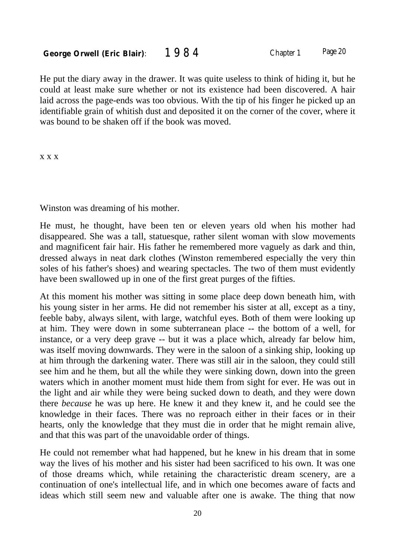## *George Orwell (Eric Blair)*: **1984** Chapter 1 Page 20

He put the diary away in the drawer. It was quite useless to think of hiding it, but he could at least make sure whether or not its existence had been discovered. A hair laid across the page-ends was too obvious. With the tip of his finger he picked up an identifiable grain of whitish dust and deposited it on the corner of the cover, where it was bound to be shaken off if the book was moved.

x x x

Winston was dreaming of his mother.

He must, he thought, have been ten or eleven years old when his mother had disappeared. She was a tall, statuesque, rather silent woman with slow movements and magnificent fair hair. His father he remembered more vaguely as dark and thin, dressed always in neat dark clothes (Winston remembered especially the very thin soles of his father's shoes) and wearing spectacles. The two of them must evidently have been swallowed up in one of the first great purges of the fifties.

At this moment his mother was sitting in some place deep down beneath him, with his young sister in her arms. He did not remember his sister at all, except as a tiny, feeble baby, always silent, with large, watchful eyes. Both of them were looking up at him. They were down in some subterranean place -- the bottom of a well, for instance, or a very deep grave -- but it was a place which, already far below him, was itself moving downwards. They were in the saloon of a sinking ship, looking up at him through the darkening water. There was still air in the saloon, they could still see him and he them, but all the while they were sinking down, down into the green waters which in another moment must hide them from sight for ever. He was out in the light and air while they were being sucked down to death, and they were down there *because* he was up here. He knew it and they knew it, and he could see the knowledge in their faces. There was no reproach either in their faces or in their hearts, only the knowledge that they must die in order that he might remain alive, and that this was part of the unavoidable order of things.

He could not remember what had happened, but he knew in his dream that in some way the lives of his mother and his sister had been sacrificed to his own. It was one of those dreams which, while retaining the characteristic dream scenery, are a continuation of one's intellectual life, and in which one becomes aware of facts and ideas which still seem new and valuable after one is awake. The thing that now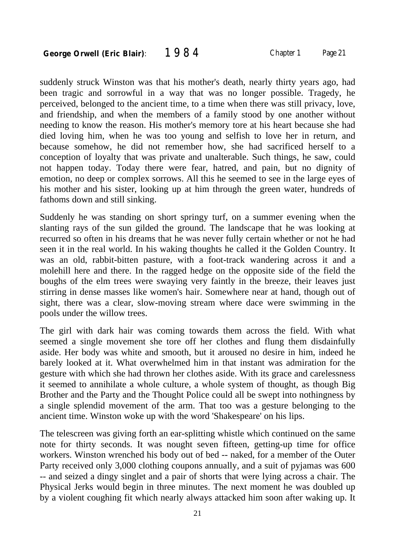suddenly struck Winston was that his mother's death, nearly thirty years ago, had been tragic and sorrowful in a way that was no longer possible. Tragedy, he perceived, belonged to the ancient time, to a time when there was still privacy, love, and friendship, and when the members of a family stood by one another without needing to know the reason. His mother's memory tore at his heart because she had died loving him, when he was too young and selfish to love her in return, and because somehow, he did not remember how, she had sacrificed herself to a conception of loyalty that was private and unalterable. Such things, he saw, could not happen today. Today there were fear, hatred, and pain, but no dignity of emotion, no deep or complex sorrows. All this he seemed to see in the large eyes of his mother and his sister, looking up at him through the green water, hundreds of fathoms down and still sinking.

Suddenly he was standing on short springy turf, on a summer evening when the slanting rays of the sun gilded the ground. The landscape that he was looking at recurred so often in his dreams that he was never fully certain whether or not he had seen it in the real world. In his waking thoughts he called it the Golden Country. It was an old, rabbit-bitten pasture, with a foot-track wandering across it and a molehill here and there. In the ragged hedge on the opposite side of the field the boughs of the elm trees were swaying very faintly in the breeze, their leaves just stirring in dense masses like women's hair. Somewhere near at hand, though out of sight, there was a clear, slow-moving stream where dace were swimming in the pools under the willow trees.

The girl with dark hair was coming towards them across the field. With what seemed a single movement she tore off her clothes and flung them disdainfully aside. Her body was white and smooth, but it aroused no desire in him, indeed he barely looked at it. What overwhelmed him in that instant was admiration for the gesture with which she had thrown her clothes aside. With its grace and carelessness it seemed to annihilate a whole culture, a whole system of thought, as though Big Brother and the Party and the Thought Police could all be swept into nothingness by a single splendid movement of the arm. That too was a gesture belonging to the ancient time. Winston woke up with the word 'Shakespeare' on his lips.

The telescreen was giving forth an ear-splitting whistle which continued on the same note for thirty seconds. It was nought seven fifteen, getting-up time for office workers. Winston wrenched his body out of bed -- naked, for a member of the Outer Party received only 3,000 clothing coupons annually, and a suit of pyjamas was 600 -- and seized a dingy singlet and a pair of shorts that were lying across a chair. The Physical Jerks would begin in three minutes. The next moment he was doubled up by a violent coughing fit which nearly always attacked him soon after waking up. It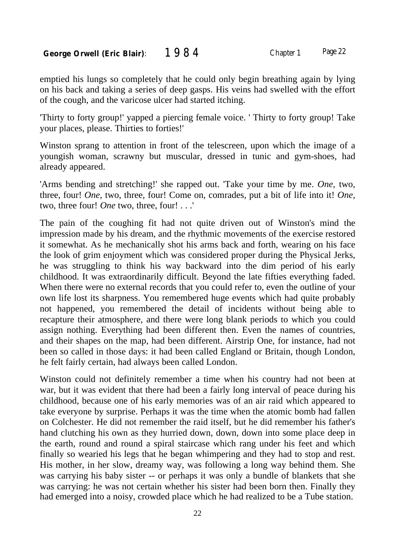emptied his lungs so completely that he could only begin breathing again by lying on his back and taking a series of deep gasps. His veins had swelled with the effort of the cough, and the varicose ulcer had started itching.

'Thirty to forty group!' yapped a piercing female voice. ' Thirty to forty group! Take your places, please. Thirties to forties!'

Winston sprang to attention in front of the telescreen, upon which the image of a youngish woman, scrawny but muscular, dressed in tunic and gym-shoes, had already appeared.

'Arms bending and stretching!' she rapped out. 'Take your time by me. *One,* two, three, four! *One,* two, three, four! Come on, comrades, put a bit of life into it! *One,* two, three four! *One* two, three, four! . . .'

The pain of the coughing fit had not quite driven out of Winston's mind the impression made by his dream, and the rhythmic movements of the exercise restored it somewhat. As he mechanically shot his arms back and forth, wearing on his face the look of grim enjoyment which was considered proper during the Physical Jerks, he was struggling to think his way backward into the dim period of his early childhood. It was extraordinarily difficult. Beyond the late fifties everything faded. When there were no external records that you could refer to, even the outline of your own life lost its sharpness. You remembered huge events which had quite probably not happened, you remembered the detail of incidents without being able to recapture their atmosphere, and there were long blank periods to which you could assign nothing. Everything had been different then. Even the names of countries, and their shapes on the map, had been different. Airstrip One, for instance, had not been so called in those days: it had been called England or Britain, though London, he felt fairly certain, had always been called London.

Winston could not definitely remember a time when his country had not been at war, but it was evident that there had been a fairly long interval of peace during his childhood, because one of his early memories was of an air raid which appeared to take everyone by surprise. Perhaps it was the time when the atomic bomb had fallen on Colchester. He did not remember the raid itself, but he did remember his father's hand clutching his own as they hurried down, down, down into some place deep in the earth, round and round a spiral staircase which rang under his feet and which finally so wearied his legs that he began whimpering and they had to stop and rest. His mother, in her slow, dreamy way, was following a long way behind them. She was carrying his baby sister -- or perhaps it was only a bundle of blankets that she was carrying: he was not certain whether his sister had been born then. Finally they had emerged into a noisy, crowded place which he had realized to be a Tube station.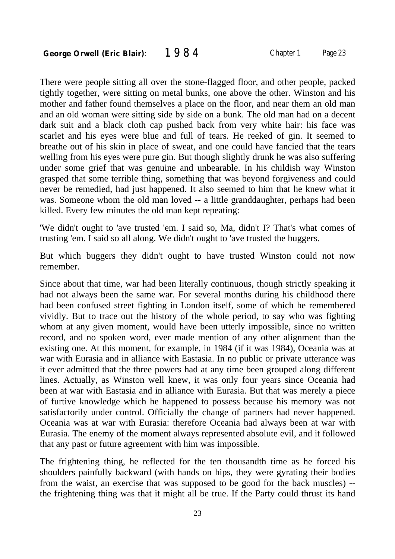There were people sitting all over the stone-flagged floor, and other people, packed tightly together, were sitting on metal bunks, one above the other. Winston and his mother and father found themselves a place on the floor, and near them an old man and an old woman were sitting side by side on a bunk. The old man had on a decent dark suit and a black cloth cap pushed back from very white hair: his face was scarlet and his eyes were blue and full of tears. He reeked of gin. It seemed to breathe out of his skin in place of sweat, and one could have fancied that the tears welling from his eyes were pure gin. But though slightly drunk he was also suffering under some grief that was genuine and unbearable. In his childish way Winston grasped that some terrible thing, something that was beyond forgiveness and could never be remedied, had just happened. It also seemed to him that he knew what it was. Someone whom the old man loved -- a little granddaughter, perhaps had been killed. Every few minutes the old man kept repeating:

'We didn't ought to 'ave trusted 'em. I said so, Ma, didn't I? That's what comes of trusting 'em. I said so all along. We didn't ought to 'ave trusted the buggers.

But which buggers they didn't ought to have trusted Winston could not now remember.

Since about that time, war had been literally continuous, though strictly speaking it had not always been the same war. For several months during his childhood there had been confused street fighting in London itself, some of which he remembered vividly. But to trace out the history of the whole period, to say who was fighting whom at any given moment, would have been utterly impossible, since no written record, and no spoken word, ever made mention of any other alignment than the existing one. At this moment, for example, in 1984 (if it was 1984), Oceania was at war with Eurasia and in alliance with Eastasia. In no public or private utterance was it ever admitted that the three powers had at any time been grouped along different lines. Actually, as Winston well knew, it was only four years since Oceania had been at war with Eastasia and in alliance with Eurasia. But that was merely a piece of furtive knowledge which he happened to possess because his memory was not satisfactorily under control. Officially the change of partners had never happened. Oceania was at war with Eurasia: therefore Oceania had always been at war with Eurasia. The enemy of the moment always represented absolute evil, and it followed that any past or future agreement with him was impossible.

The frightening thing, he reflected for the ten thousandth time as he forced his shoulders painfully backward (with hands on hips, they were gyrating their bodies from the waist, an exercise that was supposed to be good for the back muscles) - the frightening thing was that it might all be true. If the Party could thrust its hand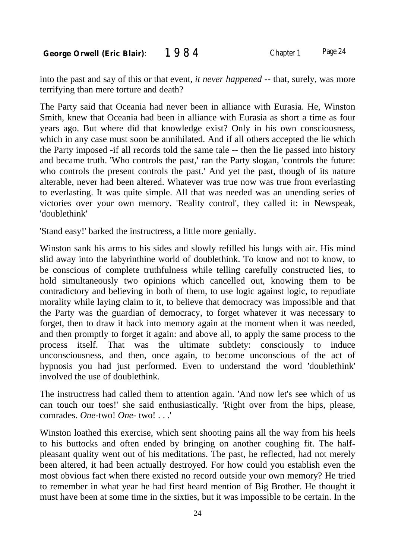into the past and say of this or that event, *it never happened* -- that, surely, was more terrifying than mere torture and death?

The Party said that Oceania had never been in alliance with Eurasia. He, Winston Smith, knew that Oceania had been in alliance with Eurasia as short a time as four years ago. But where did that knowledge exist? Only in his own consciousness, which in any case must soon be annihilated. And if all others accepted the lie which the Party imposed -if all records told the same tale -- then the lie passed into history and became truth. 'Who controls the past,' ran the Party slogan, 'controls the future: who controls the present controls the past.' And yet the past, though of its nature alterable, never had been altered. Whatever was true now was true from everlasting to everlasting. It was quite simple. All that was needed was an unending series of victories over your own memory. 'Reality control', they called it: in Newspeak, 'doublethink'

'Stand easy!' barked the instructress, a little more genially.

Winston sank his arms to his sides and slowly refilled his lungs with air. His mind slid away into the labyrinthine world of doublethink. To know and not to know, to be conscious of complete truthfulness while telling carefully constructed lies, to hold simultaneously two opinions which cancelled out, knowing them to be contradictory and believing in both of them, to use logic against logic, to repudiate morality while laying claim to it, to believe that democracy was impossible and that the Party was the guardian of democracy, to forget whatever it was necessary to forget, then to draw it back into memory again at the moment when it was needed, and then promptly to forget it again: and above all, to apply the same process to the process itself. That was the ultimate subtlety: consciously to induce unconsciousness, and then, once again, to become unconscious of the act of hypnosis you had just performed. Even to understand the word 'doublethink' involved the use of doublethink.

The instructress had called them to attention again. 'And now let's see which of us can touch our toes!' she said enthusiastically. 'Right over from the hips, please, comrades. *One-*two! *One-* two! . . .'

Winston loathed this exercise, which sent shooting pains all the way from his heels to his buttocks and often ended by bringing on another coughing fit. The halfpleasant quality went out of his meditations. The past, he reflected, had not merely been altered, it had been actually destroyed. For how could you establish even the most obvious fact when there existed no record outside your own memory? He tried to remember in what year he had first heard mention of Big Brother. He thought it must have been at some time in the sixties, but it was impossible to be certain. In the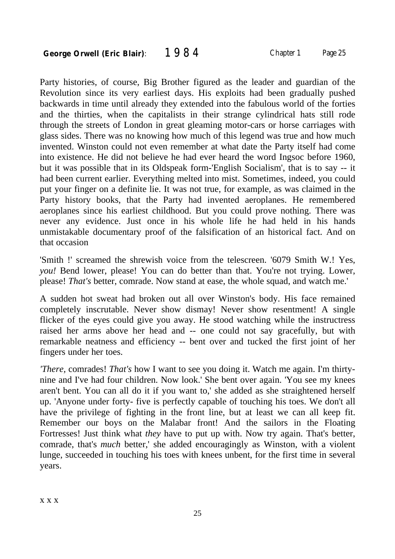Party histories, of course, Big Brother figured as the leader and guardian of the Revolution since its very earliest days. His exploits had been gradually pushed backwards in time until already they extended into the fabulous world of the forties and the thirties, when the capitalists in their strange cylindrical hats still rode through the streets of London in great gleaming motor-cars or horse carriages with glass sides. There was no knowing how much of this legend was true and how much invented. Winston could not even remember at what date the Party itself had come into existence. He did not believe he had ever heard the word Ingsoc before 1960, but it was possible that in its Oldspeak form-'English Socialism', that is to say -- it had been current earlier. Everything melted into mist. Sometimes, indeed, you could put your finger on a definite lie. It was not true, for example, as was claimed in the Party history books, that the Party had invented aeroplanes. He remembered aeroplanes since his earliest childhood. But you could prove nothing. There was never any evidence. Just once in his whole life he had held in his hands unmistakable documentary proof of the falsification of an historical fact. And on that occasion

'Smith !' screamed the shrewish voice from the telescreen. '6079 Smith W.! Yes, *you!* Bend lower, please! You can do better than that. You're not trying. Lower, please! *That's* better, comrade. Now stand at ease, the whole squad, and watch me.'

A sudden hot sweat had broken out all over Winston's body. His face remained completely inscrutable. Never show dismay! Never show resentment! A single flicker of the eyes could give you away. He stood watching while the instructress raised her arms above her head and -- one could not say gracefully, but with remarkable neatness and efficiency -- bent over and tucked the first joint of her fingers under her toes.

*'There,* comrades! *That's* how I want to see you doing it. Watch me again. I'm thirtynine and I've had four children. Now look.' She bent over again. 'You see my knees aren't bent. You can all do it if you want to,' she added as she straightened herself up. 'Anyone under forty- five is perfectly capable of touching his toes. We don't all have the privilege of fighting in the front line, but at least we can all keep fit. Remember our boys on the Malabar front! And the sailors in the Floating Fortresses! Just think what *they* have to put up with. Now try again. That's better, comrade, that's *much* better,' she added encouragingly as Winston, with a violent lunge, succeeded in touching his toes with knees unbent, for the first time in several years.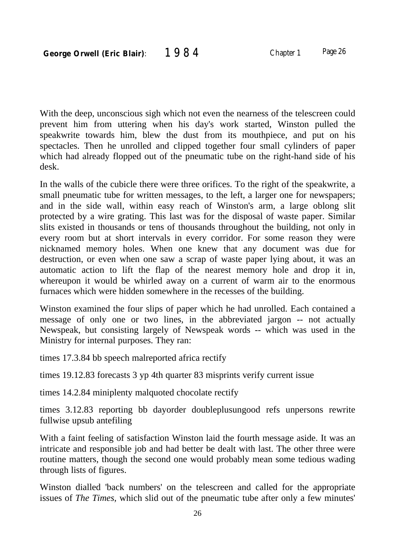With the deep, unconscious sigh which not even the nearness of the telescreen could prevent him from uttering when his day's work started, Winston pulled the speakwrite towards him, blew the dust from its mouthpiece, and put on his spectacles. Then he unrolled and clipped together four small cylinders of paper which had already flopped out of the pneumatic tube on the right-hand side of his desk.

In the walls of the cubicle there were three orifices. To the right of the speakwrite, a small pneumatic tube for written messages, to the left, a larger one for newspapers; and in the side wall, within easy reach of Winston's arm, a large oblong slit protected by a wire grating. This last was for the disposal of waste paper. Similar slits existed in thousands or tens of thousands throughout the building, not only in every room but at short intervals in every corridor. For some reason they were nicknamed memory holes. When one knew that any document was due for destruction, or even when one saw a scrap of waste paper lying about, it was an automatic action to lift the flap of the nearest memory hole and drop it in, whereupon it would be whirled away on a current of warm air to the enormous furnaces which were hidden somewhere in the recesses of the building.

Winston examined the four slips of paper which he had unrolled. Each contained a message of only one or two lines, in the abbreviated jargon -- not actually Newspeak, but consisting largely of Newspeak words -- which was used in the Ministry for internal purposes. They ran:

times 17.3.84 bb speech malreported africa rectify

times 19.12.83 forecasts 3 yp 4th quarter 83 misprints verify current issue

times 14.2.84 miniplenty malquoted chocolate rectify

times 3.12.83 reporting bb dayorder doubleplusungood refs unpersons rewrite fullwise upsub antefiling

With a faint feeling of satisfaction Winston laid the fourth message aside. It was an intricate and responsible job and had better be dealt with last. The other three were routine matters, though the second one would probably mean some tedious wading through lists of figures.

Winston dialled 'back numbers' on the telescreen and called for the appropriate issues of *The Times,* which slid out of the pneumatic tube after only a few minutes'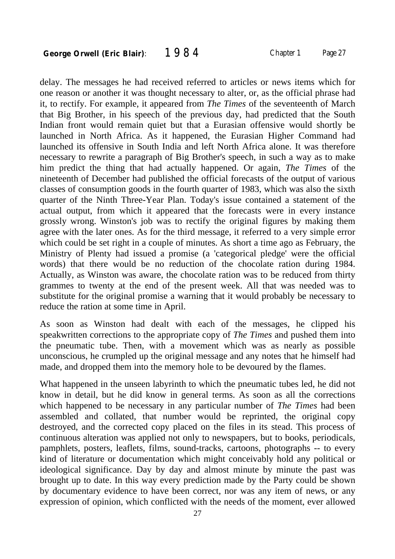delay. The messages he had received referred to articles or news items which for one reason or another it was thought necessary to alter, or, as the official phrase had it, to rectify. For example, it appeared from *The Times* of the seventeenth of March that Big Brother, in his speech of the previous day, had predicted that the South Indian front would remain quiet but that a Eurasian offensive would shortly be launched in North Africa. As it happened, the Eurasian Higher Command had launched its offensive in South India and left North Africa alone. It was therefore necessary to rewrite a paragraph of Big Brother's speech, in such a way as to make him predict the thing that had actually happened. Or again, *The Times* of the nineteenth of December had published the official forecasts of the output of various classes of consumption goods in the fourth quarter of 1983, which was also the sixth quarter of the Ninth Three-Year Plan. Today's issue contained a statement of the actual output, from which it appeared that the forecasts were in every instance grossly wrong. Winston's job was to rectify the original figures by making them agree with the later ones. As for the third message, it referred to a very simple error which could be set right in a couple of minutes. As short a time ago as February, the Ministry of Plenty had issued a promise (a 'categorical pledge' were the official words) that there would be no reduction of the chocolate ration during 1984. Actually, as Winston was aware, the chocolate ration was to be reduced from thirty grammes to twenty at the end of the present week. All that was needed was to substitute for the original promise a warning that it would probably be necessary to reduce the ration at some time in April.

As soon as Winston had dealt with each of the messages, he clipped his speakwritten corrections to the appropriate copy of *The Times* and pushed them into the pneumatic tube. Then, with a movement which was as nearly as possible unconscious, he crumpled up the original message and any notes that he himself had made, and dropped them into the memory hole to be devoured by the flames.

What happened in the unseen labyrinth to which the pneumatic tubes led, he did not know in detail, but he did know in general terms. As soon as all the corrections which happened to be necessary in any particular number of *The Times* had been assembled and collated, that number would be reprinted, the original copy destroyed, and the corrected copy placed on the files in its stead. This process of continuous alteration was applied not only to newspapers, but to books, periodicals, pamphlets, posters, leaflets, films, sound-tracks, cartoons, photographs -- to every kind of literature or documentation which might conceivably hold any political or ideological significance. Day by day and almost minute by minute the past was brought up to date. In this way every prediction made by the Party could be shown by documentary evidence to have been correct, nor was any item of news, or any expression of opinion, which conflicted with the needs of the moment, ever allowed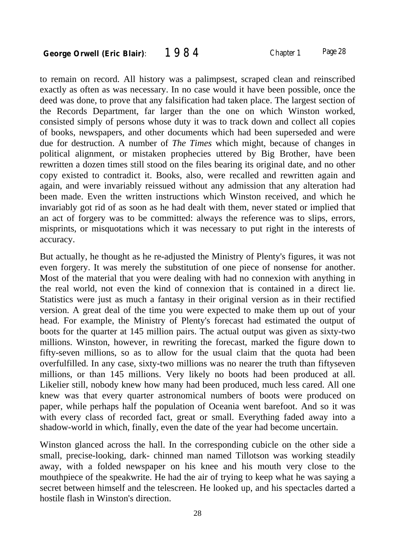to remain on record. All history was a palimpsest, scraped clean and reinscribed exactly as often as was necessary. In no case would it have been possible, once the deed was done, to prove that any falsification had taken place. The largest section of the Records Department, far larger than the one on which Winston worked, consisted simply of persons whose duty it was to track down and collect all copies of books, newspapers, and other documents which had been superseded and were due for destruction. A number of *The Times* which might, because of changes in political alignment, or mistaken prophecies uttered by Big Brother, have been rewritten a dozen times still stood on the files bearing its original date, and no other copy existed to contradict it. Books, also, were recalled and rewritten again and again, and were invariably reissued without any admission that any alteration had been made. Even the written instructions which Winston received, and which he invariably got rid of as soon as he had dealt with them, never stated or implied that an act of forgery was to be committed: always the reference was to slips, errors, misprints, or misquotations which it was necessary to put right in the interests of accuracy.

But actually, he thought as he re-adjusted the Ministry of Plenty's figures, it was not even forgery. It was merely the substitution of one piece of nonsense for another. Most of the material that you were dealing with had no connexion with anything in the real world, not even the kind of connexion that is contained in a direct lie. Statistics were just as much a fantasy in their original version as in their rectified version. A great deal of the time you were expected to make them up out of your head. For example, the Ministry of Plenty's forecast had estimated the output of boots for the quarter at 145 million pairs. The actual output was given as sixty-two millions. Winston, however, in rewriting the forecast, marked the figure down to fifty-seven millions, so as to allow for the usual claim that the quota had been overfulfilled. In any case, sixty-two millions was no nearer the truth than fiftyseven millions, or than 145 millions. Very likely no boots had been produced at all. Likelier still, nobody knew how many had been produced, much less cared. All one knew was that every quarter astronomical numbers of boots were produced on paper, while perhaps half the population of Oceania went barefoot. And so it was with every class of recorded fact, great or small. Everything faded away into a shadow-world in which, finally, even the date of the year had become uncertain.

Winston glanced across the hall. In the corresponding cubicle on the other side a small, precise-looking, dark- chinned man named Tillotson was working steadily away, with a folded newspaper on his knee and his mouth very close to the mouthpiece of the speakwrite. He had the air of trying to keep what he was saying a secret between himself and the telescreen. He looked up, and his spectacles darted a hostile flash in Winston's direction.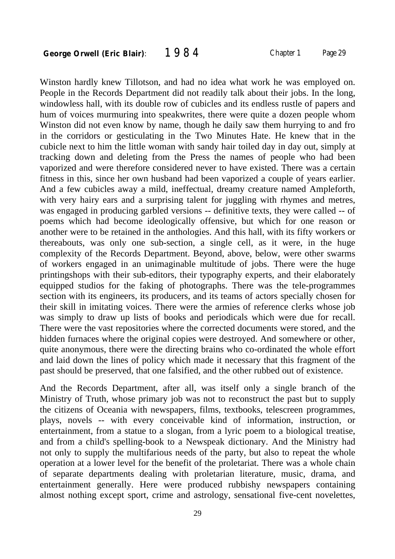Winston hardly knew Tillotson, and had no idea what work he was employed on. People in the Records Department did not readily talk about their jobs. In the long, windowless hall, with its double row of cubicles and its endless rustle of papers and hum of voices murmuring into speakwrites, there were quite a dozen people whom Winston did not even know by name, though he daily saw them hurrying to and fro in the corridors or gesticulating in the Two Minutes Hate. He knew that in the cubicle next to him the little woman with sandy hair toiled day in day out, simply at tracking down and deleting from the Press the names of people who had been vaporized and were therefore considered never to have existed. There was a certain fitness in this, since her own husband had been vaporized a couple of years earlier. And a few cubicles away a mild, ineffectual, dreamy creature named Ampleforth, with very hairy ears and a surprising talent for juggling with rhymes and metres, was engaged in producing garbled versions -- definitive texts, they were called -- of poems which had become ideologically offensive, but which for one reason or another were to be retained in the anthologies. And this hall, with its fifty workers or thereabouts, was only one sub-section, a single cell, as it were, in the huge complexity of the Records Department. Beyond, above, below, were other swarms of workers engaged in an unimaginable multitude of jobs. There were the huge printingshops with their sub-editors, their typography experts, and their elaborately equipped studios for the faking of photographs. There was the tele-programmes section with its engineers, its producers, and its teams of actors specially chosen for their skill in imitating voices. There were the armies of reference clerks whose job was simply to draw up lists of books and periodicals which were due for recall. There were the vast repositories where the corrected documents were stored, and the hidden furnaces where the original copies were destroyed. And somewhere or other, quite anonymous, there were the directing brains who co-ordinated the whole effort and laid down the lines of policy which made it necessary that this fragment of the past should be preserved, that one falsified, and the other rubbed out of existence.

And the Records Department, after all, was itself only a single branch of the Ministry of Truth, whose primary job was not to reconstruct the past but to supply the citizens of Oceania with newspapers, films, textbooks, telescreen programmes, plays, novels -- with every conceivable kind of information, instruction, or entertainment, from a statue to a slogan, from a lyric poem to a biological treatise, and from a child's spelling-book to a Newspeak dictionary. And the Ministry had not only to supply the multifarious needs of the party, but also to repeat the whole operation at a lower level for the benefit of the proletariat. There was a whole chain of separate departments dealing with proletarian literature, music, drama, and entertainment generally. Here were produced rubbishy newspapers containing almost nothing except sport, crime and astrology, sensational five-cent novelettes,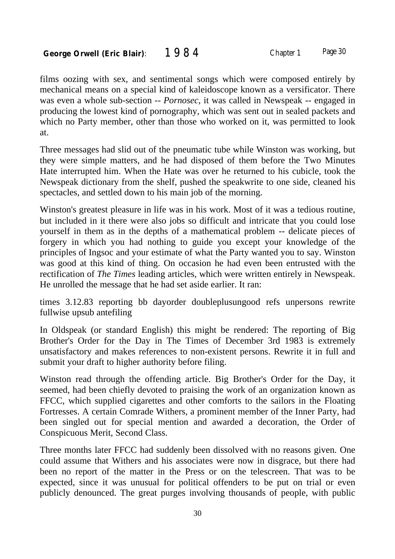films oozing with sex, and sentimental songs which were composed entirely by mechanical means on a special kind of kaleidoscope known as a versificator. There was even a whole sub-section -- *Pornosec*, it was called in Newspeak -- engaged in producing the lowest kind of pornography, which was sent out in sealed packets and which no Party member, other than those who worked on it, was permitted to look at.

Three messages had slid out of the pneumatic tube while Winston was working, but they were simple matters, and he had disposed of them before the Two Minutes Hate interrupted him. When the Hate was over he returned to his cubicle, took the Newspeak dictionary from the shelf, pushed the speakwrite to one side, cleaned his spectacles, and settled down to his main job of the morning.

Winston's greatest pleasure in life was in his work. Most of it was a tedious routine, but included in it there were also jobs so difficult and intricate that you could lose yourself in them as in the depths of a mathematical problem -- delicate pieces of forgery in which you had nothing to guide you except your knowledge of the principles of Ingsoc and your estimate of what the Party wanted you to say. Winston was good at this kind of thing. On occasion he had even been entrusted with the rectification of *The Times* leading articles, which were written entirely in Newspeak. He unrolled the message that he had set aside earlier. It ran:

times 3.12.83 reporting bb dayorder doubleplusungood refs unpersons rewrite fullwise upsub antefiling

In Oldspeak (or standard English) this might be rendered: The reporting of Big Brother's Order for the Day in The Times of December 3rd 1983 is extremely unsatisfactory and makes references to non-existent persons. Rewrite it in full and submit your draft to higher authority before filing.

Winston read through the offending article. Big Brother's Order for the Day, it seemed, had been chiefly devoted to praising the work of an organization known as FFCC, which supplied cigarettes and other comforts to the sailors in the Floating Fortresses. A certain Comrade Withers, a prominent member of the Inner Party, had been singled out for special mention and awarded a decoration, the Order of Conspicuous Merit, Second Class.

Three months later FFCC had suddenly been dissolved with no reasons given. One could assume that Withers and his associates were now in disgrace, but there had been no report of the matter in the Press or on the telescreen. That was to be expected, since it was unusual for political offenders to be put on trial or even publicly denounced. The great purges involving thousands of people, with public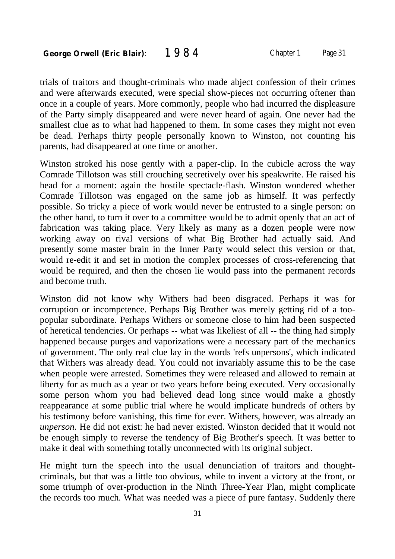trials of traitors and thought-criminals who made abject confession of their crimes and were afterwards executed, were special show-pieces not occurring oftener than once in a couple of years. More commonly, people who had incurred the displeasure of the Party simply disappeared and were never heard of again. One never had the smallest clue as to what had happened to them. In some cases they might not even be dead. Perhaps thirty people personally known to Winston, not counting his parents, had disappeared at one time or another.

Winston stroked his nose gently with a paper-clip. In the cubicle across the way Comrade Tillotson was still crouching secretively over his speakwrite. He raised his head for a moment: again the hostile spectacle-flash. Winston wondered whether Comrade Tillotson was engaged on the same job as himself. It was perfectly possible. So tricky a piece of work would never be entrusted to a single person: on the other hand, to turn it over to a committee would be to admit openly that an act of fabrication was taking place. Very likely as many as a dozen people were now working away on rival versions of what Big Brother had actually said. And presently some master brain in the Inner Party would select this version or that, would re-edit it and set in motion the complex processes of cross-referencing that would be required, and then the chosen lie would pass into the permanent records and become truth.

Winston did not know why Withers had been disgraced. Perhaps it was for corruption or incompetence. Perhaps Big Brother was merely getting rid of a toopopular subordinate. Perhaps Withers or someone close to him had been suspected of heretical tendencies. Or perhaps -- what was likeliest of all -- the thing had simply happened because purges and vaporizations were a necessary part of the mechanics of government. The only real clue lay in the words 'refs unpersons', which indicated that Withers was already dead. You could not invariably assume this to be the case when people were arrested. Sometimes they were released and allowed to remain at liberty for as much as a year or two years before being executed. Very occasionally some person whom you had believed dead long since would make a ghostly reappearance at some public trial where he would implicate hundreds of others by his testimony before vanishing, this time for ever. Withers, however, was already an *unperson.* He did not exist: he had never existed. Winston decided that it would not be enough simply to reverse the tendency of Big Brother's speech. It was better to make it deal with something totally unconnected with its original subject.

He might turn the speech into the usual denunciation of traitors and thoughtcriminals, but that was a little too obvious, while to invent a victory at the front, or some triumph of over-production in the Ninth Three-Year Plan, might complicate the records too much. What was needed was a piece of pure fantasy. Suddenly there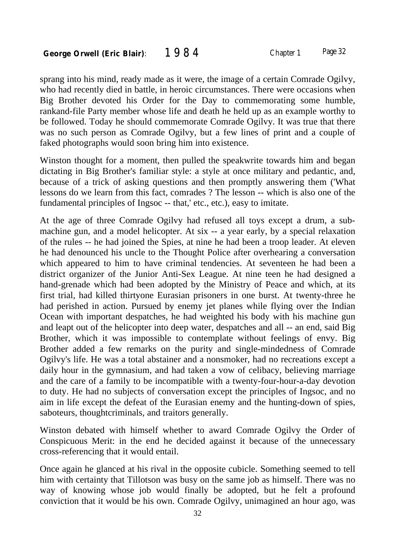sprang into his mind, ready made as it were, the image of a certain Comrade Ogilvy, who had recently died in battle, in heroic circumstances. There were occasions when Big Brother devoted his Order for the Day to commemorating some humble, rankand-file Party member whose life and death he held up as an example worthy to be followed. Today he should commemorate Comrade Ogilvy. It was true that there was no such person as Comrade Ogilvy, but a few lines of print and a couple of faked photographs would soon bring him into existence.

Winston thought for a moment, then pulled the speakwrite towards him and began dictating in Big Brother's familiar style: a style at once military and pedantic, and, because of a trick of asking questions and then promptly answering them ('What lessons do we learn from this fact, comrades ? The lesson -- which is also one of the fundamental principles of Ingsoc -- that,' etc., etc.), easy to imitate.

At the age of three Comrade Ogilvy had refused all toys except a drum, a submachine gun, and a model helicopter. At six -- a year early, by a special relaxation of the rules -- he had joined the Spies, at nine he had been a troop leader. At eleven he had denounced his uncle to the Thought Police after overhearing a conversation which appeared to him to have criminal tendencies. At seventeen he had been a district organizer of the Junior Anti-Sex League. At nine teen he had designed a hand-grenade which had been adopted by the Ministry of Peace and which, at its first trial, had killed thirtyone Eurasian prisoners in one burst. At twenty-three he had perished in action. Pursued by enemy jet planes while flying over the Indian Ocean with important despatches, he had weighted his body with his machine gun and leapt out of the helicopter into deep water, despatches and all -- an end, said Big Brother, which it was impossible to contemplate without feelings of envy. Big Brother added a few remarks on the purity and single-mindedness of Comrade Ogilvy's life. He was a total abstainer and a nonsmoker, had no recreations except a daily hour in the gymnasium, and had taken a vow of celibacy, believing marriage and the care of a family to be incompatible with a twenty-four-hour-a-day devotion to duty. He had no subjects of conversation except the principles of Ingsoc, and no aim in life except the defeat of the Eurasian enemy and the hunting-down of spies, saboteurs, thoughtcriminals, and traitors generally.

Winston debated with himself whether to award Comrade Ogilvy the Order of Conspicuous Merit: in the end he decided against it because of the unnecessary cross-referencing that it would entail.

Once again he glanced at his rival in the opposite cubicle. Something seemed to tell him with certainty that Tillotson was busy on the same job as himself. There was no way of knowing whose job would finally be adopted, but he felt a profound conviction that it would be his own. Comrade Ogilvy, unimagined an hour ago, was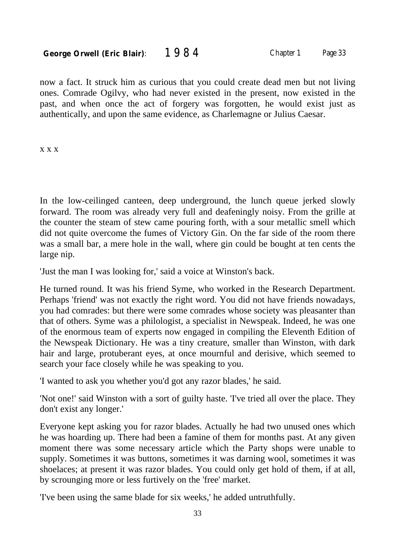now a fact. It struck him as curious that you could create dead men but not living ones. Comrade Ogilvy, who had never existed in the present, now existed in the past, and when once the act of forgery was forgotten, he would exist just as authentically, and upon the same evidence, as Charlemagne or Julius Caesar.

x x x

In the low-ceilinged canteen, deep underground, the lunch queue jerked slowly forward. The room was already very full and deafeningly noisy. From the grille at the counter the steam of stew came pouring forth, with a sour metallic smell which did not quite overcome the fumes of Victory Gin. On the far side of the room there was a small bar, a mere hole in the wall, where gin could be bought at ten cents the large nip.

'Just the man I was looking for,' said a voice at Winston's back.

He turned round. It was his friend Syme, who worked in the Research Department. Perhaps 'friend' was not exactly the right word. You did not have friends nowadays, you had comrades: but there were some comrades whose society was pleasanter than that of others. Syme was a philologist, a specialist in Newspeak. Indeed, he was one of the enormous team of experts now engaged in compiling the Eleventh Edition of the Newspeak Dictionary. He was a tiny creature, smaller than Winston, with dark hair and large, protuberant eyes, at once mournful and derisive, which seemed to search your face closely while he was speaking to you.

'I wanted to ask you whether you'd got any razor blades,' he said.

'Not one!' said Winston with a sort of guilty haste. 'I've tried all over the place. They don't exist any longer.'

Everyone kept asking you for razor blades. Actually he had two unused ones which he was hoarding up. There had been a famine of them for months past. At any given moment there was some necessary article which the Party shops were unable to supply. Sometimes it was buttons, sometimes it was darning wool, sometimes it was shoelaces; at present it was razor blades. You could only get hold of them, if at all, by scrounging more or less furtively on the 'free' market.

'I've been using the same blade for six weeks,' he added untruthfully.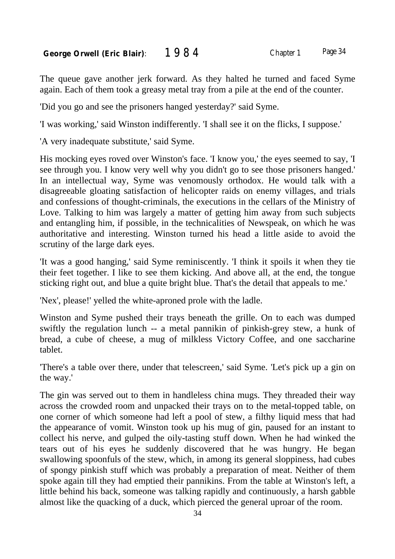# *George Orwell (Eric Blair)*: **1984** Chapter 1 Page 34

The queue gave another jerk forward. As they halted he turned and faced Syme again. Each of them took a greasy metal tray from a pile at the end of the counter.

'Did you go and see the prisoners hanged yesterday?' said Syme.

'I was working,' said Winston indifferently. 'I shall see it on the flicks, I suppose.'

'A very inadequate substitute,' said Syme.

His mocking eyes roved over Winston's face. 'I know you,' the eyes seemed to say, 'I see through you. I know very well why you didn't go to see those prisoners hanged.' In an intellectual way, Syme was venomously orthodox. He would talk with a disagreeable gloating satisfaction of helicopter raids on enemy villages, and trials and confessions of thought-criminals, the executions in the cellars of the Ministry of Love. Talking to him was largely a matter of getting him away from such subjects and entangling him, if possible, in the technicalities of Newspeak, on which he was authoritative and interesting. Winston turned his head a little aside to avoid the scrutiny of the large dark eyes.

'It was a good hanging,' said Syme reminiscently. 'I think it spoils it when they tie their feet together. I like to see them kicking. And above all, at the end, the tongue sticking right out, and blue a quite bright blue. That's the detail that appeals to me.'

'Nex', please!' yelled the white-aproned prole with the ladle.

Winston and Syme pushed their trays beneath the grille. On to each was dumped swiftly the regulation lunch -- a metal pannikin of pinkish-grey stew, a hunk of bread, a cube of cheese, a mug of milkless Victory Coffee, and one saccharine tablet.

'There's a table over there, under that telescreen,' said Syme. 'Let's pick up a gin on the way.'

The gin was served out to them in handleless china mugs. They threaded their way across the crowded room and unpacked their trays on to the metal-topped table, on one corner of which someone had left a pool of stew, a filthy liquid mess that had the appearance of vomit. Winston took up his mug of gin, paused for an instant to collect his nerve, and gulped the oily-tasting stuff down. When he had winked the tears out of his eyes he suddenly discovered that he was hungry. He began swallowing spoonfuls of the stew, which, in among its general sloppiness, had cubes of spongy pinkish stuff which was probably a preparation of meat. Neither of them spoke again till they had emptied their pannikins. From the table at Winston's left, a little behind his back, someone was talking rapidly and continuously, a harsh gabble almost like the quacking of a duck, which pierced the general uproar of the room.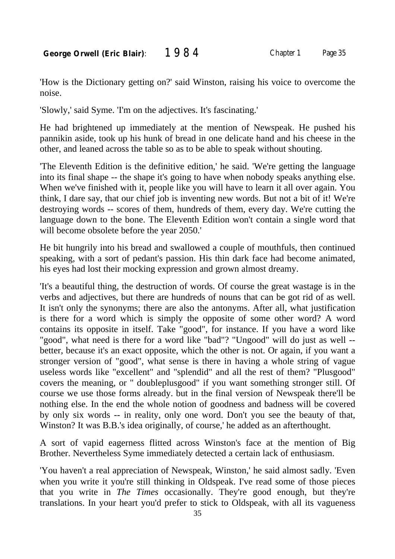'How is the Dictionary getting on?' said Winston, raising his voice to overcome the noise.

'Slowly,' said Syme. 'I'm on the adjectives. It's fascinating.'

He had brightened up immediately at the mention of Newspeak. He pushed his pannikin aside, took up his hunk of bread in one delicate hand and his cheese in the other, and leaned across the table so as to be able to speak without shouting.

'The Eleventh Edition is the definitive edition,' he said. 'We're getting the language into its final shape -- the shape it's going to have when nobody speaks anything else. When we've finished with it, people like you will have to learn it all over again. You think, I dare say, that our chief job is inventing new words. But not a bit of it! We're destroying words -- scores of them, hundreds of them, every day. We're cutting the language down to the bone. The Eleventh Edition won't contain a single word that will become obsolete before the year 2050.'

He bit hungrily into his bread and swallowed a couple of mouthfuls, then continued speaking, with a sort of pedant's passion. His thin dark face had become animated, his eyes had lost their mocking expression and grown almost dreamy.

'It's a beautiful thing, the destruction of words. Of course the great wastage is in the verbs and adjectives, but there are hundreds of nouns that can be got rid of as well. It isn't only the synonyms; there are also the antonyms. After all, what justification is there for a word which is simply the opposite of some other word? A word contains its opposite in itself. Take "good", for instance. If you have a word like "good", what need is there for a word like "bad"? "Ungood" will do just as well - better, because it's an exact opposite, which the other is not. Or again, if you want a stronger version of "good", what sense is there in having a whole string of vague useless words like "excellent" and "splendid" and all the rest of them? "Plusgood" covers the meaning, or " doubleplusgood" if you want something stronger still. Of course we use those forms already. but in the final version of Newspeak there'll be nothing else. In the end the whole notion of goodness and badness will be covered by only six words -- in reality, only one word. Don't you see the beauty of that, Winston? It was B.B.'s idea originally, of course,' he added as an afterthought.

A sort of vapid eagerness flitted across Winston's face at the mention of Big Brother. Nevertheless Syme immediately detected a certain lack of enthusiasm.

'You haven't a real appreciation of Newspeak, Winston,' he said almost sadly. 'Even when you write it you're still thinking in Oldspeak. I've read some of those pieces that you write in *The Times* occasionally. They're good enough, but they're translations. In your heart you'd prefer to stick to Oldspeak, with all its vagueness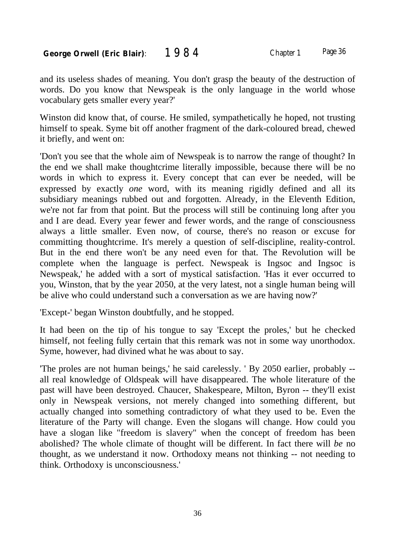# *George Orwell (Eric Blair)*: **1984** Chapter 1 Page 36

and its useless shades of meaning. You don't grasp the beauty of the destruction of words. Do you know that Newspeak is the only language in the world whose vocabulary gets smaller every year?'

Winston did know that, of course. He smiled, sympathetically he hoped, not trusting himself to speak. Syme bit off another fragment of the dark-coloured bread, chewed it briefly, and went on:

'Don't you see that the whole aim of Newspeak is to narrow the range of thought? In the end we shall make thoughtcrime literally impossible, because there will be no words in which to express it. Every concept that can ever be needed, will be expressed by exactly *one* word, with its meaning rigidly defined and all its subsidiary meanings rubbed out and forgotten. Already, in the Eleventh Edition, we're not far from that point. But the process will still be continuing long after you and I are dead. Every year fewer and fewer words, and the range of consciousness always a little smaller. Even now, of course, there's no reason or excuse for committing thoughtcrime. It's merely a question of self-discipline, reality-control. But in the end there won't be any need even for that. The Revolution will be complete when the language is perfect. Newspeak is Ingsoc and Ingsoc is Newspeak,' he added with a sort of mystical satisfaction. 'Has it ever occurred to you, Winston, that by the year 2050, at the very latest, not a single human being will be alive who could understand such a conversation as we are having now?'

'Except-' began Winston doubtfully, and he stopped.

It had been on the tip of his tongue to say 'Except the proles,' but he checked himself, not feeling fully certain that this remark was not in some way unorthodox. Syme, however, had divined what he was about to say.

'The proles are not human beings,' he said carelessly. ' By 2050 earlier, probably - all real knowledge of Oldspeak will have disappeared. The whole literature of the past will have been destroyed. Chaucer, Shakespeare, Milton, Byron -- they'll exist only in Newspeak versions, not merely changed into something different, but actually changed into something contradictory of what they used to be. Even the literature of the Party will change. Even the slogans will change. How could you have a slogan like "freedom is slavery" when the concept of freedom has been abolished? The whole climate of thought will be different. In fact there will *be* no thought, as we understand it now. Orthodoxy means not thinking -- not needing to think. Orthodoxy is unconsciousness.'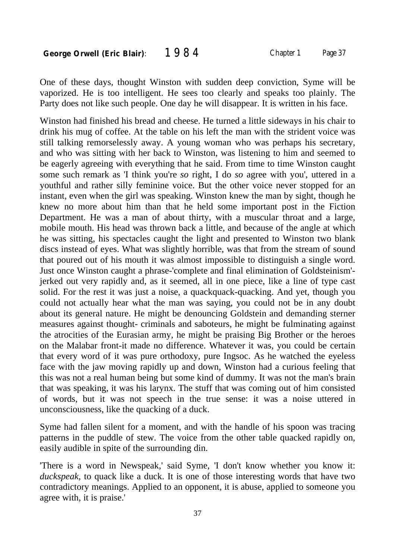One of these days, thought Winston with sudden deep conviction, Syme will be vaporized. He is too intelligent. He sees too clearly and speaks too plainly. The Party does not like such people. One day he will disappear. It is written in his face.

Winston had finished his bread and cheese. He turned a little sideways in his chair to drink his mug of coffee. At the table on his left the man with the strident voice was still talking remorselessly away. A young woman who was perhaps his secretary, and who was sitting with her back to Winston, was listening to him and seemed to be eagerly agreeing with everything that he said. From time to time Winston caught some such remark as 'I think you're *so* right, I do *so* agree with you', uttered in a youthful and rather silly feminine voice. But the other voice never stopped for an instant, even when the girl was speaking. Winston knew the man by sight, though he knew no more about him than that he held some important post in the Fiction Department. He was a man of about thirty, with a muscular throat and a large, mobile mouth. His head was thrown back a little, and because of the angle at which he was sitting, his spectacles caught the light and presented to Winston two blank discs instead of eyes. What was slightly horrible, was that from the stream of sound that poured out of his mouth it was almost impossible to distinguish a single word. Just once Winston caught a phrase-'complete and final elimination of Goldsteinism' jerked out very rapidly and, as it seemed, all in one piece, like a line of type cast solid. For the rest it was just a noise, a quackquack-quacking. And yet, though you could not actually hear what the man was saying, you could not be in any doubt about its general nature. He might be denouncing Goldstein and demanding sterner measures against thought- criminals and saboteurs, he might be fulminating against the atrocities of the Eurasian army, he might be praising Big Brother or the heroes on the Malabar front-it made no difference. Whatever it was, you could be certain that every word of it was pure orthodoxy, pure Ingsoc. As he watched the eyeless face with the jaw moving rapidly up and down, Winston had a curious feeling that this was not a real human being but some kind of dummy. It was not the man's brain that was speaking, it was his larynx. The stuff that was coming out of him consisted of words, but it was not speech in the true sense: it was a noise uttered in unconsciousness, like the quacking of a duck.

Syme had fallen silent for a moment, and with the handle of his spoon was tracing patterns in the puddle of stew. The voice from the other table quacked rapidly on, easily audible in spite of the surrounding din.

'There is a word in Newspeak,' said Syme, 'I don't know whether you know it: *duckspeak,* to quack like a duck. It is one of those interesting words that have two contradictory meanings. Applied to an opponent, it is abuse, applied to someone you agree with, it is praise.'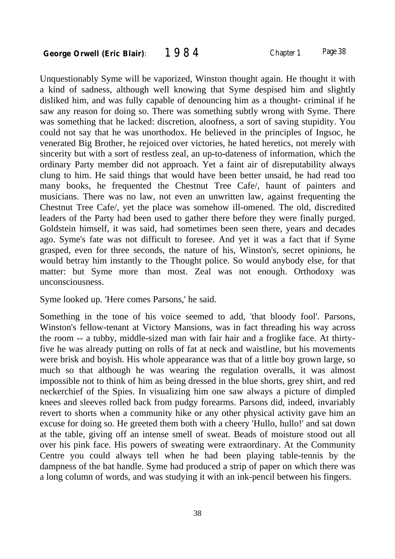Unquestionably Syme will be vaporized, Winston thought again. He thought it with a kind of sadness, although well knowing that Syme despised him and slightly disliked him, and was fully capable of denouncing him as a thought- criminal if he saw any reason for doing so. There was something subtly wrong with Syme. There was something that he lacked: discretion, aloofness, a sort of saving stupidity. You could not say that he was unorthodox. He believed in the principles of Ingsoc, he venerated Big Brother, he rejoiced over victories, he hated heretics, not merely with sincerity but with a sort of restless zeal, an up-to-dateness of information, which the ordinary Party member did not approach. Yet a faint air of disreputability always clung to him. He said things that would have been better unsaid, he had read too many books, he frequented the Chestnut Tree Cafe/, haunt of painters and musicians. There was no law, not even an unwritten law, against frequenting the Chestnut Tree Cafe/, yet the place was somehow ill-omened. The old, discredited leaders of the Party had been used to gather there before they were finally purged. Goldstein himself, it was said, had sometimes been seen there, years and decades ago. Syme's fate was not difficult to foresee. And yet it was a fact that if Syme grasped, even for three seconds, the nature of his, Winston's, secret opinions, he would betray him instantly to the Thought police. So would anybody else, for that matter: but Syme more than most. Zeal was not enough. Orthodoxy was unconsciousness.

Syme looked up. 'Here comes Parsons,' he said.

Something in the tone of his voice seemed to add, 'that bloody fool'. Parsons, Winston's fellow-tenant at Victory Mansions, was in fact threading his way across the room -- a tubby, middle-sized man with fair hair and a froglike face. At thirtyfive he was already putting on rolls of fat at neck and waistline, but his movements were brisk and boyish. His whole appearance was that of a little boy grown large, so much so that although he was wearing the regulation overalls, it was almost impossible not to think of him as being dressed in the blue shorts, grey shirt, and red neckerchief of the Spies. In visualizing him one saw always a picture of dimpled knees and sleeves rolled back from pudgy forearms. Parsons did, indeed, invariably revert to shorts when a community hike or any other physical activity gave him an excuse for doing so. He greeted them both with a cheery 'Hullo, hullo!' and sat down at the table, giving off an intense smell of sweat. Beads of moisture stood out all over his pink face. His powers of sweating were extraordinary. At the Community Centre you could always tell when he had been playing table-tennis by the dampness of the bat handle. Syme had produced a strip of paper on which there was a long column of words, and was studying it with an ink-pencil between his fingers.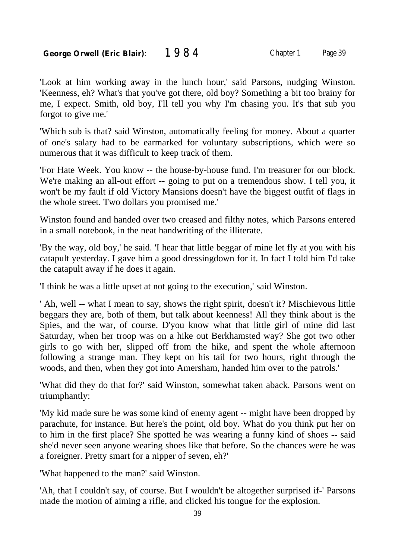'Look at him working away in the lunch hour,' said Parsons, nudging Winston. 'Keenness, eh? What's that you've got there, old boy? Something a bit too brainy for me, I expect. Smith, old boy, I'll tell you why I'm chasing you. It's that sub you forgot to give me.'

'Which sub is that? said Winston, automatically feeling for money. About a quarter of one's salary had to be earmarked for voluntary subscriptions, which were so numerous that it was difficult to keep track of them.

'For Hate Week. You know -- the house-by-house fund. I'm treasurer for our block. We're making an all-out effort -- going to put on a tremendous show. I tell you, it won't be my fault if old Victory Mansions doesn't have the biggest outfit of flags in the whole street. Two dollars you promised me.'

Winston found and handed over two creased and filthy notes, which Parsons entered in a small notebook, in the neat handwriting of the illiterate.

'By the way, old boy,' he said. 'I hear that little beggar of mine let fly at you with his catapult yesterday. I gave him a good dressingdown for it. In fact I told him I'd take the catapult away if he does it again.

'I think he was a little upset at not going to the execution,' said Winston.

' Ah, well -- what I mean to say, shows the right spirit, doesn't it? Mischievous little beggars they are, both of them, but talk about keenness! All they think about is the Spies, and the war, of course. D'you know what that little girl of mine did last Saturday, when her troop was on a hike out Berkhamsted way? She got two other girls to go with her, slipped off from the hike, and spent the whole afternoon following a strange man. They kept on his tail for two hours, right through the woods, and then, when they got into Amersham, handed him over to the patrols.'

'What did they do that for?' said Winston, somewhat taken aback. Parsons went on triumphantly:

'My kid made sure he was some kind of enemy agent -- might have been dropped by parachute, for instance. But here's the point, old boy. What do you think put her on to him in the first place? She spotted he was wearing a funny kind of shoes -- said she'd never seen anyone wearing shoes like that before. So the chances were he was a foreigner. Pretty smart for a nipper of seven, eh?'

'What happened to the man?' said Winston.

'Ah, that I couldn't say, of course. But I wouldn't be altogether surprised if-' Parsons made the motion of aiming a rifle, and clicked his tongue for the explosion.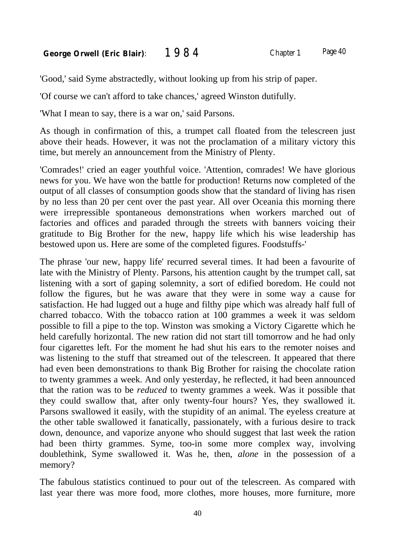'Good,' said Syme abstractedly, without looking up from his strip of paper.

'Of course we can't afford to take chances,' agreed Winston dutifully.

'What I mean to say, there is a war on,' said Parsons.

As though in confirmation of this, a trumpet call floated from the telescreen just above their heads. However, it was not the proclamation of a military victory this time, but merely an announcement from the Ministry of Plenty.

'Comrades!' cried an eager youthful voice. 'Attention, comrades! We have glorious news for you. We have won the battle for production! Returns now completed of the output of all classes of consumption goods show that the standard of living has risen by no less than 20 per cent over the past year. All over Oceania this morning there were irrepressible spontaneous demonstrations when workers marched out of factories and offices and paraded through the streets with banners voicing their gratitude to Big Brother for the new, happy life which his wise leadership has bestowed upon us. Here are some of the completed figures. Foodstuffs-'

The phrase 'our new, happy life' recurred several times. It had been a favourite of late with the Ministry of Plenty. Parsons, his attention caught by the trumpet call, sat listening with a sort of gaping solemnity, a sort of edified boredom. He could not follow the figures, but he was aware that they were in some way a cause for satisfaction. He had lugged out a huge and filthy pipe which was already half full of charred tobacco. With the tobacco ration at 100 grammes a week it was seldom possible to fill a pipe to the top. Winston was smoking a Victory Cigarette which he held carefully horizontal. The new ration did not start till tomorrow and he had only four cigarettes left. For the moment he had shut his ears to the remoter noises and was listening to the stuff that streamed out of the telescreen. It appeared that there had even been demonstrations to thank Big Brother for raising the chocolate ration to twenty grammes a week. And only yesterday, he reflected, it had been announced that the ration was to be *reduced* to twenty grammes a week. Was it possible that they could swallow that, after only twenty-four hours? Yes, they swallowed it. Parsons swallowed it easily, with the stupidity of an animal. The eyeless creature at the other table swallowed it fanatically, passionately, with a furious desire to track down, denounce, and vaporize anyone who should suggest that last week the ration had been thirty grammes. Syme, too-in some more complex way, involving doublethink, Syme swallowed it. Was he, then, *alone* in the possession of a memory?

The fabulous statistics continued to pour out of the telescreen. As compared with last year there was more food, more clothes, more houses, more furniture, more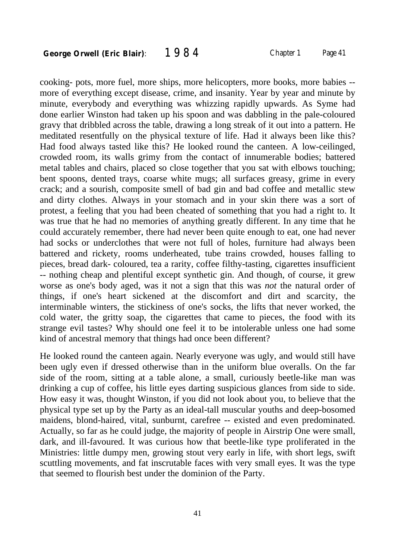cooking- pots, more fuel, more ships, more helicopters, more books, more babies - more of everything except disease, crime, and insanity. Year by year and minute by minute, everybody and everything was whizzing rapidly upwards. As Syme had done earlier Winston had taken up his spoon and was dabbling in the pale-coloured gravy that dribbled across the table, drawing a long streak of it out into a pattern. He meditated resentfully on the physical texture of life. Had it always been like this? Had food always tasted like this? He looked round the canteen. A low-ceilinged, crowded room, its walls grimy from the contact of innumerable bodies; battered metal tables and chairs, placed so close together that you sat with elbows touching; bent spoons, dented trays, coarse white mugs; all surfaces greasy, grime in every crack; and a sourish, composite smell of bad gin and bad coffee and metallic stew and dirty clothes. Always in your stomach and in your skin there was a sort of protest, a feeling that you had been cheated of something that you had a right to. It was true that he had no memories of anything greatly different. In any time that he could accurately remember, there had never been quite enough to eat, one had never had socks or underclothes that were not full of holes, furniture had always been battered and rickety, rooms underheated, tube trains crowded, houses falling to pieces, bread dark- coloured, tea a rarity, coffee filthy-tasting, cigarettes insufficient -- nothing cheap and plentiful except synthetic gin. And though, of course, it grew worse as one's body aged, was it not a sign that this was *not* the natural order of things, if one's heart sickened at the discomfort and dirt and scarcity, the interminable winters, the stickiness of one's socks, the lifts that never worked, the cold water, the gritty soap, the cigarettes that came to pieces, the food with its strange evil tastes? Why should one feel it to be intolerable unless one had some kind of ancestral memory that things had once been different?

He looked round the canteen again. Nearly everyone was ugly, and would still have been ugly even if dressed otherwise than in the uniform blue overalls. On the far side of the room, sitting at a table alone, a small, curiously beetle-like man was drinking a cup of coffee, his little eyes darting suspicious glances from side to side. How easy it was, thought Winston, if you did not look about you, to believe that the physical type set up by the Party as an ideal-tall muscular youths and deep-bosomed maidens, blond-haired, vital, sunburnt, carefree -- existed and even predominated. Actually, so far as he could judge, the majority of people in Airstrip One were small, dark, and ill-favoured. It was curious how that beetle-like type proliferated in the Ministries: little dumpy men, growing stout very early in life, with short legs, swift scuttling movements, and fat inscrutable faces with very small eyes. It was the type that seemed to flourish best under the dominion of the Party.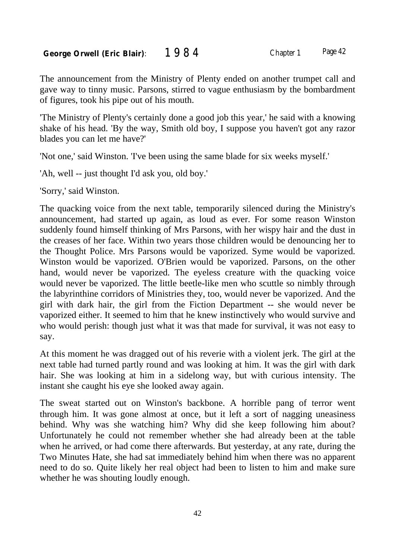The announcement from the Ministry of Plenty ended on another trumpet call and gave way to tinny music. Parsons, stirred to vague enthusiasm by the bombardment of figures, took his pipe out of his mouth.

'The Ministry of Plenty's certainly done a good job this year,' he said with a knowing shake of his head. 'By the way, Smith old boy, I suppose you haven't got any razor blades you can let me have?'

'Not one,' said Winston. 'I've been using the same blade for six weeks myself.'

'Ah, well -- just thought I'd ask you, old boy.'

'Sorry,' said Winston.

The quacking voice from the next table, temporarily silenced during the Ministry's announcement, had started up again, as loud as ever. For some reason Winston suddenly found himself thinking of Mrs Parsons, with her wispy hair and the dust in the creases of her face. Within two years those children would be denouncing her to the Thought Police. Mrs Parsons would be vaporized. Syme would be vaporized. Winston would be vaporized. O'Brien would be vaporized. Parsons, on the other hand, would never be vaporized. The eyeless creature with the quacking voice would never be vaporized. The little beetle-like men who scuttle so nimbly through the labyrinthine corridors of Ministries they, too, would never be vaporized. And the girl with dark hair, the girl from the Fiction Department -- she would never be vaporized either. It seemed to him that he knew instinctively who would survive and who would perish: though just what it was that made for survival, it was not easy to say.

At this moment he was dragged out of his reverie with a violent jerk. The girl at the next table had turned partly round and was looking at him. It was the girl with dark hair. She was looking at him in a sidelong way, but with curious intensity. The instant she caught his eye she looked away again.

The sweat started out on Winston's backbone. A horrible pang of terror went through him. It was gone almost at once, but it left a sort of nagging uneasiness behind. Why was she watching him? Why did she keep following him about? Unfortunately he could not remember whether she had already been at the table when he arrived, or had come there afterwards. But yesterday, at any rate, during the Two Minutes Hate, she had sat immediately behind him when there was no apparent need to do so. Quite likely her real object had been to listen to him and make sure whether he was shouting loudly enough.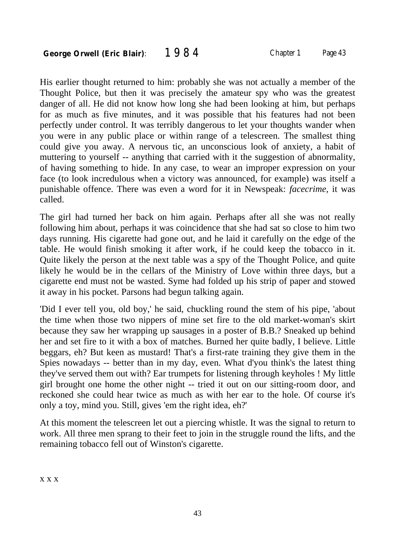His earlier thought returned to him: probably she was not actually a member of the Thought Police, but then it was precisely the amateur spy who was the greatest danger of all. He did not know how long she had been looking at him, but perhaps for as much as five minutes, and it was possible that his features had not been perfectly under control. It was terribly dangerous to let your thoughts wander when you were in any public place or within range of a telescreen. The smallest thing could give you away. A nervous tic, an unconscious look of anxiety, a habit of muttering to yourself -- anything that carried with it the suggestion of abnormality, of having something to hide. In any case, to wear an improper expression on your face (to look incredulous when a victory was announced, for example) was itself a punishable offence. There was even a word for it in Newspeak: *facecrime,* it was called.

The girl had turned her back on him again. Perhaps after all she was not really following him about, perhaps it was coincidence that she had sat so close to him two days running. His cigarette had gone out, and he laid it carefully on the edge of the table. He would finish smoking it after work, if he could keep the tobacco in it. Quite likely the person at the next table was a spy of the Thought Police, and quite likely he would be in the cellars of the Ministry of Love within three days, but a cigarette end must not be wasted. Syme had folded up his strip of paper and stowed it away in his pocket. Parsons had begun talking again.

'Did I ever tell you, old boy,' he said, chuckling round the stem of his pipe, 'about the time when those two nippers of mine set fire to the old market-woman's skirt because they saw her wrapping up sausages in a poster of B.B.? Sneaked up behind her and set fire to it with a box of matches. Burned her quite badly, I believe. Little beggars, eh? But keen as mustard! That's a first-rate training they give them in the Spies nowadays -- better than in my day, even. What d'you think's the latest thing they've served them out with? Ear trumpets for listening through keyholes ! My little girl brought one home the other night -- tried it out on our sitting-room door, and reckoned she could hear twice as much as with her ear to the hole. Of course it's only a toy, mind you. Still, gives 'em the right idea, eh?'

At this moment the telescreen let out a piercing whistle. It was the signal to return to work. All three men sprang to their feet to join in the struggle round the lifts, and the remaining tobacco fell out of Winston's cigarette.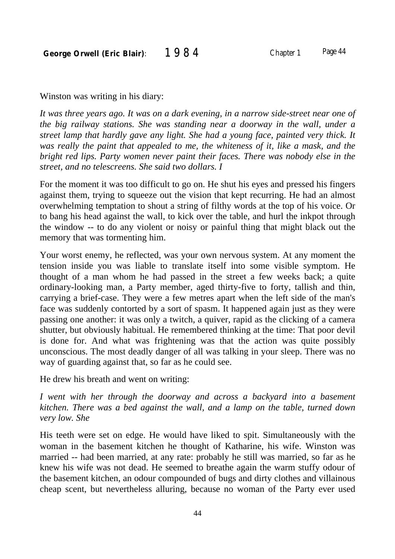Winston was writing in his diary:

*It was three years ago. It was on a dark evening, in a narrow side-street near one of the big railway stations. She was standing near a doorway in the wall, under a street lamp that hardly gave any light. She had a young face, painted very thick. It was really the paint that appealed to me, the whiteness of it, like a mask, and the bright red lips. Party women never paint their faces. There was nobody else in the street, and no telescreens. She said two dollars. I*

For the moment it was too difficult to go on. He shut his eyes and pressed his fingers against them, trying to squeeze out the vision that kept recurring. He had an almost overwhelming temptation to shout a string of filthy words at the top of his voice. Or to bang his head against the wall, to kick over the table, and hurl the inkpot through the window -- to do any violent or noisy or painful thing that might black out the memory that was tormenting him.

Your worst enemy, he reflected, was your own nervous system. At any moment the tension inside you was liable to translate itself into some visible symptom. He thought of a man whom he had passed in the street a few weeks back; a quite ordinary-looking man, a Party member, aged thirty-five to forty, tallish and thin, carrying a brief-case. They were a few metres apart when the left side of the man's face was suddenly contorted by a sort of spasm. It happened again just as they were passing one another: it was only a twitch, a quiver, rapid as the clicking of a camera shutter, but obviously habitual. He remembered thinking at the time: That poor devil is done for. And what was frightening was that the action was quite possibly unconscious. The most deadly danger of all was talking in your sleep. There was no way of guarding against that, so far as he could see.

He drew his breath and went on writing:

*I went with her through the doorway and across a backyard into a basement kitchen. There was a bed against the wall, and a lamp on the table, turned down very low. She*

His teeth were set on edge. He would have liked to spit. Simultaneously with the woman in the basement kitchen he thought of Katharine, his wife. Winston was married -- had been married, at any rate: probably he still was married, so far as he knew his wife was not dead. He seemed to breathe again the warm stuffy odour of the basement kitchen, an odour compounded of bugs and dirty clothes and villainous cheap scent, but nevertheless alluring, because no woman of the Party ever used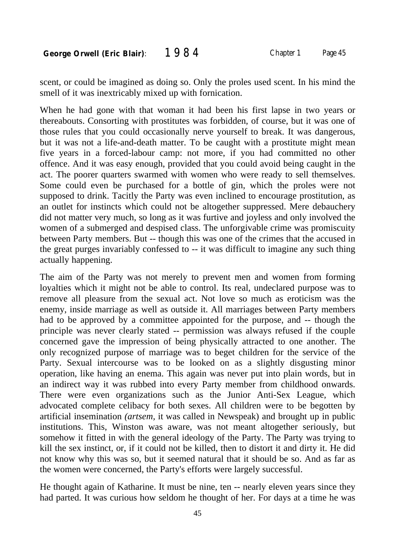scent, or could be imagined as doing so. Only the proles used scent. In his mind the smell of it was inextricably mixed up with fornication.

When he had gone with that woman it had been his first lapse in two years or thereabouts. Consorting with prostitutes was forbidden, of course, but it was one of those rules that you could occasionally nerve yourself to break. It was dangerous, but it was not a life-and-death matter. To be caught with a prostitute might mean five years in a forced-labour camp: not more, if you had committed no other offence. And it was easy enough, provided that you could avoid being caught in the act. The poorer quarters swarmed with women who were ready to sell themselves. Some could even be purchased for a bottle of gin, which the proles were not supposed to drink. Tacitly the Party was even inclined to encourage prostitution, as an outlet for instincts which could not be altogether suppressed. Mere debauchery did not matter very much, so long as it was furtive and joyless and only involved the women of a submerged and despised class. The unforgivable crime was promiscuity between Party members. But -- though this was one of the crimes that the accused in the great purges invariably confessed to -- it was difficult to imagine any such thing actually happening.

The aim of the Party was not merely to prevent men and women from forming loyalties which it might not be able to control. Its real, undeclared purpose was to remove all pleasure from the sexual act. Not love so much as eroticism was the enemy, inside marriage as well as outside it. All marriages between Party members had to be approved by a committee appointed for the purpose, and -- though the principle was never clearly stated -- permission was always refused if the couple concerned gave the impression of being physically attracted to one another. The only recognized purpose of marriage was to beget children for the service of the Party. Sexual intercourse was to be looked on as a slightly disgusting minor operation, like having an enema. This again was never put into plain words, but in an indirect way it was rubbed into every Party member from childhood onwards. There were even organizations such as the Junior Anti-Sex League, which advocated complete celibacy for both sexes. All children were to be begotten by artificial insemination *(artsem,* it was called in Newspeak) and brought up in public institutions. This, Winston was aware, was not meant altogether seriously, but somehow it fitted in with the general ideology of the Party. The Party was trying to kill the sex instinct, or, if it could not be killed, then to distort it and dirty it. He did not know why this was so, but it seemed natural that it should be so. And as far as the women were concerned, the Party's efforts were largely successful.

He thought again of Katharine. It must be nine, ten -- nearly eleven years since they had parted. It was curious how seldom he thought of her. For days at a time he was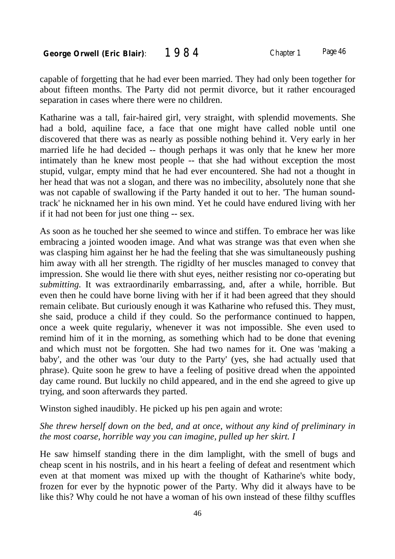capable of forgetting that he had ever been married. They had only been together for about fifteen months. The Party did not permit divorce, but it rather encouraged separation in cases where there were no children.

Katharine was a tall, fair-haired girl, very straight, with splendid movements. She had a bold, aquiline face, a face that one might have called noble until one discovered that there was as nearly as possible nothing behind it. Very early in her married life he had decided -- though perhaps it was only that he knew her more intimately than he knew most people -- that she had without exception the most stupid, vulgar, empty mind that he had ever encountered. She had not a thought in her head that was not a slogan, and there was no imbecility, absolutely none that she was not capable of swallowing if the Party handed it out to her. 'The human soundtrack' he nicknamed her in his own mind. Yet he could have endured living with her if it had not been for just one thing -- sex.

As soon as he touched her she seemed to wince and stiffen. To embrace her was like embracing a jointed wooden image. And what was strange was that even when she was clasping him against her he had the feeling that she was simultaneously pushing him away with all her strength. The rigidlty of her muscles managed to convey that impression. She would lie there with shut eyes, neither resisting nor co-operating but *submitting.* It was extraordinarily embarrassing, and, after a while, horrible. But even then he could have borne living with her if it had been agreed that they should remain celibate. But curiously enough it was Katharine who refused this. They must, she said, produce a child if they could. So the performance continued to happen, once a week quite regulariy, whenever it was not impossible. She even used to remind him of it in the morning, as something which had to be done that evening and which must not be forgotten. She had two names for it. One was 'making a baby', and the other was 'our duty to the Party' (yes, she had actually used that phrase). Quite soon he grew to have a feeling of positive dread when the appointed day came round. But luckily no child appeared, and in the end she agreed to give up trying, and soon afterwards they parted.

Winston sighed inaudibly. He picked up his pen again and wrote:

## *She threw herself down on the bed, and at once, without any kind of preliminary in the most coarse, horrible way you can imagine, pulled up her skirt. I*

He saw himself standing there in the dim lamplight, with the smell of bugs and cheap scent in his nostrils, and in his heart a feeling of defeat and resentment which even at that moment was mixed up with the thought of Katharine's white body, frozen for ever by the hypnotic power of the Party. Why did it always have to be like this? Why could he not have a woman of his own instead of these filthy scuffles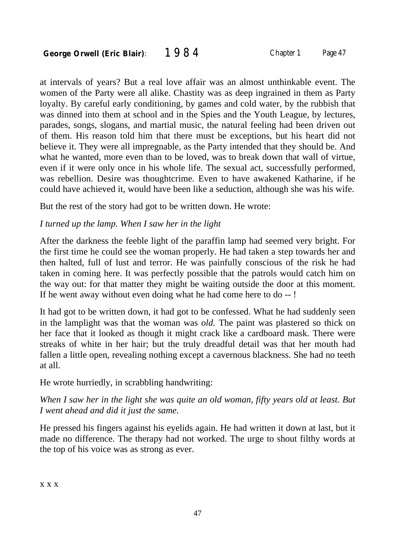at intervals of years? But a real love affair was an almost unthinkable event. The women of the Party were all alike. Chastity was as deep ingrained in them as Party loyalty. By careful early conditioning, by games and cold water, by the rubbish that was dinned into them at school and in the Spies and the Youth League, by lectures, parades, songs, slogans, and martial music, the natural feeling had been driven out of them. His reason told him that there must be exceptions, but his heart did not believe it. They were all impregnable, as the Party intended that they should be. And what he wanted, more even than to be loved, was to break down that wall of virtue, even if it were only once in his whole life. The sexual act, successfully performed, was rebellion. Desire was thoughtcrime. Even to have awakened Katharine, if he could have achieved it, would have been like a seduction, although she was his wife.

But the rest of the story had got to be written down. He wrote:

*I turned up the lamp. When I saw her in the light*

After the darkness the feeble light of the paraffin lamp had seemed very bright. For the first time he could see the woman properly. He had taken a step towards her and then halted, full of lust and terror. He was painfully conscious of the risk he had taken in coming here. It was perfectly possible that the patrols would catch him on the way out: for that matter they might be waiting outside the door at this moment. If he went away without even doing what he had come here to do -- !

It had got to be written down, it had got to be confessed. What he had suddenly seen in the lamplight was that the woman was *old.* The paint was plastered so thick on her face that it looked as though it might crack like a cardboard mask. There were streaks of white in her hair; but the truly dreadful detail was that her mouth had fallen a little open, revealing nothing except a cavernous blackness. She had no teeth at all.

He wrote hurriedly, in scrabbling handwriting:

*When I saw her in the light she was quite an old woman, fifty years old at least. But I went ahead and did it just the same.*

He pressed his fingers against his eyelids again. He had written it down at last, but it made no difference. The therapy had not worked. The urge to shout filthy words at the top of his voice was as strong as ever.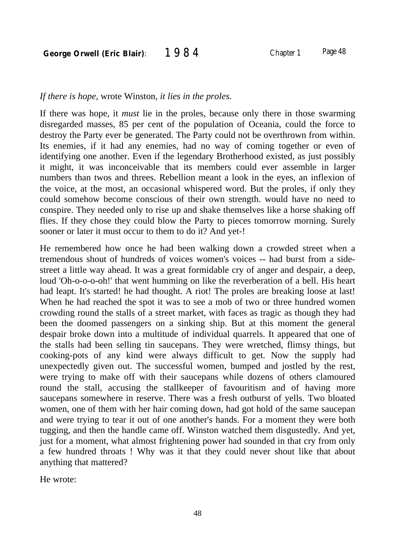#### *If there is hope,* wrote Winston, *it lies in the proles.*

If there was hope, it *must* lie in the proles, because only there in those swarming disregarded masses, 85 per cent of the population of Oceania, could the force to destroy the Party ever be generated. The Party could not be overthrown from within. Its enemies, if it had any enemies, had no way of coming together or even of identifying one another. Even if the legendary Brotherhood existed, as just possibly it might, it was inconceivable that its members could ever assemble in larger numbers than twos and threes. Rebellion meant a look in the eyes, an inflexion of the voice, at the most, an occasional whispered word. But the proles, if only they could somehow become conscious of their own strength. would have no need to conspire. They needed only to rise up and shake themselves like a horse shaking off flies. If they chose they could blow the Party to pieces tomorrow morning. Surely sooner or later it must occur to them to do it? And yet-!

He remembered how once he had been walking down a crowded street when a tremendous shout of hundreds of voices women's voices -- had burst from a sidestreet a little way ahead. It was a great formidable cry of anger and despair, a deep, loud 'Oh-o-o-o-oh!' that went humming on like the reverberation of a bell. His heart had leapt. It's started! he had thought. A riot! The proles are breaking loose at last! When he had reached the spot it was to see a mob of two or three hundred women crowding round the stalls of a street market, with faces as tragic as though they had been the doomed passengers on a sinking ship. But at this moment the general despair broke down into a multitude of individual quarrels. It appeared that one of the stalls had been selling tin saucepans. They were wretched, flimsy things, but cooking-pots of any kind were always difficult to get. Now the supply had unexpectedly given out. The successful women, bumped and jostled by the rest, were trying to make off with their saucepans while dozens of others clamoured round the stall, accusing the stallkeeper of favouritism and of having more saucepans somewhere in reserve. There was a fresh outburst of yells. Two bloated women, one of them with her hair coming down, had got hold of the same saucepan and were trying to tear it out of one another's hands. For a moment they were both tugging, and then the handle came off. Winston watched them disgustedly. And yet, just for a moment, what almost frightening power had sounded in that cry from only a few hundred throats ! Why was it that they could never shout like that about anything that mattered?

He wrote: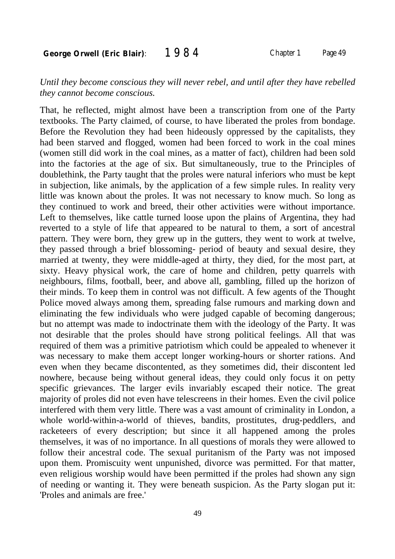## *Until they become conscious they will never rebel, and until after they have rebelled they cannot become conscious.*

That, he reflected, might almost have been a transcription from one of the Party textbooks. The Party claimed, of course, to have liberated the proles from bondage. Before the Revolution they had been hideously oppressed by the capitalists, they had been starved and flogged, women had been forced to work in the coal mines (women still did work in the coal mines, as a matter of fact), children had been sold into the factories at the age of six. But simultaneously, true to the Principles of doublethink, the Party taught that the proles were natural inferiors who must be kept in subjection, like animals, by the application of a few simple rules. In reality very little was known about the proles. It was not necessary to know much. So long as they continued to work and breed, their other activities were without importance. Left to themselves, like cattle turned loose upon the plains of Argentina, they had reverted to a style of life that appeared to be natural to them, a sort of ancestral pattern. They were born, they grew up in the gutters, they went to work at twelve, they passed through a brief blossoming- period of beauty and sexual desire, they married at twenty, they were middle-aged at thirty, they died, for the most part, at sixty. Heavy physical work, the care of home and children, petty quarrels with neighbours, films, football, beer, and above all, gambling, filled up the horizon of their minds. To keep them in control was not difficult. A few agents of the Thought Police moved always among them, spreading false rumours and marking down and eliminating the few individuals who were judged capable of becoming dangerous; but no attempt was made to indoctrinate them with the ideology of the Party. It was not desirable that the proles should have strong political feelings. All that was required of them was a primitive patriotism which could be appealed to whenever it was necessary to make them accept longer working-hours or shorter rations. And even when they became discontented, as they sometimes did, their discontent led nowhere, because being without general ideas, they could only focus it on petty specific grievances. The larger evils invariably escaped their notice. The great majority of proles did not even have telescreens in their homes. Even the civil police interfered with them very little. There was a vast amount of criminality in London, a whole world-within-a-world of thieves, bandits, prostitutes, drug-peddlers, and racketeers of every description; but since it all happened among the proles themselves, it was of no importance. In all questions of morals they were allowed to follow their ancestral code. The sexual puritanism of the Party was not imposed upon them. Promiscuity went unpunished, divorce was permitted. For that matter, even religious worship would have been permitted if the proles had shown any sign of needing or wanting it. They were beneath suspicion. As the Party slogan put it: 'Proles and animals are free.'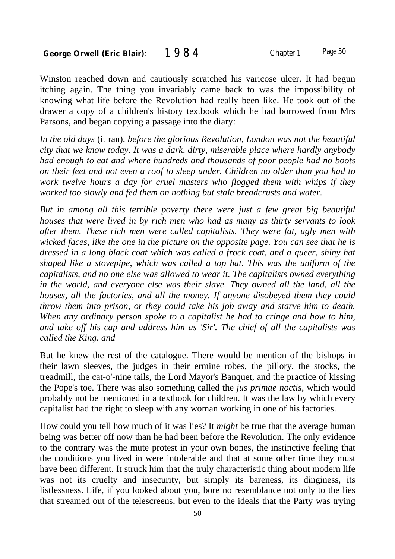Winston reached down and cautiously scratched his varicose ulcer. It had begun itching again. The thing you invariably came back to was the impossibility of knowing what life before the Revolution had really been like. He took out of the drawer a copy of a children's history textbook which he had borrowed from Mrs Parsons, and began copying a passage into the diary:

*In the old days* (it ran), *before the glorious Revolution, London was not the beautiful city that we know today. It was a dark, dirty, miserable place where hardly anybody had enough to eat and where hundreds and thousands of poor people had no boots on their feet and not even a roof to sleep under. Children no older than you had to work twelve hours a day for cruel masters who flogged them with whips if they worked too slowly and fed them on nothing but stale breadcrusts and water.*

*But in among all this terrible poverty there were just a few great big beautiful houses that were lived in by rich men who had as many as thirty servants to look after them. These rich men were called capitalists. They were fat, ugly men with wicked faces, like the one in the picture on the opposite page. You can see that he is dressed in a long black coat which was called a frock coat, and a queer, shiny hat shaped like a stovepipe, which was called a top hat. This was the uniform of the capitalists, and no one else was allowed to wear it. The capitalists owned everything in the world, and everyone else was their slave. They owned all the land, all the houses, all the factories, and all the money. If anyone disobeyed them they could throw them into prison, or they could take his job away and starve him to death. When any ordinary person spoke to a capitalist he had to cringe and bow to him, and take off his cap and address him as 'Sir'. The chief of all the capitalists was called the King. and*

But he knew the rest of the catalogue. There would be mention of the bishops in their lawn sleeves, the judges in their ermine robes, the pillory, the stocks, the treadmill, the cat-o'-nine tails, the Lord Mayor's Banquet, and the practice of kissing the Pope's toe. There was also something called the *jus primae noctis,* which would probably not be mentioned in a textbook for children. It was the law by which every capitalist had the right to sleep with any woman working in one of his factories.

How could you tell how much of it was lies? It *might* be true that the average human being was better off now than he had been before the Revolution. The only evidence to the contrary was the mute protest in your own bones, the instinctive feeling that the conditions you lived in were intolerable and that at some other time they must have been different. It struck him that the truly characteristic thing about modern life was not its cruelty and insecurity, but simply its bareness, its dinginess, its listlessness. Life, if you looked about you, bore no resemblance not only to the lies that streamed out of the telescreens, but even to the ideals that the Party was trying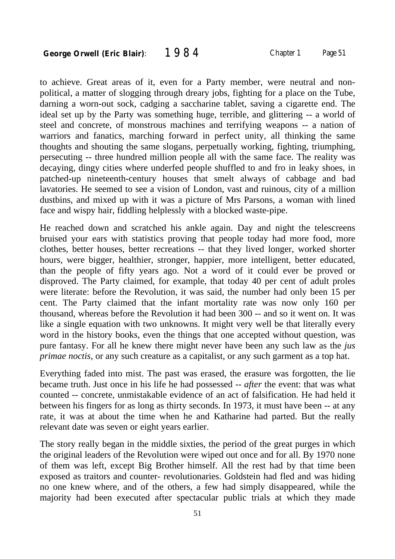to achieve. Great areas of it, even for a Party member, were neutral and nonpolitical, a matter of slogging through dreary jobs, fighting for a place on the Tube, darning a worn-out sock, cadging a saccharine tablet, saving a cigarette end. The ideal set up by the Party was something huge, terrible, and glittering -- a world of steel and concrete, of monstrous machines and terrifying weapons -- a nation of warriors and fanatics, marching forward in perfect unity, all thinking the same thoughts and shouting the same slogans, perpetually working, fighting, triumphing, persecuting -- three hundred million people all with the same face. The reality was decaying, dingy cities where underfed people shuffled to and fro in leaky shoes, in patched-up nineteenth-century houses that smelt always of cabbage and bad lavatories. He seemed to see a vision of London, vast and ruinous, city of a million dustbins, and mixed up with it was a picture of Mrs Parsons, a woman with lined face and wispy hair, fiddling helplessly with a blocked waste-pipe.

He reached down and scratched his ankle again. Day and night the telescreens bruised your ears with statistics proving that people today had more food, more clothes, better houses, better recreations -- that they lived longer, worked shorter hours, were bigger, healthier, stronger, happier, more intelligent, better educated, than the people of fifty years ago. Not a word of it could ever be proved or disproved. The Party claimed, for example, that today 40 per cent of adult proles were literate: before the Revolution, it was said, the number had only been 15 per cent. The Party claimed that the infant mortality rate was now only 160 per thousand, whereas before the Revolution it had been 300 -- and so it went on. It was like a single equation with two unknowns. It might very well be that literally every word in the history books, even the things that one accepted without question, was pure fantasy. For all he knew there might never have been any such law as the *jus primae noctis,* or any such creature as a capitalist, or any such garment as a top hat.

Everything faded into mist. The past was erased, the erasure was forgotten, the lie became truth. Just once in his life he had possessed -- *after* the event: that was what counted -- concrete, unmistakable evidence of an act of falsification. He had held it between his fingers for as long as thirty seconds. In 1973, it must have been -- at any rate, it was at about the time when he and Katharine had parted. But the really relevant date was seven or eight years earlier.

The story really began in the middle sixties, the period of the great purges in which the original leaders of the Revolution were wiped out once and for all. By 1970 none of them was left, except Big Brother himself. All the rest had by that time been exposed as traitors and counter- revolutionaries. Goldstein had fled and was hiding no one knew where, and of the others, a few had simply disappeared, while the majority had been executed after spectacular public trials at which they made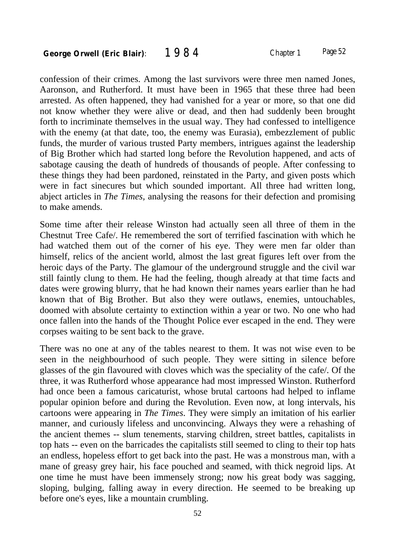confession of their crimes. Among the last survivors were three men named Jones, Aaronson, and Rutherford. It must have been in 1965 that these three had been arrested. As often happened, they had vanished for a year or more, so that one did not know whether they were alive or dead, and then had suddenly been brought forth to incriminate themselves in the usual way. They had confessed to intelligence with the enemy (at that date, too, the enemy was Eurasia), embezzlement of public funds, the murder of various trusted Party members, intrigues against the leadership of Big Brother which had started long before the Revolution happened, and acts of sabotage causing the death of hundreds of thousands of people. After confessing to these things they had been pardoned, reinstated in the Party, and given posts which were in fact sinecures but which sounded important. All three had written long, abject articles in *The Times,* analysing the reasons for their defection and promising to make amends.

Some time after their release Winston had actually seen all three of them in the Chestnut Tree Cafe/. He remembered the sort of terrified fascination with which he had watched them out of the corner of his eye. They were men far older than himself, relics of the ancient world, almost the last great figures left over from the heroic days of the Party. The glamour of the underground struggle and the civil war still faintly clung to them. He had the feeling, though already at that time facts and dates were growing blurry, that he had known their names years earlier than he had known that of Big Brother. But also they were outlaws, enemies, untouchables, doomed with absolute certainty to extinction within a year or two. No one who had once fallen into the hands of the Thought Police ever escaped in the end. They were corpses waiting to be sent back to the grave.

There was no one at any of the tables nearest to them. It was not wise even to be seen in the neighbourhood of such people. They were sitting in silence before glasses of the gin flavoured with cloves which was the speciality of the cafe/. Of the three, it was Rutherford whose appearance had most impressed Winston. Rutherford had once been a famous caricaturist, whose brutal cartoons had helped to inflame popular opinion before and during the Revolution. Even now, at long intervals, his cartoons were appearing in *The Times*. They were simply an imitation of his earlier manner, and curiously lifeless and unconvincing. Always they were a rehashing of the ancient themes -- slum tenements, starving children, street battles, capitalists in top hats -- even on the barricades the capitalists still seemed to cling to their top hats an endless, hopeless effort to get back into the past. He was a monstrous man, with a mane of greasy grey hair, his face pouched and seamed, with thick negroid lips. At one time he must have been immensely strong; now his great body was sagging, sloping, bulging, falling away in every direction. He seemed to be breaking up before one's eyes, like a mountain crumbling.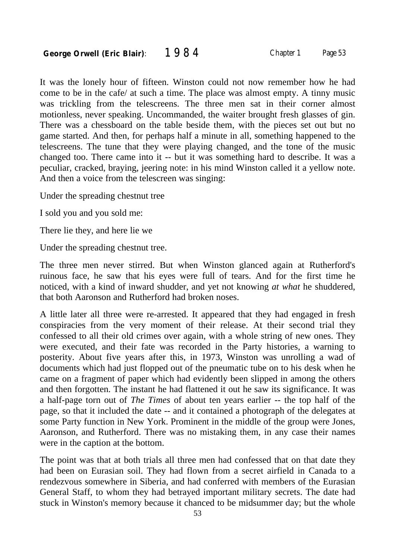It was the lonely hour of fifteen. Winston could not now remember how he had come to be in the cafe/ at such a time. The place was almost empty. A tinny music was trickling from the telescreens. The three men sat in their corner almost motionless, never speaking. Uncommanded, the waiter brought fresh glasses of gin. There was a chessboard on the table beside them, with the pieces set out but no game started. And then, for perhaps half a minute in all, something happened to the telescreens. The tune that they were playing changed, and the tone of the music changed too. There came into it -- but it was something hard to describe. It was a peculiar, cracked, braying, jeering note: in his mind Winston called it a yellow note. And then a voice from the telescreen was singing:

Under the spreading chestnut tree

I sold you and you sold me:

There lie they, and here lie we

Under the spreading chestnut tree.

The three men never stirred. But when Winston glanced again at Rutherford's ruinous face, he saw that his eyes were full of tears. And for the first time he noticed, with a kind of inward shudder, and yet not knowing *at what* he shuddered, that both Aaronson and Rutherford had broken noses.

A little later all three were re-arrested. It appeared that they had engaged in fresh conspiracies from the very moment of their release. At their second trial they confessed to all their old crimes over again, with a whole string of new ones. They were executed, and their fate was recorded in the Party histories, a warning to posterity. About five years after this, in 1973, Winston was unrolling a wad of documents which had just flopped out of the pneumatic tube on to his desk when he came on a fragment of paper which had evidently been slipped in among the others and then forgotten. The instant he had flattened it out he saw its significance. It was a half-page torn out of *The Times* of about ten years earlier -- the top half of the page, so that it included the date -- and it contained a photograph of the delegates at some Party function in New York. Prominent in the middle of the group were Jones, Aaronson, and Rutherford. There was no mistaking them, in any case their names were in the caption at the bottom.

The point was that at both trials all three men had confessed that on that date they had been on Eurasian soil. They had flown from a secret airfield in Canada to a rendezvous somewhere in Siberia, and had conferred with members of the Eurasian General Staff, to whom they had betrayed important military secrets. The date had stuck in Winston's memory because it chanced to be midsummer day; but the whole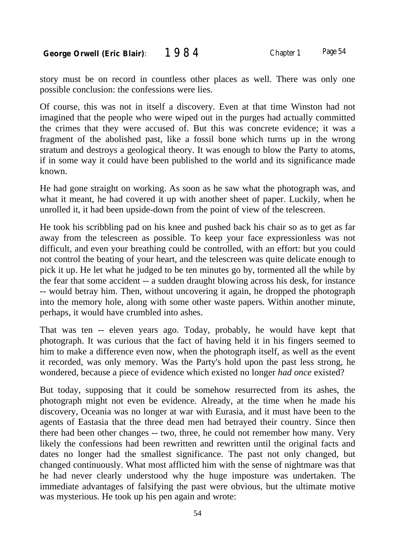story must be on record in countless other places as well. There was only one possible conclusion: the confessions were lies.

Of course, this was not in itself a discovery. Even at that time Winston had not imagined that the people who were wiped out in the purges had actually committed the crimes that they were accused of. But this was concrete evidence; it was a fragment of the abolished past, like a fossil bone which turns up in the wrong stratum and destroys a geological theory. It was enough to blow the Party to atoms, if in some way it could have been published to the world and its significance made known.

He had gone straight on working. As soon as he saw what the photograph was, and what it meant, he had covered it up with another sheet of paper. Luckily, when he unrolled it, it had been upside-down from the point of view of the telescreen.

He took his scribbling pad on his knee and pushed back his chair so as to get as far away from the telescreen as possible. To keep your face expressionless was not difficult, and even your breathing could be controlled, with an effort: but you could not control the beating of your heart, and the telescreen was quite delicate enough to pick it up. He let what he judged to be ten minutes go by, tormented all the while by the fear that some accident -- a sudden draught blowing across his desk, for instance -- would betray him. Then, without uncovering it again, he dropped the photograph into the memory hole, along with some other waste papers. Within another minute, perhaps, it would have crumbled into ashes.

That was ten -- eleven years ago. Today, probably, he would have kept that photograph. It was curious that the fact of having held it in his fingers seemed to him to make a difference even now, when the photograph itself, as well as the event it recorded, was only memory. Was the Party's hold upon the past less strong, he wondered, because a piece of evidence which existed no longer *had once* existed?

But today, supposing that it could be somehow resurrected from its ashes, the photograph might not even be evidence. Already, at the time when he made his discovery, Oceania was no longer at war with Eurasia, and it must have been to the agents of Eastasia that the three dead men had betrayed their country. Since then there had been other changes -- two, three, he could not remember how many. Very likely the confessions had been rewritten and rewritten until the original facts and dates no longer had the smallest significance. The past not only changed, but changed continuously. What most afflicted him with the sense of nightmare was that he had never clearly understood why the huge imposture was undertaken. The immediate advantages of falsifying the past were obvious, but the ultimate motive was mysterious. He took up his pen again and wrote: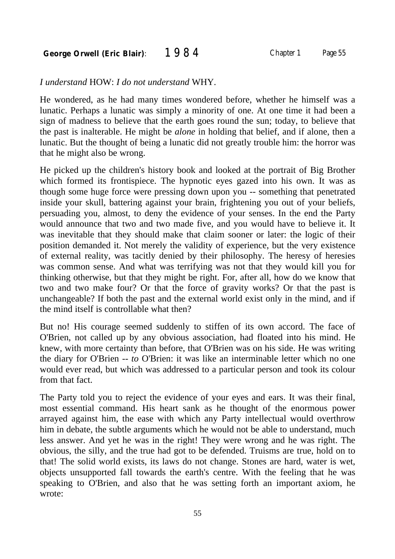#### *I understand* HOW: *I do not understand* WHY.

He wondered, as he had many times wondered before, whether he himself was a lunatic. Perhaps a lunatic was simply a minority of one. At one time it had been a sign of madness to believe that the earth goes round the sun; today, to believe that the past is inalterable. He might be *alone* in holding that belief, and if alone, then a lunatic. But the thought of being a lunatic did not greatly trouble him: the horror was that he might also be wrong.

He picked up the children's history book and looked at the portrait of Big Brother which formed its frontispiece. The hypnotic eyes gazed into his own. It was as though some huge force were pressing down upon you -- something that penetrated inside your skull, battering against your brain, frightening you out of your beliefs, persuading you, almost, to deny the evidence of your senses. In the end the Party would announce that two and two made five, and you would have to believe it. It was inevitable that they should make that claim sooner or later: the logic of their position demanded it. Not merely the validity of experience, but the very existence of external reality, was tacitly denied by their philosophy. The heresy of heresies was common sense. And what was terrifying was not that they would kill you for thinking otherwise, but that they might be right. For, after all, how do we know that two and two make four? Or that the force of gravity works? Or that the past is unchangeable? If both the past and the external world exist only in the mind, and if the mind itself is controllable what then?

But no! His courage seemed suddenly to stiffen of its own accord. The face of O'Brien, not called up by any obvious association, had floated into his mind. He knew, with more certainty than before, that O'Brien was on his side. He was writing the diary for O'Brien -- *to* O'Brien: it was like an interminable letter which no one would ever read, but which was addressed to a particular person and took its colour from that fact.

The Party told you to reject the evidence of your eyes and ears. It was their final, most essential command. His heart sank as he thought of the enormous power arrayed against him, the ease with which any Party intellectual would overthrow him in debate, the subtle arguments which he would not be able to understand, much less answer. And yet he was in the right! They were wrong and he was right. The obvious, the silly, and the true had got to be defended. Truisms are true, hold on to that! The solid world exists, its laws do not change. Stones are hard, water is wet, objects unsupported fall towards the earth's centre. With the feeling that he was speaking to O'Brien, and also that he was setting forth an important axiom, he wrote: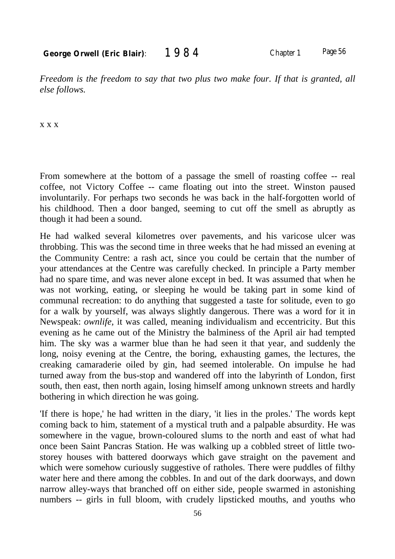*Freedom is the freedom to say that two plus two make four. If that is granted, all else follows.*

x x x

From somewhere at the bottom of a passage the smell of roasting coffee -- real coffee, not Victory Coffee -- came floating out into the street. Winston paused involuntarily. For perhaps two seconds he was back in the half-forgotten world of his childhood. Then a door banged, seeming to cut off the smell as abruptly as though it had been a sound.

He had walked several kilometres over pavements, and his varicose ulcer was throbbing. This was the second time in three weeks that he had missed an evening at the Community Centre: a rash act, since you could be certain that the number of your attendances at the Centre was carefully checked. In principle a Party member had no spare time, and was never alone except in bed. It was assumed that when he was not working, eating, or sleeping he would be taking part in some kind of communal recreation: to do anything that suggested a taste for solitude, even to go for a walk by yourself, was always slightly dangerous. There was a word for it in Newspeak: *ownlife,* it was called, meaning individualism and eccentricity. But this evening as he came out of the Ministry the balminess of the April air had tempted him. The sky was a warmer blue than he had seen it that year, and suddenly the long, noisy evening at the Centre, the boring, exhausting games, the lectures, the creaking camaraderie oiled by gin, had seemed intolerable. On impulse he had turned away from the bus-stop and wandered off into the labyrinth of London, first south, then east, then north again, losing himself among unknown streets and hardly bothering in which direction he was going.

'If there is hope,' he had written in the diary, 'it lies in the proles.' The words kept coming back to him, statement of a mystical truth and a palpable absurdity. He was somewhere in the vague, brown-coloured slums to the north and east of what had once been Saint Pancras Station. He was walking up a cobbled street of little twostorey houses with battered doorways which gave straight on the pavement and which were somehow curiously suggestive of ratholes. There were puddles of filthy water here and there among the cobbles. In and out of the dark doorways, and down narrow alley-ways that branched off on either side, people swarmed in astonishing numbers -- girls in full bloom, with crudely lipsticked mouths, and youths who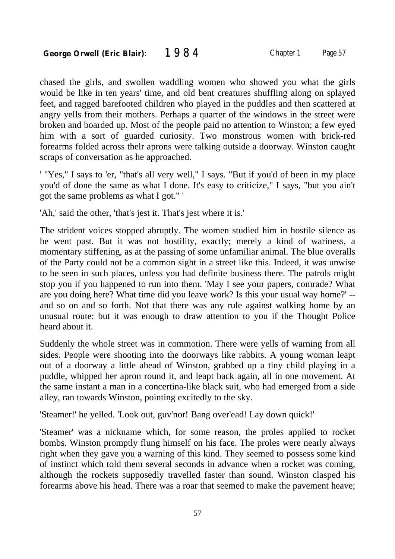chased the girls, and swollen waddling women who showed you what the girls would be like in ten years' time, and old bent creatures shuffling along on splayed feet, and ragged barefooted children who played in the puddles and then scattered at angry yells from their mothers. Perhaps a quarter of the windows in the street were broken and boarded up. Most of the people paid no attention to Winston; a few eyed him with a sort of guarded curiosity. Two monstrous women with brick-red forearms folded across thelr aprons were talking outside a doorway. Winston caught scraps of conversation as he approached.

' "Yes," I says to 'er, "that's all very well," I says. "But if you'd of been in my place you'd of done the same as what I done. It's easy to criticize," I says, "but you ain't got the same problems as what I got." '

'Ah,' said the other, 'that's jest it. That's jest where it is.'

The strident voices stopped abruptly. The women studied him in hostile silence as he went past. But it was not hostility, exactly; merely a kind of wariness, a momentary stiffening, as at the passing of some unfamiliar animal. The blue overalls of the Party could not be a common sight in a street like this. Indeed, it was unwise to be seen in such places, unless you had definite business there. The patrols might stop you if you happened to run into them. 'May I see your papers, comrade? What are you doing here? What time did you leave work? Is this your usual way home?' - and so on and so forth. Not that there was any rule against walking home by an unusual route: but it was enough to draw attention to you if the Thought Police heard about it.

Suddenly the whole street was in commotion. There were yells of warning from all sides. People were shooting into the doorways like rabbits. A young woman leapt out of a doorway a little ahead of Winston, grabbed up a tiny child playing in a puddle, whipped her apron round it, and leapt back again, all in one movement. At the same instant a man in a concertina-like black suit, who had emerged from a side alley, ran towards Winston, pointing excitedly to the sky.

'Steamer!' he yelled. 'Look out, guv'nor! Bang over'ead! Lay down quick!'

'Steamer' was a nickname which, for some reason, the proles applied to rocket bombs. Winston promptly flung himself on his face. The proles were nearly always right when they gave you a warning of this kind. They seemed to possess some kind of instinct which told them several seconds in advance when a rocket was coming, although the rockets supposedly travelled faster than sound. Winston clasped his forearms above his head. There was a roar that seemed to make the pavement heave;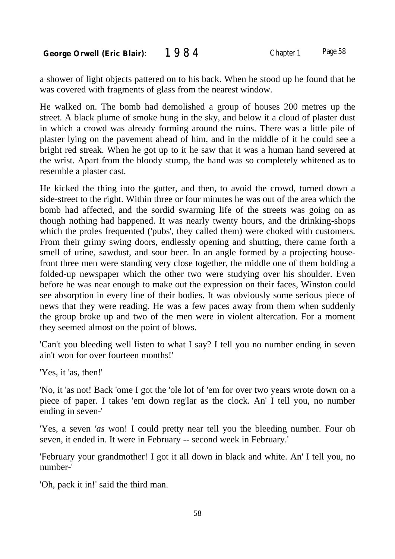a shower of light objects pattered on to his back. When he stood up he found that he was covered with fragments of glass from the nearest window.

He walked on. The bomb had demolished a group of houses 200 metres up the street. A black plume of smoke hung in the sky, and below it a cloud of plaster dust in which a crowd was already forming around the ruins. There was a little pile of plaster lying on the pavement ahead of him, and in the middle of it he could see a bright red streak. When he got up to it he saw that it was a human hand severed at the wrist. Apart from the bloody stump, the hand was so completely whitened as to resemble a plaster cast.

He kicked the thing into the gutter, and then, to avoid the crowd, turned down a side-street to the right. Within three or four minutes he was out of the area which the bomb had affected, and the sordid swarming life of the streets was going on as though nothing had happened. It was nearly twenty hours, and the drinking-shops which the proles frequented ('pubs', they called them) were choked with customers. From their grimy swing doors, endlessly opening and shutting, there came forth a smell of urine, sawdust, and sour beer. In an angle formed by a projecting housefront three men were standing very close together, the middle one of them holding a folded-up newspaper which the other two were studying over his shoulder. Even before he was near enough to make out the expression on their faces, Winston could see absorption in every line of their bodies. It was obviously some serious piece of news that they were reading. He was a few paces away from them when suddenly the group broke up and two of the men were in violent altercation. For a moment they seemed almost on the point of blows.

'Can't you bleeding well listen to what I say? I tell you no number ending in seven ain't won for over fourteen months!'

'Yes, it 'as, then!'

'No, it 'as not! Back 'ome I got the 'ole lot of 'em for over two years wrote down on a piece of paper. I takes 'em down reg'lar as the clock. An' I tell you, no number ending in seven-'

'Yes, a seven *'as* won! I could pretty near tell you the bleeding number. Four oh seven, it ended in. It were in February -- second week in February.'

'February your grandmother! I got it all down in black and white. An' I tell you, no number-'

'Oh, pack it in!' said the third man.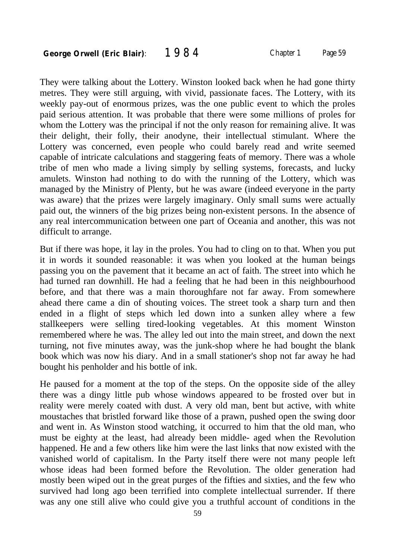They were talking about the Lottery. Winston looked back when he had gone thirty metres. They were still arguing, with vivid, passionate faces. The Lottery, with its weekly pay-out of enormous prizes, was the one public event to which the proles paid serious attention. It was probable that there were some millions of proles for whom the Lottery was the principal if not the only reason for remaining alive. It was their delight, their folly, their anodyne, their intellectual stimulant. Where the Lottery was concerned, even people who could barely read and write seemed capable of intricate calculations and staggering feats of memory. There was a whole tribe of men who made a living simply by selling systems, forecasts, and lucky amulets. Winston had nothing to do with the running of the Lottery, which was managed by the Ministry of Plenty, but he was aware (indeed everyone in the party was aware) that the prizes were largely imaginary. Only small sums were actually paid out, the winners of the big prizes being non-existent persons. In the absence of any real intercommunication between one part of Oceania and another, this was not difficult to arrange.

But if there was hope, it lay in the proles. You had to cling on to that. When you put it in words it sounded reasonable: it was when you looked at the human beings passing you on the pavement that it became an act of faith. The street into which he had turned ran downhill. He had a feeling that he had been in this neighbourhood before, and that there was a main thoroughfare not far away. From somewhere ahead there came a din of shouting voices. The street took a sharp turn and then ended in a flight of steps which led down into a sunken alley where a few stallkeepers were selling tired-looking vegetables. At this moment Winston remembered where he was. The alley led out into the main street, and down the next turning, not five minutes away, was the junk-shop where he had bought the blank book which was now his diary. And in a small stationer's shop not far away he had bought his penholder and his bottle of ink.

He paused for a moment at the top of the steps. On the opposite side of the alley there was a dingy little pub whose windows appeared to be frosted over but in reality were merely coated with dust. A very old man, bent but active, with white moustaches that bristled forward like those of a prawn, pushed open the swing door and went in. As Winston stood watching, it occurred to him that the old man, who must be eighty at the least, had already been middle- aged when the Revolution happened. He and a few others like him were the last links that now existed with the vanished world of capitalism. In the Party itself there were not many people left whose ideas had been formed before the Revolution. The older generation had mostly been wiped out in the great purges of the fifties and sixties, and the few who survived had long ago been terrified into complete intellectual surrender. If there was any one still alive who could give you a truthful account of conditions in the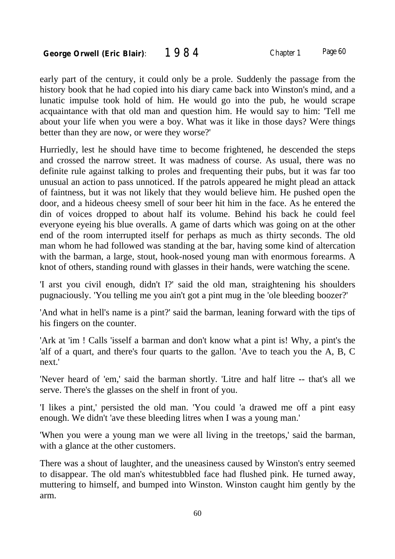early part of the century, it could only be a prole. Suddenly the passage from the history book that he had copied into his diary came back into Winston's mind, and a lunatic impulse took hold of him. He would go into the pub, he would scrape acquaintance with that old man and question him. He would say to him: 'Tell me about your life when you were a boy. What was it like in those days? Were things better than they are now, or were they worse?'

Hurriedly, lest he should have time to become frightened, he descended the steps and crossed the narrow street. It was madness of course. As usual, there was no definite rule against talking to proles and frequenting their pubs, but it was far too unusual an action to pass unnoticed. If the patrols appeared he might plead an attack of faintness, but it was not likely that they would believe him. He pushed open the door, and a hideous cheesy smell of sour beer hit him in the face. As he entered the din of voices dropped to about half its volume. Behind his back he could feel everyone eyeing his blue overalls. A game of darts which was going on at the other end of the room interrupted itself for perhaps as much as thirty seconds. The old man whom he had followed was standing at the bar, having some kind of altercation with the barman, a large, stout, hook-nosed young man with enormous forearms. A knot of others, standing round with glasses in their hands, were watching the scene.

'I arst you civil enough, didn't I?' said the old man, straightening his shoulders pugnaciously. 'You telling me you ain't got a pint mug in the 'ole bleeding boozer?'

'And what in hell's name is a pint?' said the barman, leaning forward with the tips of his fingers on the counter.

'Ark at 'im ! Calls 'isself a barman and don't know what a pint is! Why, a pint's the 'alf of a quart, and there's four quarts to the gallon. 'Ave to teach you the A, B, C next.'

'Never heard of 'em,' said the barman shortly. 'Litre and half litre -- that's all we serve. There's the glasses on the shelf in front of you.

'I likes a pint,' persisted the old man. 'You could 'a drawed me off a pint easy enough. We didn't 'ave these bleeding litres when I was a young man.'

'When you were a young man we were all living in the treetops,' said the barman, with a glance at the other customers.

There was a shout of laughter, and the uneasiness caused by Winston's entry seemed to disappear. The old man's whitestubbled face had flushed pink. He turned away, muttering to himself, and bumped into Winston. Winston caught him gently by the arm.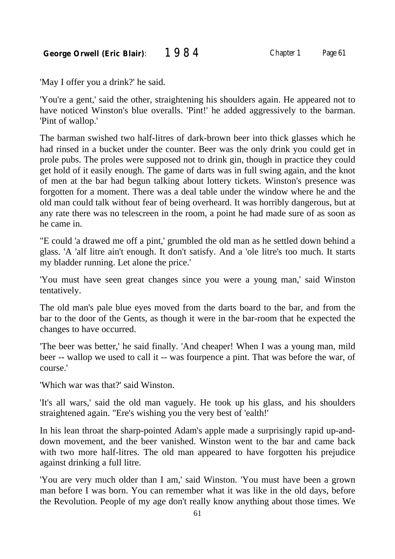'May I offer you a drink?' he said.

'You're a gent,' said the other, straightening his shoulders again. He appeared not to have noticed Winston's blue overalls. 'Pint!' he added aggressively to the barman. 'Pint of wallop.'

The barman swished two half-litres of dark-brown beer into thick glasses which he had rinsed in a bucket under the counter. Beer was the only drink you could get in prole pubs. The proles were supposed not to drink gin, though in practice they could get hold of it easily enough. The game of darts was in full swing again, and the knot of men at the bar had begun talking about lottery tickets. Winston's presence was forgotten for a moment. There was a deal table under the window where he and the old man could talk without fear of being overheard. It was horribly dangerous, but at any rate there was no telescreen in the room, a point he had made sure of as soon as he came in.

"E could 'a drawed me off a pint,' grumbled the old man as he settled down behind a glass. 'A 'alf litre ain't enough. It don't satisfy. And a 'ole litre's too much. It starts my bladder running. Let alone the price.'

'You must have seen great changes since you were a young man,' said Winston tentatively.

The old man's pale blue eyes moved from the darts board to the bar, and from the bar to the door of the Gents, as though it were in the bar-room that he expected the changes to have occurred.

'The beer was better,' he said finally. 'And cheaper! When I was a young man, mild beer -- wallop we used to call it -- was fourpence a pint. That was before the war, of course.'

'Which war was that?' said Winston.

'It's all wars,' said the old man vaguely. He took up his glass, and his shoulders straightened again. "Ere's wishing you the very best of 'ealth!'

In his lean throat the sharp-pointed Adam's apple made a surprisingly rapid up-anddown movement, and the beer vanished. Winston went to the bar and came back with two more half-litres. The old man appeared to have forgotten his prejudice against drinking a full litre.

'You are very much older than I am,' said Winston. 'You must have been a grown man before I was born. You can remember what it was like in the old days, before the Revolution. People of my age don't really know anything about those times. We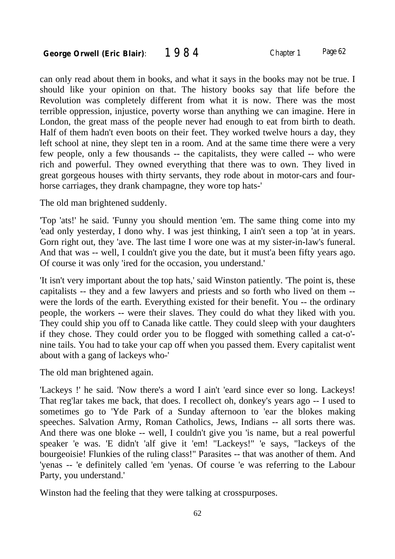can only read about them in books, and what it says in the books may not be true. I should like your opinion on that. The history books say that life before the Revolution was completely different from what it is now. There was the most terrible oppression, injustice, poverty worse than anything we can imagine. Here in London, the great mass of the people never had enough to eat from birth to death. Half of them hadn't even boots on their feet. They worked twelve hours a day, they left school at nine, they slept ten in a room. And at the same time there were a very few people, only a few thousands -- the capitalists, they were called -- who were rich and powerful. They owned everything that there was to own. They lived in great gorgeous houses with thirty servants, they rode about in motor-cars and fourhorse carriages, they drank champagne, they wore top hats-'

The old man brightened suddenly.

'Top 'ats!' he said. 'Funny you should mention 'em. The same thing come into my 'ead only yesterday, I dono why. I was jest thinking, I ain't seen a top 'at in years. Gorn right out, they 'ave. The last time I wore one was at my sister-in-law's funeral. And that was -- well, I couldn't give you the date, but it must'a been fifty years ago. Of course it was only 'ired for the occasion, you understand.'

'It isn't very important about the top hats,' said Winston patiently. 'The point is, these capitalists -- they and a few lawyers and priests and so forth who lived on them - were the lords of the earth. Everything existed for their benefit. You -- the ordinary people, the workers -- were their slaves. They could do what they liked with you. They could ship you off to Canada like cattle. They could sleep with your daughters if they chose. They could order you to be flogged with something called a cat-o' nine tails. You had to take your cap off when you passed them. Every capitalist went about with a gang of lackeys who-'

The old man brightened again.

'Lackeys !' he said. 'Now there's a word I ain't 'eard since ever so long. Lackeys! That reg'lar takes me back, that does. I recollect oh, donkey's years ago -- I used to sometimes go to 'Yde Park of a Sunday afternoon to 'ear the blokes making speeches. Salvation Army, Roman Catholics, Jews, Indians -- all sorts there was. And there was one bloke -- well, I couldn't give you 'is name, but a real powerful speaker 'e was. 'E didn't 'alf give it 'em! "Lackeys!" 'e says, "lackeys of the bourgeoisie! Flunkies of the ruling class!" Parasites -- that was another of them. And 'yenas -- 'e definitely called 'em 'yenas. Of course 'e was referring to the Labour Party, you understand.'

Winston had the feeling that they were talking at crosspurposes.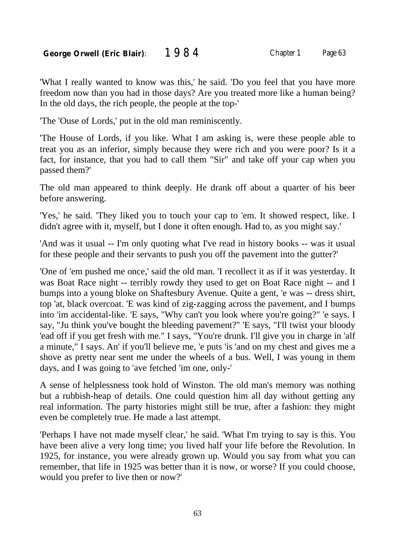'What I really wanted to know was this,' he said. 'Do you feel that you have more freedom now than you had in those days? Are you treated more like a human being? In the old days, the rich people, the people at the top-'

'The 'Ouse of Lords,' put in the old man reminiscently.

'The House of Lords, if you like. What I am asking is, were these people able to treat you as an inferior, simply because they were rich and you were poor? Is it a fact, for instance, that you had to call them "Sir" and take off your cap when you passed them?'

The old man appeared to think deeply. He drank off about a quarter of his beer before answering.

'Yes,' he said. 'They liked you to touch your cap to 'em. It showed respect, like. I didn't agree with it, myself, but I done it often enough. Had to, as you might say.'

'And was it usual -- I'm only quoting what I've read in history books -- was it usual for these people and their servants to push you off the pavement into the gutter?'

'One of 'em pushed me once,' said the old man. 'I recollect it as if it was yesterday. It was Boat Race night -- terribly rowdy they used to get on Boat Race night -- and I bumps into a young bloke on Shaftesbury Avenue. Quite a gent, 'e was -- dress shirt, top 'at, black overcoat. 'E was kind of zig-zagging across the pavement, and I bumps into 'im accidental-like. 'E says, "Why can't you look where you're going?" 'e says. I say, "Ju think you've bought the bleeding pavement?" 'E says, "I'll twist your bloody 'ead off if you get fresh with me." I says, "You're drunk. I'll give you in charge in 'alf a minute," I says. An' if you'll believe me, 'e puts 'is 'and on my chest and gives me a shove as pretty near sent me under the wheels of a bus. Well, I was young in them days, and I was going to 'ave fetched 'im one, only-'

A sense of helplessness took hold of Winston. The old man's memory was nothing but a rubbish-heap of details. One could question him all day without getting any real information. The party histories might still be true, after a fashion: they might even be completely true. He made a last attempt.

'Perhaps I have not made myself clear,' he said. 'What I'm trying to say is this. You have been alive a very long time; you lived half your life before the Revolution. In 1925, for instance, you were already grown up. Would you say from what you can remember, that life in 1925 was better than it is now, or worse? If you could choose, would you prefer to live then or now?'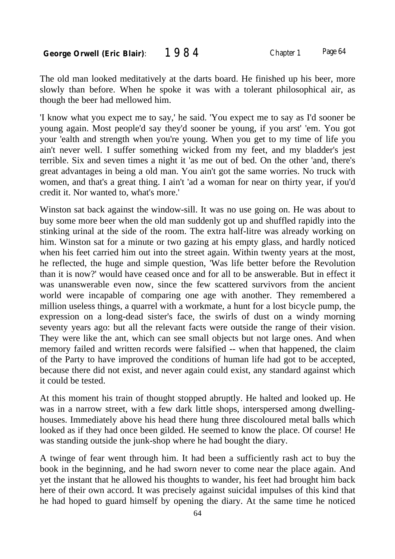The old man looked meditatively at the darts board. He finished up his beer, more slowly than before. When he spoke it was with a tolerant philosophical air, as though the beer had mellowed him.

'I know what you expect me to say,' he said. 'You expect me to say as I'd sooner be young again. Most people'd say they'd sooner be young, if you arst' 'em. You got your 'ealth and strength when you're young. When you get to my time of life you ain't never well. I suffer something wicked from my feet, and my bladder's jest terrible. Six and seven times a night it 'as me out of bed. On the other 'and, there's great advantages in being a old man. You ain't got the same worries. No truck with women, and that's a great thing. I ain't 'ad a woman for near on thirty year, if you'd credit it. Nor wanted to, what's more.'

Winston sat back against the window-sill. It was no use going on. He was about to buy some more beer when the old man suddenly got up and shuffled rapidly into the stinking urinal at the side of the room. The extra half-litre was already working on him. Winston sat for a minute or two gazing at his empty glass, and hardly noticed when his feet carried him out into the street again. Within twenty years at the most, he reflected, the huge and simple question, 'Was life better before the Revolution than it is now?' would have ceased once and for all to be answerable. But in effect it was unanswerable even now, since the few scattered survivors from the ancient world were incapable of comparing one age with another. They remembered a million useless things, a quarrel with a workmate, a hunt for a lost bicycle pump, the expression on a long-dead sister's face, the swirls of dust on a windy morning seventy years ago: but all the relevant facts were outside the range of their vision. They were like the ant, which can see small objects but not large ones. And when memory failed and written records were falsified -- when that happened, the claim of the Party to have improved the conditions of human life had got to be accepted, because there did not exist, and never again could exist, any standard against which it could be tested.

At this moment his train of thought stopped abruptly. He halted and looked up. He was in a narrow street, with a few dark little shops, interspersed among dwellinghouses. Immediately above his head there hung three discoloured metal balls which looked as if they had once been gilded. He seemed to know the place. Of course! He was standing outside the junk-shop where he had bought the diary.

A twinge of fear went through him. It had been a sufficiently rash act to buy the book in the beginning, and he had sworn never to come near the place again. And yet the instant that he allowed his thoughts to wander, his feet had brought him back here of their own accord. It was precisely against suicidal impulses of this kind that he had hoped to guard himself by opening the diary. At the same time he noticed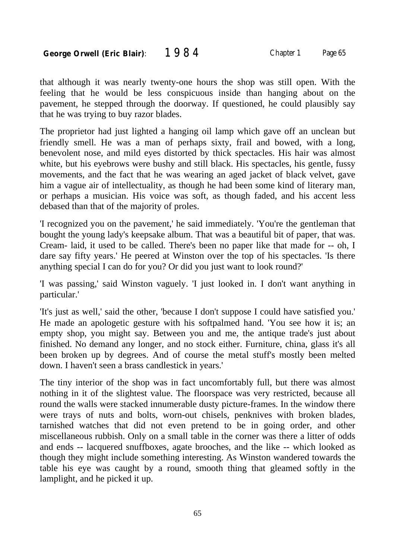that although it was nearly twenty-one hours the shop was still open. With the feeling that he would be less conspicuous inside than hanging about on the pavement, he stepped through the doorway. If questioned, he could plausibly say that he was trying to buy razor blades.

The proprietor had just lighted a hanging oil lamp which gave off an unclean but friendly smell. He was a man of perhaps sixty, frail and bowed, with a long, benevolent nose, and mild eyes distorted by thick spectacles. His hair was almost white, but his eyebrows were bushy and still black. His spectacles, his gentle, fussy movements, and the fact that he was wearing an aged jacket of black velvet, gave him a vague air of intellectuality, as though he had been some kind of literary man, or perhaps a musician. His voice was soft, as though faded, and his accent less debased than that of the majority of proles.

'I recognized you on the pavement,' he said immediately. 'You're the gentleman that bought the young lady's keepsake album. That was a beautiful bit of paper, that was. Cream- laid, it used to be called. There's been no paper like that made for -- oh, I dare say fifty years.' He peered at Winston over the top of his spectacles. 'Is there anything special I can do for you? Or did you just want to look round?'

'I was passing,' said Winston vaguely. 'I just looked in. I don't want anything in particular.'

'It's just as well,' said the other, 'because I don't suppose I could have satisfied you.' He made an apologetic gesture with his softpalmed hand. 'You see how it is; an empty shop, you might say. Between you and me, the antique trade's just about finished. No demand any longer, and no stock either. Furniture, china, glass it's all been broken up by degrees. And of course the metal stuff's mostly been melted down. I haven't seen a brass candlestick in years.'

The tiny interior of the shop was in fact uncomfortably full, but there was almost nothing in it of the slightest value. The floorspace was very restricted, because all round the walls were stacked innumerable dusty picture-frames. In the window there were trays of nuts and bolts, worn-out chisels, penknives with broken blades, tarnished watches that did not even pretend to be in going order, and other miscellaneous rubbish. Only on a small table in the corner was there a litter of odds and ends -- lacquered snuffboxes, agate brooches, and the like -- which looked as though they might include something interesting. As Winston wandered towards the table his eye was caught by a round, smooth thing that gleamed softly in the lamplight, and he picked it up.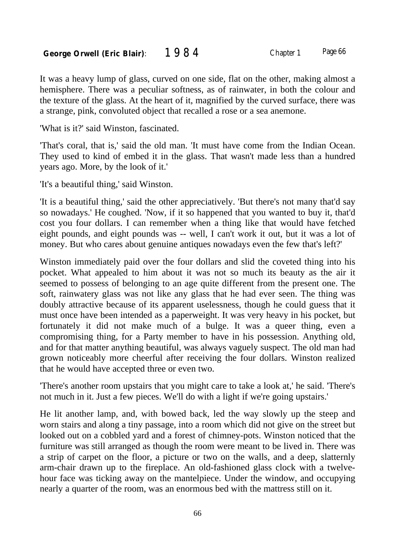It was a heavy lump of glass, curved on one side, flat on the other, making almost a hemisphere. There was a peculiar softness, as of rainwater, in both the colour and the texture of the glass. At the heart of it, magnified by the curved surface, there was a strange, pink, convoluted object that recalled a rose or a sea anemone.

'What is it?' said Winston, fascinated.

'That's coral, that is,' said the old man. 'It must have come from the Indian Ocean. They used to kind of embed it in the glass. That wasn't made less than a hundred years ago. More, by the look of it.'

'It's a beautiful thing,' said Winston.

'It is a beautiful thing,' said the other appreciatively. 'But there's not many that'd say so nowadays.' He coughed. 'Now, if it so happened that you wanted to buy it, that'd cost you four dollars. I can remember when a thing like that would have fetched eight pounds, and eight pounds was -- well, I can't work it out, but it was a lot of money. But who cares about genuine antiques nowadays even the few that's left?'

Winston immediately paid over the four dollars and slid the coveted thing into his pocket. What appealed to him about it was not so much its beauty as the air it seemed to possess of belonging to an age quite different from the present one. The soft, rainwatery glass was not like any glass that he had ever seen. The thing was doubly attractive because of its apparent uselessness, though he could guess that it must once have been intended as a paperweight. It was very heavy in his pocket, but fortunately it did not make much of a bulge. It was a queer thing, even a compromising thing, for a Party member to have in his possession. Anything old, and for that matter anything beautiful, was always vaguely suspect. The old man had grown noticeably more cheerful after receiving the four dollars. Winston realized that he would have accepted three or even two.

'There's another room upstairs that you might care to take a look at,' he said. 'There's not much in it. Just a few pieces. We'll do with a light if we're going upstairs.'

He lit another lamp, and, with bowed back, led the way slowly up the steep and worn stairs and along a tiny passage, into a room which did not give on the street but looked out on a cobbled yard and a forest of chimney-pots. Winston noticed that the furniture was still arranged as though the room were meant to be lived in. There was a strip of carpet on the floor, a picture or two on the walls, and a deep, slatternly arm-chair drawn up to the fireplace. An old-fashioned glass clock with a twelvehour face was ticking away on the mantelpiece. Under the window, and occupying nearly a quarter of the room, was an enormous bed with the mattress still on it.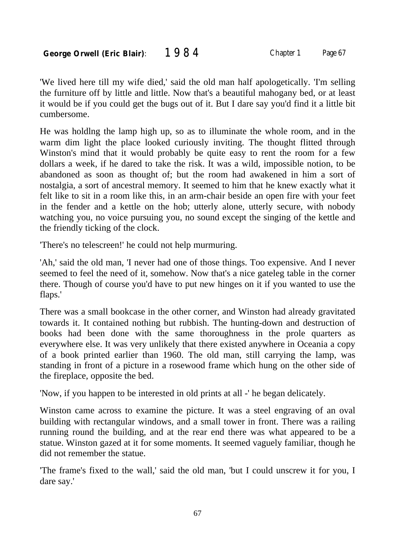'We lived here till my wife died,' said the old man half apologetically. 'I'm selling the furniture off by little and little. Now that's a beautiful mahogany bed, or at least it would be if you could get the bugs out of it. But I dare say you'd find it a little bit cumbersome.

He was holdlng the lamp high up, so as to illuminate the whole room, and in the warm dim light the place looked curiously inviting. The thought flitted through Winston's mind that it would probably be quite easy to rent the room for a few dollars a week, if he dared to take the risk. It was a wild, impossible notion, to be abandoned as soon as thought of; but the room had awakened in him a sort of nostalgia, a sort of ancestral memory. It seemed to him that he knew exactly what it felt like to sit in a room like this, in an arm-chair beside an open fire with your feet in the fender and a kettle on the hob; utterly alone, utterly secure, with nobody watching you, no voice pursuing you, no sound except the singing of the kettle and the friendly ticking of the clock.

'There's no telescreen!' he could not help murmuring.

'Ah,' said the old man, 'I never had one of those things. Too expensive. And I never seemed to feel the need of it, somehow. Now that's a nice gateleg table in the corner there. Though of course you'd have to put new hinges on it if you wanted to use the flaps.'

There was a small bookcase in the other corner, and Winston had already gravitated towards it. It contained nothing but rubbish. The hunting-down and destruction of books had been done with the same thoroughness in the prole quarters as everywhere else. It was very unlikely that there existed anywhere in Oceania a copy of a book printed earlier than 1960. The old man, still carrying the lamp, was standing in front of a picture in a rosewood frame which hung on the other side of the fireplace, opposite the bed.

'Now, if you happen to be interested in old prints at all -' he began delicately.

Winston came across to examine the picture. It was a steel engraving of an oval building with rectangular windows, and a small tower in front. There was a railing running round the building, and at the rear end there was what appeared to be a statue. Winston gazed at it for some moments. It seemed vaguely familiar, though he did not remember the statue.

'The frame's fixed to the wall,' said the old man, 'but I could unscrew it for you, I dare say.'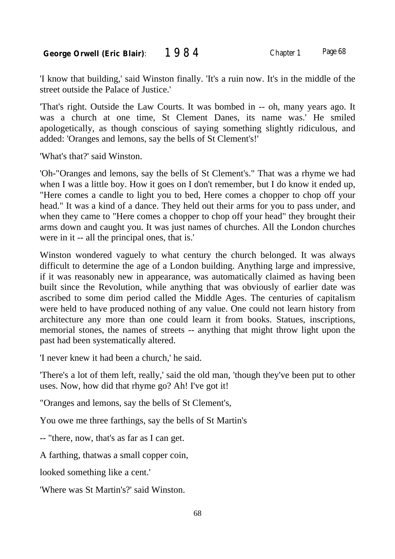'I know that building,' said Winston finally. 'It's a ruin now. It's in the middle of the street outside the Palace of Justice.'

'That's right. Outside the Law Courts. It was bombed in -- oh, many years ago. It was a church at one time, St Clement Danes, its name was.' He smiled apologetically, as though conscious of saying something slightly ridiculous, and added: 'Oranges and lemons, say the bells of St Clement's!'

'What's that?' said Winston.

'Oh-"Oranges and lemons, say the bells of St Clement's." That was a rhyme we had when I was a little boy. How it goes on I don't remember, but I do know it ended up, "Here comes a candle to light you to bed, Here comes a chopper to chop off your head." It was a kind of a dance. They held out their arms for you to pass under, and when they came to "Here comes a chopper to chop off your head" they brought their arms down and caught you. It was just names of churches. All the London churches were in it -- all the principal ones, that is.'

Winston wondered vaguely to what century the church belonged. It was always difficult to determine the age of a London building. Anything large and impressive, if it was reasonably new in appearance, was automatically claimed as having been built since the Revolution, while anything that was obviously of earlier date was ascribed to some dim period called the Middle Ages. The centuries of capitalism were held to have produced nothing of any value. One could not learn history from architecture any more than one could learn it from books. Statues, inscriptions, memorial stones, the names of streets -- anything that might throw light upon the past had been systematically altered.

'I never knew it had been a church,' he said.

'There's a lot of them left, really,' said the old man, 'though they've been put to other uses. Now, how did that rhyme go? Ah! I've got it!

"Oranges and lemons, say the bells of St Clement's,

You owe me three farthings, say the bells of St Martin's

-- "there, now, that's as far as I can get.

A farthing, thatwas a small copper coin,

looked something like a cent.'

'Where was St Martin's?' said Winston.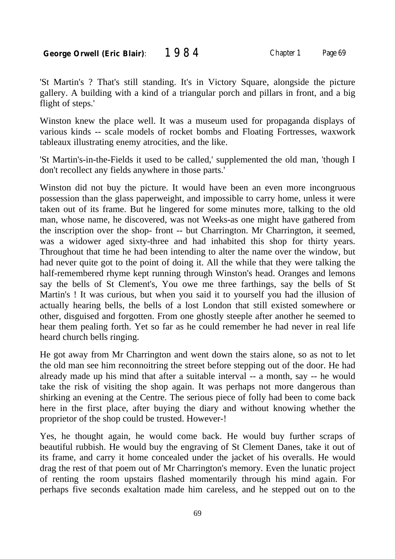'St Martin's ? That's still standing. It's in Victory Square, alongside the picture gallery. A building with a kind of a triangular porch and pillars in front, and a big flight of steps.'

Winston knew the place well. It was a museum used for propaganda displays of various kinds -- scale models of rocket bombs and Floating Fortresses, waxwork tableaux illustrating enemy atrocities, and the like.

'St Martin's-in-the-Fields it used to be called,' supplemented the old man, 'though I don't recollect any fields anywhere in those parts.'

Winston did not buy the picture. It would have been an even more incongruous possession than the glass paperweight, and impossible to carry home, unless it were taken out of its frame. But he lingered for some minutes more, talking to the old man, whose name, he discovered, was not Weeks-as one might have gathered from the inscription over the shop- front -- but Charrington. Mr Charrington, it seemed, was a widower aged sixty-three and had inhabited this shop for thirty years. Throughout that time he had been intending to alter the name over the window, but had never quite got to the point of doing it. All the while that they were talking the half-remembered rhyme kept running through Winston's head. Oranges and lemons say the bells of St Clement's, You owe me three farthings, say the bells of St Martin's ! It was curious, but when you said it to yourself you had the illusion of actually hearing bells, the bells of a lost London that still existed somewhere or other, disguised and forgotten. From one ghostly steeple after another he seemed to hear them pealing forth. Yet so far as he could remember he had never in real life heard church bells ringing.

He got away from Mr Charrington and went down the stairs alone, so as not to let the old man see him reconnoitring the street before stepping out of the door. He had already made up his mind that after a suitable interval -- a month, say -- he would take the risk of visiting the shop again. It was perhaps not more dangerous than shirking an evening at the Centre. The serious piece of folly had been to come back here in the first place, after buying the diary and without knowing whether the proprietor of the shop could be trusted. However-!

Yes, he thought again, he would come back. He would buy further scraps of beautiful rubbish. He would buy the engraving of St Clement Danes, take it out of its frame, and carry it home concealed under the jacket of his overalls. He would drag the rest of that poem out of Mr Charrington's memory. Even the lunatic project of renting the room upstairs flashed momentarily through his mind again. For perhaps five seconds exaltation made him careless, and he stepped out on to the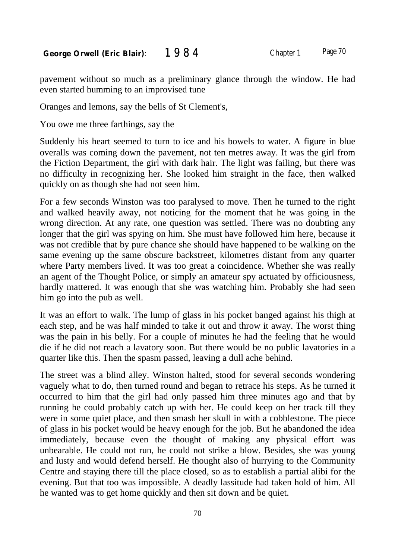pavement without so much as a preliminary glance through the window. He had even started humming to an improvised tune

Oranges and lemons, say the bells of St Clement's,

You owe me three farthings, say the

Suddenly his heart seemed to turn to ice and his bowels to water. A figure in blue overalls was coming down the pavement, not ten metres away. It was the girl from the Fiction Department, the girl with dark hair. The light was failing, but there was no difficulty in recognizing her. She looked him straight in the face, then walked quickly on as though she had not seen him.

For a few seconds Winston was too paralysed to move. Then he turned to the right and walked heavily away, not noticing for the moment that he was going in the wrong direction. At any rate, one question was settled. There was no doubting any longer that the girl was spying on him. She must have followed him here, because it was not credible that by pure chance she should have happened to be walking on the same evening up the same obscure backstreet, kilometres distant from any quarter where Party members lived. It was too great a coincidence. Whether she was really an agent of the Thought Police, or simply an amateur spy actuated by officiousness, hardly mattered. It was enough that she was watching him. Probably she had seen him go into the pub as well.

It was an effort to walk. The lump of glass in his pocket banged against his thigh at each step, and he was half minded to take it out and throw it away. The worst thing was the pain in his belly. For a couple of minutes he had the feeling that he would die if he did not reach a lavatory soon. But there would be no public lavatories in a quarter like this. Then the spasm passed, leaving a dull ache behind.

The street was a blind alley. Winston halted, stood for several seconds wondering vaguely what to do, then turned round and began to retrace his steps. As he turned it occurred to him that the girl had only passed him three minutes ago and that by running he could probably catch up with her. He could keep on her track till they were in some quiet place, and then smash her skull in with a cobblestone. The piece of glass in his pocket would be heavy enough for the job. But he abandoned the idea immediately, because even the thought of making any physical effort was unbearable. He could not run, he could not strike a blow. Besides, she was young and lusty and would defend herself. He thought also of hurrying to the Community Centre and staying there till the place closed, so as to establish a partial alibi for the evening. But that too was impossible. A deadly lassitude had taken hold of him. All he wanted was to get home quickly and then sit down and be quiet.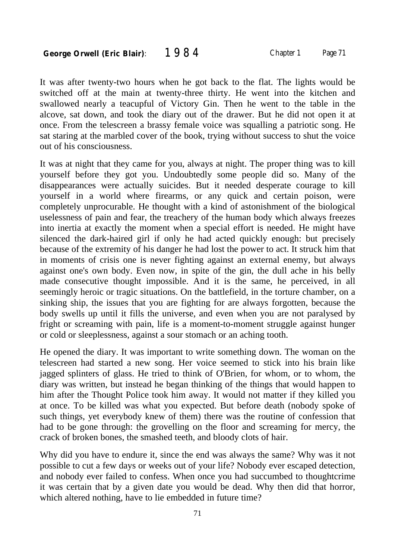It was after twenty-two hours when he got back to the flat. The lights would be switched off at the main at twenty-three thirty. He went into the kitchen and swallowed nearly a teacupful of Victory Gin. Then he went to the table in the alcove, sat down, and took the diary out of the drawer. But he did not open it at once. From the telescreen a brassy female voice was squalling a patriotic song. He sat staring at the marbled cover of the book, trying without success to shut the voice out of his consciousness.

It was at night that they came for you, always at night. The proper thing was to kill yourself before they got you. Undoubtedly some people did so. Many of the disappearances were actually suicides. But it needed desperate courage to kill yourself in a world where firearms, or any quick and certain poison, were completely unprocurable. He thought with a kind of astonishment of the biological uselessness of pain and fear, the treachery of the human body which always freezes into inertia at exactly the moment when a special effort is needed. He might have silenced the dark-haired girl if only he had acted quickly enough: but precisely because of the extremity of his danger he had lost the power to act. It struck him that in moments of crisis one is never fighting against an external enemy, but always against one's own body. Even now, in spite of the gin, the dull ache in his belly made consecutive thought impossible. And it is the same, he perceived, in all seemingly heroic or tragic situations. On the battlefield, in the torture chamber, on a sinking ship, the issues that you are fighting for are always forgotten, because the body swells up until it fills the universe, and even when you are not paralysed by fright or screaming with pain, life is a moment-to-moment struggle against hunger or cold or sleeplessness, against a sour stomach or an aching tooth.

He opened the diary. It was important to write something down. The woman on the telescreen had started a new song. Her voice seemed to stick into his brain like jagged splinters of glass. He tried to think of O'Brien, for whom, or to whom, the diary was written, but instead he began thinking of the things that would happen to him after the Thought Police took him away. It would not matter if they killed you at once. To be killed was what you expected. But before death (nobody spoke of such things, yet everybody knew of them) there was the routine of confession that had to be gone through: the grovelling on the floor and screaming for mercy, the crack of broken bones, the smashed teeth, and bloody clots of hair.

Why did you have to endure it, since the end was always the same? Why was it not possible to cut a few days or weeks out of your life? Nobody ever escaped detection, and nobody ever failed to confess. When once you had succumbed to thoughtcrime it was certain that by a given date you would be dead. Why then did that horror, which altered nothing, have to lie embedded in future time?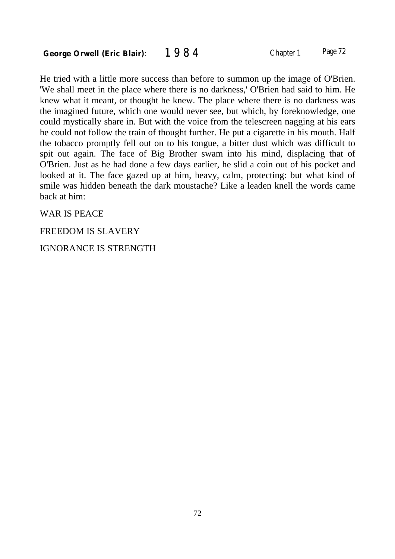He tried with a little more success than before to summon up the image of O'Brien. 'We shall meet in the place where there is no darkness,' O'Brien had said to him. He knew what it meant, or thought he knew. The place where there is no darkness was the imagined future, which one would never see, but which, by foreknowledge, one could mystically share in. But with the voice from the telescreen nagging at his ears he could not follow the train of thought further. He put a cigarette in his mouth. Half the tobacco promptly fell out on to his tongue, a bitter dust which was difficult to spit out again. The face of Big Brother swam into his mind, displacing that of O'Brien. Just as he had done a few days earlier, he slid a coin out of his pocket and looked at it. The face gazed up at him, heavy, calm, protecting: but what kind of smile was hidden beneath the dark moustache? Like a leaden knell the words came back at him:

WAR IS PEACE

FREEDOM IS SLAVERY

IGNORANCE IS STRENGTH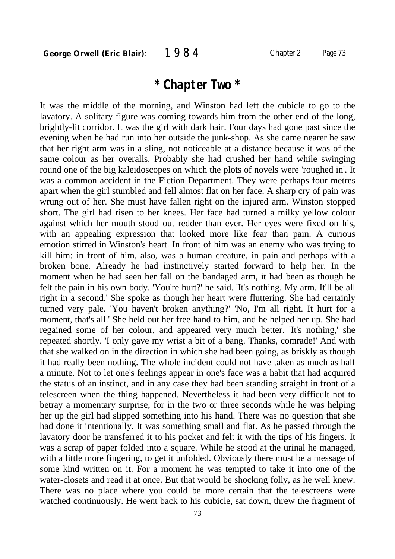# **\* Chapter Two \***

It was the middle of the morning, and Winston had left the cubicle to go to the lavatory. A solitary figure was coming towards him from the other end of the long, brightly-lit corridor. It was the girl with dark hair. Four days had gone past since the evening when he had run into her outside the junk-shop. As she came nearer he saw that her right arm was in a sling, not noticeable at a distance because it was of the same colour as her overalls. Probably she had crushed her hand while swinging round one of the big kaleidoscopes on which the plots of novels were 'roughed in'. It was a common accident in the Fiction Department. They were perhaps four metres apart when the girl stumbled and fell almost flat on her face. A sharp cry of pain was wrung out of her. She must have fallen right on the injured arm. Winston stopped short. The girl had risen to her knees. Her face had turned a milky yellow colour against which her mouth stood out redder than ever. Her eyes were fixed on his, with an appealing expression that looked more like fear than pain. A curious emotion stirred in Winston's heart. In front of him was an enemy who was trying to kill him: in front of him, also, was a human creature, in pain and perhaps with a broken bone. Already he had instinctively started forward to help her. In the moment when he had seen her fall on the bandaged arm, it had been as though he felt the pain in his own body. 'You're hurt?' he said. 'It's nothing. My arm. It'll be all right in a second.' She spoke as though her heart were fluttering. She had certainly turned very pale. 'You haven't broken anything?' 'No, I'm all right. It hurt for a moment, that's all.' She held out her free hand to him, and he helped her up. She had regained some of her colour, and appeared very much better. 'It's nothing,' she repeated shortly. 'I only gave my wrist a bit of a bang. Thanks, comrade!' And with that she walked on in the direction in which she had been going, as briskly as though it had really been nothing. The whole incident could not have taken as much as half a minute. Not to let one's feelings appear in one's face was a habit that had acquired the status of an instinct, and in any case they had been standing straight in front of a telescreen when the thing happened. Nevertheless it had been very difficult not to betray a momentary surprise, for in the two or three seconds while he was helping her up the girl had slipped something into his hand. There was no question that she had done it intentionally. It was something small and flat. As he passed through the lavatory door he transferred it to his pocket and felt it with the tips of his fingers. It was a scrap of paper folded into a square. While he stood at the urinal he managed, with a little more fingering, to get it unfolded. Obviously there must be a message of some kind written on it. For a moment he was tempted to take it into one of the water-closets and read it at once. But that would be shocking folly, as he well knew. There was no place where you could be more certain that the telescreens were watched continuously. He went back to his cubicle, sat down, threw the fragment of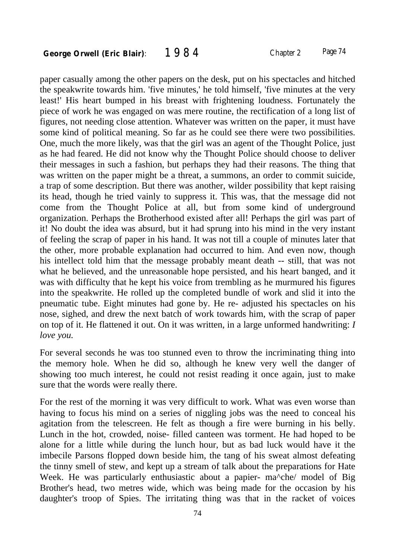paper casually among the other papers on the desk, put on his spectacles and hitched the speakwrite towards him. 'five minutes,' he told himself, 'five minutes at the very least!' His heart bumped in his breast with frightening loudness. Fortunately the piece of work he was engaged on was mere routine, the rectification of a long list of figures, not needing close attention. Whatever was written on the paper, it must have some kind of political meaning. So far as he could see there were two possibilities. One, much the more likely, was that the girl was an agent of the Thought Police, just as he had feared. He did not know why the Thought Police should choose to deliver their messages in such a fashion, but perhaps they had their reasons. The thing that was written on the paper might be a threat, a summons, an order to commit suicide, a trap of some description. But there was another, wilder possibility that kept raising its head, though he tried vainly to suppress it. This was, that the message did not come from the Thought Police at all, but from some kind of underground organization. Perhaps the Brotherhood existed after all! Perhaps the girl was part of it! No doubt the idea was absurd, but it had sprung into his mind in the very instant of feeling the scrap of paper in his hand. It was not till a couple of minutes later that the other, more probable explanation had occurred to him. And even now, though his intellect told him that the message probably meant death -- still, that was not what he believed, and the unreasonable hope persisted, and his heart banged, and it was with difficulty that he kept his voice from trembling as he murmured his figures into the speakwrite. He rolled up the completed bundle of work and slid it into the pneumatic tube. Eight minutes had gone by. He re- adjusted his spectacles on his nose, sighed, and drew the next batch of work towards him, with the scrap of paper on top of it. He flattened it out. On it was written, in a large unformed handwriting: *I love you.*

For several seconds he was too stunned even to throw the incriminating thing into the memory hole. When he did so, although he knew very well the danger of showing too much interest, he could not resist reading it once again, just to make sure that the words were really there.

For the rest of the morning it was very difficult to work. What was even worse than having to focus his mind on a series of niggling jobs was the need to conceal his agitation from the telescreen. He felt as though a fire were burning in his belly. Lunch in the hot, crowded, noise- filled canteen was torment. He had hoped to be alone for a little while during the lunch hour, but as bad luck would have it the imbecile Parsons flopped down beside him, the tang of his sweat almost defeating the tinny smell of stew, and kept up a stream of talk about the preparations for Hate Week. He was particularly enthusiastic about a papier- ma<sup> $\lambda$ </sup>che/ model of Big Brother's head, two metres wide, which was being made for the occasion by his daughter's troop of Spies. The irritating thing was that in the racket of voices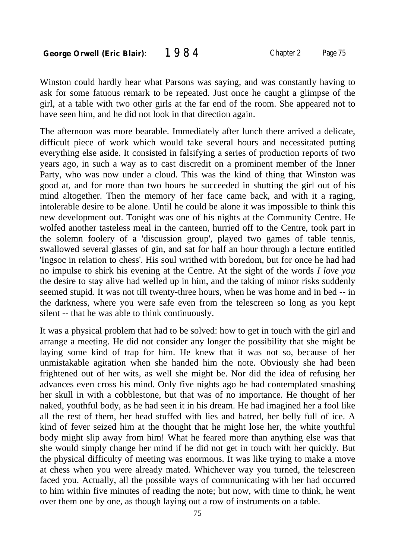Winston could hardly hear what Parsons was saying, and was constantly having to ask for some fatuous remark to be repeated. Just once he caught a glimpse of the girl, at a table with two other girls at the far end of the room. She appeared not to have seen him, and he did not look in that direction again.

The afternoon was more bearable. Immediately after lunch there arrived a delicate, difficult piece of work which would take several hours and necessitated putting everything else aside. It consisted in falsifying a series of production reports of two years ago, in such a way as to cast discredit on a prominent member of the Inner Party, who was now under a cloud. This was the kind of thing that Winston was good at, and for more than two hours he succeeded in shutting the girl out of his mind altogether. Then the memory of her face came back, and with it a raging, intolerable desire to be alone. Until he could be alone it was impossible to think this new development out. Tonight was one of his nights at the Community Centre. He wolfed another tasteless meal in the canteen, hurried off to the Centre, took part in the solemn foolery of a 'discussion group', played two games of table tennis, swallowed several glasses of gin, and sat for half an hour through a lecture entitled 'Ingsoc in relation to chess'. His soul writhed with boredom, but for once he had had no impulse to shirk his evening at the Centre. At the sight of the words *I love you* the desire to stay alive had welled up in him, and the taking of minor risks suddenly seemed stupid. It was not till twenty-three hours, when he was home and in bed -- in the darkness, where you were safe even from the telescreen so long as you kept silent -- that he was able to think continuously.

It was a physical problem that had to be solved: how to get in touch with the girl and arrange a meeting. He did not consider any longer the possibility that she might be laying some kind of trap for him. He knew that it was not so, because of her unmistakable agitation when she handed him the note. Obviously she had been frightened out of her wits, as well she might be. Nor did the idea of refusing her advances even cross his mind. Only five nights ago he had contemplated smashing her skull in with a cobblestone, but that was of no importance. He thought of her naked, youthful body, as he had seen it in his dream. He had imagined her a fool like all the rest of them, her head stuffed with lies and hatred, her belly full of ice. A kind of fever seized him at the thought that he might lose her, the white youthful body might slip away from him! What he feared more than anything else was that she would simply change her mind if he did not get in touch with her quickly. But the physical difficulty of meeting was enormous. It was like trying to make a move at chess when you were already mated. Whichever way you turned, the telescreen faced you. Actually, all the possible ways of communicating with her had occurred to him within five minutes of reading the note; but now, with time to think, he went over them one by one, as though laying out a row of instruments on a table.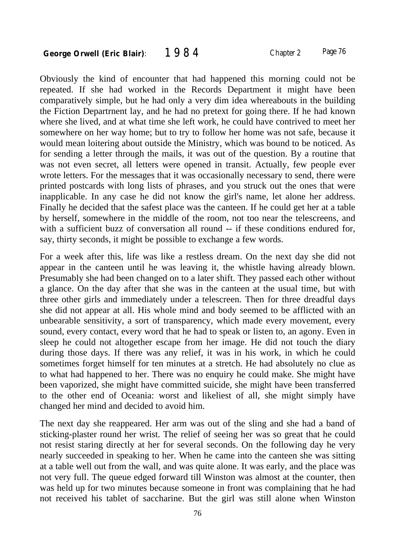Obviously the kind of encounter that had happened this morning could not be repeated. If she had worked in the Records Department it might have been comparatively simple, but he had only a very dim idea whereabouts in the building the Fiction Departrnent lay, and he had no pretext for going there. If he had known where she lived, and at what time she left work, he could have contrived to meet her somewhere on her way home; but to try to follow her home was not safe, because it would mean loitering about outside the Ministry, which was bound to be noticed. As for sending a letter through the mails, it was out of the question. By a routine that was not even secret, all letters were opened in transit. Actually, few people ever wrote letters. For the messages that it was occasionally necessary to send, there were printed postcards with long lists of phrases, and you struck out the ones that were inapplicable. In any case he did not know the girl's name, let alone her address. Finally he decided that the safest place was the canteen. If he could get her at a table by herself, somewhere in the middle of the room, not too near the telescreens, and with a sufficient buzz of conversation all round -- if these conditions endured for, say, thirty seconds, it might be possible to exchange a few words.

For a week after this, life was like a restless dream. On the next day she did not appear in the canteen until he was leaving it, the whistle having already blown. Presumably she had been changed on to a later shift. They passed each other without a glance. On the day after that she was in the canteen at the usual time, but with three other girls and immediately under a telescreen. Then for three dreadful days she did not appear at all. His whole mind and body seemed to be afflicted with an unbearable sensitivity, a sort of transparency, which made every movement, every sound, every contact, every word that he had to speak or listen to, an agony. Even in sleep he could not altogether escape from her image. He did not touch the diary during those days. If there was any relief, it was in his work, in which he could sometimes forget himself for ten minutes at a stretch. He had absolutely no clue as to what had happened to her. There was no enquiry he could make. She might have been vaporized, she might have committed suicide, she might have been transferred to the other end of Oceania: worst and likeliest of all, she might simply have changed her mind and decided to avoid him.

The next day she reappeared. Her arm was out of the sling and she had a band of sticking-plaster round her wrist. The relief of seeing her was so great that he could not resist staring directly at her for several seconds. On the following day he very nearly succeeded in speaking to her. When he came into the canteen she was sitting at a table well out from the wall, and was quite alone. It was early, and the place was not very full. The queue edged forward till Winston was almost at the counter, then was held up for two minutes because someone in front was complaining that he had not received his tablet of saccharine. But the girl was still alone when Winston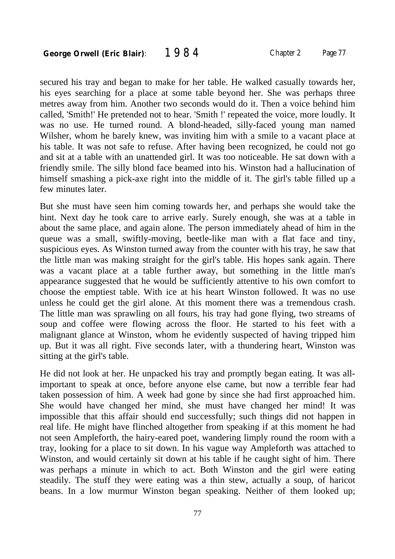secured his tray and began to make for her table. He walked casually towards her, his eyes searching for a place at some table beyond her. She was perhaps three metres away from him. Another two seconds would do it. Then a voice behind him called, 'Smith!' He pretended not to hear. 'Smith !' repeated the voice, more loudly. It was no use. He turned round. A blond-headed, silly-faced young man named Wilsher, whom he barely knew, was inviting him with a smile to a vacant place at his table. It was not safe to refuse. After having been recognized, he could not go and sit at a table with an unattended girl. It was too noticeable. He sat down with a friendly smile. The silly blond face beamed into his. Winston had a hallucination of himself smashing a pick-axe right into the middle of it. The girl's table filled up a few minutes later.

But she must have seen him coming towards her, and perhaps she would take the hint. Next day he took care to arrive early. Surely enough, she was at a table in about the same place, and again alone. The person immediately ahead of him in the queue was a small, swiftly-moving, beetle-like man with a flat face and tiny, suspicious eyes. As Winston turned away from the counter with his tray, he saw that the little man was making straight for the girl's table. His hopes sank again. There was a vacant place at a table further away, but something in the little man's appearance suggested that he would be sufficiently attentive to his own comfort to choose the emptiest table. With ice at his heart Winston followed. It was no use unless he could get the girl alone. At this moment there was a tremendous crash. The little man was sprawling on all fours, his tray had gone flying, two streams of soup and coffee were flowing across the floor. He started to his feet with a malignant glance at Winston, whom he evidently suspected of having tripped him up. But it was all right. Five seconds later, with a thundering heart, Winston was sitting at the girl's table.

He did not look at her. He unpacked his tray and promptly began eating. It was allimportant to speak at once, before anyone else came, but now a terrible fear had taken possession of him. A week had gone by since she had first approached him. She would have changed her mind, she must have changed her mind! It was impossible that this affair should end successfully; such things did not happen in real life. He might have flinched altogether from speaking if at this moment he had not seen Ampleforth, the hairy-eared poet, wandering limply round the room with a tray, looking for a place to sit down. In his vague way Ampleforth was attached to Winston, and would certainly sit down at his table if he caught sight of him. There was perhaps a minute in which to act. Both Winston and the girl were eating steadily. The stuff they were eating was a thin stew, actually a soup, of haricot beans. In a low murmur Winston began speaking. Neither of them looked up;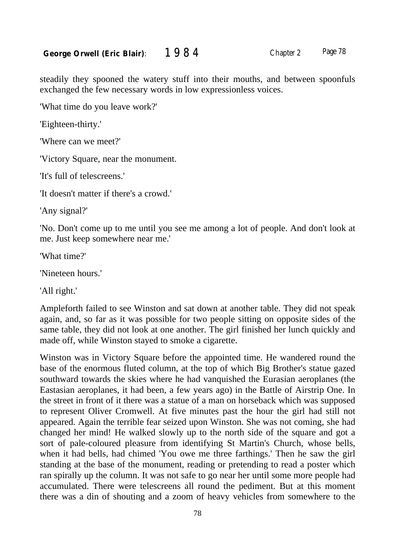# *George Orwell (Eric Blair)*: **1984** Chapter 2 Page 78

steadily they spooned the watery stuff into their mouths, and between spoonfuls exchanged the few necessary words in low expressionless voices.

'What time do you leave work?'

'Eighteen-thirty.'

'Where can we meet?'

'Victory Square, near the monument.

'It's full of telescreens.'

'It doesn't matter if there's a crowd.'

'Any signal?'

'No. Don't come up to me until you see me among a lot of people. And don't look at me. Just keep somewhere near me.'

'What time?'

'Nineteen hours.'

'All right.'

Ampleforth failed to see Winston and sat down at another table. They did not speak again, and, so far as it was possible for two people sitting on opposite sides of the same table, they did not look at one another. The girl finished her lunch quickly and made off, while Winston stayed to smoke a cigarette.

Winston was in Victory Square before the appointed time. He wandered round the base of the enormous fluted column, at the top of which Big Brother's statue gazed southward towards the skies where he had vanquished the Eurasian aeroplanes (the Eastasian aeroplanes, it had been, a few years ago) in the Battle of Airstrip One. In the street in front of it there was a statue of a man on horseback which was supposed to represent Oliver Cromwell. At five minutes past the hour the girl had still not appeared. Again the terrible fear seized upon Winston. She was not coming, she had changed her mind! He walked slowly up to the north side of the square and got a sort of pale-coloured pleasure from identifying St Martin's Church, whose bells, when it had bells, had chimed 'You owe me three farthings.' Then he saw the girl standing at the base of the monument, reading or pretending to read a poster which ran spirally up the column. It was not safe to go near her until some more people had accumulated. There were telescreens all round the pediment. But at this moment there was a din of shouting and a zoom of heavy vehicles from somewhere to the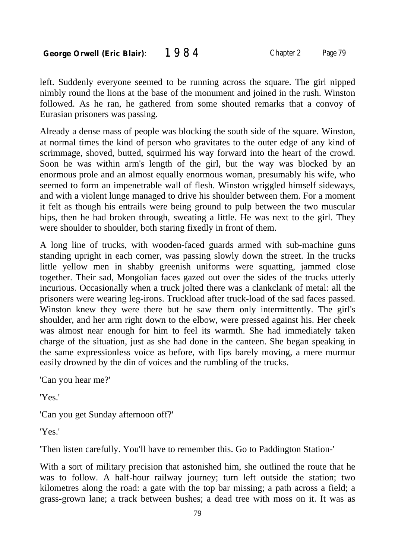left. Suddenly everyone seemed to be running across the square. The girl nipped nimbly round the lions at the base of the monument and joined in the rush. Winston followed. As he ran, he gathered from some shouted remarks that a convoy of Eurasian prisoners was passing.

Already a dense mass of people was blocking the south side of the square. Winston, at normal times the kind of person who gravitates to the outer edge of any kind of scrimmage, shoved, butted, squirmed his way forward into the heart of the crowd. Soon he was within arm's length of the girl, but the way was blocked by an enormous prole and an almost equally enormous woman, presumably his wife, who seemed to form an impenetrable wall of flesh. Winston wriggled himself sideways, and with a violent lunge managed to drive his shoulder between them. For a moment it felt as though his entrails were being ground to pulp between the two muscular hips, then he had broken through, sweating a little. He was next to the girl. They were shoulder to shoulder, both staring fixedly in front of them.

A long line of trucks, with wooden-faced guards armed with sub-machine guns standing upright in each corner, was passing slowly down the street. In the trucks little yellow men in shabby greenish uniforms were squatting, jammed close together. Their sad, Mongolian faces gazed out over the sides of the trucks utterly incurious. Occasionally when a truck jolted there was a clankclank of metal: all the prisoners were wearing leg-irons. Truckload after truck-load of the sad faces passed. Winston knew they were there but he saw them only intermittently. The girl's shoulder, and her arm right down to the elbow, were pressed against his. Her cheek was almost near enough for him to feel its warmth. She had immediately taken charge of the situation, just as she had done in the canteen. She began speaking in the same expressionless voice as before, with lips barely moving, a mere murmur easily drowned by the din of voices and the rumbling of the trucks.

'Can you hear me?'

'Yes.'

'Can you get Sunday afternoon off?'

'Yes.'

'Then listen carefully. You'll have to remember this. Go to Paddington Station-'

With a sort of military precision that astonished him, she outlined the route that he was to follow. A half-hour railway journey; turn left outside the station; two kilometres along the road: a gate with the top bar missing; a path across a field; a grass-grown lane; a track between bushes; a dead tree with moss on it. It was as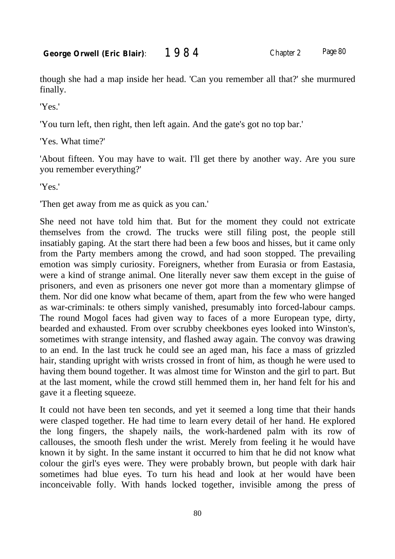though she had a map inside her head. 'Can you remember all that?' she murmured finally.

'Yes.'

'You turn left, then right, then left again. And the gate's got no top bar.'

'Yes. What time?'

'About fifteen. You may have to wait. I'll get there by another way. Are you sure you remember everything?'

'Yes.'

'Then get away from me as quick as you can.'

She need not have told him that. But for the moment they could not extricate themselves from the crowd. The trucks were still filing post, the people still insatiably gaping. At the start there had been a few boos and hisses, but it came only from the Party members among the crowd, and had soon stopped. The prevailing emotion was simply curiosity. Foreigners, whether from Eurasia or from Eastasia, were a kind of strange animal. One literally never saw them except in the guise of prisoners, and even as prisoners one never got more than a momentary glimpse of them. Nor did one know what became of them, apart from the few who were hanged as war-criminals: te others simply vanished, presumably into forced-labour camps. The round Mogol faces had given way to faces of a more European type, dirty, bearded and exhausted. From over scrubby cheekbones eyes looked into Winston's, sometimes with strange intensity, and flashed away again. The convoy was drawing to an end. In the last truck he could see an aged man, his face a mass of grizzled hair, standing upright with wrists crossed in front of him, as though he were used to having them bound together. It was almost time for Winston and the girl to part. But at the last moment, while the crowd still hemmed them in, her hand felt for his and gave it a fleeting squeeze.

It could not have been ten seconds, and yet it seemed a long time that their hands were clasped together. He had time to learn every detail of her hand. He explored the long fingers, the shapely nails, the work-hardened palm with its row of callouses, the smooth flesh under the wrist. Merely from feeling it he would have known it by sight. In the same instant it occurred to him that he did not know what colour the girl's eyes were. They were probably brown, but people with dark hair sometimes had blue eyes. To turn his head and look at her would have been inconceivable folly. With hands locked together, invisible among the press of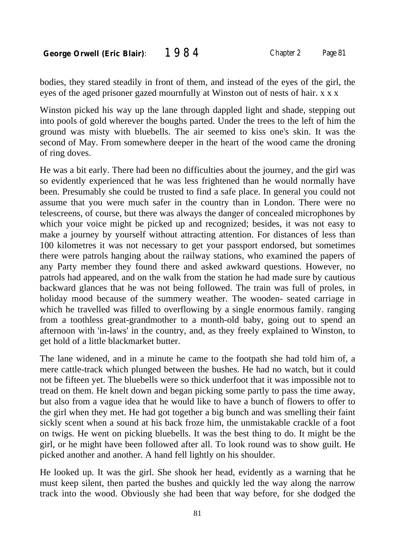bodies, they stared steadily in front of them, and instead of the eyes of the girl, the eyes of the aged prisoner gazed mournfully at Winston out of nests of hair. x x x

Winston picked his way up the lane through dappled light and shade, stepping out into pools of gold wherever the boughs parted. Under the trees to the left of him the ground was misty with bluebells. The air seemed to kiss one's skin. It was the second of May. From somewhere deeper in the heart of the wood came the droning of ring doves.

He was a bit early. There had been no difficulties about the journey, and the girl was so evidently experienced that he was less frightened than he would normally have been. Presumably she could be trusted to find a safe place. In general you could not assume that you were much safer in the country than in London. There were no telescreens, of course, but there was always the danger of concealed microphones by which your voice might be picked up and recognized; besides, it was not easy to make a journey by yourself without attracting attention. For distances of less than 100 kilometres it was not necessary to get your passport endorsed, but sometimes there were patrols hanging about the railway stations, who examined the papers of any Party member they found there and asked awkward questions. However, no patrols had appeared, and on the walk from the station he had made sure by cautious backward glances that he was not being followed. The train was full of proles, in holiday mood because of the summery weather. The wooden- seated carriage in which he travelled was filled to overflowing by a single enormous family. ranging from a toothless great-grandmother to a month-old baby, going out to spend an afternoon with 'in-laws' in the country, and, as they freely explained to Winston, to get hold of a little blackmarket butter.

The lane widened, and in a minute he came to the footpath she had told him of, a mere cattle-track which plunged between the bushes. He had no watch, but it could not be fifteen yet. The bluebells were so thick underfoot that it was impossible not to tread on them. He knelt down and began picking some partly to pass the time away, but also from a vague idea that he would like to have a bunch of flowers to offer to the girl when they met. He had got together a big bunch and was smelling their faint sickly scent when a sound at his back froze him, the unmistakable crackle of a foot on twigs. He went on picking bluebells. It was the best thing to do. It might be the girl, or he might have been followed after all. To look round was to show guilt. He picked another and another. A hand fell lightly on his shoulder.

He looked up. It was the girl. She shook her head, evidently as a warning that he must keep silent, then parted the bushes and quickly led the way along the narrow track into the wood. Obviously she had been that way before, for she dodged the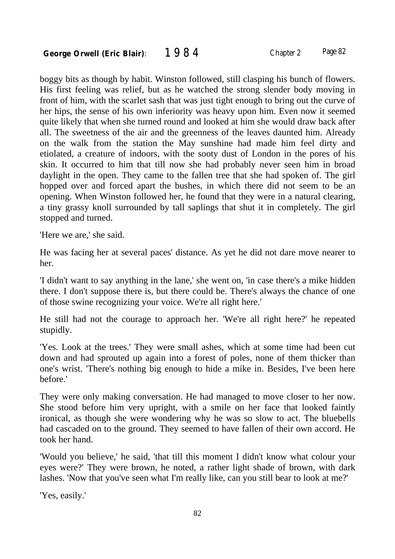boggy bits as though by habit. Winston followed, still clasping his bunch of flowers. His first feeling was relief, but as he watched the strong slender body moving in front of him, with the scarlet sash that was just tight enough to bring out the curve of her hips, the sense of his own inferiority was heavy upon him. Even now it seemed quite likely that when she turned round and looked at him she would draw back after all. The sweetness of the air and the greenness of the leaves daunted him. Already on the walk from the station the May sunshine had made him feel dirty and etiolated, a creature of indoors, with the sooty dust of London in the pores of his skin. It occurred to him that till now she had probably never seen him in broad daylight in the open. They came to the fallen tree that she had spoken of. The girl hopped over and forced apart the bushes, in which there did not seem to be an opening. When Winston followed her, he found that they were in a natural clearing, a tiny grassy knoll surrounded by tall saplings that shut it in completely. The girl stopped and turned.

'Here we are,' she said.

He was facing her at several paces' distance. As yet he did not dare move nearer to her.

'I didn't want to say anything in the lane,' she went on, 'in case there's a mike hidden there. I don't suppose there is, but there could be. There's always the chance of one of those swine recognizing your voice. We're all right here.'

He still had not the courage to approach her. 'We're all right here?' he repeated stupidly.

'Yes. Look at the trees.' They were small ashes, which at some time had been cut down and had sprouted up again into a forest of poles, none of them thicker than one's wrist. 'There's nothing big enough to hide a mike in. Besides, I've been here before.'

They were only making conversation. He had managed to move closer to her now. She stood before him very upright, with a smile on her face that looked faintly ironical, as though she were wondering why he was so slow to act. The bluebells had cascaded on to the ground. They seemed to have fallen of their own accord. He took her hand.

'Would you believe,' he said, 'that till this moment I didn't know what colour your eyes were?' They were brown, he noted, a rather light shade of brown, with dark lashes. 'Now that you've seen what I'm really like, can you still bear to look at me?'

'Yes, easily.'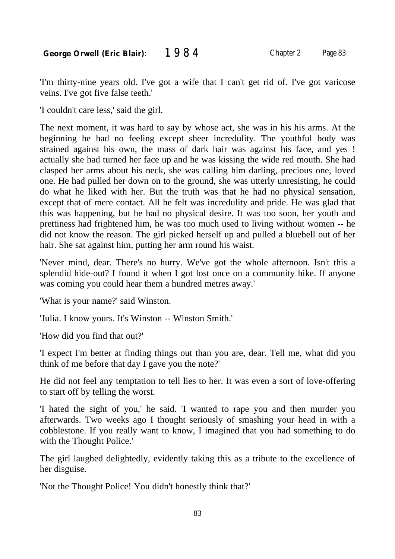## *George Orwell (Eric Blair)*: **1984** Chapter 2 Page 83

'I'm thirty-nine years old. I've got a wife that I can't get rid of. I've got varicose veins. I've got five false teeth.'

'I couldn't care less,' said the girl.

The next moment, it was hard to say by whose act, she was in his his arms. At the beginning he had no feeling except sheer incredulity. The youthful body was strained against his own, the mass of dark hair was against his face, and yes ! actually she had turned her face up and he was kissing the wide red mouth. She had clasped her arms about his neck, she was calling him darling, precious one, loved one. He had pulled her down on to the ground, she was utterly unresisting, he could do what he liked with her. But the truth was that he had no physical sensation, except that of mere contact. All he felt was incredulity and pride. He was glad that this was happening, but he had no physical desire. It was too soon, her youth and prettiness had frightened him, he was too much used to living without women -- he did not know the reason. The girl picked herself up and pulled a bluebell out of her hair. She sat against him, putting her arm round his waist.

'Never mind, dear. There's no hurry. We've got the whole afternoon. Isn't this a splendid hide-out? I found it when I got lost once on a community hike. If anyone was coming you could hear them a hundred metres away.'

'What is your name?' said Winston.

'Julia. I know yours. It's Winston -- Winston Smith.'

'How did you find that out?'

'I expect I'm better at finding things out than you are, dear. Tell me, what did you think of me before that day I gave you the note?'

He did not feel any temptation to tell lies to her. It was even a sort of love-offering to start off by telling the worst.

'I hated the sight of you,' he said. 'I wanted to rape you and then murder you afterwards. Two weeks ago I thought seriously of smashing your head in with a cobblestone. If you really want to know, I imagined that you had something to do with the Thought Police.'

The girl laughed delightedly, evidently taking this as a tribute to the excellence of her disguise.

'Not the Thought Police! You didn't honestly think that?'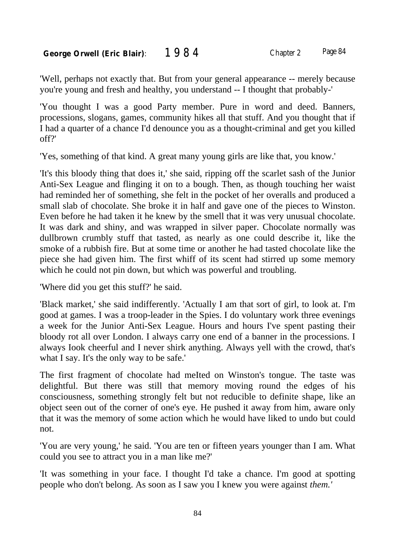'Well, perhaps not exactly that. But from your general appearance -- merely because you're young and fresh and healthy, you understand -- I thought that probably-'

'You thought I was a good Party member. Pure in word and deed. Banners, processions, slogans, games, community hikes all that stuff. And you thought that if I had a quarter of a chance I'd denounce you as a thought-criminal and get you killed off?'

'Yes, something of that kind. A great many young girls are like that, you know.'

'It's this bloody thing that does it,' she said, ripping off the scarlet sash of the Junior Anti-Sex League and flinging it on to a bough. Then, as though touching her waist had reminded her of something, she felt in the pocket of her overalls and produced a small slab of chocolate. She broke it in half and gave one of the pieces to Winston. Even before he had taken it he knew by the smell that it was very unusual chocolate. It was dark and shiny, and was wrapped in silver paper. Chocolate normally was dullbrown crumbly stuff that tasted, as nearly as one could describe it, like the smoke of a rubbish fire. But at some time or another he had tasted chocolate like the piece she had given him. The first whiff of its scent had stirred up some memory which he could not pin down, but which was powerful and troubling.

'Where did you get this stuff?' he said.

'Black market,' she said indifferently. 'Actually I am that sort of girl, to look at. I'm good at games. I was a troop-leader in the Spies. I do voluntary work three evenings a week for the Junior Anti-Sex League. Hours and hours I've spent pasting their bloody rot all over London. I always carry one end of a banner in the processions. I always Iook cheerful and I never shirk anything. Always yell with the crowd, that's what I say. It's the only way to be safe.'

The first fragment of chocolate had meIted on Winston's tongue. The taste was delightful. But there was still that memory moving round the edges of his consciousness, something strongly felt but not reducible to definite shape, like an object seen out of the corner of one's eye. He pushed it away from him, aware only that it was the memory of some action which he would have liked to undo but could not.

'You are very young,' he said. 'You are ten or fifteen years younger than I am. What could you see to attract you in a man like me?'

'It was something in your face. I thought I'd take a chance. I'm good at spotting people who don't belong. As soon as I saw you I knew you were against *them.'*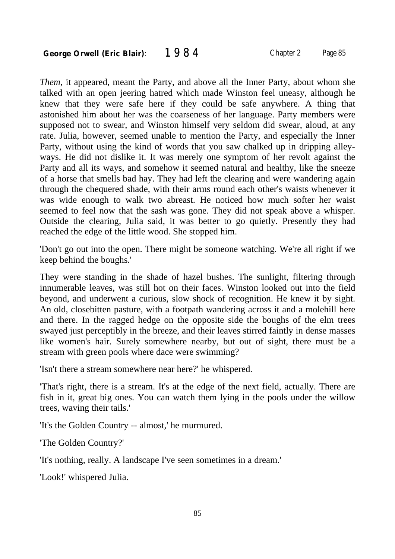*Them,* it appeared, meant the Party, and above all the Inner Party, about whom she talked with an open jeering hatred which made Winston feel uneasy, although he knew that they were safe here if they could be safe anywhere. A thing that astonished him about her was the coarseness of her language. Party members were supposed not to swear, and Winston himself very seldom did swear, aloud, at any rate. Julia, however, seemed unable to mention the Party, and especially the Inner Party, without using the kind of words that you saw chalked up in dripping alleyways. He did not dislike it. It was merely one symptom of her revolt against the Party and all its ways, and somehow it seemed natural and healthy, like the sneeze of a horse that smells bad hay. They had left the clearing and were wandering again through the chequered shade, with their arms round each other's waists whenever it was wide enough to walk two abreast. He noticed how much softer her waist seemed to feel now that the sash was gone. They did not speak above a whisper. Outside the clearing, Julia said, it was better to go quietly. Presently they had reached the edge of the little wood. She stopped him.

'Don't go out into the open. There might be someone watching. We're all right if we keep behind the boughs.'

They were standing in the shade of hazel bushes. The sunlight, filtering through innumerable leaves, was still hot on their faces. Winston looked out into the field beyond, and underwent a curious, slow shock of recognition. He knew it by sight. An old, closebitten pasture, with a footpath wandering across it and a molehill here and there. In the ragged hedge on the opposite side the boughs of the elm trees swayed just perceptibly in the breeze, and their leaves stirred faintly in dense masses like women's hair. Surely somewhere nearby, but out of sight, there must be a stream with green pools where dace were swimming?

'Isn't there a stream somewhere near here?' he whispered.

'That's right, there is a stream. It's at the edge of the next field, actually. There are fish in it, great big ones. You can watch them lying in the pools under the willow trees, waving their tails.'

'It's the Golden Country -- almost,' he murmured.

'The Golden Country?'

'It's nothing, really. A landscape I've seen sometimes in a dream.'

'Look!' whispered Julia.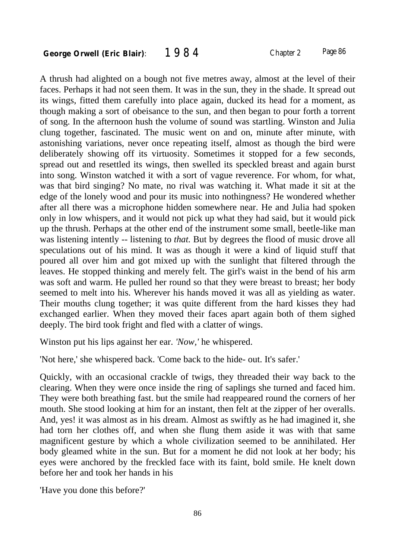A thrush had alighted on a bough not five metres away, almost at the level of their faces. Perhaps it had not seen them. It was in the sun, they in the shade. It spread out its wings, fitted them carefully into place again, ducked its head for a moment, as though making a sort of obeisance to the sun, and then began to pour forth a torrent of song. In the afternoon hush the volume of sound was startling. Winston and Julia clung together, fascinated. The music went on and on, minute after minute, with astonishing variations, never once repeating itself, almost as though the bird were deliberately showing off its virtuosity. Sometimes it stopped for a few seconds, spread out and resettled its wings, then swelled its speckled breast and again burst into song. Winston watched it with a sort of vague reverence. For whom, for what, was that bird singing? No mate, no rival was watching it. What made it sit at the edge of the lonely wood and pour its music into nothingness? He wondered whether after all there was a microphone hidden somewhere near. He and Julia had spoken only in low whispers, and it would not pick up what they had said, but it would pick up the thrush. Perhaps at the other end of the instrument some small, beetle-like man was listening intently -- listening to *that.* But by degrees the flood of music drove all speculations out of his mind. It was as though it were a kind of liquid stuff that poured all over him and got mixed up with the sunlight that filtered through the leaves. He stopped thinking and merely felt. The girl's waist in the bend of his arm was soft and warm. He pulled her round so that they were breast to breast; her body seemed to melt into his. Wherever his hands moved it was all as yielding as water. Their mouths clung together; it was quite different from the hard kisses they had exchanged earlier. When they moved their faces apart again both of them sighed deeply. The bird took fright and fled with a clatter of wings.

Winston put his lips against her ear. *'Now,'* he whispered.

'Not here,' she whispered back. 'Come back to the hide- out. It's safer.'

Quickly, with an occasional crackle of twigs, they threaded their way back to the clearing. When they were once inside the ring of saplings she turned and faced him. They were both breathing fast. but the smile had reappeared round the corners of her mouth. She stood looking at him for an instant, then felt at the zipper of her overalls. And, yes! it was almost as in his dream. Almost as swiftly as he had imagined it, she had torn her clothes off, and when she flung them aside it was with that same magnificent gesture by which a whole civilization seemed to be annihilated. Her body gleamed white in the sun. But for a moment he did not look at her body; his eyes were anchored by the freckled face with its faint, bold smile. He knelt down before her and took her hands in his

'Have you done this before?'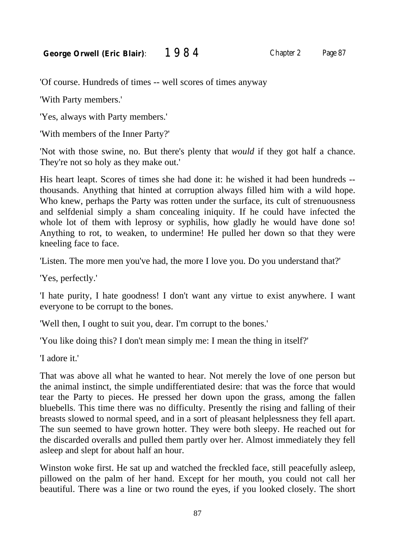'Of course. Hundreds of times -- well scores of times anyway

'With Party members.'

'Yes, always with Party members.'

'With members of the Inner Party?'

'Not with those swine, no. But there's plenty that *would* if they got half a chance. They're not so holy as they make out.'

His heart leapt. Scores of times she had done it: he wished it had been hundreds - thousands. Anything that hinted at corruption always filled him with a wild hope. Who knew, perhaps the Party was rotten under the surface, its cult of strenuousness and selfdenial simply a sham concealing iniquity. If he could have infected the whole lot of them with leprosy or syphilis, how gladly he would have done so! Anything to rot, to weaken, to undermine! He pulled her down so that they were kneeling face to face.

'Listen. The more men you've had, the more I love you. Do you understand that?'

'Yes, perfectly.'

'I hate purity, I hate goodness! I don't want any virtue to exist anywhere. I want everyone to be corrupt to the bones.

'Well then, I ought to suit you, dear. I'm corrupt to the bones.'

'You like doing this? I don't mean simply me: I mean the thing in itself?'

'I adore it.'

That was above all what he wanted to hear. Not merely the love of one person but the animal instinct, the simple undifferentiated desire: that was the force that would tear the Party to pieces. He pressed her down upon the grass, among the fallen bluebells. This time there was no difficulty. Presently the rising and falling of their breasts slowed to normal speed, and in a sort of pleasant helplessness they fell apart. The sun seemed to have grown hotter. They were both sleepy. He reached out for the discarded overalls and pulled them partly over her. Almost immediately they fell asleep and slept for about half an hour.

Winston woke first. He sat up and watched the freckled face, still peacefully asleep, pillowed on the palm of her hand. Except for her mouth, you could not call her beautiful. There was a line or two round the eyes, if you looked closely. The short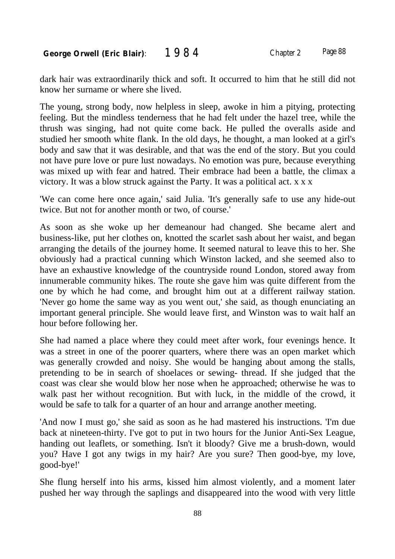dark hair was extraordinarily thick and soft. It occurred to him that he still did not know her surname or where she lived.

The young, strong body, now helpless in sleep, awoke in him a pitying, protecting feeling. But the mindless tenderness that he had felt under the hazel tree, while the thrush was singing, had not quite come back. He pulled the overalls aside and studied her smooth white flank. In the old days, he thought, a man looked at a girl's body and saw that it was desirable, and that was the end of the story. But you could not have pure love or pure lust nowadays. No emotion was pure, because everything was mixed up with fear and hatred. Their embrace had been a battle, the climax a victory. It was a blow struck against the Party. It was a political act. x x x

'We can come here once again,' said Julia. 'It's generally safe to use any hide-out twice. But not for another month or two, of course.'

As soon as she woke up her demeanour had changed. She became alert and business-like, put her clothes on, knotted the scarlet sash about her waist, and began arranging the details of the journey home. It seemed natural to leave this to her. She obviously had a practical cunning which Winston lacked, and she seemed also to have an exhaustive knowledge of the countryside round London, stored away from innumerable community hikes. The route she gave him was quite different from the one by which he had come, and brought him out at a different railway station. 'Never go home the same way as you went out,' she said, as though enunciating an important general principle. She would leave first, and Winston was to wait half an hour before following her.

She had named a place where they could meet after work, four evenings hence. It was a street in one of the poorer quarters, where there was an open market which was generally crowded and noisy. She would be hanging about among the stalls, pretending to be in search of shoelaces or sewing- thread. If she judged that the coast was clear she would blow her nose when he approached; otherwise he was to walk past her without recognition. But with luck, in the middle of the crowd, it would be safe to talk for a quarter of an hour and arrange another meeting.

'And now I must go,' she said as soon as he had mastered his instructions. 'I'm due back at nineteen-thirty. I've got to put in two hours for the Junior Anti-Sex League, handing out leaflets, or something. Isn't it bloody? Give me a brush-down, would you? Have I got any twigs in my hair? Are you sure? Then good-bye, my love, good-bye!'

She flung herself into his arms, kissed him almost violently, and a moment later pushed her way through the saplings and disappeared into the wood with very little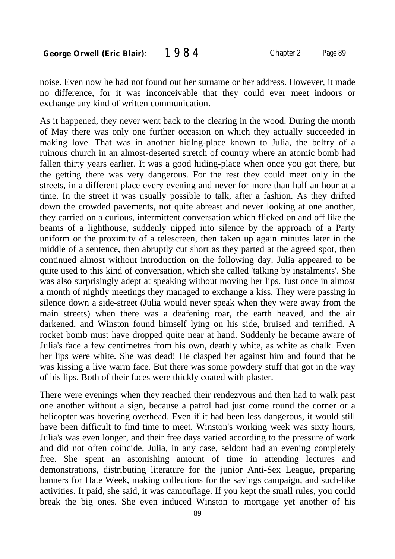noise. Even now he had not found out her surname or her address. However, it made no difference, for it was inconceivable that they could ever meet indoors or exchange any kind of written communication.

As it happened, they never went back to the clearing in the wood. During the month of May there was only one further occasion on which they actually succeeded in making love. That was in another hidlng-place known to Julia, the belfry of a ruinous church in an almost-deserted stretch of country where an atomic bomb had fallen thirty years earlier. It was a good hiding-place when once you got there, but the getting there was very dangerous. For the rest they could meet only in the streets, in a different place every evening and never for more than half an hour at a time. In the street it was usually possible to talk, after a fashion. As they drifted down the crowded pavements, not quite abreast and never looking at one another, they carried on a curious, intermittent conversation which flicked on and off like the beams of a lighthouse, suddenly nipped into silence by the approach of a Party uniform or the proximity of a telescreen, then taken up again minutes later in the middle of a sentence, then abruptly cut short as they parted at the agreed spot, then continued almost without introduction on the following day. Julia appeared to be quite used to this kind of conversation, which she called 'talking by instalments'. She was also surprisingly adept at speaking without moving her lips. Just once in almost a month of nightly meetings they managed to exchange a kiss. They were passing in silence down a side-street (Julia would never speak when they were away from the main streets) when there was a deafening roar, the earth heaved, and the air darkened, and Winston found himself lying on his side, bruised and terrified. A rocket bomb must have dropped quite near at hand. Suddenly he became aware of Julia's face a few centimetres from his own, deathly white, as white as chalk. Even her lips were white. She was dead! He clasped her against him and found that he was kissing a live warm face. But there was some powdery stuff that got in the way of his lips. Both of their faces were thickly coated with plaster.

There were evenings when they reached their rendezvous and then had to walk past one another without a sign, because a patrol had just come round the corner or a helicopter was hovering overhead. Even if it had been less dangerous, it would still have been difficult to find time to meet. Winston's working week was sixty hours, Julia's was even longer, and their free days varied according to the pressure of work and did not often coincide. Julia, in any case, seldom had an evening completely free. She spent an astonishing amount of time in attending lectures and demonstrations, distributing literature for the junior Anti-Sex League, preparing banners for Hate Week, making collections for the savings campaign, and such-like activities. It paid, she said, it was camouflage. If you kept the small rules, you could break the big ones. She even induced Winston to mortgage yet another of his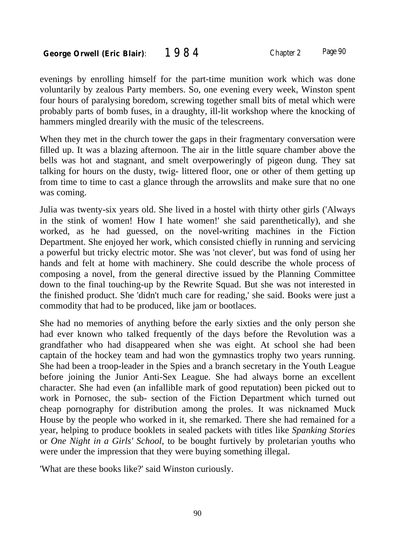evenings by enrolling himself for the part-time munition work which was done voluntarily by zealous Party members. So, one evening every week, Winston spent four hours of paralysing boredom, screwing together small bits of metal which were probably parts of bomb fuses, in a draughty, ill-lit workshop where the knocking of hammers mingled drearily with the music of the telescreens.

When they met in the church tower the gaps in their fragmentary conversation were filled up. It was a blazing afternoon. The air in the little square chamber above the bells was hot and stagnant, and smelt overpoweringly of pigeon dung. They sat talking for hours on the dusty, twig- littered floor, one or other of them getting up from time to time to cast a glance through the arrowslits and make sure that no one was coming.

Julia was twenty-six years old. She lived in a hostel with thirty other girls ('Always in the stink of women! How I hate women!' she said parenthetically), and she worked, as he had guessed, on the novel-writing machines in the Fiction Department. She enjoyed her work, which consisted chiefly in running and servicing a powerful but tricky electric motor. She was 'not clever', but was fond of using her hands and felt at home with machinery. She could describe the whole process of composing a novel, from the general directive issued by the Planning Committee down to the final touching-up by the Rewrite Squad. But she was not interested in the finished product. She 'didn't much care for reading,' she said. Books were just a commodity that had to be produced, like jam or bootlaces.

She had no memories of anything before the early sixties and the only person she had ever known who talked frequently of the days before the Revolution was a grandfather who had disappeared when she was eight. At school she had been captain of the hockey team and had won the gymnastics trophy two years running. She had been a troop-leader in the Spies and a branch secretary in the Youth League before joining the Junior Anti-Sex League. She had always borne an excellent character. She had even (an infallibIe mark of good reputation) been picked out to work in Pornosec, the sub- section of the Fiction Department which turned out cheap pornography for distribution among the proles. It was nicknamed Muck House by the people who worked in it, she remarked. There she had remained for a year, helping to produce booklets in sealed packets with titles like *Spanking Stories* or *One Night in a Girls' School,* to be bought furtively by proletarian youths who were under the impression that they were buying something illegal.

'What are these books like?' said Winston curiously.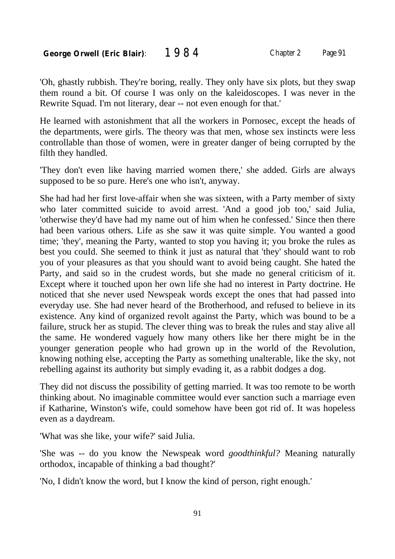'Oh, ghastly rubbish. They're boring, really. They only have six plots, but they swap them round a bit. Of course I was only on the kaleidoscopes. I was never in the Rewrite Squad. I'm not literary, dear -- not even enough for that.'

He learned with astonishment that all the workers in Pornosec, except the heads of the departments, were girls. The theory was that men, whose sex instincts were less controllable than those of women, were in greater danger of being corrupted by the filth they handled.

'They don't even like having married women there,' she added. Girls are always supposed to be so pure. Here's one who isn't, anyway.

She had had her first love-affair when she was sixteen, with a Party member of sixty who later committed suicide to avoid arrest. 'And a good job too,' said Julia, 'otherwise they'd have had my name out of him when he confessed.' Since then there had been various others. Life as she saw it was quite simple. You wanted a good time; 'they', meaning the Party, wanted to stop you having it; you broke the rules as best you couId. She seemed to think it just as natural that 'they' should want to rob you of your pleasures as that you should want to avoid being caught. She hated the Party, and said so in the crudest words, but she made no general criticism of it. Except where it touched upon her own life she had no interest in Party doctrine. He noticed that she never used Newspeak words except the ones that had passed into everyday use. She had never heard of the Brotherhood, and refused to believe in its existence. Any kind of organized revolt against the Party, which was bound to be a failure, struck her as stupid. The clever thing was to break the rules and stay alive all the same. He wondered vaguely how many others like her there might be in the younger generation people who had grown up in the world of the Revolution, knowing nothing else, accepting the Party as something unalterable, like the sky, not rebelling against its authority but simply evading it, as a rabbit dodges a dog.

They did not discuss the possibility of getting married. It was too remote to be worth thinking about. No imaginable committee would ever sanction such a marriage even if Katharine, Winston's wife, could somehow have been got rid of. It was hopeless even as a daydream.

'What was she like, your wife?' said Julia.

'She was -- do you know the Newspeak word *goodthinkful?* Meaning naturally orthodox, incapable of thinking a bad thought?'

'No, I didn't know the word, but I know the kind of person, right enough.'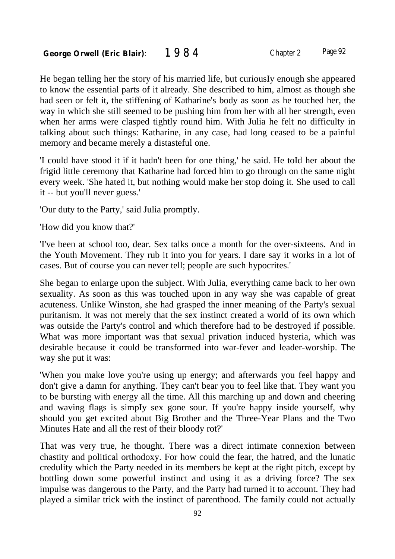He began telling her the story of his married life, but curiousIy enough she appeared to know the essential parts of it already. She described to him, almost as though she had seen or felt it, the stiffening of Katharine's body as soon as he touched her, the way in which she still seemed to be pushing him from her with all her strength, even when her arms were clasped tightly round him. With Julia he felt no difficulty in talking about such things: Katharine, in any case, had long ceased to be a painful memory and became merely a distasteful one.

'I could have stood it if it hadn't been for one thing,' he said. He toId her about the frigid little ceremony that Katharine had forced him to go through on the same night every week. 'She hated it, but nothing would make her stop doing it. She used to call it -- but you'll never guess.'

'Our duty to the Party,' said Julia promptly.

'How did you know that?'

'I've been at school too, dear. Sex talks once a month for the over-sixteens. And in the Youth Movement. They rub it into you for years. I dare say it works in a lot of cases. But of course you can never tell; peopIe are such hypocrites.'

She began to enlarge upon the subject. With Julia, everything came back to her own sexuality. As soon as this was touched upon in any way she was capable of great acuteness. Unlike Winston, she had grasped the inner meaning of the Party's sexual puritanism. It was not merely that the sex instinct created a world of its own which was outside the Party's control and which therefore had to be destroyed if possible. What was more important was that sexual privation induced hysteria, which was desirable because it could be transformed into war-fever and leader-worship. The way she put it was:

'When you make love you're using up energy; and afterwards you feel happy and don't give a damn for anything. They can't bear you to feel like that. They want you to be bursting with energy all the time. All this marching up and down and cheering and waving flags is simpIy sex gone sour. If you're happy inside yourself, why should you get excited about Big Brother and the Three-Year Plans and the Two Minutes Hate and all the rest of their bloody rot?'

That was very true, he thought. There was a direct intimate connexion between chastity and political orthodoxy. For how could the fear, the hatred, and the lunatic credulity which the Party needed in its members be kept at the right pitch, except by bottling down some powerful instinct and using it as a driving force? The sex impulse was dangerous to the Party, and the Party had turned it to account. They had played a similar trick with the instinct of parenthood. The family could not actually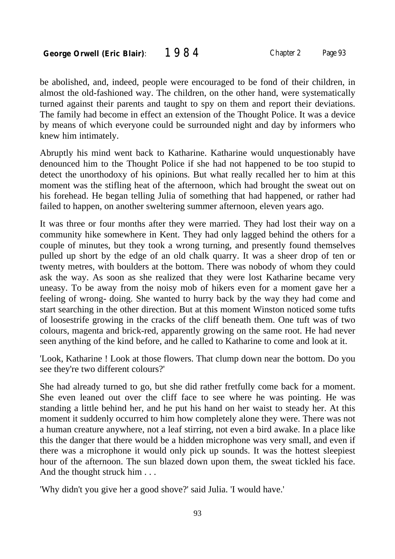be abolished, and, indeed, people were encouraged to be fond of their children, in almost the old-fashioned way. The children, on the other hand, were systematically turned against their parents and taught to spy on them and report their deviations. The family had become in effect an extension of the Thought Police. It was a device by means of which everyone could be surrounded night and day by informers who knew him intimately.

Abruptly his mind went back to Katharine. Katharine would unquestionably have denounced him to the Thought Police if she had not happened to be too stupid to detect the unorthodoxy of his opinions. But what really recalled her to him at this moment was the stifling heat of the afternoon, which had brought the sweat out on his forehead. He began telling Julia of something that had happened, or rather had failed to happen, on another sweltering summer afternoon, eleven years ago.

It was three or four months after they were married. They had lost their way on a community hike somewhere in Kent. They had only lagged behind the others for a couple of minutes, but they took a wrong turning, and presently found themselves pulled up short by the edge of an old chalk quarry. It was a sheer drop of ten or twenty metres, with boulders at the bottom. There was nobody of whom they could ask the way. As soon as she realized that they were lost Katharine became very uneasy. To be away from the noisy mob of hikers even for a moment gave her a feeling of wrong- doing. She wanted to hurry back by the way they had come and start searching in the other direction. But at this moment Winston noticed some tufts of loosestrife growing in the cracks of the cliff beneath them. One tuft was of two colours, magenta and brick-red, apparently growing on the same root. He had never seen anything of the kind before, and he called to Katharine to come and look at it.

'Look, Katharine ! Look at those flowers. That clump down near the bottom. Do you see they're two different colours?'

She had already turned to go, but she did rather fretfully come back for a moment. She even leaned out over the cliff face to see where he was pointing. He was standing a little behind her, and he put his hand on her waist to steady her. At this moment it suddenly occurred to him how completely alone they were. There was not a human creature anywhere, not a leaf stirring, not even a bird awake. In a place like this the danger that there would be a hidden microphone was very small, and even if there was a microphone it would only pick up sounds. It was the hottest sleepiest hour of the afternoon. The sun blazed down upon them, the sweat tickled his face. And the thought struck him . . .

'Why didn't you give her a good shove?' said Julia. 'I would have.'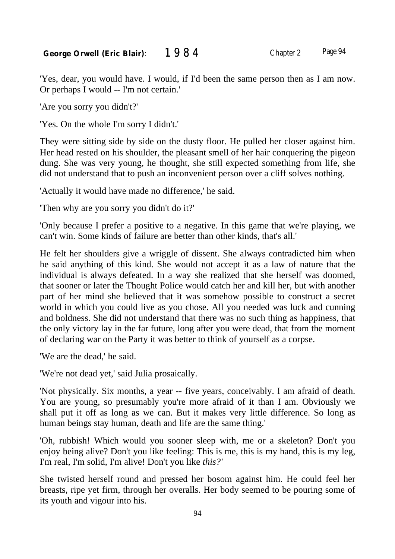# *George Orwell (Eric Blair)*: **1984** Chapter 2 Page 94

'Yes, dear, you would have. I would, if I'd been the same person then as I am now. Or perhaps I would -- I'm not certain.'

'Are you sorry you didn't?'

'Yes. On the whole I'm sorry I didn't.'

They were sitting side by side on the dusty floor. He pulled her closer against him. Her head rested on his shoulder, the pleasant smell of her hair conquering the pigeon dung. She was very young, he thought, she still expected something from life, she did not understand that to push an inconvenient person over a cliff solves nothing.

'Actually it would have made no difference,' he said.

'Then why are you sorry you didn't do it?'

'Only because I prefer a positive to a negative. In this game that we're playing, we can't win. Some kinds of failure are better than other kinds, that's all.'

He felt her shoulders give a wriggle of dissent. She always contradicted him when he said anything of this kind. She would not accept it as a law of nature that the individual is always defeated. In a way she realized that she herself was doomed, that sooner or later the Thought Police would catch her and kill her, but with another part of her mind she believed that it was somehow possible to construct a secret world in which you could live as you chose. All you needed was luck and cunning and boldness. She did not understand that there was no such thing as happiness, that the only victory lay in the far future, long after you were dead, that from the moment of declaring war on the Party it was better to think of yourself as a corpse.

'We are the dead,' he said.

'We're not dead yet,' said Julia prosaically.

'Not physically. Six months, a year -- five years, conceivably. I am afraid of death. You are young, so presumably you're more afraid of it than I am. Obviously we shall put it off as long as we can. But it makes very little difference. So long as human beings stay human, death and life are the same thing.'

'Oh, rubbish! Which would you sooner sleep with, me or a skeleton? Don't you enjoy being alive? Don't you like feeling: This is me, this is my hand, this is my leg, I'm real, I'm solid, I'm alive! Don't you like *this?'*

She twisted herself round and pressed her bosom against him. He could feel her breasts, ripe yet firm, through her overalls. Her body seemed to be pouring some of its youth and vigour into his.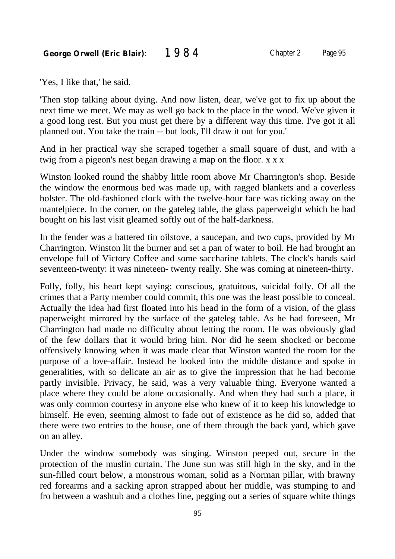'Yes, I like that,' he said.

'Then stop talking about dying. And now listen, dear, we've got to fix up about the next time we meet. We may as well go back to the place in the wood. We've given it a good long rest. But you must get there by a different way this time. I've got it all planned out. You take the train -- but look, I'll draw it out for you.'

And in her practical way she scraped together a small square of dust, and with a twig from a pigeon's nest began drawing a map on the floor. x x x

Winston looked round the shabby little room above Mr Charrington's shop. Beside the window the enormous bed was made up, with ragged blankets and a coverless bolster. The old-fashioned clock with the twelve-hour face was ticking away on the mantelpiece. In the corner, on the gateleg table, the glass paperweight which he had bought on his last visit gleamed softly out of the half-darkness.

In the fender was a battered tin oilstove, a saucepan, and two cups, provided by Mr Charrington. Winston lit the burner and set a pan of water to boil. He had brought an envelope full of Victory Coffee and some saccharine tablets. The clock's hands said seventeen-twenty: it was nineteen- twenty really. She was coming at nineteen-thirty.

Folly, folly, his heart kept saying: conscious, gratuitous, suicidal folly. Of all the crimes that a Party member could commit, this one was the least possible to conceal. Actually the idea had first floated into his head in the form of a vision, of the glass paperweight mirrored by the surface of the gateleg table. As he had foreseen, Mr Charrington had made no difficulty about letting the room. He was obviously glad of the few dollars that it would bring him. Nor did he seem shocked or become offensively knowing when it was made clear that Winston wanted the room for the purpose of a love-affair. Instead he looked into the middle distance and spoke in generalities, with so delicate an air as to give the impression that he had become partly invisible. Privacy, he said, was a very valuable thing. Everyone wanted a place where they could be alone occasionally. And when they had such a place, it was only common courtesy in anyone else who knew of it to keep his knowledge to himself. He even, seeming almost to fade out of existence as he did so, added that there were two entries to the house, one of them through the back yard, which gave on an alley.

Under the window somebody was singing. Winston peeped out, secure in the protection of the muslin curtain. The June sun was still high in the sky, and in the sun-filled court below, a monstrous woman, solid as a Norman pillar, with brawny red forearms and a sacking apron strapped about her middle, was stumping to and fro between a washtub and a clothes line, pegging out a series of square white things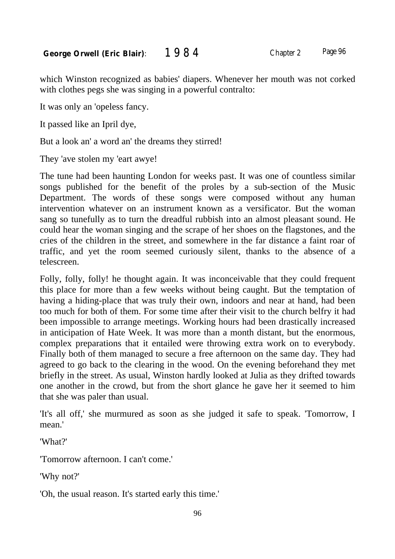which Winston recognized as babies' diapers. Whenever her mouth was not corked with clothes pegs she was singing in a powerful contralto:

It was only an 'opeless fancy.

It passed like an Ipril dye,

But a look an' a word an' the dreams they stirred!

They 'ave stolen my 'eart awye!

The tune had been haunting London for weeks past. It was one of countless similar songs published for the benefit of the proles by a sub-section of the Music Department. The words of these songs were composed without any human intervention whatever on an instrument known as a versificator. But the woman sang so tunefully as to turn the dreadful rubbish into an almost pleasant sound. He could hear the woman singing and the scrape of her shoes on the flagstones, and the cries of the children in the street, and somewhere in the far distance a faint roar of traffic, and yet the room seemed curiously silent, thanks to the absence of a telescreen.

Folly, folly, folly! he thought again. It was inconceivable that they could frequent this place for more than a few weeks without being caught. But the temptation of having a hiding-place that was truly their own, indoors and near at hand, had been too much for both of them. For some time after their visit to the church belfry it had been impossible to arrange meetings. Working hours had been drastically increased in anticipation of Hate Week. It was more than a month distant, but the enormous, complex preparations that it entailed were throwing extra work on to everybody. Finally both of them managed to secure a free afternoon on the same day. They had agreed to go back to the clearing in the wood. On the evening beforehand they met briefly in the street. As usual, Winston hardly looked at Julia as they drifted towards one another in the crowd, but from the short glance he gave her it seemed to him that she was paler than usual.

'It's all off,' she murmured as soon as she judged it safe to speak. 'Tomorrow, I mean.'

'What?'

'Tomorrow afternoon. I can't come.'

'Why not?'

'Oh, the usual reason. It's started early this time.'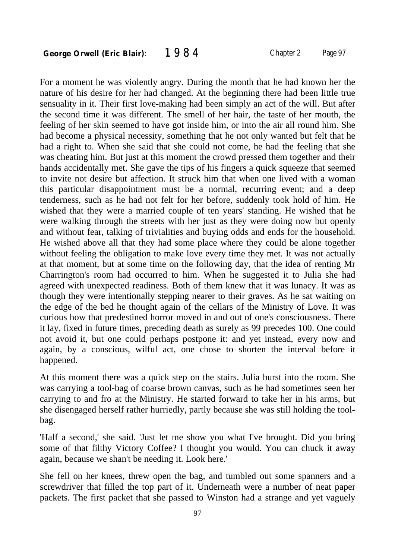For a moment he was violently angry. During the month that he had known her the nature of his desire for her had changed. At the beginning there had been little true sensuality in it. Their first love-making had been simply an act of the will. But after the second time it was different. The smell of her hair, the taste of her mouth, the feeling of her skin seemed to have got inside him, or into the air all round him. She had become a physical necessity, something that he not only wanted but felt that he had a right to. When she said that she could not come, he had the feeling that she was cheating him. But just at this moment the crowd pressed them together and their hands accidentally met. She gave the tips of his fingers a quick squeeze that seemed to invite not desire but affection. It struck him that when one lived with a woman this particular disappointment must be a normal, recurring event; and a deep tenderness, such as he had not felt for her before, suddenly took hold of him. He wished that they were a married couple of ten years' standing. He wished that he were walking through the streets with her just as they were doing now but openly and without fear, talking of trivialities and buying odds and ends for the household. He wished above all that they had some place where they could be alone together without feeling the obligation to make love every time they met. It was not actually at that moment, but at some time on the following day, that the idea of renting Mr Charrington's room had occurred to him. When he suggested it to Julia she had agreed with unexpected readiness. Both of them knew that it was lunacy. It was as though they were intentionally stepping nearer to their graves. As he sat waiting on the edge of the bed he thought again of the cellars of the Ministry of Love. It was curious how that predestined horror moved in and out of one's consciousness. There it lay, fixed in future times, preceding death as surely as 99 precedes 100. One could not avoid it, but one could perhaps postpone it: and yet instead, every now and again, by a conscious, wilful act, one chose to shorten the interval before it happened.

At this moment there was a quick step on the stairs. Julia burst into the room. She was carrying a tool-bag of coarse brown canvas, such as he had sometimes seen her carrying to and fro at the Ministry. He started forward to take her in his arms, but she disengaged herself rather hurriedly, partly because she was still holding the toolbag.

'Half a second,' she said. 'Just let me show you what I've brought. Did you bring some of that filthy Victory Coffee? I thought you would. You can chuck it away again, because we shan't be needing it. Look here.'

She fell on her knees, threw open the bag, and tumbled out some spanners and a screwdriver that filled the top part of it. Underneath were a number of neat paper packets. The first packet that she passed to Winston had a strange and yet vaguely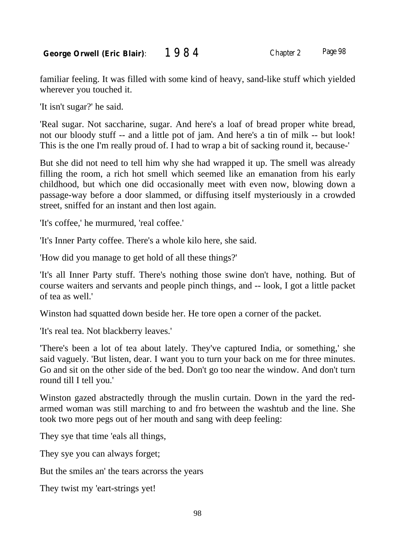## *George Orwell (Eric Blair)*: **1984** Chapter 2 Page 98

familiar feeling. It was filled with some kind of heavy, sand-like stuff which yielded wherever you touched it.

'It isn't sugar?' he said.

'Real sugar. Not saccharine, sugar. And here's a loaf of bread proper white bread, not our bloody stuff -- and a little pot of jam. And here's a tin of milk -- but look! This is the one I'm really proud of. I had to wrap a bit of sacking round it, because-'

But she did not need to tell him why she had wrapped it up. The smell was already filling the room, a rich hot smell which seemed like an emanation from his early childhood, but which one did occasionally meet with even now, blowing down a passage-way before a door slammed, or diffusing itself mysteriously in a crowded street, sniffed for an instant and then lost again.

'It's coffee,' he murmured, 'real coffee.'

'It's Inner Party coffee. There's a whole kilo here, she said.

'How did you manage to get hold of all these things?'

'It's all Inner Party stuff. There's nothing those swine don't have, nothing. But of course waiters and servants and people pinch things, and -- look, I got a little packet of tea as well.'

Winston had squatted down beside her. He tore open a corner of the packet.

'It's real tea. Not blackberry leaves.'

'There's been a lot of tea about lately. They've captured India, or something,' she said vaguely. 'But listen, dear. I want you to turn your back on me for three minutes. Go and sit on the other side of the bed. Don't go too near the window. And don't turn round till I tell you.'

Winston gazed abstractedly through the muslin curtain. Down in the yard the redarmed woman was still marching to and fro between the washtub and the line. She took two more pegs out of her mouth and sang with deep feeling:

They sye that time 'eals all things,

They sye you can always forget;

But the smiles an' the tears acrorss the years

They twist my 'eart-strings yet!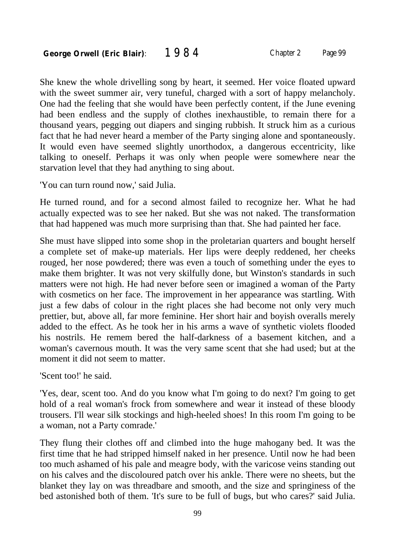She knew the whole drivelling song by heart, it seemed. Her voice floated upward with the sweet summer air, very tuneful, charged with a sort of happy melancholy. One had the feeling that she would have been perfectly content, if the June evening had been endless and the supply of clothes inexhaustible, to remain there for a thousand years, pegging out diapers and singing rubbish. It struck him as a curious fact that he had never heard a member of the Party singing alone and spontaneously. It would even have seemed slightly unorthodox, a dangerous eccentricity, like talking to oneself. Perhaps it was only when people were somewhere near the starvation level that they had anything to sing about.

'You can turn round now,' said Julia.

He turned round, and for a second almost failed to recognize her. What he had actually expected was to see her naked. But she was not naked. The transformation that had happened was much more surprising than that. She had painted her face.

She must have slipped into some shop in the proletarian quarters and bought herself a complete set of make-up materials. Her lips were deeply reddened, her cheeks rouged, her nose powdered; there was even a touch of something under the eyes to make them brighter. It was not very skilfully done, but Winston's standards in such matters were not high. He had never before seen or imagined a woman of the Party with cosmetics on her face. The improvement in her appearance was startling. With just a few dabs of colour in the right places she had become not only very much prettier, but, above all, far more feminine. Her short hair and boyish overalls merely added to the effect. As he took her in his arms a wave of synthetic violets flooded his nostrils. He remem bered the half-darkness of a basement kitchen, and a woman's cavernous mouth. It was the very same scent that she had used; but at the moment it did not seem to matter.

'Scent too!' he said.

'Yes, dear, scent too. And do you know what I'm going to do next? I'm going to get hold of a real woman's frock from somewhere and wear it instead of these bloody trousers. I'll wear silk stockings and high-heeled shoes! In this room I'm going to be a woman, not a Party comrade.'

They flung their clothes off and climbed into the huge mahogany bed. It was the first time that he had stripped himself naked in her presence. Until now he had been too much ashamed of his pale and meagre body, with the varicose veins standing out on his calves and the discoloured patch over his ankle. There were no sheets, but the blanket they lay on was threadbare and smooth, and the size and springiness of the bed astonished both of them. 'It's sure to be full of bugs, but who cares?' said Julia.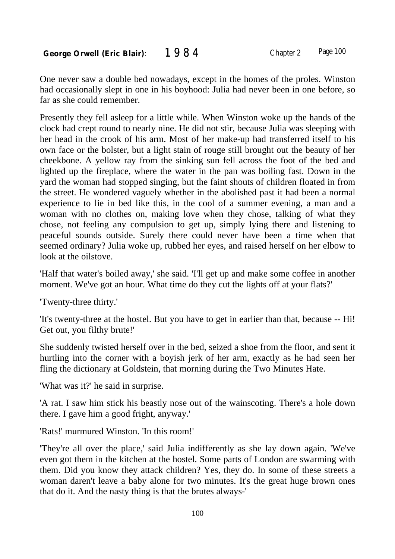One never saw a double bed nowadays, except in the homes of the proles. Winston had occasionally slept in one in his boyhood: Julia had never been in one before, so far as she could remember.

Presently they fell asleep for a little while. When Winston woke up the hands of the clock had crept round to nearly nine. He did not stir, because Julia was sleeping with her head in the crook of his arm. Most of her make-up had transferred itself to his own face or the bolster, but a light stain of rouge still brought out the beauty of her cheekbone. A yellow ray from the sinking sun fell across the foot of the bed and lighted up the fireplace, where the water in the pan was boiling fast. Down in the yard the woman had stopped singing, but the faint shouts of children floated in from the street. He wondered vaguely whether in the abolished past it had been a normal experience to lie in bed like this, in the cool of a summer evening, a man and a woman with no clothes on, making love when they chose, talking of what they chose, not feeling any compulsion to get up, simply lying there and listening to peaceful sounds outside. Surely there could never have been a time when that seemed ordinary? Julia woke up, rubbed her eyes, and raised herself on her elbow to look at the oilstove.

'Half that water's boiled away,' she said. 'I'll get up and make some coffee in another moment. We've got an hour. What time do they cut the lights off at your flats?'

'Twenty-three thirty.'

'It's twenty-three at the hostel. But you have to get in earlier than that, because -- Hi! Get out, you filthy brute!'

She suddenly twisted herself over in the bed, seized a shoe from the floor, and sent it hurtling into the corner with a boyish jerk of her arm, exactly as he had seen her fling the dictionary at Goldstein, that morning during the Two Minutes Hate.

'What was it?' he said in surprise.

'A rat. I saw him stick his beastly nose out of the wainscoting. There's a hole down there. I gave him a good fright, anyway.'

'Rats!' murmured Winston. 'In this room!'

'They're all over the place,' said Julia indifferently as she lay down again. 'We've even got them in the kitchen at the hostel. Some parts of London are swarming with them. Did you know they attack children? Yes, they do. In some of these streets a woman daren't leave a baby alone for two minutes. It's the great huge brown ones that do it. And the nasty thing is that the brutes always-'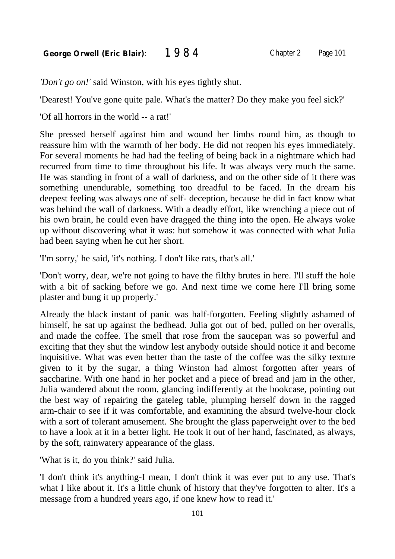#### *George Orwell (Eric Blair)*: **1984** Chapter 2 Page 101

*'Don't go on!'* said Winston, with his eyes tightly shut.

'Dearest! You've gone quite pale. What's the matter? Do they make you feel sick?'

'Of all horrors in the world -- a rat!'

She pressed herself against him and wound her limbs round him, as though to reassure him with the warmth of her body. He did not reopen his eyes immediately. For several moments he had had the feeling of being back in a nightmare which had recurred from time to time throughout his life. It was always very much the same. He was standing in front of a wall of darkness, and on the other side of it there was something unendurable, something too dreadful to be faced. In the dream his deepest feeling was always one of self- deception, because he did in fact know what was behind the wall of darkness. With a deadly effort, like wrenching a piece out of his own brain, he could even have dragged the thing into the open. He always woke up without discovering what it was: but somehow it was connected with what Julia had been saying when he cut her short.

'I'm sorry,' he said, 'it's nothing. I don't like rats, that's all.'

'Don't worry, dear, we're not going to have the filthy brutes in here. I'll stuff the hole with a bit of sacking before we go. And next time we come here I'll bring some plaster and bung it up properly.'

Already the black instant of panic was half-forgotten. Feeling slightly ashamed of himself, he sat up against the bedhead. Julia got out of bed, pulled on her overalls, and made the coffee. The smell that rose from the saucepan was so powerful and exciting that they shut the window lest anybody outside should notice it and become inquisitive. What was even better than the taste of the coffee was the silky texture given to it by the sugar, a thing Winston had almost forgotten after years of saccharine. With one hand in her pocket and a piece of bread and jam in the other, Julia wandered about the room, glancing indifferently at the bookcase, pointing out the best way of repairing the gateleg table, plumping herself down in the ragged arm-chair to see if it was comfortable, and examining the absurd twelve-hour clock with a sort of tolerant amusement. She brought the glass paperweight over to the bed to have a look at it in a better light. He took it out of her hand, fascinated, as always, by the soft, rainwatery appearance of the glass.

'What is it, do you think?' said Julia.

'I don't think it's anything-I mean, I don't think it was ever put to any use. That's what I like about it. It's a little chunk of history that they've forgotten to alter. It's a message from a hundred years ago, if one knew how to read it.'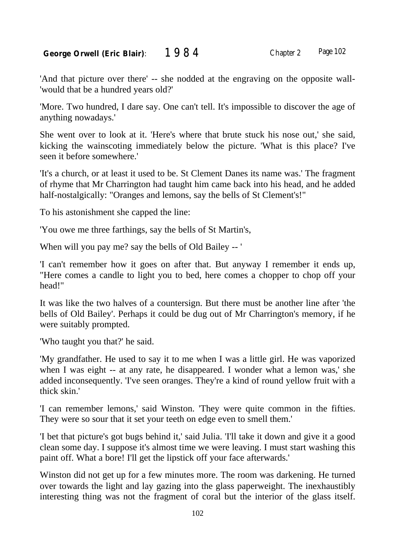#### *George Orwell (Eric Blair)*: **1984** Chapter 2 Page 102

'And that picture over there' -- she nodded at the engraving on the opposite wall- 'would that be a hundred years old?'

'More. Two hundred, I dare say. One can't tell. It's impossible to discover the age of anything nowadays.'

She went over to look at it. 'Here's where that brute stuck his nose out,' she said, kicking the wainscoting immediately below the picture. 'What is this place? I've seen it before somewhere.'

'It's a church, or at least it used to be. St Clement Danes its name was.' The fragment of rhyme that Mr Charrington had taught him came back into his head, and he added half-nostalgically: "Oranges and lemons, say the bells of St Clement's!"

To his astonishment she capped the line:

'You owe me three farthings, say the bells of St Martin's,

When will you pay me? say the bells of Old Bailey -- '

'I can't remember how it goes on after that. But anyway I remember it ends up, "Here comes a candle to light you to bed, here comes a chopper to chop off your head!"

It was like the two halves of a countersign. But there must be another line after 'the bells of Old Bailey'. Perhaps it could be dug out of Mr Charrington's memory, if he were suitably prompted.

'Who taught you that?' he said.

'My grandfather. He used to say it to me when I was a little girl. He was vaporized when I was eight -- at any rate, he disappeared. I wonder what a lemon was,' she added inconsequently. 'I've seen oranges. They're a kind of round yellow fruit with a thick skin.'

'I can remember lemons,' said Winston. 'They were quite common in the fifties. They were so sour that it set your teeth on edge even to smell them.'

'I bet that picture's got bugs behind it,' said Julia. 'I'll take it down and give it a good clean some day. I suppose it's almost time we were leaving. I must start washing this paint off. What a bore! I'll get the lipstick off your face afterwards.'

Winston did not get up for a few minutes more. The room was darkening. He turned over towards the light and lay gazing into the glass paperweight. The inexhaustibly interesting thing was not the fragment of coral but the interior of the glass itself.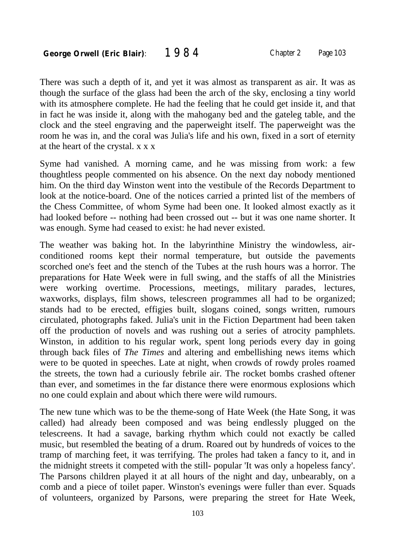There was such a depth of it, and yet it was almost as transparent as air. It was as though the surface of the glass had been the arch of the sky, enclosing a tiny world with its atmosphere complete. He had the feeling that he could get inside it, and that in fact he was inside it, along with the mahogany bed and the gateleg table, and the clock and the steel engraving and the paperweight itself. The paperweight was the room he was in, and the coral was Julia's life and his own, fixed in a sort of eternity at the heart of the crystal. x x x

Syme had vanished. A morning came, and he was missing from work: a few thoughtless people commented on his absence. On the next day nobody mentioned him. On the third day Winston went into the vestibule of the Records Department to look at the notice-board. One of the notices carried a printed list of the members of the Chess Committee, of whom Syme had been one. It looked almost exactly as it had looked before -- nothing had been crossed out -- but it was one name shorter. It was enough. Syme had ceased to exist: he had never existed.

The weather was baking hot. In the labyrinthine Ministry the windowless, airconditioned rooms kept their normal temperature, but outside the pavements scorched one's feet and the stench of the Tubes at the rush hours was a horror. The preparations for Hate Week were in full swing, and the staffs of all the Ministries were working overtime. Processions, meetings, military parades, lectures, waxworks, displays, film shows, telescreen programmes all had to be organized; stands had to be erected, effigies built, slogans coined, songs written, rumours circulated, photographs faked. Julia's unit in the Fiction Department had been taken off the production of novels and was rushing out a series of atrocity pamphlets. Winston, in addition to his regular work, spent long periods every day in going through back files of *The Times* and altering and embellishing news items which were to be quoted in speeches. Late at night, when crowds of rowdy proles roamed the streets, the town had a curiously febrile air. The rocket bombs crashed oftener than ever, and sometimes in the far distance there were enormous explosions which no one could explain and about which there were wild rumours.

The new tune which was to be the theme-song of Hate Week (the Hate Song, it was called) had already been composed and was being endlessly plugged on the telescreens. It had a savage, barking rhythm which could not exactly be called music, but resembled the beating of a drum. Roared out by hundreds of voices to the tramp of marching feet, it was terrifying. The proles had taken a fancy to it, and in the midnight streets it competed with the still- popular 'It was only a hopeless fancy'. The Parsons children played it at all hours of the night and day, unbearably, on a comb and a piece of toilet paper. Winston's evenings were fuller than ever. Squads of volunteers, organized by Parsons, were preparing the street for Hate Week,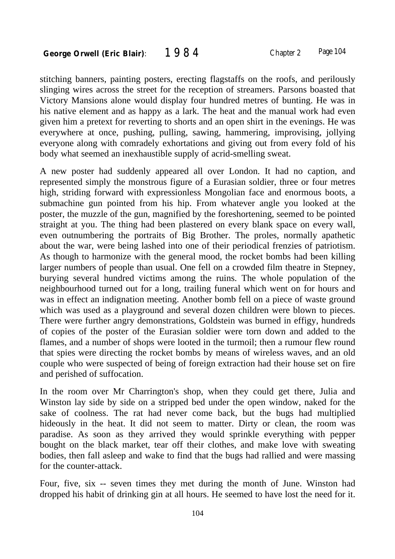stitching banners, painting posters, erecting flagstaffs on the roofs, and perilously slinging wires across the street for the reception of streamers. Parsons boasted that Victory Mansions alone would display four hundred metres of bunting. He was in his native element and as happy as a lark. The heat and the manual work had even given him a pretext for reverting to shorts and an open shirt in the evenings. He was everywhere at once, pushing, pulling, sawing, hammering, improvising, jollying everyone along with comradely exhortations and giving out from every fold of his body what seemed an inexhaustible supply of acrid-smelling sweat.

A new poster had suddenly appeared all over London. It had no caption, and represented simply the monstrous figure of a Eurasian soldier, three or four metres high, striding forward with expressionless Mongolian face and enormous boots, a submachine gun pointed from his hip. From whatever angle you looked at the poster, the muzzle of the gun, magnified by the foreshortening, seemed to be pointed straight at you. The thing had been plastered on every blank space on every wall, even outnumbering the portraits of Big Brother. The proles, normally apathetic about the war, were being lashed into one of their periodical frenzies of patriotism. As though to harmonize with the general mood, the rocket bombs had been killing larger numbers of people than usual. One fell on a crowded film theatre in Stepney, burying several hundred victims among the ruins. The whole population of the neighbourhood turned out for a long, trailing funeral which went on for hours and was in effect an indignation meeting. Another bomb fell on a piece of waste ground which was used as a playground and several dozen children were blown to pieces. There were further angry demonstrations, Goldstein was burned in effigy, hundreds of copies of the poster of the Eurasian soldier were torn down and added to the flames, and a number of shops were looted in the turmoil; then a rumour flew round that spies were directing the rocket bombs by means of wireless waves, and an old couple who were suspected of being of foreign extraction had their house set on fire and perished of suffocation.

In the room over Mr Charrington's shop, when they could get there, Julia and Winston lay side by side on a stripped bed under the open window, naked for the sake of coolness. The rat had never come back, but the bugs had multiplied hideously in the heat. It did not seem to matter. Dirty or clean, the room was paradise. As soon as they arrived they would sprinkle everything with pepper bought on the black market, tear off their clothes, and make love with sweating bodies, then fall asleep and wake to find that the bugs had rallied and were massing for the counter-attack.

Four, five, six -- seven times they met during the month of June. Winston had dropped his habit of drinking gin at all hours. He seemed to have lost the need for it.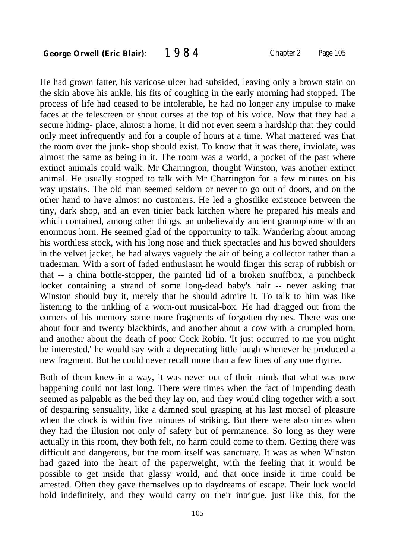He had grown fatter, his varicose ulcer had subsided, leaving only a brown stain on the skin above his ankle, his fits of coughing in the early morning had stopped. The process of life had ceased to be intolerable, he had no longer any impulse to make faces at the telescreen or shout curses at the top of his voice. Now that they had a secure hiding- place, almost a home, it did not even seem a hardship that they could only meet infrequently and for a couple of hours at a time. What mattered was that the room over the junk- shop should exist. To know that it was there, inviolate, was almost the same as being in it. The room was a world, a pocket of the past where extinct animals could walk. Mr Charrington, thought Winston, was another extinct animal. He usually stopped to talk with Mr Charrington for a few minutes on his way upstairs. The old man seemed seldom or never to go out of doors, and on the other hand to have almost no customers. He led a ghostlike existence between the tiny, dark shop, and an even tinier back kitchen where he prepared his meals and which contained, among other things, an unbelievably ancient gramophone with an enormous horn. He seemed glad of the opportunity to talk. Wandering about among his worthless stock, with his long nose and thick spectacles and his bowed shoulders in the velvet jacket, he had always vaguely the air of being a collector rather than a tradesman. With a sort of faded enthusiasm he would finger this scrap of rubbish or that -- a china bottle-stopper, the painted lid of a broken snuffbox, a pinchbeck locket containing a strand of some long-dead baby's hair -- never asking that Winston should buy it, merely that he should admire it. To talk to him was like listening to the tinkling of a worn-out musical-box. He had dragged out from the corners of his memory some more fragments of forgotten rhymes. There was one about four and twenty blackbirds, and another about a cow with a crumpled horn, and another about the death of poor Cock Robin. 'It just occurred to me you might be interested,' he would say with a deprecating little laugh whenever he produced a new fragment. But he could never recall more than a few lines of any one rhyme.

Both of them knew-in a way, it was never out of their minds that what was now happening could not last long. There were times when the fact of impending death seemed as palpable as the bed they lay on, and they would cling together with a sort of despairing sensuality, like a damned soul grasping at his last morsel of pleasure when the clock is within five minutes of striking. But there were also times when they had the illusion not only of safety but of permanence. So long as they were actually in this room, they both felt, no harm could come to them. Getting there was difficult and dangerous, but the room itself was sanctuary. It was as when Winston had gazed into the heart of the paperweight, with the feeling that it would be possible to get inside that glassy world, and that once inside it time could be arrested. Often they gave themselves up to daydreams of escape. Their luck would hold indefinitely, and they would carry on their intrigue, just like this, for the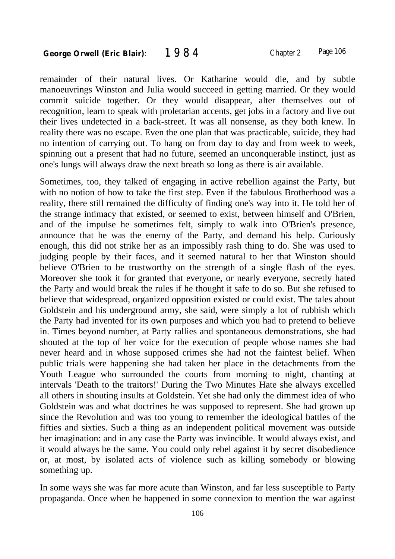remainder of their natural lives. Or Katharine would die, and by subtle manoeuvrings Winston and Julia would succeed in getting married. Or they would commit suicide together. Or they would disappear, alter themselves out of recognition, learn to speak with proletarian accents, get jobs in a factory and live out their lives undetected in a back-street. It was all nonsense, as they both knew. In reality there was no escape. Even the one plan that was practicable, suicide, they had no intention of carrying out. To hang on from day to day and from week to week, spinning out a present that had no future, seemed an unconquerable instinct, just as one's lungs will always draw the next breath so long as there is air available.

Sometimes, too, they talked of engaging in active rebellion against the Party, but with no notion of how to take the first step. Even if the fabulous Brotherhood was a reality, there still remained the difficulty of finding one's way into it. He told her of the strange intimacy that existed, or seemed to exist, between himself and O'Brien, and of the impulse he sometimes felt, simply to walk into O'Brien's presence, announce that he was the enemy of the Party, and demand his help. Curiously enough, this did not strike her as an impossibly rash thing to do. She was used to judging people by their faces, and it seemed natural to her that Winston should believe O'Brien to be trustworthy on the strength of a single flash of the eyes. Moreover she took it for granted that everyone, or nearly everyone, secretly hated the Party and would break the rules if he thought it safe to do so. But she refused to believe that widespread, organized opposition existed or could exist. The tales about Goldstein and his underground army, she said, were simply a lot of rubbish which the Party had invented for its own purposes and which you had to pretend to believe in. Times beyond number, at Party rallies and spontaneous demonstrations, she had shouted at the top of her voice for the execution of people whose names she had never heard and in whose supposed crimes she had not the faintest belief. When public trials were happening she had taken her place in the detachments from the Youth League who surrounded the courts from morning to night, chanting at intervals 'Death to the traitors!' During the Two Minutes Hate she always excelled all others in shouting insults at Goldstein. Yet she had only the dimmest idea of who Goldstein was and what doctrines he was supposed to represent. She had grown up since the Revolution and was too young to remember the ideological battles of the fifties and sixties. Such a thing as an independent political movement was outside her imagination: and in any case the Party was invincible. It would always exist, and it would always be the same. You could only rebel against it by secret disobedience or, at most, by isolated acts of violence such as killing somebody or blowing something up.

In some ways she was far more acute than Winston, and far less susceptible to Party propaganda. Once when he happened in some connexion to mention the war against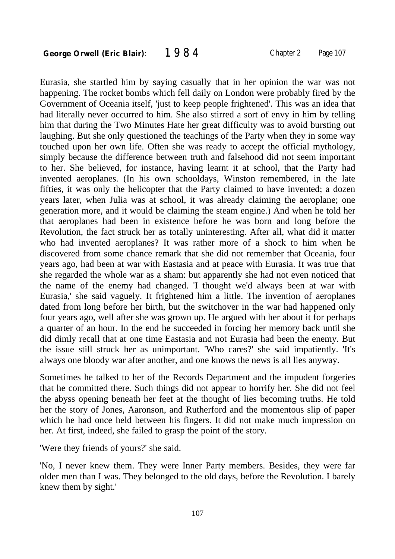Eurasia, she startled him by saying casually that in her opinion the war was not happening. The rocket bombs which fell daily on London were probably fired by the Government of Oceania itself, 'just to keep people frightened'. This was an idea that had literally never occurred to him. She also stirred a sort of envy in him by telling him that during the Two Minutes Hate her great difficulty was to avoid bursting out laughing. But she only questioned the teachings of the Party when they in some way touched upon her own life. Often she was ready to accept the official mythology, simply because the difference between truth and falsehood did not seem important to her. She believed, for instance, having learnt it at school, that the Party had invented aeroplanes. (In his own schooldays, Winston remembered, in the late fifties, it was only the helicopter that the Party claimed to have invented; a dozen years later, when Julia was at school, it was already claiming the aeroplane; one generation more, and it would be claiming the steam engine.) And when he told her that aeroplanes had been in existence before he was born and long before the Revolution, the fact struck her as totally uninteresting. After all, what did it matter who had invented aeroplanes? It was rather more of a shock to him when he discovered from some chance remark that she did not remember that Oceania, four years ago, had been at war with Eastasia and at peace with Eurasia. It was true that she regarded the whole war as a sham: but apparently she had not even noticed that the name of the enemy had changed. 'I thought we'd always been at war with Eurasia,' she said vaguely. It frightened him a little. The invention of aeroplanes dated from long before her birth, but the switchover in the war had happened only four years ago, well after she was grown up. He argued with her about it for perhaps a quarter of an hour. In the end he succeeded in forcing her memory back until she did dimly recall that at one time Eastasia and not Eurasia had been the enemy. But the issue still struck her as unimportant. 'Who cares?' she said impatiently. 'It's always one bloody war after another, and one knows the news is all lies anyway.

Sometimes he talked to her of the Records Department and the impudent forgeries that he committed there. Such things did not appear to horrify her. She did not feel the abyss opening beneath her feet at the thought of lies becoming truths. He told her the story of Jones, Aaronson, and Rutherford and the momentous slip of paper which he had once held between his fingers. It did not make much impression on her. At first, indeed, she failed to grasp the point of the story.

'Were they friends of yours?' she said.

'No, I never knew them. They were Inner Party members. Besides, they were far older men than I was. They belonged to the old days, before the Revolution. I barely knew them by sight.'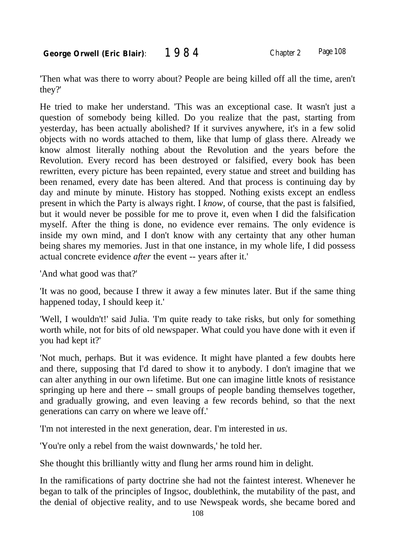'Then what was there to worry about? People are being killed off all the time, aren't they?'

He tried to make her understand. 'This was an exceptional case. It wasn't just a question of somebody being killed. Do you realize that the past, starting from yesterday, has been actually abolished? If it survives anywhere, it's in a few solid objects with no words attached to them, like that lump of glass there. Already we know almost literally nothing about the Revolution and the years before the Revolution. Every record has been destroyed or falsified, every book has been rewritten, every picture has been repainted, every statue and street and building has been renamed, every date has been altered. And that process is continuing day by day and minute by minute. History has stopped. Nothing exists except an endless present in which the Party is always right. I *know,* of course, that the past is falsified, but it would never be possible for me to prove it, even when I did the falsification myself. After the thing is done, no evidence ever remains. The only evidence is inside my own mind, and I don't know with any certainty that any other human being shares my memories. Just in that one instance, in my whole life, I did possess actual concrete evidence *after* the event -- years after it.'

'And what good was that?'

'It was no good, because I threw it away a few minutes later. But if the same thing happened today, I should keep it.'

'Well, I wouldn't!' said Julia. 'I'm quite ready to take risks, but only for something worth while, not for bits of old newspaper. What could you have done with it even if you had kept it?'

'Not much, perhaps. But it was evidence. It might have planted a few doubts here and there, supposing that I'd dared to show it to anybody. I don't imagine that we can alter anything in our own lifetime. But one can imagine little knots of resistance springing up here and there -- small groups of people banding themselves together, and gradually growing, and even leaving a few records behind, so that the next generations can carry on where we leave off.'

'I'm not interested in the next generation, dear. I'm interested in *us*.

'You're only a rebel from the waist downwards,' he told her.

She thought this brilliantly witty and flung her arms round him in delight.

In the ramifications of party doctrine she had not the faintest interest. Whenever he began to talk of the principles of Ingsoc, doublethink, the mutability of the past, and the denial of objective reality, and to use Newspeak words, she became bored and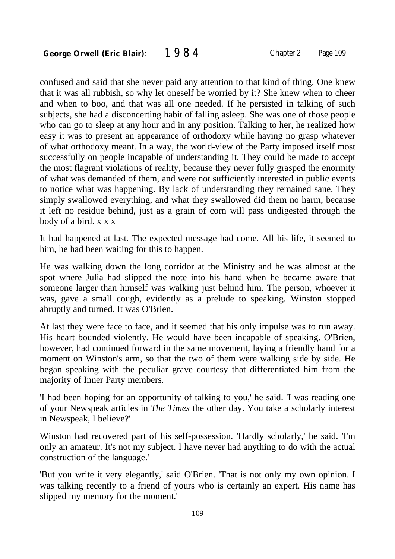confused and said that she never paid any attention to that kind of thing. One knew that it was all rubbish, so why let oneself be worried by it? She knew when to cheer and when to boo, and that was all one needed. If he persisted in talking of such subjects, she had a disconcerting habit of falling asleep. She was one of those people who can go to sleep at any hour and in any position. Talking to her, he realized how easy it was to present an appearance of orthodoxy while having no grasp whatever of what orthodoxy meant. In a way, the world-view of the Party imposed itself most successfully on people incapable of understanding it. They could be made to accept the most flagrant violations of reality, because they never fully grasped the enormity of what was demanded of them, and were not sufficiently interested in public events to notice what was happening. By lack of understanding they remained sane. They simply swallowed everything, and what they swallowed did them no harm, because it left no residue behind, just as a grain of corn will pass undigested through the body of a bird. x x x

It had happened at last. The expected message had come. All his life, it seemed to him, he had been waiting for this to happen.

He was walking down the long corridor at the Ministry and he was almost at the spot where Julia had slipped the note into his hand when he became aware that someone larger than himself was walking just behind him. The person, whoever it was, gave a small cough, evidently as a prelude to speaking. Winston stopped abruptly and turned. It was O'Brien.

At last they were face to face, and it seemed that his only impulse was to run away. His heart bounded violently. He would have been incapable of speaking. O'Brien, however, had continued forward in the same movement, laying a friendly hand for a moment on Winston's arm, so that the two of them were walking side by side. He began speaking with the peculiar grave courtesy that differentiated him from the majority of Inner Party members.

'I had been hoping for an opportunity of talking to you,' he said. 'I was reading one of your Newspeak articles in *The Times* the other day. You take a scholarly interest in Newspeak, I believe?'

Winston had recovered part of his self-possession. 'Hardly scholarly,' he said. 'I'm only an amateur. It's not my subject. I have never had anything to do with the actual construction of the language.'

'But you write it very elegantly,' said O'Brien. 'That is not only my own opinion. I was talking recently to a friend of yours who is certainly an expert. His name has slipped my memory for the moment.'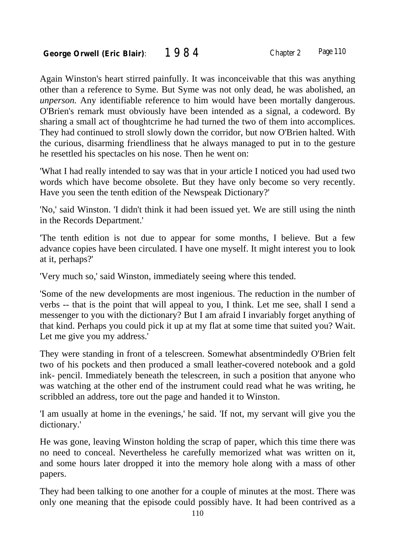Again Winston's heart stirred painfully. It was inconceivable that this was anything other than a reference to Syme. But Syme was not only dead, he was abolished, an *unperson.* Any identifiable reference to him would have been mortally dangerous. O'Brien's remark must obviously have been intended as a signal, a codeword. By sharing a small act of thoughtcrime he had turned the two of them into accomplices. They had continued to stroll slowly down the corridor, but now O'Brien halted. With the curious, disarming friendliness that he always managed to put in to the gesture he resettled his spectacles on his nose. Then he went on:

'What I had really intended to say was that in your article I noticed you had used two words which have become obsolete. But they have only become so very recently. Have you seen the tenth edition of the Newspeak Dictionary?'

'No,' said Winston. 'I didn't think it had been issued yet. We are still using the ninth in the Records Department.'

'The tenth edition is not due to appear for some months, I believe. But a few advance copies have been circulated. I have one myself. It might interest you to look at it, perhaps?'

'Very much so,' said Winston, immediately seeing where this tended.

'Some of the new developments are most ingenious. The reduction in the number of verbs -- that is the point that will appeal to you, I think. Let me see, shall I send a messenger to you with the dictionary? But I am afraid I invariably forget anything of that kind. Perhaps you could pick it up at my flat at some time that suited you? Wait. Let me give you my address.'

They were standing in front of a telescreen. Somewhat absentmindedly O'Brien felt two of his pockets and then produced a small leather-covered notebook and a gold ink- pencil. Immediately beneath the telescreen, in such a position that anyone who was watching at the other end of the instrument could read what he was writing, he scribbled an address, tore out the page and handed it to Winston.

'I am usually at home in the evenings,' he said. 'If not, my servant will give you the dictionary.'

He was gone, leaving Winston holding the scrap of paper, which this time there was no need to conceal. Nevertheless he carefully memorized what was written on it, and some hours later dropped it into the memory hole along with a mass of other papers.

They had been talking to one another for a couple of minutes at the most. There was only one meaning that the episode could possibly have. It had been contrived as a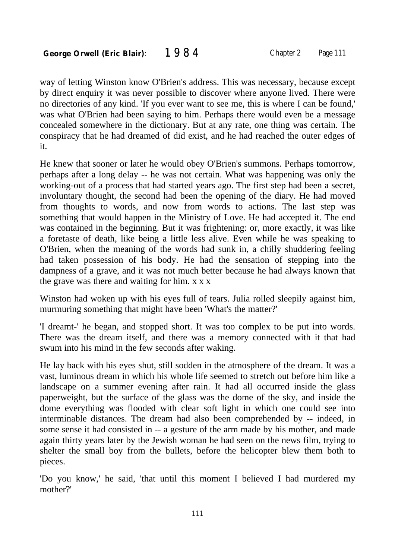way of letting Winston know O'Brien's address. This was necessary, because except by direct enquiry it was never possible to discover where anyone lived. There were no directories of any kind. 'If you ever want to see me, this is where I can be found,' was what O'Brien had been saying to him. Perhaps there would even be a message concealed somewhere in the dictionary. But at any rate, one thing was certain. The conspiracy that he had dreamed of did exist, and he had reached the outer edges of it.

He knew that sooner or later he would obey O'Brien's summons. Perhaps tomorrow, perhaps after a long delay -- he was not certain. What was happening was only the working-out of a process that had started years ago. The first step had been a secret, involuntary thought, the second had been the opening of the diary. He had moved from thoughts to words, and now from words to actions. The last step was something that would happen in the Ministry of Love. He had accepted it. The end was contained in the beginning. But it was frightening: or, more exactly, it was like a foretaste of death, like being a little less alive. Even whiIe he was speaking to O'Brien, when the meaning of the words had sunk in, a chilly shuddering feeling had taken possession of his body. He had the sensation of stepping into the dampness of a grave, and it was not much better because he had always known that the grave was there and waiting for him. x x x

Winston had woken up with his eyes full of tears. Julia rolled sleepily against him, murmuring something that might have been 'What's the matter?'

'I dreamt-' he began, and stopped short. It was too complex to be put into words. There was the dream itself, and there was a memory connected with it that had swum into his mind in the few seconds after waking.

He lay back with his eyes shut, still sodden in the atmosphere of the dream. It was a vast, luminous dream in which his whole life seemed to stretch out before him like a landscape on a summer evening after rain. It had all occurred inside the glass paperweight, but the surface of the glass was the dome of the sky, and inside the dome everything was flooded with clear soft light in which one could see into interminable distances. The dream had also been comprehended by -- indeed, in some sense it had consisted in -- a gesture of the arm made by his mother, and made again thirty years later by the Jewish woman he had seen on the news film, trying to shelter the small boy from the bullets, before the helicopter blew them both to pieces.

'Do you know,' he said, 'that until this moment I believed I had murdered my mother?'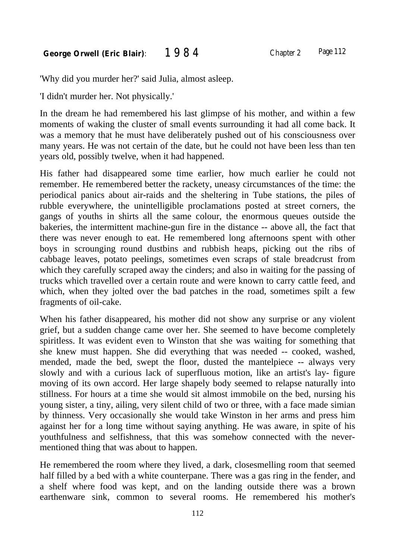# *George Orwell (Eric Blair)*: **1984** Chapter 2 Page 112

'Why did you murder her?' said Julia, almost asleep.

'I didn't murder her. Not physically.'

In the dream he had remembered his last glimpse of his mother, and within a few moments of waking the cluster of small events surrounding it had all come back. It was a memory that he must have deliberately pushed out of his consciousness over many years. He was not certain of the date, but he could not have been less than ten years old, possibly twelve, when it had happened.

His father had disappeared some time earlier, how much earlier he could not remember. He remembered better the rackety, uneasy circumstances of the time: the periodical panics about air-raids and the sheltering in Tube stations, the piles of rubble everywhere, the unintelligible proclamations posted at street corners, the gangs of youths in shirts all the same colour, the enormous queues outside the bakeries, the intermittent machine-gun fire in the distance -- above all, the fact that there was never enough to eat. He remembered long afternoons spent with other boys in scrounging round dustbins and rubbish heaps, picking out the ribs of cabbage leaves, potato peelings, sometimes even scraps of stale breadcrust from which they carefully scraped away the cinders; and also in waiting for the passing of trucks which travelled over a certain route and were known to carry cattle feed, and which, when they jolted over the bad patches in the road, sometimes spilt a few fragments of oil-cake.

When his father disappeared, his mother did not show any surprise or any violent grief, but a sudden change came over her. She seemed to have become completely spiritless. It was evident even to Winston that she was waiting for something that she knew must happen. She did everything that was needed -- cooked, washed, mended, made the bed, swept the floor, dusted the mantelpiece -- always very slowly and with a curious lack of superfluous motion, like an artist's lay- figure moving of its own accord. Her large shapely body seemed to relapse naturally into stillness. For hours at a time she would sit almost immobile on the bed, nursing his young sister, a tiny, ailing, very silent child of two or three, with a face made simian by thinness. Very occasionally she would take Winston in her arms and press him against her for a long time without saying anything. He was aware, in spite of his youthfulness and selfishness, that this was somehow connected with the nevermentioned thing that was about to happen.

He remembered the room where they lived, a dark, closesmelling room that seemed half filled by a bed with a white counterpane. There was a gas ring in the fender, and a shelf where food was kept, and on the landing outside there was a brown earthenware sink, common to several rooms. He remembered his mother's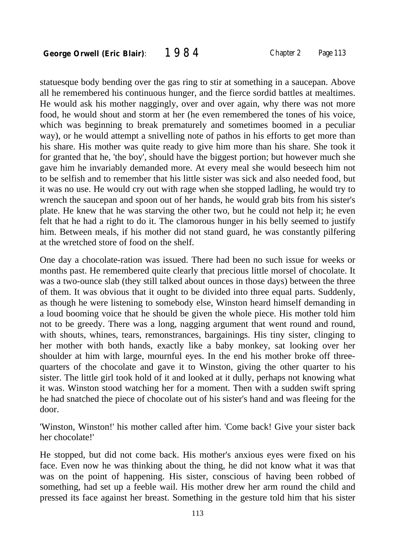statuesque body bending over the gas ring to stir at something in a saucepan. Above all he remembered his continuous hunger, and the fierce sordid battles at mealtimes. He would ask his mother naggingly, over and over again, why there was not more food, he would shout and storm at her (he even remembered the tones of his voice, which was beginning to break prematurely and sometimes boomed in a peculiar way), or he would attempt a snivelling note of pathos in his efforts to get more than his share. His mother was quite ready to give him more than his share. She took it for granted that he, 'the boy', should have the biggest portion; but however much she gave him he invariably demanded more. At every meal she would beseech him not to be selfish and to remember that his little sister was sick and also needed food, but it was no use. He would cry out with rage when she stopped ladling, he would try to wrench the saucepan and spoon out of her hands, he would grab bits from his sister's plate. He knew that he was starving the other two, but he could not help it; he even felt that he had a right to do it. The clamorous hunger in his belly seemed to justify him. Between meals, if his mother did not stand guard, he was constantly pilfering at the wretched store of food on the shelf.

One day a chocolate-ration was issued. There had been no such issue for weeks or months past. He remembered quite clearly that precious little morsel of chocolate. It was a two-ounce slab (they still talked about ounces in those days) between the three of them. It was obvious that it ought to be divided into three equal parts. Suddenly, as though he were listening to somebody else, Winston heard himself demanding in a loud booming voice that he should be given the whole piece. His mother told him not to be greedy. There was a long, nagging argument that went round and round, with shouts, whines, tears, remonstrances, bargainings. His tiny sister, clinging to her mother with both hands, exactly like a baby monkey, sat looking over her shoulder at him with large, mournful eyes. In the end his mother broke off threequarters of the chocolate and gave it to Winston, giving the other quarter to his sister. The little girl took hold of it and looked at it dully, perhaps not knowing what it was. Winston stood watching her for a moment. Then with a sudden swift spring he had snatched the piece of chocolate out of his sister's hand and was fleeing for the door.

'Winston, Winston!' his mother called after him. 'Come back! Give your sister back her chocolate!'

He stopped, but did not come back. His mother's anxious eyes were fixed on his face. Even now he was thinking about the thing, he did not know what it was that was on the point of happening. His sister, conscious of having been robbed of something, had set up a feeble wail. His mother drew her arm round the child and pressed its face against her breast. Something in the gesture told him that his sister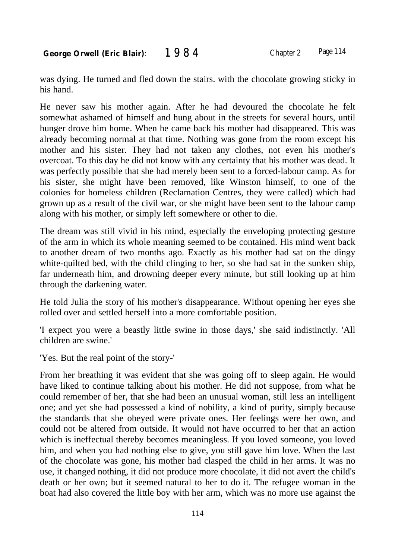was dying. He turned and fled down the stairs. with the chocolate growing sticky in his hand.

He never saw his mother again. After he had devoured the chocolate he felt somewhat ashamed of himself and hung about in the streets for several hours, until hunger drove him home. When he came back his mother had disappeared. This was already becoming normal at that time. Nothing was gone from the room except his mother and his sister. They had not taken any clothes, not even his mother's overcoat. To this day he did not know with any certainty that his mother was dead. It was perfectly possible that she had merely been sent to a forced-labour camp. As for his sister, she might have been removed, like Winston himself, to one of the colonies for homeless children (Reclamation Centres, they were called) which had grown up as a result of the civil war, or she might have been sent to the labour camp along with his mother, or simply left somewhere or other to die.

The dream was still vivid in his mind, especially the enveloping protecting gesture of the arm in which its whole meaning seemed to be contained. His mind went back to another dream of two months ago. Exactly as his mother had sat on the dingy white-quilted bed, with the child clinging to her, so she had sat in the sunken ship, far underneath him, and drowning deeper every minute, but still looking up at him through the darkening water.

He told Julia the story of his mother's disappearance. Without opening her eyes she rolled over and settled herself into a more comfortable position.

'I expect you were a beastly little swine in those days,' she said indistinctly. 'All children are swine.'

'Yes. But the real point of the story-'

From her breathing it was evident that she was going off to sleep again. He would have liked to continue talking about his mother. He did not suppose, from what he could remember of her, that she had been an unusual woman, still less an intelligent one; and yet she had possessed a kind of nobility, a kind of purity, simply because the standards that she obeyed were private ones. Her feelings were her own, and could not be altered from outside. It would not have occurred to her that an action which is ineffectual thereby becomes meaningless. If you loved someone, you loved him, and when you had nothing else to give, you still gave him love. When the last of the chocolate was gone, his mother had clasped the child in her arms. It was no use, it changed nothing, it did not produce more chocolate, it did not avert the child's death or her own; but it seemed natural to her to do it. The refugee woman in the boat had also covered the little boy with her arm, which was no more use against the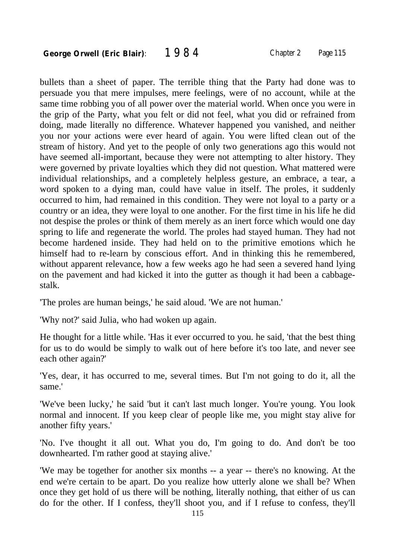bullets than a sheet of paper. The terrible thing that the Party had done was to persuade you that mere impulses, mere feelings, were of no account, while at the same time robbing you of all power over the material world. When once you were in the grip of the Party, what you felt or did not feel, what you did or refrained from doing, made literally no difference. Whatever happened you vanished, and neither you nor your actions were ever heard of again. You were lifted clean out of the stream of history. And yet to the people of only two generations ago this would not have seemed all-important, because they were not attempting to alter history. They were governed by private loyalties which they did not question. What mattered were individual relationships, and a completely helpless gesture, an embrace, a tear, a word spoken to a dying man, could have value in itself. The proles, it suddenly occurred to him, had remained in this condition. They were not loyal to a party or a country or an idea, they were loyal to one another. For the first time in his life he did not despise the proles or think of them merely as an inert force which would one day spring to life and regenerate the world. The proles had stayed human. They had not become hardened inside. They had held on to the primitive emotions which he himself had to re-learn by conscious effort. And in thinking this he remembered, without apparent relevance, how a few weeks ago he had seen a severed hand lying on the pavement and had kicked it into the gutter as though it had been a cabbagestalk.

'The proles are human beings,' he said aloud. 'We are not human.'

'Why not?' said Julia, who had woken up again.

He thought for a little while. 'Has it ever occurred to you. he said, 'that the best thing for us to do would be simply to walk out of here before it's too late, and never see each other again?'

'Yes, dear, it has occurred to me, several times. But I'm not going to do it, all the same.'

'We've been lucky,' he said 'but it can't last much longer. You're young. You look normal and innocent. If you keep clear of people like me, you might stay alive for another fifty years.'

'No. I've thought it all out. What you do, I'm going to do. And don't be too downhearted. I'm rather good at staying alive.'

'We may be together for another six months -- a year -- there's no knowing. At the end we're certain to be apart. Do you realize how utterly alone we shall be? When once they get hold of us there will be nothing, literally nothing, that either of us can do for the other. If I confess, they'll shoot you, and if I refuse to confess, they'll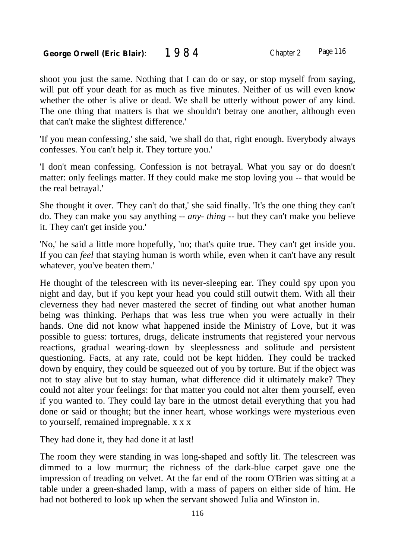shoot you just the same. Nothing that I can do or say, or stop myself from saying, will put off your death for as much as five minutes. Neither of us will even know whether the other is alive or dead. We shall be utterly without power of any kind. The one thing that matters is that we shouldn't betray one another, although even that can't make the slightest difference.'

'If you mean confessing,' she said, 'we shall do that, right enough. Everybody always confesses. You can't help it. They torture you.'

'I don't mean confessing. Confession is not betrayal. What you say or do doesn't matter: only feelings matter. If they could make me stop loving you -- that would be the real betrayal.'

She thought it over. 'They can't do that,' she said finally. 'It's the one thing they can't do. They can make you say anything -- *any- thing* -- but they can't make you believe it. They can't get inside you.'

'No,' he said a little more hopefully, 'no; that's quite true. They can't get inside you. If you can *feel* that staying human is worth while, even when it can't have any result whatever, you've beaten them.'

He thought of the telescreen with its never-sleeping ear. They could spy upon you night and day, but if you kept your head you could still outwit them. With all their cleverness they had never mastered the secret of finding out what another human being was thinking. Perhaps that was less true when you were actually in their hands. One did not know what happened inside the Ministry of Love, but it was possible to guess: tortures, drugs, delicate instruments that registered your nervous reactions, gradual wearing-down by sleeplessness and solitude and persistent questioning. Facts, at any rate, could not be kept hidden. They could be tracked down by enquiry, they could be squeezed out of you by torture. But if the object was not to stay alive but to stay human, what difference did it ultimately make? They could not alter your feelings: for that matter you could not alter them yourself, even if you wanted to. They could lay bare in the utmost detail everything that you had done or said or thought; but the inner heart, whose workings were mysterious even to yourself, remained impregnable. x x x

They had done it, they had done it at last!

The room they were standing in was long-shaped and softly lit. The telescreen was dimmed to a low murmur; the richness of the dark-blue carpet gave one the impression of treading on velvet. At the far end of the room O'Brien was sitting at a table under a green-shaded lamp, with a mass of papers on either side of him. He had not bothered to look up when the servant showed Julia and Winston in.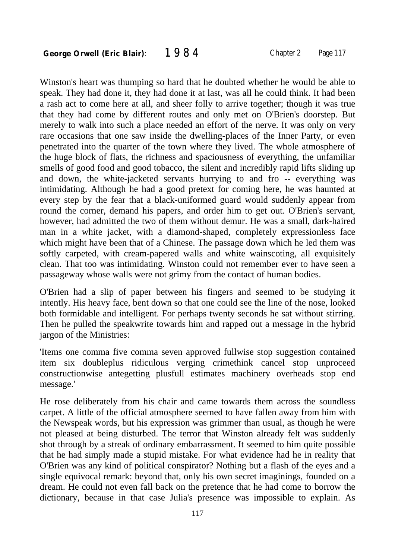Winston's heart was thumping so hard that he doubted whether he would be able to speak. They had done it, they had done it at last, was all he could think. It had been a rash act to come here at all, and sheer folly to arrive together; though it was true that they had come by different routes and only met on O'Brien's doorstep. But merely to walk into such a place needed an effort of the nerve. It was only on very rare occasions that one saw inside the dwelling-places of the Inner Party, or even penetrated into the quarter of the town where they lived. The whole atmosphere of the huge block of flats, the richness and spaciousness of everything, the unfamiliar smells of good food and good tobacco, the silent and incredibly rapid lifts sliding up and down, the white-jacketed servants hurrying to and fro -- everything was intimidating. Although he had a good pretext for coming here, he was haunted at every step by the fear that a black-uniformed guard would suddenly appear from round the corner, demand his papers, and order him to get out. O'Brien's servant, however, had admitted the two of them without demur. He was a small, dark-haired man in a white jacket, with a diamond-shaped, completely expressionless face which might have been that of a Chinese. The passage down which he led them was softly carpeted, with cream-papered walls and white wainscoting, all exquisitely clean. That too was intimidating. Winston could not remember ever to have seen a passageway whose walls were not grimy from the contact of human bodies.

O'Brien had a slip of paper between his fingers and seemed to be studying it intently. His heavy face, bent down so that one could see the line of the nose, looked both formidable and intelligent. For perhaps twenty seconds he sat without stirring. Then he pulled the speakwrite towards him and rapped out a message in the hybrid jargon of the Ministries:

'Items one comma five comma seven approved fullwise stop suggestion contained item six doubleplus ridiculous verging crimethink cancel stop unproceed constructionwise antegetting plusfull estimates machinery overheads stop end message.'

He rose deliberately from his chair and came towards them across the soundless carpet. A little of the official atmosphere seemed to have fallen away from him with the Newspeak words, but his expression was grimmer than usual, as though he were not pleased at being disturbed. The terror that Winston already felt was suddenly shot through by a streak of ordinary embarrassment. It seemed to him quite possible that he had simply made a stupid mistake. For what evidence had he in reality that O'Brien was any kind of political conspirator? Nothing but a flash of the eyes and a single equivocal remark: beyond that, only his own secret imaginings, founded on a dream. He could not even fall back on the pretence that he had come to borrow the dictionary, because in that case Julia's presence was impossible to explain. As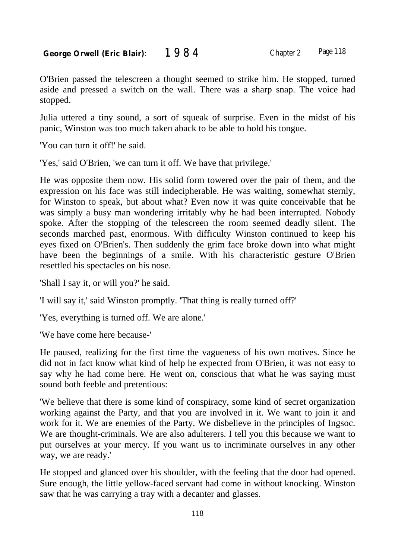### *George Orwell (Eric Blair)*: **1984** Chapter 2 Page 118

O'Brien passed the telescreen a thought seemed to strike him. He stopped, turned aside and pressed a switch on the wall. There was a sharp snap. The voice had stopped.

Julia uttered a tiny sound, a sort of squeak of surprise. Even in the midst of his panic, Winston was too much taken aback to be able to hold his tongue.

'You can turn it off!' he said.

'Yes,' said O'Brien, 'we can turn it off. We have that privilege.'

He was opposite them now. His solid form towered over the pair of them, and the expression on his face was still indecipherable. He was waiting, somewhat sternly, for Winston to speak, but about what? Even now it was quite conceivabIe that he was simply a busy man wondering irritably why he had been interrupted. Nobody spoke. After the stopping of the telescreen the room seemed deadly silent. The seconds marched past, enormous. With difficulty Winston continued to keep his eyes fixed on O'Brien's. Then suddenly the grim face broke down into what might have been the beginnings of a smile. With his characteristic gesture O'Brien resettled his spectacles on his nose.

'Shall I say it, or will you?' he said.

'I will say it,' said Winston promptly. 'That thing is really turned off?'

'Yes, everything is turned off. We are alone.'

'We have come here because-'

He paused, realizing for the first time the vagueness of his own motives. Since he did not in fact know what kind of help he expected from O'Brien, it was not easy to say why he had come here. He went on, conscious that what he was saying must sound both feeble and pretentious:

'We believe that there is some kind of conspiracy, some kind of secret organization working against the Party, and that you are involved in it. We want to join it and work for it. We are enemies of the Party. We disbelieve in the principles of Ingsoc. We are thought-criminals. We are also adulterers. I tell you this because we want to put ourselves at your mercy. If you want us to incriminate ourselves in any other way, we are ready.'

He stopped and glanced over his shoulder, with the feeling that the door had opened. Sure enough, the little yellow-faced servant had come in without knocking. Winston saw that he was carrying a tray with a decanter and glasses.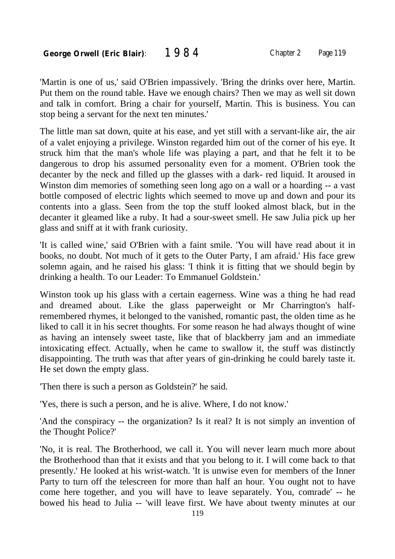'Martin is one of us,' said O'Brien impassively. 'Bring the drinks over here, Martin. Put them on the round table. Have we enough chairs? Then we may as well sit down and talk in comfort. Bring a chair for yourself, Martin. This is business. You can stop being a servant for the next ten minutes.'

The little man sat down, quite at his ease, and yet still with a servant-like air, the air of a valet enjoying a privilege. Winston regarded him out of the corner of his eye. It struck him that the man's whole life was playing a part, and that he felt it to be dangerous to drop his assumed personality even for a moment. O'Brien took the decanter by the neck and filled up the glasses with a dark- red liquid. It aroused in Winston dim memories of something seen long ago on a wall or a hoarding -- a vast bottle composed of electric lights which seemed to move up and down and pour its contents into a glass. Seen from the top the stuff looked almost black, but in the decanter it gleamed like a ruby. It had a sour-sweet smell. He saw Julia pick up her glass and sniff at it with frank curiosity.

'It is called wine,' said O'Brien with a faint smile. 'You will have read about it in books, no doubt. Not much of it gets to the Outer Party, I am afraid.' His face grew solemn again, and he raised his glass: 'I think it is fitting that we should begin by drinking a health. To our Leader: To Emmanuel Goldstein.'

Winston took up his glass with a certain eagerness. Wine was a thing he had read and dreamed about. Like the glass paperweight or Mr Charrington's halfremembered rhymes, it belonged to the vanished, romantic past, the olden time as he liked to call it in his secret thoughts. For some reason he had always thought of wine as having an intensely sweet taste, like that of blackberry jam and an immediate intoxicating effect. Actually, when he came to swallow it, the stuff was distinctly disappointing. The truth was that after years of gin-drinking he could barely taste it. He set down the empty glass.

'Then there is such a person as Goldstein?' he said.

'Yes, there is such a person, and he is alive. Where, I do not know.'

'And the conspiracy -- the organization? Is it real? It is not simply an invention of the Thought Police?'

'No, it is real. The Brotherhood, we call it. You will never learn much more about the Brotherhood than that it exists and that you belong to it. I will come back to that presently.' He looked at his wrist-watch. 'It is unwise even for members of the Inner Party to turn off the telescreen for more than half an hour. You ought not to have come here together, and you will have to leave separately. You, comrade' -- he bowed his head to Julia -- 'will leave first. We have about twenty minutes at our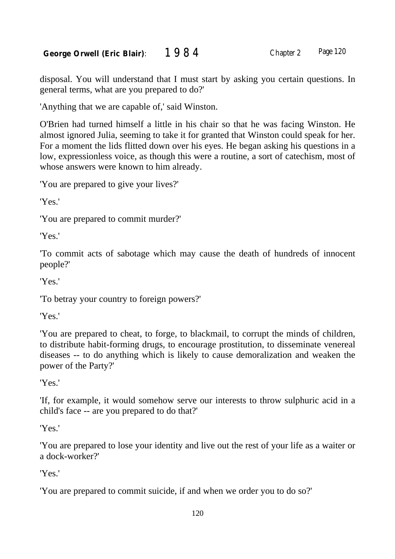# *George Orwell (Eric Blair)*: **1984** Chapter 2 Page 120

disposal. You will understand that I must start by asking you certain questions. In general terms, what are you prepared to do?'

'Anything that we are capable of,' said Winston.

O'Brien had turned himself a little in his chair so that he was facing Winston. He almost ignored Julia, seeming to take it for granted that Winston could speak for her. For a moment the lids flitted down over his eyes. He began asking his questions in a low, expressionless voice, as though this were a routine, a sort of catechism, most of whose answers were known to him already.

'You are prepared to give your lives?'

'Yes.'

'You are prepared to commit murder?'

'Yes.'

'To commit acts of sabotage which may cause the death of hundreds of innocent people?'

'Yes.'

'To betray your country to foreign powers?'

'Yes.'

'You are prepared to cheat, to forge, to blackmail, to corrupt the minds of children, to distribute habit-forming drugs, to encourage prostitution, to disseminate venereal diseases -- to do anything which is likely to cause demoralization and weaken the power of the Party?'

'Yes.'

'If, for example, it would somehow serve our interests to throw sulphuric acid in a child's face -- are you prepared to do that?'

'Yes.'

'You are prepared to lose your identity and live out the rest of your life as a waiter or a dock-worker?'

'Yes.'

'You are prepared to commit suicide, if and when we order you to do so?'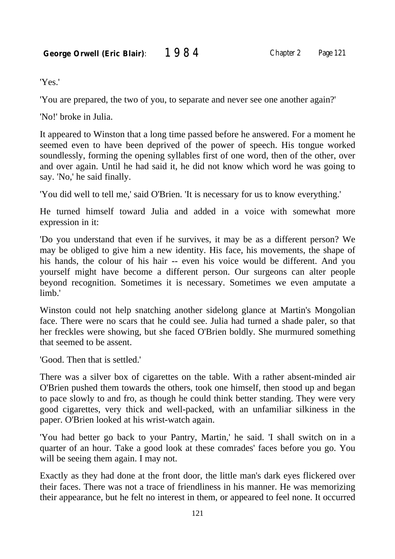'Yes.'

'You are prepared, the two of you, to separate and never see one another again?'

'No!' broke in Julia.

It appeared to Winston that a long time passed before he answered. For a moment he seemed even to have been deprived of the power of speech. His tongue worked soundlessly, forming the opening syllables first of one word, then of the other, over and over again. Until he had said it, he did not know which word he was going to say. 'No,' he said finally.

'You did well to tell me,' said O'Brien. 'It is necessary for us to know everything.'

He turned himself toward Julia and added in a voice with somewhat more expression in it:

'Do you understand that even if he survives, it may be as a different person? We may be obliged to give him a new identity. His face, his movements, the shape of his hands, the colour of his hair -- even his voice would be different. And you yourself might have become a different person. Our surgeons can alter people beyond recognition. Sometimes it is necessary. Sometimes we even amputate a limb.'

Winston could not help snatching another sidelong glance at Martin's Mongolian face. There were no scars that he could see. Julia had turned a shade paler, so that her freckles were showing, but she faced O'Brien boldly. She murmured something that seemed to be assent.

'Good. Then that is settled.'

There was a silver box of cigarettes on the table. With a rather absent-minded air O'Brien pushed them towards the others, took one himself, then stood up and began to pace slowly to and fro, as though he could think better standing. They were very good cigarettes, very thick and well-packed, with an unfamiliar silkiness in the paper. O'Brien looked at his wrist-watch again.

'You had better go back to your Pantry, Martin,' he said. 'I shall switch on in a quarter of an hour. Take a good look at these comrades' faces before you go. You will be seeing them again. I may not.

Exactly as they had done at the front door, the little man's dark eyes flickered over their faces. There was not a trace of friendliness in his manner. He was memorizing their appearance, but he felt no interest in them, or appeared to feel none. It occurred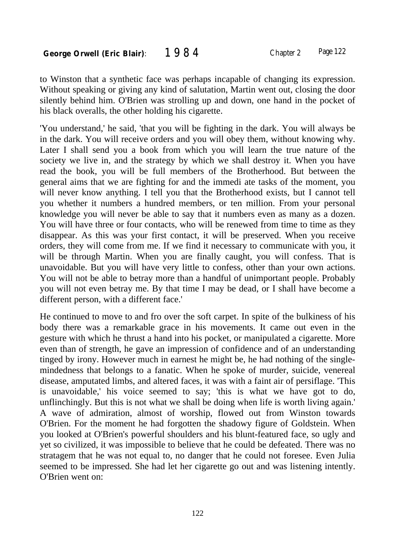to Winston that a synthetic face was perhaps incapable of changing its expression. Without speaking or giving any kind of salutation, Martin went out, closing the door silently behind him. O'Brien was strolling up and down, one hand in the pocket of his black overalls, the other holding his cigarette.

'You understand,' he said, 'that you will be fighting in the dark. You will always be in the dark. You will receive orders and you will obey them, without knowing why. Later I shall send you a book from which you will learn the true nature of the society we live in, and the strategy by which we shall destroy it. When you have read the book, you will be full members of the Brotherhood. But between the general aims that we are fighting for and the immedi ate tasks of the moment, you will never know anything. I tell you that the Brotherhood exists, but I cannot tell you whether it numbers a hundred members, or ten million. From your personal knowledge you will never be able to say that it numbers even as many as a dozen. You will have three or four contacts, who will be renewed from time to time as they disappear. As this was your first contact, it will be preserved. When you receive orders, they will come from me. If we find it necessary to communicate with you, it will be through Martin. When you are finally caught, you will confess. That is unavoidable. But you will have very little to confess, other than your own actions. You will not be able to betray more than a handful of unimportant people. Probably you will not even betray me. By that time I may be dead, or I shall have become a different person, with a different face.'

He continued to move to and fro over the soft carpet. In spite of the bulkiness of his body there was a remarkable grace in his movements. It came out even in the gesture with which he thrust a hand into his pocket, or manipulated a cigarette. More even than of strength, he gave an impression of confidence and of an understanding tinged by irony. However much in earnest he might be, he had nothing of the singlemindedness that belongs to a fanatic. When he spoke of murder, suicide, venereal disease, amputated limbs, and altered faces, it was with a faint air of persiflage. 'This is unavoidable,' his voice seemed to say; 'this is what we have got to do, unflinchingly. But this is not what we shall be doing when life is worth living again.' A wave of admiration, almost of worship, flowed out from Winston towards O'Brien. For the moment he had forgotten the shadowy figure of Goldstein. When you looked at O'Brien's powerful shoulders and his blunt-featured face, so ugly and yet so civilized, it was impossible to believe that he could be defeated. There was no stratagem that he was not equal to, no danger that he could not foresee. Even Julia seemed to be impressed. She had let her cigarette go out and was listening intently. O'Brien went on: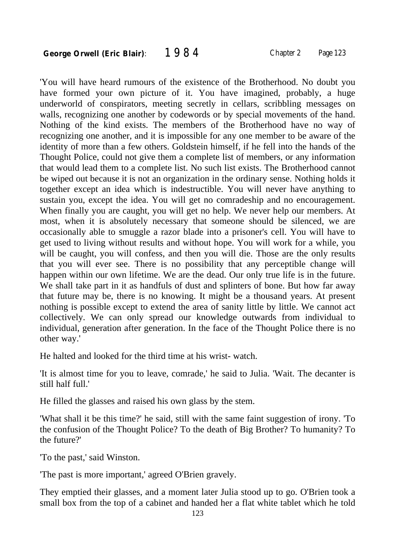'You will have heard rumours of the existence of the Brotherhood. No doubt you have formed your own picture of it. You have imagined, probably, a huge underworld of conspirators, meeting secretly in cellars, scribbling messages on walls, recognizing one another by codewords or by special movements of the hand. Nothing of the kind exists. The members of the Brotherhood have no way of recognizing one another, and it is impossible for any one member to be aware of the identity of more than a few others. Goldstein himself, if he fell into the hands of the Thought Police, could not give them a complete list of members, or any information that would lead them to a complete list. No such list exists. The Brotherhood cannot be wiped out because it is not an organization in the ordinary sense. Nothing holds it together except an idea which is indestructible. You will never have anything to sustain you, except the idea. You will get no comradeship and no encouragement. When finally you are caught, you will get no help. We never help our members. At most, when it is absolutely necessary that someone should be silenced, we are occasionally able to smuggle a razor blade into a prisoner's cell. You will have to get used to living without results and without hope. You will work for a while, you will be caught, you will confess, and then you will die. Those are the only results that you will ever see. There is no possibility that any perceptible change will happen within our own lifetime. We are the dead. Our only true life is in the future. We shall take part in it as handfuls of dust and splinters of bone. But how far away that future may be, there is no knowing. It might be a thousand years. At present nothing is possible except to extend the area of sanity little by little. We cannot act collectively. We can only spread our knowledge outwards from individual to individual, generation after generation. In the face of the Thought Police there is no other way.'

He halted and looked for the third time at his wrist- watch.

'It is almost time for you to leave, comrade,' he said to Julia. 'Wait. The decanter is still half full.'

He filled the glasses and raised his own glass by the stem.

'What shall it be this time?' he said, still with the same faint suggestion of irony. 'To the confusion of the Thought Police? To the death of Big Brother? To humanity? To the future?'

'To the past,' said Winston.

'The past is more important,' agreed O'Brien gravely.

They emptied their glasses, and a moment later Julia stood up to go. O'Brien took a small box from the top of a cabinet and handed her a flat white tablet which he told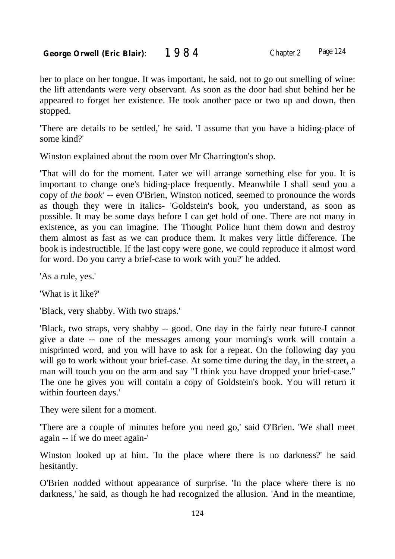### *George Orwell (Eric Blair)*: **1984** Chapter 2 Page 124

her to place on her tongue. It was important, he said, not to go out smelling of wine: the lift attendants were very observant. As soon as the door had shut behind her he appeared to forget her existence. He took another pace or two up and down, then stopped.

'There are details to be settled,' he said. 'I assume that you have a hiding-place of some kind?'

Winston explained about the room over Mr Charrington's shop.

'That will do for the moment. Later we will arrange something else for you. It is important to change one's hiding-place frequently. Meanwhile I shall send you a copy of *the book'* -- even O'Brien, Winston noticed, seemed to pronounce the words as though they were in italics- 'Goldstein's book, you understand, as soon as possible. It may be some days before I can get hold of one. There are not many in existence, as you can imagine. The Thought Police hunt them down and destroy them almost as fast as we can produce them. It makes very little difference. The book is indestructible. If the last copy were gone, we could reproduce it almost word for word. Do you carry a brief-case to work with you?' he added.

'As a rule, yes.'

'What is it like?'

'Black, very shabby. With two straps.'

'Black, two straps, very shabby -- good. One day in the fairly near future-I cannot give a date -- one of the messages among your morning's work will contain a misprinted word, and you will have to ask for a repeat. On the following day you will go to work without your brief-case. At some time during the day, in the street, a man will touch you on the arm and say "I think you have dropped your brief-case." The one he gives you will contain a copy of Goldstein's book. You will return it within fourteen days.'

They were silent for a moment.

'There are a couple of minutes before you need go,' said O'Brien. 'We shall meet again -- if we do meet again-'

Winston looked up at him. 'In the place where there is no darkness?' he said hesitantly.

O'Brien nodded without appearance of surprise. 'In the place where there is no darkness,' he said, as though he had recognized the allusion. 'And in the meantime,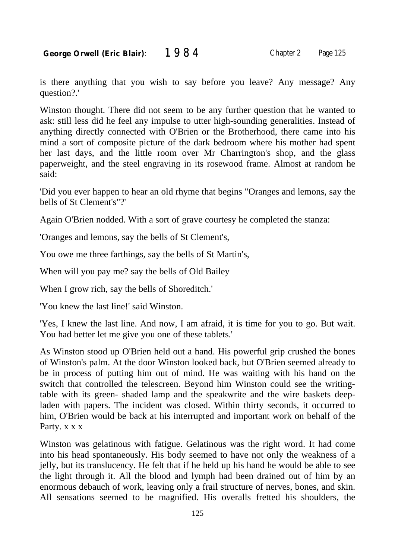### *George Orwell (Eric Blair)*: **1984** Chapter 2 Page 125

is there anything that you wish to say before you leave? Any message? Any question?.'

Winston thought. There did not seem to be any further question that he wanted to ask: still less did he feel any impulse to utter high-sounding generalities. Instead of anything directly connected with O'Brien or the Brotherhood, there came into his mind a sort of composite picture of the dark bedroom where his mother had spent her last days, and the little room over Mr Charrington's shop, and the glass paperweight, and the steel engraving in its rosewood frame. Almost at random he said:

'Did you ever happen to hear an old rhyme that begins "Oranges and lemons, say the bells of St Clement's"?'

Again O'Brien nodded. With a sort of grave courtesy he completed the stanza:

'Oranges and lemons, say the bells of St Clement's,

You owe me three farthings, say the bells of St Martin's,

When will you pay me? say the bells of Old Bailey

When I grow rich, say the bells of Shoreditch.'

'You knew the last line!' said Winston.

'Yes, I knew the last line. And now, I am afraid, it is time for you to go. But wait. You had better let me give you one of these tablets.'

As Winston stood up O'Brien held out a hand. His powerful grip crushed the bones of Winston's palm. At the door Winston looked back, but O'Brien seemed already to be in process of putting him out of mind. He was waiting with his hand on the switch that controlled the telescreen. Beyond him Winston could see the writingtable with its green- shaded lamp and the speakwrite and the wire baskets deepladen with papers. The incident was closed. Within thirty seconds, it occurred to him, O'Brien would be back at his interrupted and important work on behalf of the Party. x x x

Winston was gelatinous with fatigue. Gelatinous was the right word. It had come into his head spontaneously. His body seemed to have not only the weakness of a jelly, but its translucency. He felt that if he held up his hand he would be able to see the light through it. All the blood and lymph had been drained out of him by an enormous debauch of work, leaving only a frail structure of nerves, bones, and skin. All sensations seemed to be magnified. His overalls fretted his shoulders, the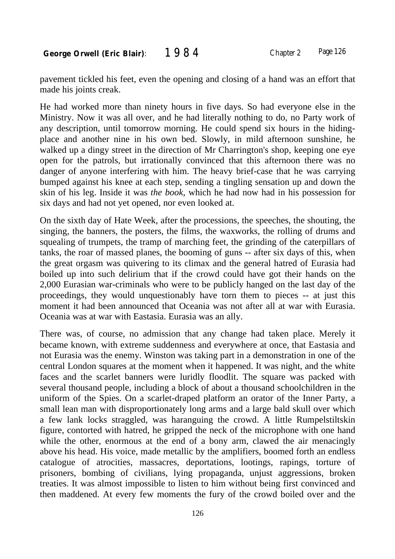pavement tickled his feet, even the opening and closing of a hand was an effort that made his joints creak.

He had worked more than ninety hours in five days. So had everyone else in the Ministry. Now it was all over, and he had literally nothing to do, no Party work of any description, until tomorrow morning. He could spend six hours in the hidingplace and another nine in his own bed. Slowly, in mild afternoon sunshine, he walked up a dingy street in the direction of Mr Charrington's shop, keeping one eye open for the patrols, but irrationally convinced that this afternoon there was no danger of anyone interfering with him. The heavy brief-case that he was carrying bumped against his knee at each step, sending a tingling sensation up and down the skin of his leg. Inside it was *the book,* which he had now had in his possession for six days and had not yet opened, nor even looked at.

On the sixth day of Hate Week, after the processions, the speeches, the shouting, the singing, the banners, the posters, the films, the waxworks, the rolling of drums and squealing of trumpets, the tramp of marching feet, the grinding of the caterpillars of tanks, the roar of massed planes, the booming of guns -- after six days of this, when the great orgasm was quivering to its climax and the general hatred of Eurasia had boiled up into such delirium that if the crowd could have got their hands on the 2,000 Eurasian war-criminals who were to be publicly hanged on the last day of the proceedings, they would unquestionably have torn them to pieces -- at just this moment it had been announced that Oceania was not after all at war with Eurasia. Oceania was at war with Eastasia. Eurasia was an ally.

There was, of course, no admission that any change had taken place. Merely it became known, with extreme suddenness and everywhere at once, that Eastasia and not Eurasia was the enemy. Winston was taking part in a demonstration in one of the central London squares at the moment when it happened. It was night, and the white faces and the scarlet banners were luridly floodlit. The square was packed with several thousand people, including a block of about a thousand schoolchildren in the uniform of the Spies. On a scarlet-draped platform an orator of the Inner Party, a small lean man with disproportionately long arms and a large bald skull over which a few lank locks straggled, was haranguing the crowd. A little Rumpelstiltskin figure, contorted with hatred, he gripped the neck of the microphone with one hand while the other, enormous at the end of a bony arm, clawed the air menacingly above his head. His voice, made metallic by the amplifiers, boomed forth an endless catalogue of atrocities, massacres, deportations, lootings, rapings, torture of prisoners, bombing of civilians, lying propaganda, unjust aggressions, broken treaties. It was almost impossible to listen to him without being first convinced and then maddened. At every few moments the fury of the crowd boiled over and the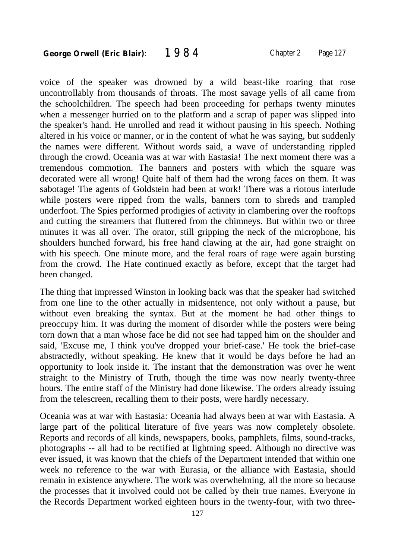voice of the speaker was drowned by a wild beast-like roaring that rose uncontrollably from thousands of throats. The most savage yells of all came from the schoolchildren. The speech had been proceeding for perhaps twenty minutes when a messenger hurried on to the platform and a scrap of paper was slipped into the speaker's hand. He unrolled and read it without pausing in his speech. Nothing altered in his voice or manner, or in the content of what he was saying, but suddenly the names were different. Without words said, a wave of understanding rippled through the crowd. Oceania was at war with Eastasia! The next moment there was a tremendous commotion. The banners and posters with which the square was decorated were all wrong! Quite half of them had the wrong faces on them. It was sabotage! The agents of Goldstein had been at work! There was a riotous interlude while posters were ripped from the walls, banners torn to shreds and trampled underfoot. The Spies performed prodigies of activity in clambering over the rooftops and cutting the streamers that fluttered from the chimneys. But within two or three minutes it was all over. The orator, still gripping the neck of the microphone, his shoulders hunched forward, his free hand clawing at the air, had gone straight on with his speech. One minute more, and the feral roars of rage were again bursting from the crowd. The Hate continued exactly as before, except that the target had been changed.

The thing that impressed Winston in looking back was that the speaker had switched from one line to the other actually in midsentence, not only without a pause, but without even breaking the syntax. But at the moment he had other things to preoccupy him. It was during the moment of disorder while the posters were being torn down that a man whose face he did not see had tapped him on the shoulder and said, 'Excuse me, I think you've dropped your brief-case.' He took the brief-case abstractedly, without speaking. He knew that it would be days before he had an opportunity to look inside it. The instant that the demonstration was over he went straight to the Ministry of Truth, though the time was now nearly twenty-three hours. The entire staff of the Ministry had done likewise. The orders already issuing from the telescreen, recalling them to their posts, were hardly necessary.

Oceania was at war with Eastasia: Oceania had always been at war with Eastasia. A large part of the political literature of five years was now completely obsolete. Reports and records of all kinds, newspapers, books, pamphlets, films, sound-tracks, photographs -- all had to be rectified at lightning speed. Although no directive was ever issued, it was known that the chiefs of the Department intended that within one week no reference to the war with Eurasia, or the alliance with Eastasia, should remain in existence anywhere. The work was overwhelming, all the more so because the processes that it involved could not be called by their true names. Everyone in the Records Department worked eighteen hours in the twenty-four, with two three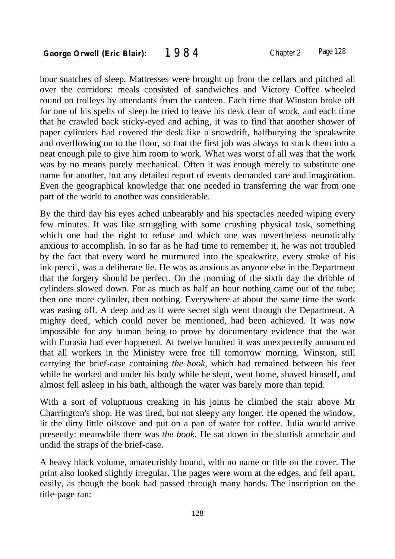hour snatches of sleep. Mattresses were brought up from the cellars and pitched all over the corridors: meals consisted of sandwiches and Victory Coffee wheeled round on trolleys by attendants from the canteen. Each time that Winston broke off for one of his spells of sleep he tried to leave his desk clear of work, and each time that he crawled back sticky-eyed and aching, it was to find that another shower of paper cylinders had covered the desk like a snowdrift, halfburying the speakwrite and overflowing on to the floor, so that the first job was always to stack them into a neat enough pile to give him room to work. What was worst of all was that the work was by no means purely mechanical. Often it was enough merely to substitute one name for another, but any detailed report of events demanded care and imagination. Even the geographical knowledge that one needed in transferring the war from one part of the world to another was considerable.

By the third day his eyes ached unbearably and his spectacles needed wiping every few minutes. It was like struggling with some crushing physical task, something which one had the right to refuse and which one was nevertheless neurotically anxious to accomplish. In so far as he had time to remember it, he was not troubled by the fact that every word he murmured into the speakwrite, every stroke of his ink-pencil, was a deliberate lie. He was as anxious as anyone else in the Department that the forgery should be perfect. On the morning of the sixth day the dribble of cylinders slowed down. For as much as half an hour nothing came out of the tube; then one more cylinder, then nothing. Everywhere at about the same time the work was easing off. A deep and as it were secret sigh went through the Department. A mighty deed, which could never be mentioned, had been achieved. It was now impossible for any human being to prove by documentary evidence that the war with Eurasia had ever happened. At twelve hundred it was unexpectedly announced that all workers in the Ministry were free till tomorrow morning. Winston, still carrying the brief-case containing *the book,* which had remained between his feet while he worked and under his body while he slept, went home, shaved himself, and almost fell asleep in his bath, although the water was barely more than tepid.

With a sort of voluptuous creaking in his joints he climbed the stair above Mr Charrington's shop. He was tired, but not sleepy any longer. He opened the window, lit the dirty little oilstove and put on a pan of water for coffee. Julia would arrive presently: meanwhile there was *the book.* He sat down in the sluttish armchair and undid the straps of the brief-case.

A heavy black volume, amateurishly bound, with no name or title on the cover. The print also looked slightly irregular. The pages were worn at the edges, and fell apart, easily, as though the book had passed through many hands. The inscription on the title-page ran: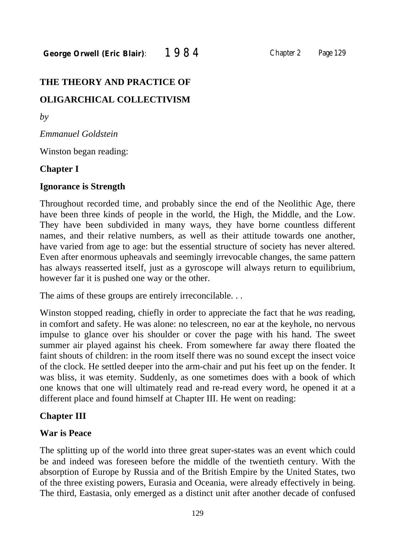### **THE THEORY AND PRACTICE OF**

### **OLIGARCHICAL COLLECTIVISM**

*by*

#### *Emmanuel Goldstein*

Winston began reading:

#### **Chapter I**

#### **Ignorance is Strength**

Throughout recorded time, and probably since the end of the Neolithic Age, there have been three kinds of people in the world, the High, the Middle, and the Low. They have been subdivided in many ways, they have borne countless different names, and their relative numbers, as well as their attitude towards one another, have varied from age to age: but the essential structure of society has never altered. Even after enormous upheavals and seemingly irrevocable changes, the same pattern has always reasserted itself, just as a gyroscope will always return to equilibrium, however far it is pushed one way or the other.

The aims of these groups are entirely irreconcilable...

Winston stopped reading, chiefly in order to appreciate the fact that he *was* reading, in comfort and safety. He was alone: no telescreen, no ear at the keyhole, no nervous impulse to glance over his shoulder or cover the page with his hand. The sweet summer air played against his cheek. From somewhere far away there floated the faint shouts of children: in the room itself there was no sound except the insect voice of the clock. He settled deeper into the arm-chair and put his feet up on the fender. It was bliss, it was etemity. Suddenly, as one sometimes does with a book of which one knows that one will ultimately read and re-read every word, he opened it at a different place and found himself at Chapter III. He went on reading:

### **Chapter III**

#### **War is Peace**

The splitting up of the world into three great super-states was an event which could be and indeed was foreseen before the middle of the twentieth century. With the absorption of Europe by Russia and of the British Empire by the United States, two of the three existing powers, Eurasia and Oceania, were already effectively in being. The third, Eastasia, only emerged as a distinct unit after another decade of confused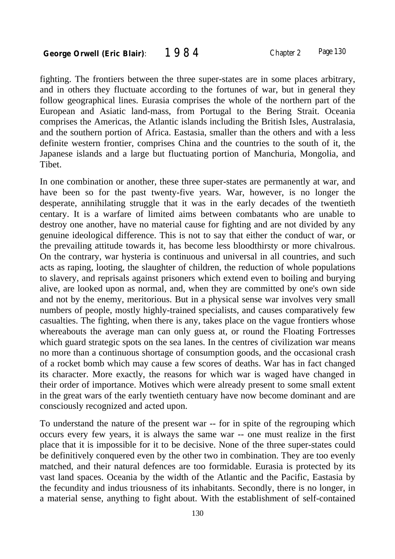fighting. The frontiers between the three super-states are in some places arbitrary, and in others they fluctuate according to the fortunes of war, but in general they follow geographical lines. Eurasia comprises the whole of the northern part of the European and Asiatic land-mass, from Portugal to the Bering Strait. Oceania comprises the Americas, the Atlantic islands including the British Isles, Australasia, and the southern portion of Africa. Eastasia, smaller than the others and with a less definite western frontier, comprises China and the countries to the south of it, the Japanese islands and a large but fluctuating portion of Manchuria, Mongolia, and Tibet.

In one combination or another, these three super-states are permanently at war, and have been so for the past twenty-five years. War, however, is no longer the desperate, annihilating struggle that it was in the early decades of the twentieth centary. It is a warfare of limited aims between combatants who are unable to destroy one another, have no material cause for fighting and are not divided by any genuine ideological difference. This is not to say that either the conduct of war, or the prevailing attitude towards it, has become less bloodthirsty or more chivalrous. On the contrary, war hysteria is continuous and universal in all countries, and such acts as raping, looting, the slaughter of children, the reduction of whole populations to slavery, and reprisals against prisoners which extend even to boiling and burying alive, are looked upon as normal, and, when they are committed by one's own side and not by the enemy, meritorious. But in a physical sense war involves very small numbers of people, mostly highly-trained specialists, and causes comparatively few casualties. The fighting, when there is any, takes place on the vague frontiers whose whereabouts the average man can only guess at, or round the Floating Fortresses which guard strategic spots on the sea lanes. In the centres of civilization war means no more than a continuous shortage of consumption goods, and the occasional crash of a rocket bomb which may cause a few scores of deaths. War has in fact changed its character. More exactly, the reasons for which war is waged have changed in their order of importance. Motives which were already present to some small extent in the great wars of the early twentieth centuary have now become dominant and are consciously recognized and acted upon.

To understand the nature of the present war -- for in spite of the regrouping which occurs every few years, it is always the same war -- one must realize in the first place that it is impossible for it to be decisive. None of the three super-states could be definitively conquered even by the other two in combination. They are too evenly matched, and their natural defences are too formidable. Eurasia is protected by its vast land spaces. Oceania by the width of the Atlantic and the Pacific, Eastasia by the fecundity and indus triousness of its inhabitants. Secondly, there is no longer, in a material sense, anything to fight about. With the establishment of self-contained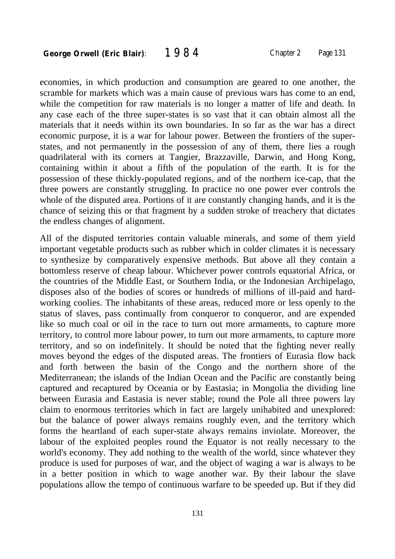economies, in which production and consumption are geared to one another, the scramble for markets which was a main cause of previous wars has come to an end, while the competition for raw materials is no longer a matter of life and death. In any case each of the three super-states is so vast that it can obtain almost all the materials that it needs within its own boundaries. In so far as the war has a direct economic purpose, it is a war for labour power. Between the frontiers of the superstates, and not permanently in the possession of any of them, there lies a rough quadrilateral with its corners at Tangier, Brazzaville, Darwin, and Hong Kong, containing within it about a fifth of the population of the earth. It is for the possession of these thickly-populated regions, and of the northern ice-cap, that the three powers are constantly struggling. In practice no one power ever controls the whole of the disputed area. Portions of it are constantly changing hands, and it is the chance of seizing this or that fragment by a sudden stroke of treachery that dictates the endless changes of alignment.

All of the disputed territories contain valuable minerals, and some of them yield important vegetable products such as rubber which in colder climates it is necessary to synthesize by comparatively expensive methods. But above all they contain a bottomless reserve of cheap labour. Whichever power controls equatorial Africa, or the countries of the Middle East, or Southern India, or the Indonesian Archipelago, disposes also of the bodies of scores or hundreds of millions of ill-paid and hardworking coolies. The inhabitants of these areas, reduced more or less openly to the status of slaves, pass continually from conqueror to conqueror, and are expended like so much coal or oil in the race to turn out more armaments, to capture more territory, to control more labour power, to turn out more armaments, to capture more territory, and so on indefinitely. It should be noted that the fighting never really moves beyond the edges of the disputed areas. The frontiers of Eurasia flow back and forth between the basin of the Congo and the northern shore of the Mediterranean; the islands of the Indian Ocean and the Pacific are constantly being captured and recaptured by Oceania or by Eastasia; in Mongolia the dividing line between Eurasia and Eastasia is never stable; round the Pole all three powers lay claim to enormous territories which in fact are largely unihabited and unexplored: but the balance of power always remains roughly even, and the territory which forms the heartland of each super-state always remains inviolate. Moreover, the labour of the exploited peoples round the Equator is not really necessary to the world's economy. They add nothing to the wealth of the world, since whatever they produce is used for purposes of war, and the object of waging a war is always to be in a better position in which to wage another war. By their labour the slave populations allow the tempo of continuous warfare to be speeded up. But if they did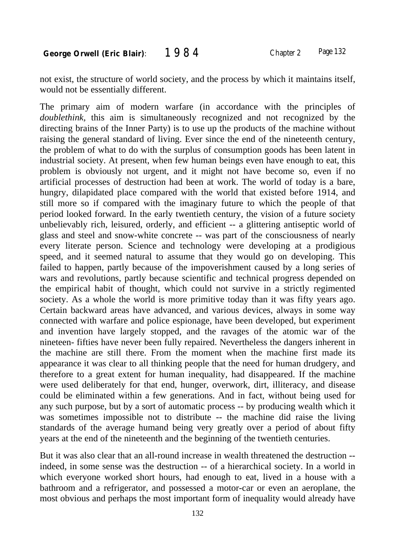not exist, the structure of world society, and the process by which it maintains itself, would not be essentially different.

The primary aim of modern warfare (in accordance with the principles of *doublethink,* this aim is simultaneously recognized and not recognized by the directing brains of the Inner Party) is to use up the products of the machine without raising the general standard of living. Ever since the end of the nineteenth century, the problem of what to do with the surplus of consumption goods has been latent in industrial society. At present, when few human beings even have enough to eat, this problem is obviously not urgent, and it might not have become so, even if no artificial processes of destruction had been at work. The world of today is a bare, hungry, dilapidated place compared with the world that existed before 1914, and still more so if compared with the imaginary future to which the people of that period looked forward. In the early twentieth century, the vision of a future society unbelievably rich, leisured, orderly, and efficient -- a glittering antiseptic world of glass and steel and snow-white concrete -- was part of the consciousness of nearly every literate person. Science and technology were developing at a prodigious speed, and it seemed natural to assume that they would go on developing. This failed to happen, partly because of the impoverishment caused by a long series of wars and revolutions, partly because scientific and technical progress depended on the empirical habit of thought, which could not survive in a strictly regimented society. As a whole the world is more primitive today than it was fifty years ago. Certain backward areas have advanced, and various devices, always in some way connected with warfare and police espionage, have been developed, but experiment and invention have largely stopped, and the ravages of the atomic war of the nineteen- fifties have never been fully repaired. Nevertheless the dangers inherent in the machine are still there. From the moment when the machine first made its appearance it was clear to all thinking people that the need for human drudgery, and therefore to a great extent for human inequality, had disappeared. If the machine were used deliberately for that end, hunger, overwork, dirt, illiteracy, and disease could be eliminated within a few generations. And in fact, without being used for any such purpose, but by a sort of automatic process -- by producing wealth which it was sometimes impossible not to distribute -- the machine did raise the living standards of the average humand being very greatly over a period of about fifty years at the end of the nineteenth and the beginning of the twentieth centuries.

But it was also clear that an all-round increase in wealth threatened the destruction - indeed, in some sense was the destruction -- of a hierarchical society. In a world in which everyone worked short hours, had enough to eat, lived in a house with a bathroom and a refrigerator, and possessed a motor-car or even an aeroplane, the most obvious and perhaps the most important form of inequality would already have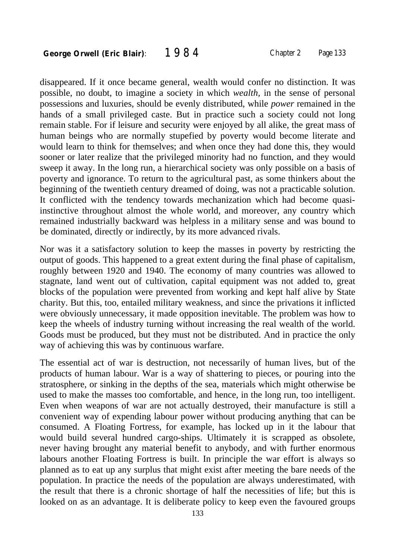disappeared. If it once became general, wealth would confer no distinction. It was possible, no doubt, to imagine a society in which *wealth,* in the sense of personal possessions and luxuries, should be evenly distributed, while *power* remained in the hands of a small privileged caste. But in practice such a society could not long remain stable. For if leisure and security were enjoyed by all alike, the great mass of human beings who are normally stupefied by poverty would become literate and would learn to think for themselves; and when once they had done this, they would sooner or later realize that the privileged minority had no function, and they would sweep it away. In the long run, a hierarchical society was only possible on a basis of poverty and ignorance. To return to the agricultural past, as some thinkers about the beginning of the twentieth century dreamed of doing, was not a practicable solution. It conflicted with the tendency towards mechanization which had become quasiinstinctive throughout almost the whole world, and moreover, any country which remained industrially backward was helpless in a military sense and was bound to be dominated, directly or indirectly, by its more advanced rivals.

Nor was it a satisfactory solution to keep the masses in poverty by restricting the output of goods. This happened to a great extent during the final phase of capitalism, roughly between 1920 and 1940. The economy of many countries was allowed to stagnate, land went out of cultivation, capital equipment was not added to, great blocks of the population were prevented from working and kept half alive by State charity. But this, too, entailed military weakness, and since the privations it inflicted were obviously unnecessary, it made opposition inevitable. The problem was how to keep the wheels of industry turning without increasing the real wealth of the world. Goods must be produced, but they must not be distributed. And in practice the only way of achieving this was by continuous warfare.

The essential act of war is destruction, not necessarily of human lives, but of the products of human labour. War is a way of shattering to pieces, or pouring into the stratosphere, or sinking in the depths of the sea, materials which might otherwise be used to make the masses too comfortable, and hence, in the long run, too intelligent. Even when weapons of war are not actually destroyed, their manufacture is still a convenient way of expending labour power without producing anything that can be consumed. A Floating Fortress, for example, has locked up in it the labour that would build several hundred cargo-ships. Ultimately it is scrapped as obsolete, never having brought any material benefit to anybody, and with further enormous labours another Floating Fortress is built. In principle the war effort is always so planned as to eat up any surplus that might exist after meeting the bare needs of the population. In practice the needs of the population are always underestimated, with the result that there is a chronic shortage of half the necessities of life; but this is looked on as an advantage. It is deliberate policy to keep even the favoured groups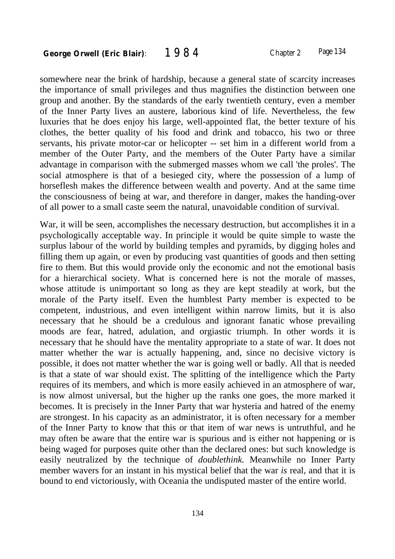somewhere near the brink of hardship, because a general state of scarcity increases the importance of small privileges and thus magnifies the distinction between one group and another. By the standards of the early twentieth century, even a member of the Inner Party lives an austere, laborious kind of life. Nevertheless, the few luxuries that he does enjoy his large, well-appointed flat, the better texture of his clothes, the better quality of his food and drink and tobacco, his two or three servants, his private motor-car or helicopter -- set him in a different world from a member of the Outer Party, and the members of the Outer Party have a similar advantage in comparison with the submerged masses whom we call 'the proles'. The social atmosphere is that of a besieged city, where the possession of a lump of horseflesh makes the difference between wealth and poverty. And at the same time the consciousness of being at war, and therefore in danger, makes the handing-over of all power to a small caste seem the natural, unavoidable condition of survival.

War, it will be seen, accomplishes the necessary destruction, but accomplishes it in a psychologically acceptable way. In principle it would be quite simple to waste the surplus labour of the world by building temples and pyramids, by digging holes and filling them up again, or even by producing vast quantities of goods and then setting fire to them. But this would provide only the economic and not the emotional basis for a hierarchical society. What is concerned here is not the morale of masses, whose attitude is unimportant so long as they are kept steadily at work, but the morale of the Party itself. Even the humblest Party member is expected to be competent, industrious, and even intelligent within narrow limits, but it is also necessary that he should be a credulous and ignorant fanatic whose prevailing moods are fear, hatred, adulation, and orgiastic triumph. In other words it is necessary that he should have the mentality appropriate to a state of war. It does not matter whether the war is actually happening, and, since no decisive victory is possible, it does not matter whether the war is going well or badly. All that is needed is that a state of war should exist. The splitting of the intelligence which the Party requires of its members, and which is more easily achieved in an atmosphere of war, is now almost universal, but the higher up the ranks one goes, the more marked it becomes. It is precisely in the Inner Party that war hysteria and hatred of the enemy are strongest. In his capacity as an administrator, it is often necessary for a member of the Inner Party to know that this or that item of war news is untruthful, and he may often be aware that the entire war is spurious and is either not happening or is being waged for purposes quite other than the declared ones: but such knowledge is easily neutralized by the technique of *doublethink.* Meanwhile no Inner Party member wavers for an instant in his mystical belief that the war *is* real, and that it is bound to end victoriously, with Oceania the undisputed master of the entire world.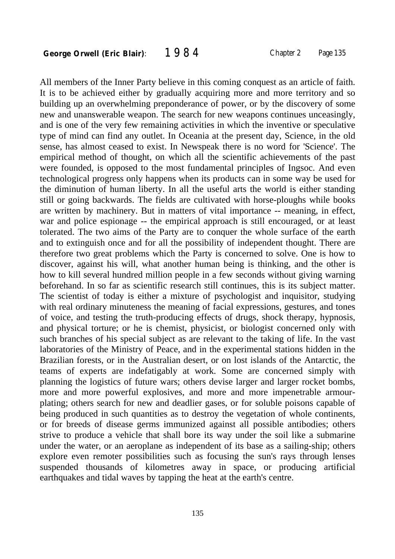All members of the Inner Party believe in this coming conquest as an article of faith. It is to be achieved either by gradually acquiring more and more territory and so building up an overwhelming preponderance of power, or by the discovery of some new and unanswerable weapon. The search for new weapons continues unceasingly, and is one of the very few remaining activities in which the inventive or speculative type of mind can find any outlet. In Oceania at the present day, Science, in the old sense, has almost ceased to exist. In Newspeak there is no word for 'Science'. The empirical method of thought, on which all the scientific achievements of the past were founded, is opposed to the most fundamental principles of Ingsoc. And even technological progress only happens when its products can in some way be used for the diminution of human liberty. In all the useful arts the world is either standing still or going backwards. The fields are cultivated with horse-ploughs while books are written by machinery. But in matters of vital importance -- meaning, in effect, war and police espionage -- the empirical approach is still encouraged, or at least tolerated. The two aims of the Party are to conquer the whole surface of the earth and to extinguish once and for all the possibility of independent thought. There are therefore two great problems which the Party is concerned to solve. One is how to discover, against his will, what another human being is thinking, and the other is how to kill several hundred million people in a few seconds without giving warning beforehand. In so far as scientific research still continues, this is its subject matter. The scientist of today is either a mixture of psychologist and inquisitor, studying with real ordinary minuteness the meaning of facial expressions, gestures, and tones of voice, and testing the truth-producing effects of drugs, shock therapy, hypnosis, and physical torture; or he is chemist, physicist, or biologist concerned only with such branches of his special subject as are relevant to the taking of life. In the vast laboratories of the Ministry of Peace, and in the experimental stations hidden in the Brazilian forests, or in the Australian desert, or on lost islands of the Antarctic, the teams of experts are indefatigably at work. Some are concerned simply with planning the logistics of future wars; others devise larger and larger rocket bombs, more and more powerful explosives, and more and more impenetrable armourplating; others search for new and deadlier gases, or for soluble poisons capable of being produced in such quantities as to destroy the vegetation of whole continents, or for breeds of disease germs immunized against all possible antibodies; others strive to produce a vehicle that shall bore its way under the soil like a submarine under the water, or an aeroplane as independent of its base as a sailing-ship; others explore even remoter possibilities such as focusing the sun's rays through lenses suspended thousands of kilometres away in space, or producing artificial earthquakes and tidal waves by tapping the heat at the earth's centre.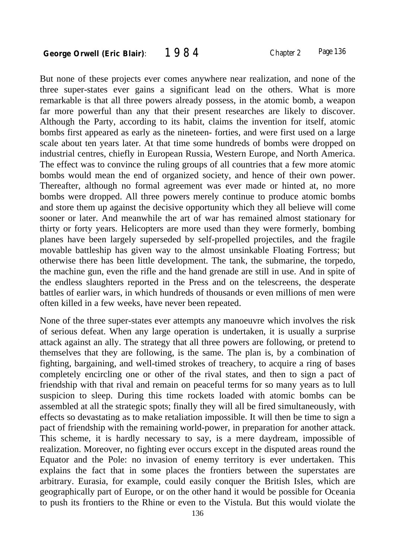But none of these projects ever comes anywhere near realization, and none of the three super-states ever gains a significant lead on the others. What is more remarkable is that all three powers already possess, in the atomic bomb, a weapon far more powerful than any that their present researches are likely to discover. Although the Party, according to its habit, claims the invention for itself, atomic bombs first appeared as early as the nineteen- forties, and were first used on a large scale about ten years later. At that time some hundreds of bombs were dropped on industrial centres, chiefly in European Russia, Western Europe, and North America. The effect was to convince the ruling groups of all countries that a few more atomic bombs would mean the end of organized society, and hence of their own power. Thereafter, although no formal agreement was ever made or hinted at, no more bombs were dropped. All three powers merely continue to produce atomic bombs and store them up against the decisive opportunity which they all believe will come sooner or later. And meanwhile the art of war has remained almost stationary for thirty or forty years. Helicopters are more used than they were formerly, bombing planes have been largely superseded by self-propelled projectiles, and the fragile movable battleship has given way to the almost unsinkable Floating Fortress; but otherwise there has been little development. The tank, the submarine, the torpedo, the machine gun, even the rifle and the hand grenade are still in use. And in spite of the endless slaughters reported in the Press and on the telescreens, the desperate battles of earlier wars, in which hundreds of thousands or even millions of men were often killed in a few weeks, have never been repeated.

None of the three super-states ever attempts any manoeuvre which involves the risk of serious defeat. When any large operation is undertaken, it is usually a surprise attack against an ally. The strategy that all three powers are following, or pretend to themselves that they are following, is the same. The plan is, by a combination of fighting, bargaining, and well-timed strokes of treachery, to acquire a ring of bases completely encircling one or other of the rival states, and then to sign a pact of friendship with that rival and remain on peaceful terms for so many years as to lull suspicion to sleep. During this time rockets loaded with atomic bombs can be assembled at all the strategic spots; finally they will all be fired simultaneously, with effects so devastating as to make retaliation impossible. It will then be time to sign a pact of friendship with the remaining world-power, in preparation for another attack. This scheme, it is hardly necessary to say, is a mere daydream, impossible of realization. Moreover, no fighting ever occurs except in the disputed areas round the Equator and the Pole: no invasion of enemy territory is ever undertaken. This explains the fact that in some places the frontiers between the superstates are arbitrary. Eurasia, for example, could easily conquer the British Isles, which are geographically part of Europe, or on the other hand it would be possible for Oceania to push its frontiers to the Rhine or even to the Vistula. But this would violate the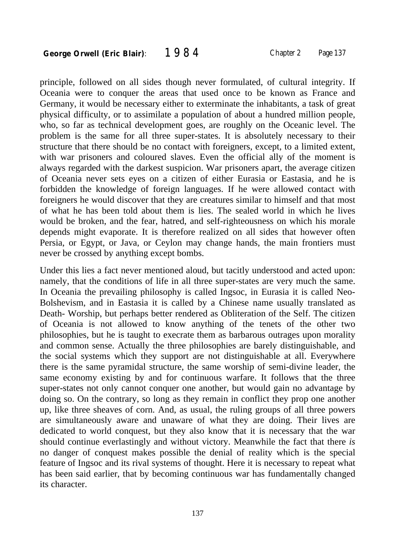principle, followed on all sides though never formulated, of cultural integrity. If Oceania were to conquer the areas that used once to be known as France and Germany, it would be necessary either to exterminate the inhabitants, a task of great physical difficulty, or to assimilate a population of about a hundred million people, who, so far as technical development goes, are roughly on the Oceanic level. The problem is the same for all three super-states. It is absolutely necessary to their structure that there should be no contact with foreigners, except, to a limited extent, with war prisoners and coloured slaves. Even the official ally of the moment is always regarded with the darkest suspicion. War prisoners apart, the average citizen of Oceania never sets eyes on a citizen of either Eurasia or Eastasia, and he is forbidden the knowledge of foreign languages. If he were allowed contact with foreigners he would discover that they are creatures similar to himself and that most of what he has been told about them is lies. The sealed world in which he lives would be broken, and the fear, hatred, and self-righteousness on which his morale depends might evaporate. It is therefore realized on all sides that however often Persia, or Egypt, or Java, or Ceylon may change hands, the main frontiers must never be crossed by anything except bombs.

Under this lies a fact never mentioned aloud, but tacitly understood and acted upon: namely, that the conditions of life in all three super-states are very much the same. In Oceania the prevailing philosophy is called Ingsoc, in Eurasia it is called Neo-Bolshevism, and in Eastasia it is called by a Chinese name usually translated as Death- Worship, but perhaps better rendered as Obliteration of the Self. The citizen of Oceania is not allowed to know anything of the tenets of the other two philosophies, but he is taught to execrate them as barbarous outrages upon morality and common sense. Actually the three philosophies are barely distinguishable, and the social systems which they support are not distinguishable at all. Everywhere there is the same pyramidal structure, the same worship of semi-divine leader, the same economy existing by and for continuous warfare. It follows that the three super-states not only cannot conquer one another, but would gain no advantage by doing so. On the contrary, so long as they remain in conflict they prop one another up, like three sheaves of corn. And, as usual, the ruling groups of all three powers are simultaneously aware and unaware of what they are doing. Their lives are dedicated to world conquest, but they also know that it is necessary that the war should continue everlastingly and without victory. Meanwhile the fact that there *is* no danger of conquest makes possible the denial of reality which is the special feature of Ingsoc and its rival systems of thought. Here it is necessary to repeat what has been said earlier, that by becoming continuous war has fundamentally changed its character.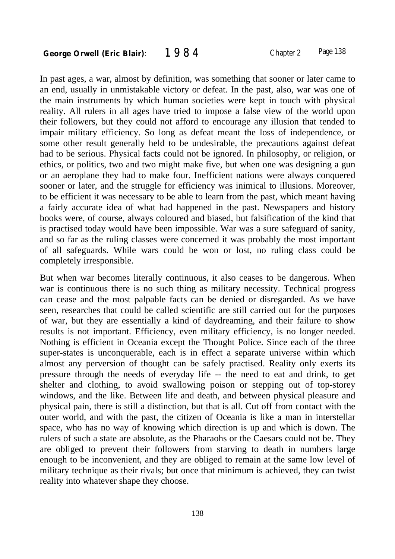In past ages, a war, almost by definition, was something that sooner or later came to an end, usually in unmistakable victory or defeat. In the past, also, war was one of the main instruments by which human societies were kept in touch with physical reality. All rulers in all ages have tried to impose a false view of the world upon their followers, but they could not afford to encourage any illusion that tended to impair military efficiency. So long as defeat meant the loss of independence, or some other result generally held to be undesirable, the precautions against defeat had to be serious. Physical facts could not be ignored. In philosophy, or religion, or ethics, or politics, two and two might make five, but when one was designing a gun or an aeroplane they had to make four. Inefficient nations were always conquered sooner or later, and the struggle for efficiency was inimical to illusions. Moreover, to be efficient it was necessary to be able to learn from the past, which meant having a fairly accurate idea of what had happened in the past. Newspapers and history books were, of course, always coloured and biased, but falsification of the kind that is practised today would have been impossible. War was a sure safeguard of sanity, and so far as the ruling classes were concerned it was probably the most important of all safeguards. While wars could be won or lost, no ruling class could be completely irresponsible.

But when war becomes literally continuous, it also ceases to be dangerous. When war is continuous there is no such thing as military necessity. Technical progress can cease and the most palpable facts can be denied or disregarded. As we have seen, researches that could be called scientific are still carried out for the purposes of war, but they are essentially a kind of daydreaming, and their failure to show results is not important. Efficiency, even military efficiency, is no longer needed. Nothing is efficient in Oceania except the Thought Police. Since each of the three super-states is unconquerable, each is in effect a separate universe within which almost any perversion of thought can be safely practised. Reality only exerts its pressure through the needs of everyday life -- the need to eat and drink, to get shelter and clothing, to avoid swallowing poison or stepping out of top-storey windows, and the like. Between life and death, and between physical pleasure and physical pain, there is still a distinction, but that is all. Cut off from contact with the outer world, and with the past, the citizen of Oceania is like a man in interstellar space, who has no way of knowing which direction is up and which is down. The rulers of such a state are absolute, as the Pharaohs or the Caesars could not be. They are obliged to prevent their followers from starving to death in numbers large enough to be inconvenient, and they are obliged to remain at the same low level of military technique as their rivals; but once that minimum is achieved, they can twist reality into whatever shape they choose.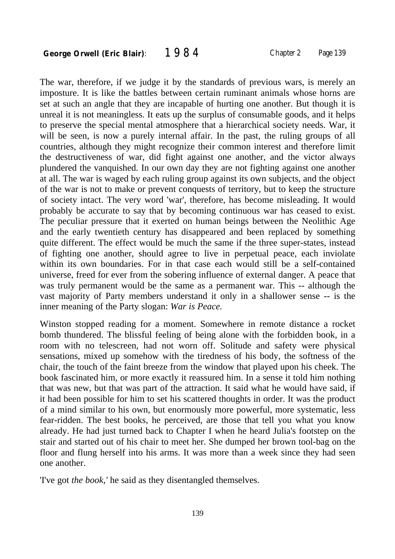The war, therefore, if we judge it by the standards of previous wars, is merely an imposture. It is like the battles between certain ruminant animals whose horns are set at such an angle that they are incapable of hurting one another. But though it is unreal it is not meaningless. It eats up the surplus of consumable goods, and it helps to preserve the special mental atmosphere that a hierarchical society needs. War, it will be seen, is now a purely internal affair. In the past, the ruling groups of all countries, although they might recognize their common interest and therefore limit the destructiveness of war, did fight against one another, and the victor always plundered the vanquished. In our own day they are not fighting against one another at all. The war is waged by each ruling group against its own subjects, and the object of the war is not to make or prevent conquests of territory, but to keep the structure of society intact. The very word 'war', therefore, has become misleading. It would probably be accurate to say that by becoming continuous war has ceased to exist. The peculiar pressure that it exerted on human beings between the Neolithic Age and the early twentieth century has disappeared and been replaced by something quite different. The effect would be much the same if the three super-states, instead of fighting one another, should agree to live in perpetual peace, each inviolate within its own boundaries. For in that case each would still be a self-contained universe, freed for ever from the sobering influence of external danger. A peace that was truly permanent would be the same as a permanent war. This -- although the vast majority of Party members understand it only in a shallower sense -- is the inner meaning of the Party slogan: *War is Peace.*

Winston stopped reading for a moment. Somewhere in remote distance a rocket bomb thundered. The blissful feeling of being alone with the forbidden book, in a room with no telescreen, had not worn off. Solitude and safety were physical sensations, mixed up somehow with the tiredness of his body, the softness of the chair, the touch of the faint breeze from the window that played upon his cheek. The book fascinated him, or more exactly it reassured him. In a sense it told him nothing that was new, but that was part of the attraction. It said what he would have said, if it had been possible for him to set his scattered thoughts in order. It was the product of a mind similar to his own, but enormously more powerful, more systematic, less fear-ridden. The best books, he perceived, are those that tell you what you know already. He had just turned back to Chapter I when he heard Julia's footstep on the stair and started out of his chair to meet her. She dumped her brown tool-bag on the floor and flung herself into his arms. It was more than a week since they had seen one another.

'I've got *the book,'* he said as they disentangled themselves.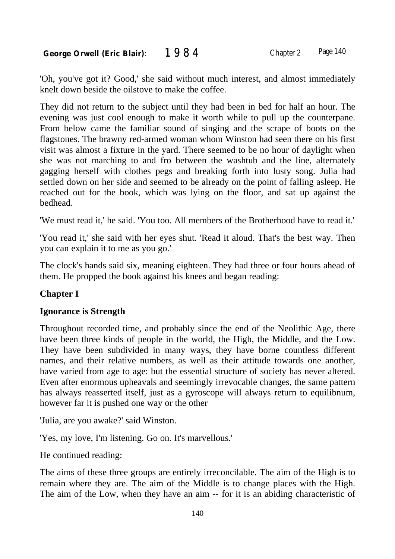'Oh, you've got it? Good,' she said without much interest, and almost immediately knelt down beside the oilstove to make the coffee.

They did not return to the subject until they had been in bed for half an hour. The evening was just cool enough to make it worth while to pull up the counterpane. From below came the familiar sound of singing and the scrape of boots on the flagstones. The brawny red-armed woman whom Winston had seen there on his first visit was almost a fixture in the yard. There seemed to be no hour of daylight when she was not marching to and fro between the washtub and the line, alternately gagging herself with clothes pegs and breaking forth into lusty song. Julia had settled down on her side and seemed to be already on the point of falling asleep. He reached out for the book, which was lying on the floor, and sat up against the bedhead.

'We must read it,' he said. 'You too. All members of the Brotherhood have to read it.'

'You read it,' she said with her eyes shut. 'Read it aloud. That's the best way. Then you can explain it to me as you go.'

The clock's hands said six, meaning eighteen. They had three or four hours ahead of them. He propped the book against his knees and began reading:

# **Chapter I**

# **Ignorance is Strength**

Throughout recorded time, and probably since the end of the Neolithic Age, there have been three kinds of people in the world, the High, the Middle, and the Low. They have been subdivided in many ways, they have borne countless different names, and their relative numbers, as well as their attitude towards one another, have varied from age to age: but the essential structure of society has never altered. Even after enormous upheavals and seemingly irrevocable changes, the same pattern has always reasserted itself, just as a gyroscope will always return to equilibnum, however far it is pushed one way or the other

'Julia, are you awake?' said Winston.

'Yes, my love, I'm listening. Go on. It's marvellous.'

He continued reading:

The aims of these three groups are entirely irreconcilable. The aim of the High is to remain where they are. The aim of the Middle is to change places with the High. The aim of the Low, when they have an aim -- for it is an abiding characteristic of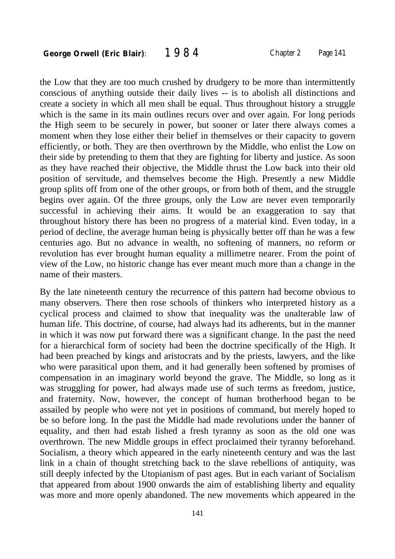the Low that they are too much crushed by drudgery to be more than intermittently conscious of anything outside their daily lives -- is to abolish all distinctions and create a society in which all men shall be equal. Thus throughout history a struggle which is the same in its main outlines recurs over and over again. For long periods the High seem to be securely in power, but sooner or later there always comes a moment when they lose either their belief in themselves or their capacity to govern efficiently, or both. They are then overthrown by the Middle, who enlist the Low on their side by pretending to them that they are fighting for liberty and justice. As soon as they have reached their objective, the Middle thrust the Low back into their old position of servitude, and themselves become the High. Presently a new Middle group splits off from one of the other groups, or from both of them, and the struggle begins over again. Of the three groups, only the Low are never even temporarily successful in achieving their aims. It would be an exaggeration to say that throughout history there has been no progress of a material kind. Even today, in a period of decline, the average human being is physically better off than he was a few centuries ago. But no advance in wealth, no softening of manners, no reform or revolution has ever brought human equality a millimetre nearer. From the point of view of the Low, no historic change has ever meant much more than a change in the name of their masters.

By the late nineteenth century the recurrence of this pattern had become obvious to many observers. There then rose schools of thinkers who interpreted history as a cyclical process and claimed to show that inequality was the unalterable law of human life. This doctrine, of course, had always had its adherents, but in the manner in which it was now put forward there was a significant change. In the past the need for a hierarchical form of society had been the doctrine specifically of the High. It had been preached by kings and aristocrats and by the priests, lawyers, and the like who were parasitical upon them, and it had generally been softened by promises of compensation in an imaginary world beyond the grave. The Middle, so long as it was struggling for power, had always made use of such terms as freedom, justice, and fraternity. Now, however, the concept of human brotherhood began to be assailed by people who were not yet in positions of command, but merely hoped to be so before long. In the past the Middle had made revolutions under the banner of equality, and then had estab lished a fresh tyranny as soon as the old one was overthrown. The new Middle groups in effect proclaimed their tyranny beforehand. Socialism, a theory which appeared in the early nineteenth century and was the last link in a chain of thought stretching back to the slave rebellions of antiquity, was still deeply infected by the Utopianism of past ages. But in each variant of Socialism that appeared from about 1900 onwards the aim of establishing liberty and equality was more and more openly abandoned. The new movements which appeared in the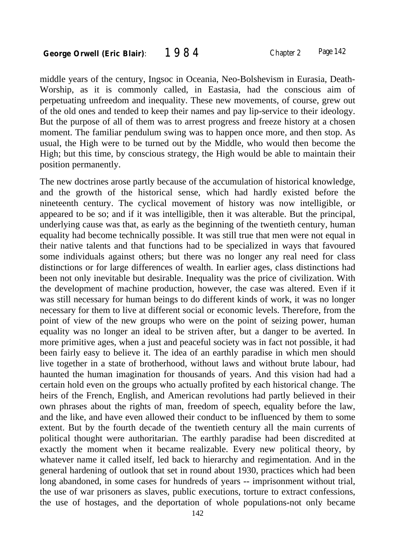middle years of the century, Ingsoc in Oceania, Neo-Bolshevism in Eurasia, Death-Worship, as it is commonly called, in Eastasia, had the conscious aim of perpetuating unfreedom and inequality. These new movements, of course, grew out of the old ones and tended to keep their names and pay lip-service to their ideology. But the purpose of all of them was to arrest progress and freeze history at a chosen moment. The familiar pendulum swing was to happen once more, and then stop. As usual, the High were to be turned out by the Middle, who would then become the High; but this time, by conscious strategy, the High would be able to maintain their position permanently.

The new doctrines arose partly because of the accumulation of historical knowledge, and the growth of the historical sense, which had hardly existed before the nineteenth century. The cyclical movement of history was now intelligible, or appeared to be so; and if it was intelligible, then it was alterable. But the principal, underlying cause was that, as early as the beginning of the twentieth century, human equality had become technically possible. It was still true that men were not equal in their native talents and that functions had to be specialized in ways that favoured some individuals against others; but there was no longer any real need for class distinctions or for large differences of wealth. In earlier ages, class distinctions had been not only inevitable but desirable. Inequality was the price of civilization. With the development of machine production, however, the case was altered. Even if it was still necessary for human beings to do different kinds of work, it was no longer necessary for them to live at different social or economic levels. Therefore, from the point of view of the new groups who were on the point of seizing power, human equality was no longer an ideal to be striven after, but a danger to be averted. In more primitive ages, when a just and peaceful society was in fact not possible, it had been fairly easy to believe it. The idea of an earthly paradise in which men should live together in a state of brotherhood, without laws and without brute labour, had haunted the human imagination for thousands of years. And this vision had had a certain hold even on the groups who actually profited by each historical change. The heirs of the French, English, and American revolutions had partly believed in their own phrases about the rights of man, freedom of speech, equality before the law, and the like, and have even allowed their conduct to be influenced by them to some extent. But by the fourth decade of the twentieth century all the main currents of political thought were authoritarian. The earthly paradise had been discredited at exactly the moment when it became realizable. Every new political theory, by whatever name it called itself, led back to hierarchy and regimentation. And in the general hardening of outlook that set in round about 1930, practices which had been long abandoned, in some cases for hundreds of years -- imprisonment without trial, the use of war prisoners as slaves, public executions, torture to extract confessions, the use of hostages, and the deportation of whole populations-not only became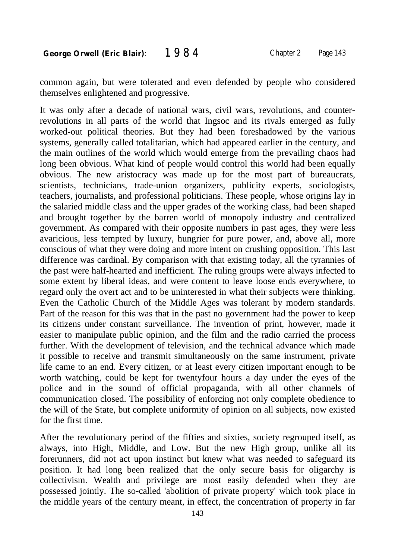common again, but were tolerated and even defended by people who considered themselves enlightened and progressive.

It was only after a decade of national wars, civil wars, revolutions, and counterrevolutions in all parts of the world that Ingsoc and its rivals emerged as fully worked-out political theories. But they had been foreshadowed by the various systems, generally called totalitarian, which had appeared earlier in the century, and the main outlines of the world which would emerge from the prevailing chaos had long been obvious. What kind of people would control this world had been equally obvious. The new aristocracy was made up for the most part of bureaucrats, scientists, technicians, trade-union organizers, publicity experts, sociologists, teachers, journalists, and professional politicians. These people, whose origins lay in the salaried middle class and the upper grades of the working class, had been shaped and brought together by the barren world of monopoly industry and centralized government. As compared with their opposite numbers in past ages, they were less avaricious, less tempted by luxury, hungrier for pure power, and, above all, more conscious of what they were doing and more intent on crushing opposition. This last difference was cardinal. By comparison with that existing today, all the tyrannies of the past were half-hearted and inefficient. The ruling groups were always infected to some extent by liberal ideas, and were content to leave loose ends everywhere, to regard only the overt act and to be uninterested in what their subjects were thinking. Even the Catholic Church of the Middle Ages was tolerant by modern standards. Part of the reason for this was that in the past no government had the power to keep its citizens under constant surveillance. The invention of print, however, made it easier to manipulate public opinion, and the film and the radio carried the process further. With the development of television, and the technical advance which made it possible to receive and transmit simultaneously on the same instrument, private life came to an end. Every citizen, or at least every citizen important enough to be worth watching, could be kept for twentyfour hours a day under the eyes of the police and in the sound of official propaganda, with all other channels of communication closed. The possibility of enforcing not only complete obedience to the will of the State, but complete uniformity of opinion on all subjects, now existed for the first time.

After the revolutionary period of the fifties and sixties, society regrouped itself, as always, into High, Middle, and Low. But the new High group, unlike all its forerunners, did not act upon instinct but knew what was needed to safeguard its position. It had long been realized that the only secure basis for oligarchy is collectivism. Wealth and privilege are most easily defended when they are possessed jointly. The so-called 'abolition of private property' which took place in the middle years of the century meant, in effect, the concentration of property in far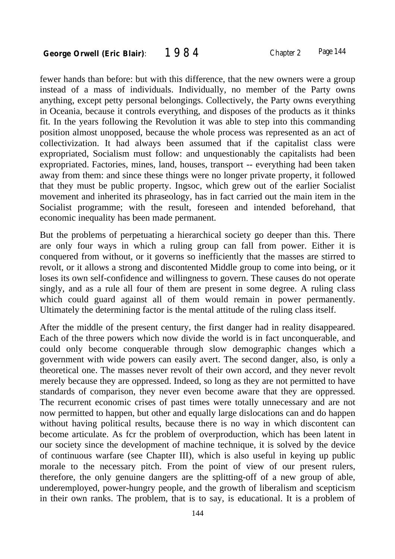fewer hands than before: but with this difference, that the new owners were a group instead of a mass of individuals. Individually, no member of the Party owns anything, except petty personal belongings. Collectively, the Party owns everything in Oceania, because it controls everything, and disposes of the products as it thinks fit. In the years following the Revolution it was able to step into this commanding position almost unopposed, because the whole process was represented as an act of collectivization. It had always been assumed that if the capitalist class were expropriated, Socialism must follow: and unquestionably the capitalists had been expropriated. Factories, mines, land, houses, transport -- everything had been taken away from them: and since these things were no longer private property, it followed that they must be public property. Ingsoc, which grew out of the earlier Socialist movement and inherited its phraseology, has in fact carried out the main item in the Socialist programme; with the result, foreseen and intended beforehand, that economic inequality has been made permanent.

But the problems of perpetuating a hierarchical society go deeper than this. There are only four ways in which a ruling group can fall from power. Either it is conquered from without, or it governs so inefficiently that the masses are stirred to revolt, or it allows a strong and discontented Middle group to come into being, or it loses its own self-confidence and willingness to govern. These causes do not operate singly, and as a rule all four of them are present in some degree. A ruling class which could guard against all of them would remain in power permanently. Ultimately the determining factor is the mental attitude of the ruling class itself.

After the middle of the present century, the first danger had in reality disappeared. Each of the three powers which now divide the world is in fact unconquerable, and could only become conquerable through slow demographic changes which a government with wide powers can easily avert. The second danger, also, is only a theoretical one. The masses never revolt of their own accord, and they never revolt merely because they are oppressed. Indeed, so long as they are not permitted to have standards of comparison, they never even become aware that they are oppressed. The recurrent economic crises of past times were totally unnecessary and are not now permitted to happen, but other and equally large dislocations can and do happen without having political results, because there is no way in which discontent can become articulate. As fcr the problem of overproduction, which has been latent in our society since the development of machine technique, it is solved by the device of continuous warfare (see Chapter III), which is also useful in keying up public morale to the necessary pitch. From the point of view of our present rulers, therefore, the only genuine dangers are the splitting-off of a new group of able, underemployed, power-hungry people, and the growth of liberalism and scepticism in their own ranks. The problem, that is to say, is educational. It is a problem of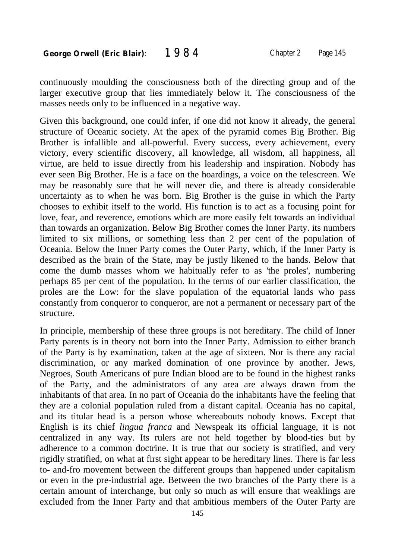continuously moulding the consciousness both of the directing group and of the larger executive group that lies immediately below it. The consciousness of the masses needs only to be influenced in a negative way.

Given this background, one could infer, if one did not know it already, the general structure of Oceanic society. At the apex of the pyramid comes Big Brother. Big Brother is infallible and all-powerful. Every success, every achievement, every victory, every scientific discovery, all knowledge, all wisdom, all happiness, all virtue, are held to issue directly from his leadership and inspiration. Nobody has ever seen Big Brother. He is a face on the hoardings, a voice on the telescreen. We may be reasonably sure that he will never die, and there is already considerable uncertainty as to when he was born. Big Brother is the guise in which the Party chooses to exhibit itself to the world. His function is to act as a focusing point for love, fear, and reverence, emotions which are more easily felt towards an individual than towards an organization. Below Big Brother comes the Inner Party. its numbers limited to six millions, or something less than 2 per cent of the population of Oceania. Below the Inner Party comes the Outer Party, which, if the Inner Party is described as the brain of the State, may be justly likened to the hands. Below that come the dumb masses whom we habitually refer to as 'the proles', numbering perhaps 85 per cent of the population. In the terms of our earlier classification, the proles are the Low: for the slave population of the equatorial lands who pass constantly from conqueror to conqueror, are not a permanent or necessary part of the structure.

In principle, membership of these three groups is not hereditary. The child of Inner Party parents is in theory not born into the Inner Party. Admission to either branch of the Party is by examination, taken at the age of sixteen. Nor is there any racial discrimination, or any marked domination of one province by another. Jews, Negroes, South Americans of pure Indian blood are to be found in the highest ranks of the Party, and the administrators of any area are always drawn from the inhabitants of that area. In no part of Oceania do the inhabitants have the feeling that they are a colonial population ruled from a distant capital. Oceania has no capital, and its titular head is a person whose whereabouts nobody knows. Except that English is its chief *lingua franca* and Newspeak its official language, it is not centralized in any way. Its rulers are not held together by blood-ties but by adherence to a common doctrine. It is true that our society is stratified, and very rigidly stratified, on what at first sight appear to be hereditary lines. There is far less to- and-fro movement between the different groups than happened under capitalism or even in the pre-industrial age. Between the two branches of the Party there is a certain amount of interchange, but only so much as will ensure that weaklings are excluded from the Inner Party and that ambitious members of the Outer Party are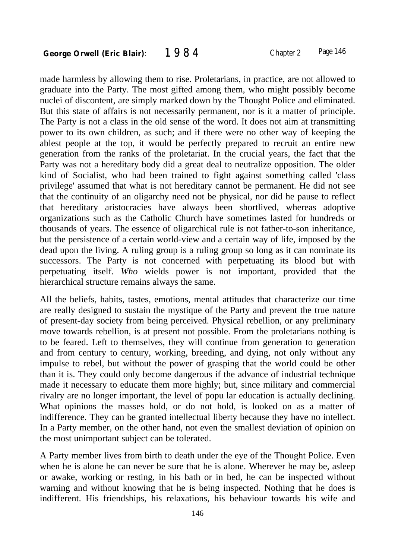made harmless by allowing them to rise. Proletarians, in practice, are not allowed to graduate into the Party. The most gifted among them, who might possibly become nuclei of discontent, are simply marked down by the Thought Police and eliminated. But this state of affairs is not necessarily permanent, nor is it a matter of principle. The Party is not a class in the old sense of the word. It does not aim at transmitting power to its own children, as such; and if there were no other way of keeping the ablest people at the top, it would be perfectly prepared to recruit an entire new generation from the ranks of the proletariat. In the crucial years, the fact that the Party was not a hereditary body did a great deal to neutralize opposition. The older kind of Socialist, who had been trained to fight against something called 'class privilege' assumed that what is not hereditary cannot be permanent. He did not see that the continuity of an oligarchy need not be physical, nor did he pause to reflect that hereditary aristocracies have always been shortlived, whereas adoptive organizations such as the Catholic Church have sometimes lasted for hundreds or thousands of years. The essence of oligarchical rule is not father-to-son inheritance, but the persistence of a certain world-view and a certain way of life, imposed by the dead upon the living. A ruling group is a ruling group so long as it can nominate its successors. The Party is not concerned with perpetuating its blood but with perpetuating itself. *Who* wields power is not important, provided that the hierarchical structure remains always the same.

All the beliefs, habits, tastes, emotions, mental attitudes that characterize our time are really designed to sustain the mystique of the Party and prevent the true nature of present-day society from being perceived. Physical rebellion, or any preliminary move towards rebellion, is at present not possible. From the proletarians nothing is to be feared. Left to themselves, they will continue from generation to generation and from century to century, working, breeding, and dying, not only without any impulse to rebel, but without the power of grasping that the world could be other than it is. They could only become dangerous if the advance of industrial technique made it necessary to educate them more highly; but, since military and commercial rivalry are no longer important, the level of popu lar education is actually declining. What opinions the masses hold, or do not hold, is looked on as a matter of indifference. They can be granted intellectual liberty because they have no intellect. In a Party member, on the other hand, not even the smallest deviation of opinion on the most unimportant subject can be tolerated.

A Party member lives from birth to death under the eye of the Thought Police. Even when he is alone he can never be sure that he is alone. Wherever he may be, asleep or awake, working or resting, in his bath or in bed, he can be inspected without warning and without knowing that he is being inspected. Nothing that he does is indifferent. His friendships, his relaxations, his behaviour towards his wife and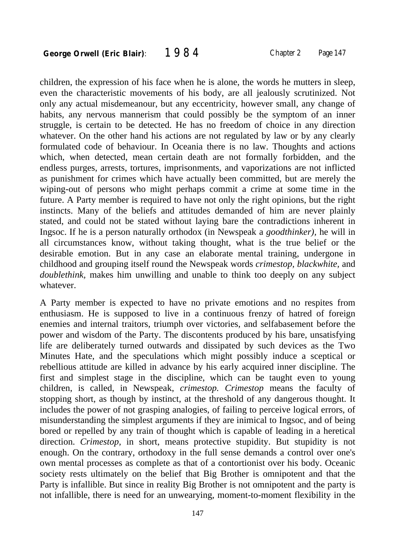children, the expression of his face when he is alone, the words he mutters in sleep, even the characteristic movements of his body, are all jealously scrutinized. Not only any actual misdemeanour, but any eccentricity, however small, any change of habits, any nervous mannerism that could possibly be the symptom of an inner struggle, is certain to be detected. He has no freedom of choice in any direction whatever. On the other hand his actions are not regulated by law or by any clearly formulated code of behaviour. In Oceania there is no law. Thoughts and actions which, when detected, mean certain death are not formally forbidden, and the endless purges, arrests, tortures, imprisonments, and vaporizations are not inflicted as punishment for crimes which have actually been committed, but are merely the wiping-out of persons who might perhaps commit a crime at some time in the future. A Party member is required to have not only the right opinions, but the right instincts. Many of the beliefs and attitudes demanded of him are never plainly stated, and could not be stated without laying bare the contradictions inherent in Ingsoc. If he is a person naturally orthodox (in Newspeak a *goodthinker),* he will in all circumstances know, without taking thought, what is the true belief or the desirable emotion. But in any case an elaborate mental training, undergone in childhood and grouping itself round the Newspeak words *crimestop, blackwhite,* and *doublethink,* makes him unwilling and unable to think too deeply on any subject whatever.

A Party member is expected to have no private emotions and no respites from enthusiasm. He is supposed to live in a continuous frenzy of hatred of foreign enemies and internal traitors, triumph over victories, and selfabasement before the power and wisdom of the Party. The discontents produced by his bare, unsatisfying life are deliberately turned outwards and dissipated by such devices as the Two Minutes Hate, and the speculations which might possibly induce a sceptical or rebellious attitude are killed in advance by his early acquired inner discipline. The first and simplest stage in the discipline, which can be taught even to young children, is called, in Newspeak, *crimestop. Crimestop* means the faculty of stopping short, as though by instinct, at the threshold of any dangerous thought. It includes the power of not grasping analogies, of failing to perceive logical errors, of misunderstanding the simplest arguments if they are inimical to Ingsoc, and of being bored or repelled by any train of thought which is capable of leading in a heretical direction. *Crimestop,* in short, means protective stupidity. But stupidity is not enough. On the contrary, orthodoxy in the full sense demands a control over one's own mental processes as complete as that of a contortionist over his body. Oceanic society rests ultimately on the belief that Big Brother is omnipotent and that the Party is infallible. But since in reality Big Brother is not omnipotent and the party is not infallible, there is need for an unwearying, moment-to-moment flexibility in the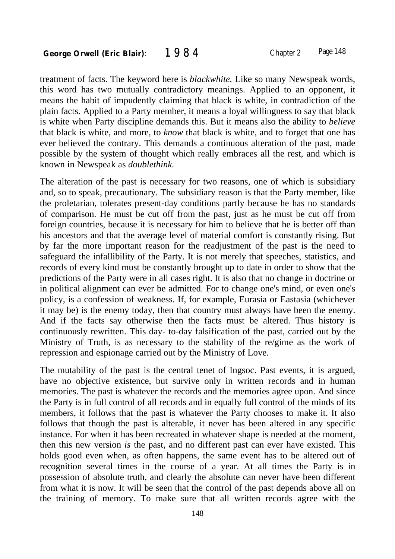treatment of facts. The keyword here is *blackwhite.* Like so many Newspeak words, this word has two mutually contradictory meanings. Applied to an opponent, it means the habit of impudently claiming that black is white, in contradiction of the plain facts. Applied to a Party member, it means a loyal willingness to say that black is white when Party discipline demands this. But it means also the ability to *believe* that black is white, and more, to *know* that black is white, and to forget that one has ever believed the contrary. This demands a continuous alteration of the past, made possible by the system of thought which really embraces all the rest, and which is known in Newspeak as *doublethink.*

The alteration of the past is necessary for two reasons, one of which is subsidiary and, so to speak, precautionary. The subsidiary reason is that the Party member, like the proletarian, tolerates present-day conditions partly because he has no standards of comparison. He must be cut off from the past, just as he must be cut off from foreign countries, because it is necessary for him to believe that he is better off than his ancestors and that the average level of material comfort is constantly rising. But by far the more important reason for the readjustment of the past is the need to safeguard the infallibility of the Party. It is not merely that speeches, statistics, and records of every kind must be constantly brought up to date in order to show that the predictions of the Party were in all cases right. It is also that no change in doctrine or in political alignment can ever be admitted. For to change one's mind, or even one's policy, is a confession of weakness. If, for example, Eurasia or Eastasia (whichever it may be) is the enemy today, then that country must always have been the enemy. And if the facts say otherwise then the facts must be altered. Thus history is continuously rewritten. This day- to-day falsification of the past, carried out by the Ministry of Truth, is as necessary to the stability of the re/gime as the work of repression and espionage carried out by the Ministry of Love.

The mutability of the past is the central tenet of Ingsoc. Past events, it is argued, have no objective existence, but survive only in written records and in human memories. The past is whatever the records and the memories agree upon. And since the Party is in full control of all records and in equally full control of the minds of its members, it follows that the past is whatever the Party chooses to make it. It also follows that though the past is alterable, it never has been altered in any specific instance. For when it has been recreated in whatever shape is needed at the moment, then this new version *is* the past, and no different past can ever have existed. This holds good even when, as often happens, the same event has to be altered out of recognition several times in the course of a year. At all times the Party is in possession of absolute truth, and clearly the absolute can never have been different from what it is now. It will be seen that the control of the past depends above all on the training of memory. To make sure that all written records agree with the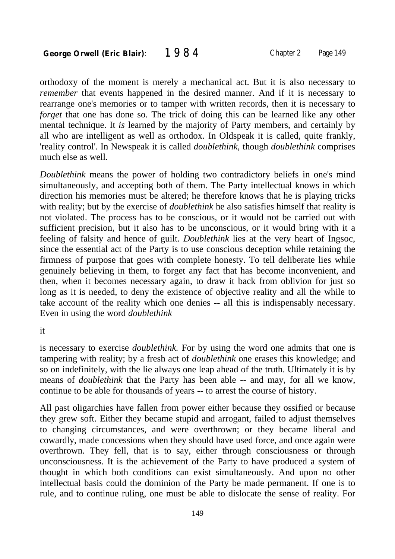orthodoxy of the moment is merely a mechanical act. But it is also necessary to *remember* that events happened in the desired manner. And if it is necessary to rearrange one's memories or to tamper with written records, then it is necessary to *forget* that one has done so. The trick of doing this can be learned like any other mental technique. It *is* learned by the majority of Party members, and certainly by all who are intelligent as well as orthodox. In Oldspeak it is called, quite frankly, 'reality control'. In Newspeak it is called *doublethink,* though *doublethink* comprises much else as well.

*Doublethink* means the power of holding two contradictory beliefs in one's mind simultaneously, and accepting both of them. The Party intellectual knows in which direction his memories must be altered; he therefore knows that he is playing tricks with reality; but by the exercise of *doublethink* he also satisfies himself that reality is not violated. The process has to be conscious, or it would not be carried out with sufficient precision, but it also has to be unconscious, or it would bring with it a feeling of falsity and hence of guilt. *Doublethink* lies at the very heart of Ingsoc, since the essential act of the Party is to use conscious deception while retaining the firmness of purpose that goes with complete honesty. To tell deliberate lies while genuinely believing in them, to forget any fact that has become inconvenient, and then, when it becomes necessary again, to draw it back from oblivion for just so long as it is needed, to deny the existence of objective reality and all the while to take account of the reality which one denies -- all this is indispensably necessary. Even in using the word *doublethink*

it

is necessary to exercise *doublethink.* For by using the word one admits that one is tampering with reality; by a fresh act of *doublethink* one erases this knowledge; and so on indefinitely, with the lie always one leap ahead of the truth. Ultimately it is by means of *doublethink* that the Party has been able -- and may, for all we know, continue to be able for thousands of years -- to arrest the course of history.

All past oligarchies have fallen from power either because they ossified or because they grew soft. Either they became stupid and arrogant, failed to adjust themselves to changing circumstances, and were overthrown; or they became liberal and cowardly, made concessions when they should have used force, and once again were overthrown. They fell, that is to say, either through consciousness or through unconsciousness. It is the achievement of the Party to have produced a system of thought in which both conditions can exist simultaneously. And upon no other intellectual basis could the dominion of the Party be made permanent. If one is to rule, and to continue ruling, one must be able to dislocate the sense of reality. For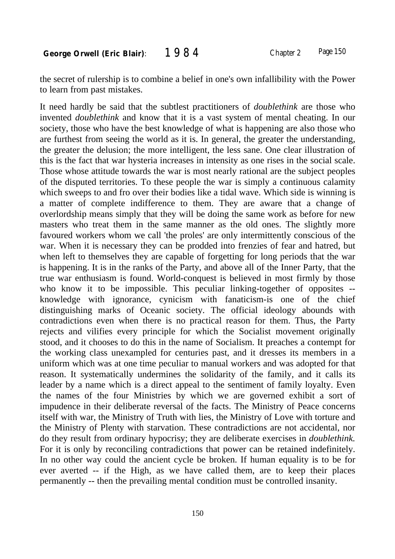the secret of rulership is to combine a belief in one's own infallibility with the Power to learn from past mistakes.

It need hardly be said that the subtlest practitioners of *doublethink* are those who invented *doublethink* and know that it is a vast system of mental cheating. In our society, those who have the best knowledge of what is happening are also those who are furthest from seeing the world as it is. In general, the greater the understanding, the greater the delusion; the more intelligent, the less sane. One clear illustration of this is the fact that war hysteria increases in intensity as one rises in the social scale. Those whose attitude towards the war is most nearly rational are the subject peoples of the disputed territories. To these people the war is simply a continuous calamity which sweeps to and fro over their bodies like a tidal wave. Which side is winning is a matter of complete indifference to them. They are aware that a change of overlordship means simply that they will be doing the same work as before for new masters who treat them in the same manner as the old ones. The slightly more favoured workers whom we call 'the proles' are only intermittently conscious of the war. When it is necessary they can be prodded into frenzies of fear and hatred, but when left to themselves they are capable of forgetting for long periods that the war is happening. It is in the ranks of the Party, and above all of the Inner Party, that the true war enthusiasm is found. World-conquest is believed in most firmly by those who know it to be impossible. This peculiar linking-together of opposites -knowledge with ignorance, cynicism with fanaticism-is one of the chief distinguishing marks of Oceanic society. The official ideology abounds with contradictions even when there is no practical reason for them. Thus, the Party rejects and vilifies every principle for which the Socialist movement originally stood, and it chooses to do this in the name of Socialism. It preaches a contempt for the working class unexampled for centuries past, and it dresses its members in a uniform which was at one time peculiar to manual workers and was adopted for that reason. It systematically undermines the solidarity of the family, and it calls its leader by a name which is a direct appeal to the sentiment of family loyalty. Even the names of the four Ministries by which we are governed exhibit a sort of impudence in their deliberate reversal of the facts. The Ministry of Peace concerns itself with war, the Ministry of Truth with lies, the Ministry of Love with torture and the Ministry of Plenty with starvation. These contradictions are not accidental, nor do they result from ordinary hypocrisy; they are deliberate exercises in *doublethink.* For it is only by reconciling contradictions that power can be retained indefinitely. In no other way could the ancient cycle be broken. If human equality is to be for ever averted -- if the High, as we have called them, are to keep their places permanently -- then the prevailing mental condition must be controlled insanity.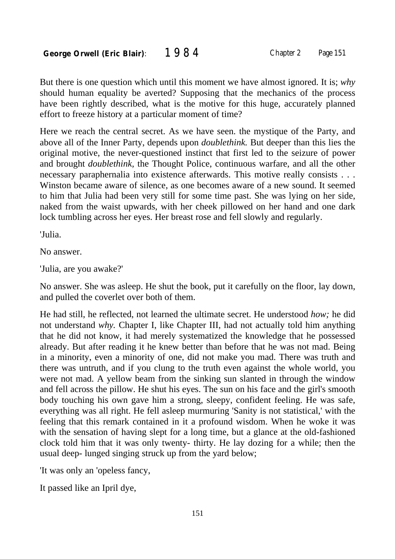But there is one question which until this moment we have almost ignored. It is; *why* should human equality be averted? Supposing that the mechanics of the process have been rightly described, what is the motive for this huge, accurately planned effort to freeze history at a particular moment of time?

Here we reach the central secret. As we have seen. the mystique of the Party, and above all of the Inner Party, depends upon *doublethink.* But deeper than this lies the original motive, the never-questioned instinct that first led to the seizure of power and brought *doublethink,* the Thought Police, continuous warfare, and all the other necessary paraphernalia into existence afterwards. This motive really consists . . . Winston became aware of silence, as one becomes aware of a new sound. It seemed to him that Julia had been very still for some time past. She was lying on her side, naked from the waist upwards, with her cheek pillowed on her hand and one dark lock tumbling across her eyes. Her breast rose and fell slowly and regularly.

'Julia.

No answer.

'Julia, are you awake?'

No answer. She was asleep. He shut the book, put it carefully on the floor, lay down, and pulled the coverlet over both of them.

He had still, he reflected, not learned the ultimate secret. He understood *how;* he did not understand *why*. Chapter I, like Chapter III, had not actually told him anything that he did not know, it had merely systematized the knowledge that he possessed already. But after reading it he knew better than before that he was not mad. Being in a minority, even a minority of one, did not make you mad. There was truth and there was untruth, and if you clung to the truth even against the whole world, you were not mad. A yellow beam from the sinking sun slanted in through the window and fell across the pillow. He shut his eyes. The sun on his face and the girl's smooth body touching his own gave him a strong, sleepy, confident feeling. He was safe, everything was all right. He fell asleep murmuring 'Sanity is not statistical,' with the feeling that this remark contained in it a profound wisdom. When he woke it was with the sensation of having slept for a long time, but a glance at the old-fashioned clock told him that it was only twenty- thirty. He lay dozing for a while; then the usual deep- lunged singing struck up from the yard below;

'It was only an 'opeless fancy,

It passed like an Ipril dye,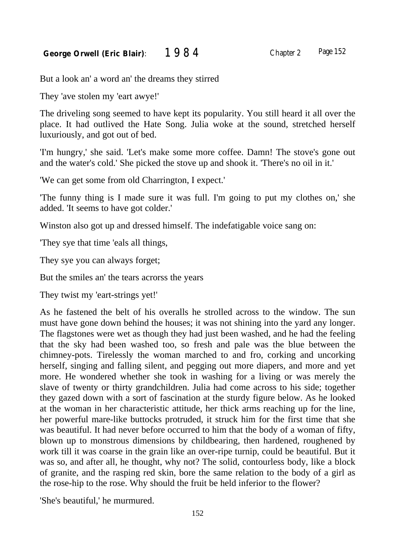But a look an' a word an' the dreams they stirred

They 'ave stolen my 'eart awye!'

The driveling song seemed to have kept its popularity. You still heard it all over the place. It had outlived the Hate Song. Julia woke at the sound, stretched herself luxuriously, and got out of bed.

'I'm hungry,' she said. 'Let's make some more coffee. Damn! The stove's gone out and the water's cold.' She picked the stove up and shook it. 'There's no oil in it.'

'We can get some from old Charrington, I expect.'

'The funny thing is I made sure it was full. I'm going to put my clothes on,' she added. 'It seems to have got colder.'

Winston also got up and dressed himself. The indefatigable voice sang on:

'They sye that time 'eals all things,

They sye you can always forget;

But the smiles an' the tears acrorss the years

They twist my 'eart-strings yet!'

As he fastened the belt of his overalls he strolled across to the window. The sun must have gone down behind the houses; it was not shining into the yard any longer. The flagstones were wet as though they had just been washed, and he had the feeling that the sky had been washed too, so fresh and pale was the blue between the chimney-pots. Tirelessly the woman marched to and fro, corking and uncorking herself, singing and falling silent, and pegging out more diapers, and more and yet more. He wondered whether she took in washing for a living or was merely the slave of twenty or thirty grandchildren. Julia had come across to his side; together they gazed down with a sort of fascination at the sturdy figure below. As he looked at the woman in her characteristic attitude, her thick arms reaching up for the line, her powerful mare-like buttocks protruded, it struck him for the first time that she was beautiful. It had never before occurred to him that the body of a woman of fifty, blown up to monstrous dimensions by childbearing, then hardened, roughened by work till it was coarse in the grain like an over-ripe turnip, could be beautiful. But it was so, and after all, he thought, why not? The solid, contourless body, like a block of granite, and the rasping red skin, bore the same relation to the body of a girl as the rose-hip to the rose. Why should the fruit be held inferior to the flower?

'She's beautiful,' he murmured.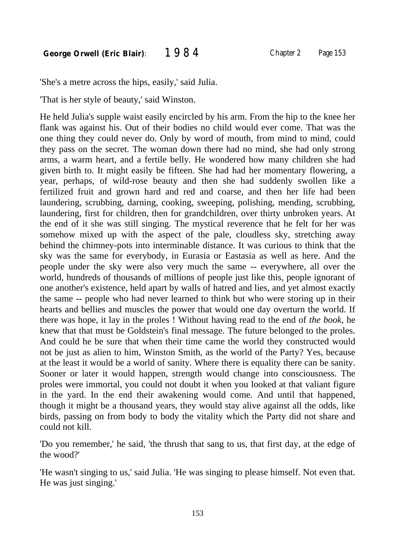'She's a metre across the hips, easily,' said Julia.

'That is her style of beauty,' said Winston.

He held Julia's supple waist easily encircled by his arm. From the hip to the knee her flank was against his. Out of their bodies no child would ever come. That was the one thing they could never do. Only by word of mouth, from mind to mind, could they pass on the secret. The woman down there had no mind, she had only strong arms, a warm heart, and a fertile belly. He wondered how many children she had given birth to. It might easily be fifteen. She had had her momentary flowering, a year, perhaps, of wild-rose beauty and then she had suddenly swollen like a fertilized fruit and grown hard and red and coarse, and then her life had been laundering, scrubbing, darning, cooking, sweeping, polishing, mending, scrubbing, laundering, first for children, then for grandchildren, over thirty unbroken years. At the end of it she was still singing. The mystical reverence that he felt for her was somehow mixed up with the aspect of the pale, cloudless sky, stretching away behind the chimney-pots into interminable distance. It was curious to think that the sky was the same for everybody, in Eurasia or Eastasia as well as here. And the people under the sky were also very much the same -- everywhere, all over the world, hundreds of thousands of millions of people just like this, people ignorant of one another's existence, held apart by walls of hatred and lies, and yet almost exactly the same -- people who had never learned to think but who were storing up in their hearts and bellies and muscles the power that would one day overturn the world. If there was hope, it lay in the proles ! Without having read to the end of *the book,* he knew that that must be Goldstein's final message. The future belonged to the proles. And could he be sure that when their time came the world they constructed would not be just as alien to him, Winston Smith, as the world of the Party? Yes, because at the least it would be a world of sanity. Where there is equality there can be sanity. Sooner or later it would happen, strength would change into consciousness. The proles were immortal, you could not doubt it when you looked at that valiant figure in the yard. In the end their awakening would come. And until that happened, though it might be a thousand years, they would stay alive against all the odds, like birds, passing on from body to body the vitality which the Party did not share and could not kill.

'Do you remember,' he said, 'the thrush that sang to us, that first day, at the edge of the wood?'

'He wasn't singing to us,' said Julia. 'He was singing to please himself. Not even that. He was just singing.'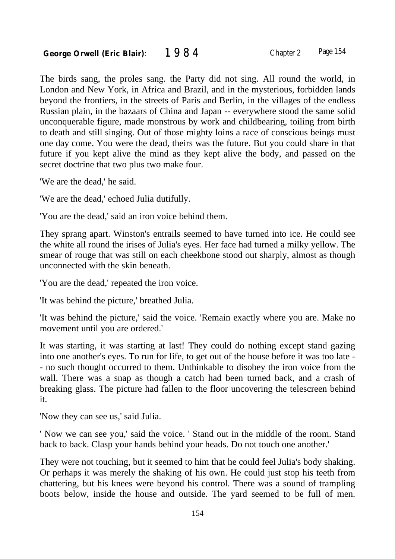The birds sang, the proles sang. the Party did not sing. All round the world, in London and New York, in Africa and Brazil, and in the mysterious, forbidden lands beyond the frontiers, in the streets of Paris and Berlin, in the villages of the endless Russian plain, in the bazaars of China and Japan -- everywhere stood the same solid unconquerable figure, made monstrous by work and childbearing, toiling from birth to death and still singing. Out of those mighty loins a race of conscious beings must one day come. You were the dead, theirs was the future. But you could share in that future if you kept alive the mind as they kept alive the body, and passed on the secret doctrine that two plus two make four.

'We are the dead,' he said.

'We are the dead,' echoed Julia dutifully.

'You are the dead,' said an iron voice behind them.

They sprang apart. Winston's entrails seemed to have turned into ice. He could see the white all round the irises of Julia's eyes. Her face had turned a milky yellow. The smear of rouge that was still on each cheekbone stood out sharply, almost as though unconnected with the skin beneath.

'You are the dead,' repeated the iron voice.

'It was behind the picture,' breathed Julia.

'It was behind the picture,' said the voice. 'Remain exactly where you are. Make no movement until you are ordered.'

It was starting, it was starting at last! They could do nothing except stand gazing into one another's eyes. To run for life, to get out of the house before it was too late - - no such thought occurred to them. Unthinkable to disobey the iron voice from the wall. There was a snap as though a catch had been turned back, and a crash of breaking glass. The picture had fallen to the floor uncovering the telescreen behind it.

'Now they can see us,' said Julia.

' Now we can see you,' said the voice. ' Stand out in the middle of the room. Stand back to back. Clasp your hands behind your heads. Do not touch one another.'

They were not touching, but it seemed to him that he could feel Julia's body shaking. Or perhaps it was merely the shaking of his own. He could just stop his teeth from chattering, but his knees were beyond his control. There was a sound of trampling boots below, inside the house and outside. The yard seemed to be full of men.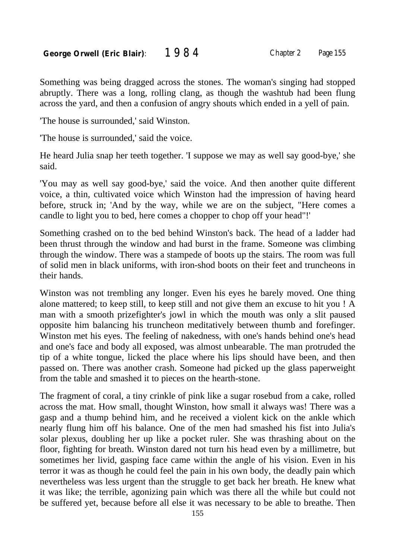Something was being dragged across the stones. The woman's singing had stopped abruptly. There was a long, rolling clang, as though the washtub had been flung across the yard, and then a confusion of angry shouts which ended in a yell of pain.

'The house is surrounded,' said Winston.

'The house is surrounded,' said the voice.

He heard Julia snap her teeth together. 'I suppose we may as well say good-bye,' she said.

'You may as well say good-bye,' said the voice. And then another quite different voice, a thin, cultivated voice which Winston had the impression of having heard before, struck in; 'And by the way, while we are on the subject, "Here comes a candle to light you to bed, here comes a chopper to chop off your head"!'

Something crashed on to the bed behind Winston's back. The head of a ladder had been thrust through the window and had burst in the frame. Someone was climbing through the window. There was a stampede of boots up the stairs. The room was full of solid men in black uniforms, with iron-shod boots on their feet and truncheons in their hands.

Winston was not trembling any longer. Even his eyes he barely moved. One thing alone mattered; to keep still, to keep still and not give them an excuse to hit you ! A man with a smooth prizefighter's jowl in which the mouth was only a slit paused opposite him balancing his truncheon meditatively between thumb and forefinger. Winston met his eyes. The feeling of nakedness, with one's hands behind one's head and one's face and body all exposed, was almost unbearable. The man protruded the tip of a white tongue, licked the place where his lips should have been, and then passed on. There was another crash. Someone had picked up the glass paperweight from the table and smashed it to pieces on the hearth-stone.

The fragment of coral, a tiny crinkle of pink like a sugar rosebud from a cake, rolled across the mat. How small, thought Winston, how small it always was! There was a gasp and a thump behind him, and he received a violent kick on the ankle which nearly flung him off his balance. One of the men had smashed his fist into Julia's solar plexus, doubling her up like a pocket ruler. She was thrashing about on the floor, fighting for breath. Winston dared not turn his head even by a millimetre, but sometimes her livid, gasping face came within the angle of his vision. Even in his terror it was as though he could feel the pain in his own body, the deadly pain which nevertheless was less urgent than the struggle to get back her breath. He knew what it was like; the terrible, agonizing pain which was there all the while but could not be suffered yet, because before all else it was necessary to be able to breathe. Then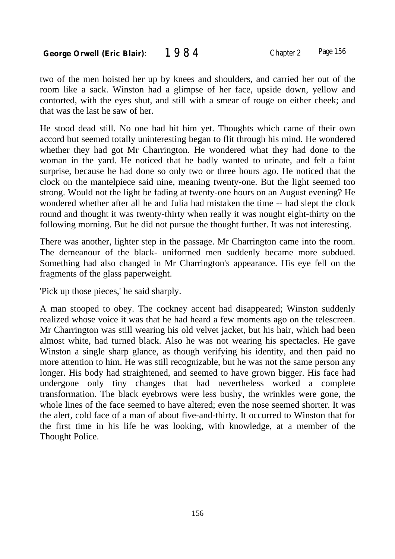two of the men hoisted her up by knees and shoulders, and carried her out of the room like a sack. Winston had a glimpse of her face, upside down, yellow and contorted, with the eyes shut, and still with a smear of rouge on either cheek; and that was the last he saw of her.

He stood dead still. No one had hit him yet. Thoughts which came of their own accord but seemed totally uninteresting began to flit through his mind. He wondered whether they had got Mr Charrington. He wondered what they had done to the woman in the yard. He noticed that he badly wanted to urinate, and felt a faint surprise, because he had done so only two or three hours ago. He noticed that the clock on the mantelpiece said nine, meaning twenty-one. But the light seemed too strong. Would not the light be fading at twenty-one hours on an August evening? He wondered whether after all he and Julia had mistaken the time -- had slept the clock round and thought it was twenty-thirty when really it was nought eight-thirty on the following morning. But he did not pursue the thought further. It was not interesting.

There was another, lighter step in the passage. Mr Charrington came into the room. The demeanour of the black- uniformed men suddenly became more subdued. Something had also changed in Mr Charrington's appearance. His eye fell on the fragments of the glass paperweight.

'Pick up those pieces,' he said sharply.

A man stooped to obey. The cockney accent had disappeared; Winston suddenly realized whose voice it was that he had heard a few moments ago on the telescreen. Mr Charrington was still wearing his old velvet jacket, but his hair, which had been almost white, had turned black. Also he was not wearing his spectacles. He gave Winston a single sharp glance, as though verifying his identity, and then paid no more attention to him. He was still recognizable, but he was not the same person any longer. His body had straightened, and seemed to have grown bigger. His face had undergone only tiny changes that had nevertheless worked a complete transformation. The black eyebrows were less bushy, the wrinkles were gone, the whole lines of the face seemed to have altered; even the nose seemed shorter. It was the alert, cold face of a man of about five-and-thirty. It occurred to Winston that for the first time in his life he was looking, with knowledge, at a member of the Thought Police.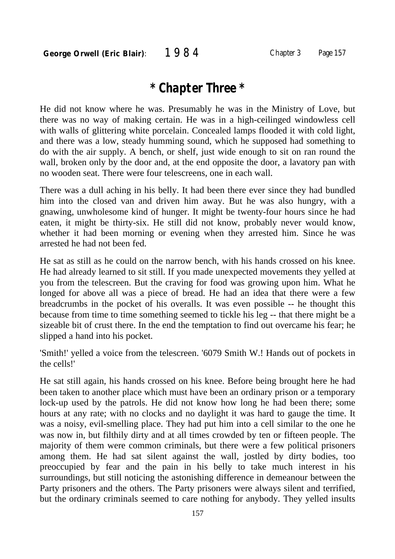# **\* Chapter Three \***

He did not know where he was. Presumably he was in the Ministry of Love, but there was no way of making certain. He was in a high-ceilinged windowless cell with walls of glittering white porcelain. Concealed lamps flooded it with cold light, and there was a low, steady humming sound, which he supposed had something to do with the air supply. A bench, or shelf, just wide enough to sit on ran round the wall, broken only by the door and, at the end opposite the door, a lavatory pan with no wooden seat. There were four telescreens, one in each wall.

There was a dull aching in his belly. It had been there ever since they had bundled him into the closed van and driven him away. But he was also hungry, with a gnawing, unwholesome kind of hunger. It might be twenty-four hours since he had eaten, it might be thirty-six. He still did not know, probably never would know, whether it had been morning or evening when they arrested him. Since he was arrested he had not been fed.

He sat as still as he could on the narrow bench, with his hands crossed on his knee. He had already learned to sit still. If you made unexpected movements they yelled at you from the telescreen. But the craving for food was growing upon him. What he longed for above all was a piece of bread. He had an idea that there were a few breadcrumbs in the pocket of his overalls. It was even possible -- he thought this because from time to time something seemed to tickle his leg -- that there might be a sizeable bit of crust there. In the end the temptation to find out overcame his fear; he slipped a hand into his pocket.

'Smith!' yelled a voice from the telescreen. '6079 Smith W.! Hands out of pockets in the cells!'

He sat still again, his hands crossed on his knee. Before being brought here he had been taken to another place which must have been an ordinary prison or a temporary lock-up used by the patrols. He did not know how long he had been there; some hours at any rate; with no clocks and no daylight it was hard to gauge the time. It was a noisy, evil-smelling place. They had put him into a cell similar to the one he was now in, but filthily dirty and at all times crowded by ten or fifteen people. The majority of them were common criminals, but there were a few political prisoners among them. He had sat silent against the wall, jostled by dirty bodies, too preoccupied by fear and the pain in his belly to take much interest in his surroundings, but still noticing the astonishing difference in demeanour between the Party prisoners and the others. The Party prisoners were always silent and terrified, but the ordinary criminals seemed to care nothing for anybody. They yelled insults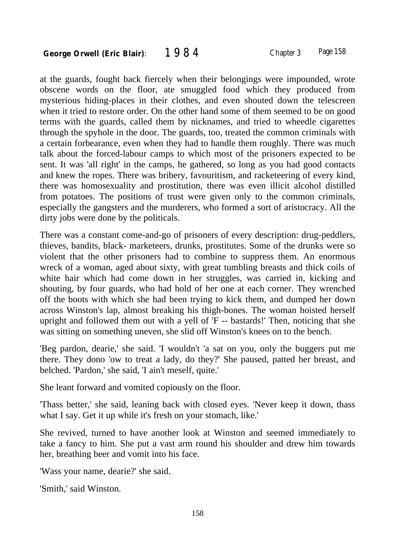at the guards, fought back fiercely when their belongings were impounded, wrote obscene words on the floor, ate smuggled food which they produced from mysterious hiding-places in their clothes, and even shouted down the telescreen when it tried to restore order. On the other hand some of them seemed to be on good terms with the guards, called them by nicknames, and tried to wheedle cigarettes through the spyhole in the door. The guards, too, treated the common criminals with a certain forbearance, even when they had to handle them roughly. There was much talk about the forced-labour camps to which most of the prisoners expected to be sent. It was 'all right' in the camps, he gathered, so long as you had good contacts and knew the ropes. There was bribery, favouritism, and racketeering of every kind, there was homosexuality and prostitution, there was even illicit alcohol distilled from potatoes. The positions of trust were given only to the common criminals, especially the gangsters and the murderers, who formed a sort of aristocracy. All the dirty jobs were done by the politicals.

There was a constant come-and-go of prisoners of every description: drug-peddlers, thieves, bandits, black- marketeers, drunks, prostitutes. Some of the drunks were so violent that the other prisoners had to combine to suppress them. An enormous wreck of a woman, aged about sixty, with great tumbling breasts and thick coils of white hair which had come down in her struggles, was carried in, kicking and shouting, by four guards, who had hold of her one at each corner. They wrenched off the boots with which she had been trying to kick them, and dumped her down across Winston's lap, almost breaking his thigh-bones. The woman hoisted herself upright and followed them out with a yell of 'F -- bastards!' Then, noticing that she was sitting on something uneven, she slid off Winston's knees on to the bench.

'Beg pardon, dearie,' she said. 'I wouldn't 'a sat on you, only the buggers put me there. They dono 'ow to treat a lady, do they?' She paused, patted her breast, and belched. 'Pardon,' she said, 'I ain't meself, quite.'

She leant forward and vomited copiously on the floor.

'Thass better,' she said, leaning back with closed eyes. 'Never keep it down, thass what I say. Get it up while it's fresh on your stomach, like.'

She revived, turned to have another look at Winston and seemed immediately to take a fancy to him. She put a vast arm round his shoulder and drew him towards her, breathing beer and vomit into his face.

'Wass your name, dearie?' she said.

'Smith,' said Winston.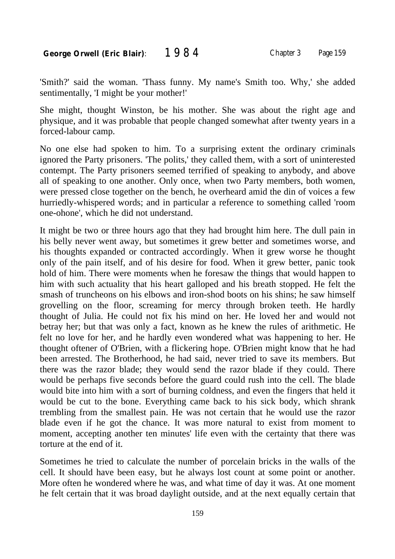'Smith?' said the woman. 'Thass funny. My name's Smith too. Why,' she added sentimentally, 'I might be your mother!'

She might, thought Winston, be his mother. She was about the right age and physique, and it was probable that people changed somewhat after twenty years in a forced-labour camp.

No one else had spoken to him. To a surprising extent the ordinary criminals ignored the Party prisoners. 'The polits,' they called them, with a sort of uninterested contempt. The Party prisoners seemed terrified of speaking to anybody, and above all of speaking to one another. Only once, when two Party members, both women, were pressed close together on the bench, he overheard amid the din of voices a few hurriedly-whispered words; and in particular a reference to something called 'room one-ohone', which he did not understand.

It might be two or three hours ago that they had brought him here. The dull pain in his belly never went away, but sometimes it grew better and sometimes worse, and his thoughts expanded or contracted accordingly. When it grew worse he thought only of the pain itself, and of his desire for food. When it grew better, panic took hold of him. There were moments when he foresaw the things that would happen to him with such actuality that his heart galloped and his breath stopped. He felt the smash of truncheons on his elbows and iron-shod boots on his shins; he saw himself grovelling on the floor, screaming for mercy through broken teeth. He hardly thought of Julia. He could not fix his mind on her. He loved her and would not betray her; but that was only a fact, known as he knew the rules of arithmetic. He felt no love for her, and he hardly even wondered what was happening to her. He thought oftener of O'Brien, with a flickering hope. O'Brien might know that he had been arrested. The Brotherhood, he had said, never tried to save its members. But there was the razor blade; they would send the razor blade if they could. There would be perhaps five seconds before the guard could rush into the cell. The blade would bite into him with a sort of burning coldness, and even the fingers that held it would be cut to the bone. Everything came back to his sick body, which shrank trembling from the smallest pain. He was not certain that he would use the razor blade even if he got the chance. It was more natural to exist from moment to moment, accepting another ten minutes' life even with the certainty that there was torture at the end of it.

Sometimes he tried to calculate the number of porcelain bricks in the walls of the cell. It should have been easy, but he always lost count at some point or another. More often he wondered where he was, and what time of day it was. At one moment he felt certain that it was broad daylight outside, and at the next equally certain that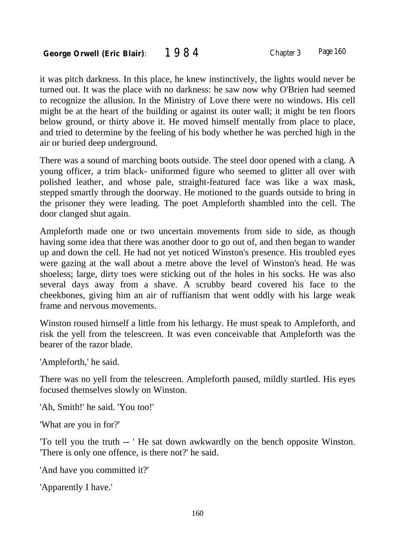it was pitch darkness. In this place, he knew instinctively, the lights would never be turned out. It was the place with no darkness: he saw now why O'Brien had seemed to recognize the allusion. In the Ministry of Love there were no windows. His cell might be at the heart of the building or against its outer wall; it might be ten floors below ground, or thirty above it. He moved himself mentally from place to place, and tried to determine by the feeling of his body whether he was perched high in the air or buried deep underground.

There was a sound of marching boots outside. The steel door opened with a clang. A young officer, a trim black- uniformed figure who seemed to glitter all over with polished leather, and whose pale, straight-featured face was like a wax mask, stepped smartly through the doorway. He motioned to the guards outside to bring in the prisoner they were leading. The poet Ampleforth shambled into the cell. The door clanged shut again.

Ampleforth made one or two uncertain movements from side to side, as though having some idea that there was another door to go out of, and then began to wander up and down the cell. He had not yet noticed Winston's presence. His troubled eyes were gazing at the wall about a metre above the level of Winston's head. He was shoeless; large, dirty toes were sticking out of the holes in his socks. He was also several days away from a shave. A scrubby beard covered his face to the cheekbones, giving him an air of ruffianism that went oddly with his large weak frame and nervous movements.

Winston roused hirnself a little from his lethargy. He must speak to Ampleforth, and risk the yell from the telescreen. It was even conceivable that Ampleforth was the bearer of the razor blade.

'Ampleforth,' he said.

There was no yell from the telescreen. Ampleforth paused, mildly startled. His eyes focused themselves slowly on Winston.

'Ah, Smith!' he said. 'You too!'

'What are you in for?'

'To tell you the truth -- ' He sat down awkwardly on the bench opposite Winston. 'There is only one offence, is there not?' he said.

'And have you committed it?'

'Apparently I have.'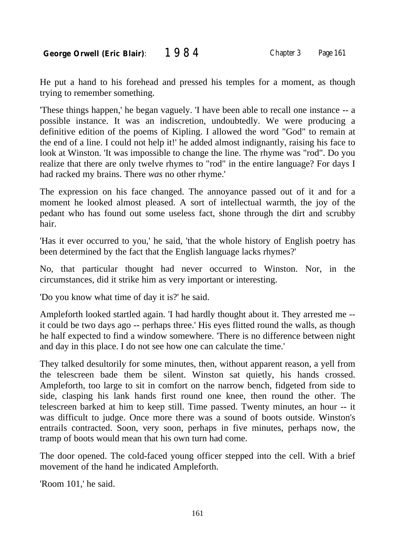He put a hand to his forehead and pressed his temples for a moment, as though trying to remember something.

'These things happen,' he began vaguely. 'I have been able to recall one instance -- a possible instance. It was an indiscretion, undoubtedly. We were producing a definitive edition of the poems of Kipling. I allowed the word "God" to remain at the end of a line. I could not help it!' he added almost indignantly, raising his face to look at Winston. 'It was impossible to change the line. The rhyme was "rod". Do you realize that there are only twelve rhymes to "rod" in the entire language? For days I had racked my brains. There *was* no other rhyme.'

The expression on his face changed. The annoyance passed out of it and for a moment he looked almost pleased. A sort of intellectual warmth, the joy of the pedant who has found out some useless fact, shone through the dirt and scrubby hair.

'Has it ever occurred to you,' he said, 'that the whole history of English poetry has been determined by the fact that the English language lacks rhymes?'

No, that particular thought had never occurred to Winston. Nor, in the circumstances, did it strike him as very important or interesting.

'Do you know what time of day it is?' he said.

Ampleforth looked startled again. 'I had hardly thought about it. They arrested me - it could be two days ago -- perhaps three.' His eyes flitted round the walls, as though he half expected to find a window somewhere. 'There is no difference between night and day in this place. I do not see how one can calculate the time.'

They talked desultorily for some minutes, then, without apparent reason, a yell from the telescreen bade them be silent. Winston sat quietly, his hands crossed. Ampleforth, too large to sit in comfort on the narrow bench, fidgeted from side to side, clasping his lank hands first round one knee, then round the other. The telescreen barked at him to keep still. Time passed. Twenty minutes, an hour -- it was difficult to judge. Once more there was a sound of boots outside. Winston's entrails contracted. Soon, very soon, perhaps in five minutes, perhaps now, the tramp of boots would mean that his own turn had come.

The door opened. The cold-faced young officer stepped into the cell. With a brief movement of the hand he indicated Ampleforth.

'Room 101,' he said.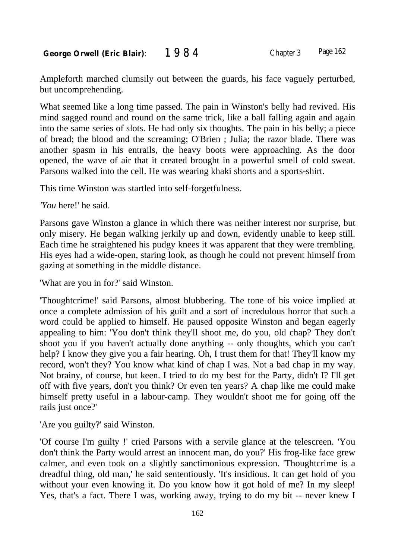Ampleforth marched clumsily out between the guards, his face vaguely perturbed, but uncomprehending.

What seemed like a long time passed. The pain in Winston's belly had revived. His mind sagged round and round on the same trick, like a ball falling again and again into the same series of slots. He had only six thoughts. The pain in his belly; a piece of bread; the blood and the screaming; O'Brien ; Julia; the razor blade. There was another spasm in his entrails, the heavy boots were approaching. As the door opened, the wave of air that it created brought in a powerful smell of cold sweat. Parsons walked into the cell. He was wearing khaki shorts and a sports-shirt.

This time Winston was startled into self-forgetfulness.

*'You* here!' he said.

Parsons gave Winston a glance in which there was neither interest nor surprise, but only misery. He began walking jerkily up and down, evidently unable to keep still. Each time he straightened his pudgy knees it was apparent that they were trembling. His eyes had a wide-open, staring look, as though he could not prevent himself from gazing at something in the middle distance.

'What are you in for?' said Winston.

'Thoughtcrime!' said Parsons, almost blubbering. The tone of his voice implied at once a complete admission of his guilt and a sort of incredulous horror that such a word could be applied to himself. He paused opposite Winston and began eagerly appealing to him: 'You don't think they'll shoot me, do you, old chap? They don't shoot you if you haven't actually done anything -- only thoughts, which you can't help? I know they give you a fair hearing. Oh, I trust them for that! They'll know my record, won't they? You know what kind of chap I was. Not a bad chap in my way. Not brainy, of course, but keen. I tried to do my best for the Party, didn't I? I'll get off with five years, don't you think? Or even ten years? A chap like me could make himself pretty useful in a labour-camp. They wouldn't shoot me for going off the rails just once?'

'Are you guilty?' said Winston.

'Of course I'm guilty !' cried Parsons with a servile glance at the telescreen. 'You don't think the Party would arrest an innocent man, do you?' His frog-like face grew calmer, and even took on a slightly sanctimonious expression. 'Thoughtcrime is a dreadful thing, old man,' he said sententiously. 'It's insidious. It can get hold of you without your even knowing it. Do you know how it got hold of me? In my sleep! Yes, that's a fact. There I was, working away, trying to do my bit -- never knew I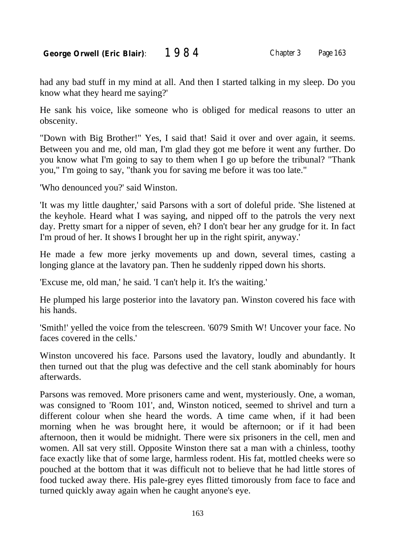had any bad stuff in my mind at all. And then I started talking in my sleep. Do you know what they heard me saying?'

He sank his voice, like someone who is obliged for medical reasons to utter an obscenity.

"Down with Big Brother!" Yes, I said that! Said it over and over again, it seems. Between you and me, old man, I'm glad they got me before it went any further. Do you know what I'm going to say to them when I go up before the tribunal? "Thank you," I'm going to say, "thank you for saving me before it was too late."

'Who denounced you?' said Winston.

'It was my little daughter,' said Parsons with a sort of doleful pride. 'She listened at the keyhole. Heard what I was saying, and nipped off to the patrols the very next day. Pretty smart for a nipper of seven, eh? I don't bear her any grudge for it. In fact I'm proud of her. It shows I brought her up in the right spirit, anyway.'

He made a few more jerky movements up and down, several times, casting a longing glance at the lavatory pan. Then he suddenly ripped down his shorts.

'Excuse me, old man,' he said. 'I can't help it. It's the waiting.'

He plumped his large posterior into the lavatory pan. Winston covered his face with his hands.

'Smith!' yelled the voice from the telescreen. '6079 Smith W! Uncover your face. No faces covered in the cells.'

Winston uncovered his face. Parsons used the lavatory, loudly and abundantly. It then turned out that the plug was defective and the cell stank abominably for hours afterwards.

Parsons was removed. More prisoners came and went, mysteriously. One, a woman, was consigned to 'Room 101', and, Winston noticed, seemed to shrivel and turn a different colour when she heard the words. A time came when, if it had been morning when he was brought here, it would be afternoon; or if it had been afternoon, then it would be midnight. There were six prisoners in the cell, men and women. All sat very still. Opposite Winston there sat a man with a chinless, toothy face exactly like that of some large, harmless rodent. His fat, mottled cheeks were so pouched at the bottom that it was difficult not to believe that he had little stores of food tucked away there. His pale-grey eyes flitted timorously from face to face and turned quickly away again when he caught anyone's eye.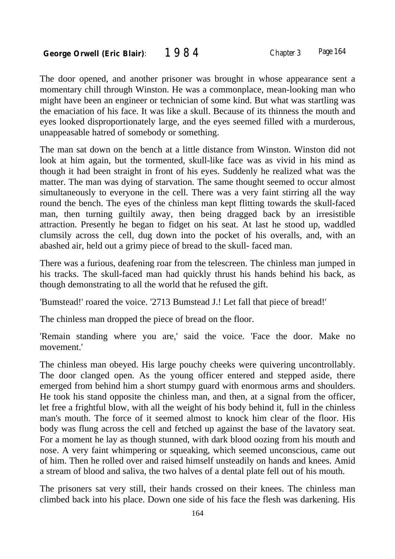The door opened, and another prisoner was brought in whose appearance sent a momentary chill through Winston. He was a commonplace, mean-looking man who might have been an engineer or technician of some kind. But what was startling was the emaciation of his face. It was like a skull. Because of its thinness the mouth and eyes looked disproportionately large, and the eyes seemed filled with a murderous, unappeasable hatred of somebody or something.

The man sat down on the bench at a little distance from Winston. Winston did not look at him again, but the tormented, skull-like face was as vivid in his mind as though it had been straight in front of his eyes. Suddenly he realized what was the matter. The man was dying of starvation. The same thought seemed to occur almost simultaneously to everyone in the cell. There was a very faint stirring all the way round the bench. The eyes of the chinless man kept flitting towards the skull-faced man, then turning guiltily away, then being dragged back by an irresistible attraction. Presently he began to fidget on his seat. At last he stood up, waddled clumsily across the cell, dug down into the pocket of his overalls, and, with an abashed air, held out a grimy piece of bread to the skull- faced man.

There was a furious, deafening roar from the telescreen. The chinless man jumped in his tracks. The skull-faced man had quickly thrust his hands behind his back, as though demonstrating to all the world that he refused the gift.

'Bumstead!' roared the voice. '2713 Bumstead J.! Let fall that piece of bread!'

The chinless man dropped the piece of bread on the floor.

'Remain standing where you are,' said the voice. 'Face the door. Make no movement.'

The chinless man obeyed. His large pouchy cheeks were quivering uncontrollably. The door clanged open. As the young officer entered and stepped aside, there emerged from behind him a short stumpy guard with enormous arms and shoulders. He took his stand opposite the chinless man, and then, at a signal from the officer, let free a frightful blow, with all the weight of his body behind it, full in the chinless man's mouth. The force of it seemed almost to knock him clear of the floor. His body was flung across the cell and fetched up against the base of the lavatory seat. For a moment he lay as though stunned, with dark blood oozing from his mouth and nose. A very faint whimpering or squeaking, which seemed unconscious, came out of him. Then he rolled over and raised himself unsteadily on hands and knees. Amid a stream of blood and saliva, the two halves of a dental plate fell out of his mouth.

The prisoners sat very still, their hands crossed on their knees. The chinless man climbed back into his place. Down one side of his face the flesh was darkening. His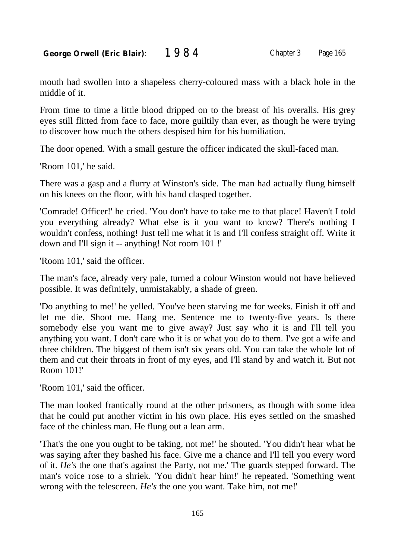mouth had swollen into a shapeless cherry-coloured mass with a black hole in the middle of it.

From time to time a little blood dripped on to the breast of his overalls. His grey eyes still flitted from face to face, more guiltily than ever, as though he were trying to discover how much the others despised him for his humiliation.

The door opened. With a small gesture the officer indicated the skull-faced man.

'Room 101,' he said.

There was a gasp and a flurry at Winston's side. The man had actually flung himself on his knees on the floor, with his hand clasped together.

'Comrade! Officer!' he cried. 'You don't have to take me to that place! Haven't I told you everything already? What else is it you want to know? There's nothing I wouldn't confess, nothing! Just tell me what it is and I'll confess straight off. Write it down and I'll sign it -- anything! Not room 101 !'

'Room 101,' said the officer.

The man's face, already very pale, turned a colour Winston would not have believed possible. It was definitely, unmistakably, a shade of green.

'Do anything to me!' he yelled. 'You've been starving me for weeks. Finish it off and let me die. Shoot me. Hang me. Sentence me to twenty-five years. Is there somebody else you want me to give away? Just say who it is and I'll tell you anything you want. I don't care who it is or what you do to them. I've got a wife and three children. The biggest of them isn't six years old. You can take the whole lot of them and cut their throats in front of my eyes, and I'll stand by and watch it. But not Room 101!'

'Room 101,' said the officer.

The man looked frantically round at the other prisoners, as though with some idea that he could put another victim in his own place. His eyes settled on the smashed face of the chinless man. He flung out a lean arm.

'That's the one you ought to be taking, not me!' he shouted. 'You didn't hear what he was saying after they bashed his face. Give me a chance and I'll tell you every word of it. *He's* the one that's against the Party, not me.' The guards stepped forward. The man's voice rose to a shriek. 'You didn't hear him!' he repeated. 'Something went wrong with the telescreen. *He's* the one you want. Take him, not me!'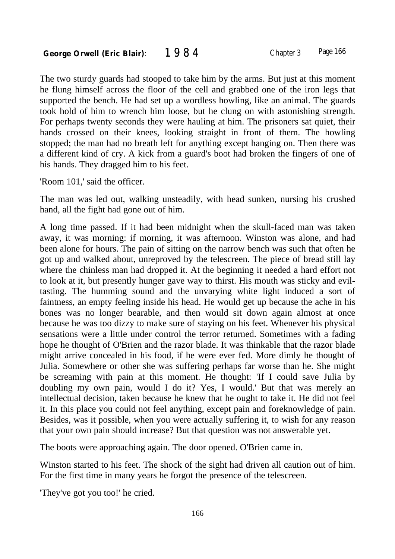The two sturdy guards had stooped to take him by the arms. But just at this moment he flung himself across the floor of the cell and grabbed one of the iron legs that supported the bench. He had set up a wordless howling, like an animal. The guards took hold of him to wrench him loose, but he clung on with astonishing strength. For perhaps twenty seconds they were hauling at him. The prisoners sat quiet, their hands crossed on their knees, looking straight in front of them. The howling stopped; the man had no breath left for anything except hanging on. Then there was a different kind of cry. A kick from a guard's boot had broken the fingers of one of his hands. They dragged him to his feet.

'Room 101,' said the officer.

The man was led out, walking unsteadily, with head sunken, nursing his crushed hand, all the fight had gone out of him.

A long time passed. If it had been midnight when the skull-faced man was taken away, it was morning: if morning, it was afternoon. Winston was alone, and had been alone for hours. The pain of sitting on the narrow bench was such that often he got up and walked about, unreproved by the telescreen. The piece of bread still lay where the chinless man had dropped it. At the beginning it needed a hard effort not to look at it, but presently hunger gave way to thirst. His mouth was sticky and eviltasting. The humming sound and the unvarying white light induced a sort of faintness, an empty feeling inside his head. He would get up because the ache in his bones was no longer bearable, and then would sit down again almost at once because he was too dizzy to make sure of staying on his feet. Whenever his physical sensations were a little under control the terror returned. Sometimes with a fading hope he thought of O'Brien and the razor blade. It was thinkable that the razor blade might arrive concealed in his food, if he were ever fed. More dimly he thought of Julia. Somewhere or other she was suffering perhaps far worse than he. She might be screaming with pain at this moment. He thought: 'If I could save Julia by doubling my own pain, would I do it? Yes, I would.' But that was merely an intellectual decision, taken because he knew that he ought to take it. He did not feel it. In this place you could not feel anything, except pain and foreknowledge of pain. Besides, was it possible, when you were actually suffering it, to wish for any reason that your own pain should increase? But that question was not answerable yet.

The boots were approaching again. The door opened. O'Brien came in.

Winston started to his feet. The shock of the sight had driven all caution out of him. For the first time in many years he forgot the presence of the telescreen.

'They've got you too!' he cried.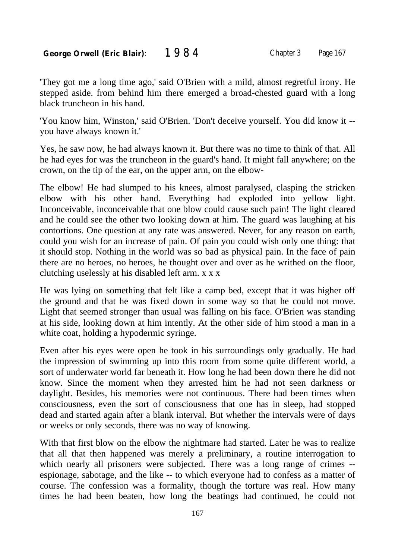'They got me a long time ago,' said O'Brien with a mild, almost regretful irony. He stepped aside. from behind him there emerged a broad-chested guard with a long black truncheon in his hand.

'You know him, Winston,' said O'Brien. 'Don't deceive yourself. You did know it - you have always known it.'

Yes, he saw now, he had always known it. But there was no time to think of that. All he had eyes for was the truncheon in the guard's hand. It might fall anywhere; on the crown, on the tip of the ear, on the upper arm, on the elbow-

The elbow! He had slumped to his knees, almost paralysed, clasping the stricken elbow with his other hand. Everything had exploded into yellow light. Inconceivable, inconceivable that one blow could cause such pain! The light cleared and he could see the other two looking down at him. The guard was laughing at his contortions. One question at any rate was answered. Never, for any reason on earth, could you wish for an increase of pain. Of pain you could wish only one thing: that it should stop. Nothing in the world was so bad as physical pain. In the face of pain there are no heroes, no heroes, he thought over and over as he writhed on the floor, clutching uselessly at his disabled left arm. x x x

He was lying on something that felt like a camp bed, except that it was higher off the ground and that he was fixed down in some way so that he could not move. Light that seemed stronger than usual was falling on his face. O'Brien was standing at his side, looking down at him intently. At the other side of him stood a man in a white coat, holding a hypodermic syringe.

Even after his eyes were open he took in his surroundings only gradually. He had the impression of swimming up into this room from some quite different world, a sort of underwater world far beneath it. How long he had been down there he did not know. Since the moment when they arrested him he had not seen darkness or daylight. Besides, his memories were not continuous. There had been times when consciousness, even the sort of consciousness that one has in sleep, had stopped dead and started again after a blank interval. But whether the intervals were of days or weeks or only seconds, there was no way of knowing.

With that first blow on the elbow the nightmare had started. Later he was to realize that all that then happened was merely a preliminary, a routine interrogation to which nearly all prisoners were subjected. There was a long range of crimes -espionage, sabotage, and the like -- to which everyone had to confess as a matter of course. The confession was a formality, though the torture was real. How many times he had been beaten, how long the beatings had continued, he could not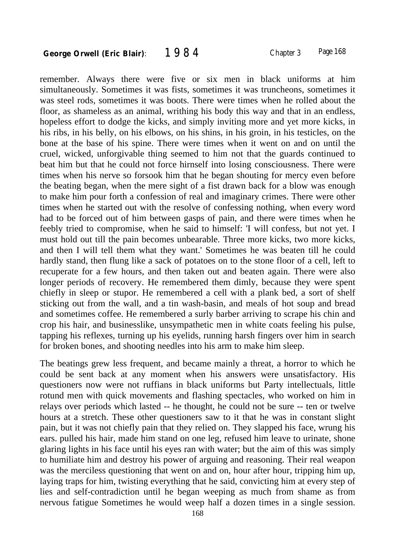remember. Always there were five or six men in black uniforms at him simultaneously. Sometimes it was fists, sometimes it was truncheons, sometimes it was steel rods, sometimes it was boots. There were times when he rolled about the floor, as shameless as an animal, writhing his body this way and that in an endless, hopeless effort to dodge the kicks, and simply inviting more and yet more kicks, in his ribs, in his belly, on his elbows, on his shins, in his groin, in his testicles, on the bone at the base of his spine. There were times when it went on and on until the cruel, wicked, unforgivable thing seemed to him not that the guards continued to beat him but that he could not force hirnself into losing consciousness. There were times when his nerve so forsook him that he began shouting for mercy even before the beating began, when the mere sight of a fist drawn back for a blow was enough to make him pour forth a confession of real and imaginary crimes. There were other times when he started out with the resolve of confessing nothing, when every word had to be forced out of him between gasps of pain, and there were times when he feebly tried to compromise, when he said to himself: 'I will confess, but not yet. I must hold out till the pain becomes unbearable. Three more kicks, two more kicks, and then I will tell them what they want.' Sometimes he was beaten till he could hardly stand, then flung like a sack of potatoes on to the stone floor of a cell, left to recuperate for a few hours, and then taken out and beaten again. There were also longer periods of recovery. He remembered them dimly, because they were spent chiefly in sleep or stupor. He remembered a cell with a plank bed, a sort of shelf sticking out from the wall, and a tin wash-basin, and meals of hot soup and bread and sometimes coffee. He remembered a surly barber arriving to scrape his chin and crop his hair, and businesslike, unsympathetic men in white coats feeling his pulse, tapping his reflexes, turning up his eyelids, running harsh fingers over him in search for broken bones, and shooting needles into his arm to make him sleep.

The beatings grew less frequent, and became mainly a threat, a horror to which he could be sent back at any moment when his answers were unsatisfactory. His questioners now were not ruffians in black uniforms but Party intellectuals, little rotund men with quick movements and flashing spectacles, who worked on him in relays over periods which lasted -- he thought, he could not be sure -- ten or twelve hours at a stretch. These other questioners saw to it that he was in constant slight pain, but it was not chiefly pain that they relied on. They slapped his face, wrung his ears. pulled his hair, made him stand on one leg, refused him leave to urinate, shone glaring lights in his face until his eyes ran with water; but the aim of this was simply to humiliate him and destroy his power of arguing and reasoning. Their real weapon was the merciless questioning that went on and on, hour after hour, tripping him up, laying traps for him, twisting everything that he said, convicting him at every step of lies and self-contradiction until he began weeping as much from shame as from nervous fatigue Sometimes he would weep half a dozen times in a single session.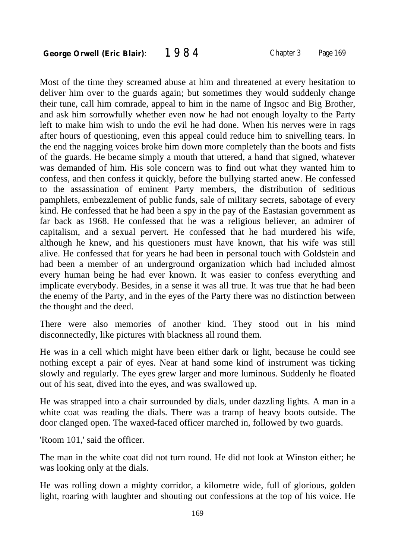Most of the time they screamed abuse at him and threatened at every hesitation to deliver him over to the guards again; but sometimes they would suddenly change their tune, call him comrade, appeal to him in the name of Ingsoc and Big Brother, and ask him sorrowfully whether even now he had not enough loyalty to the Party left to make him wish to undo the evil he had done. When his nerves were in rags after hours of questioning, even this appeal could reduce him to snivelling tears. In the end the nagging voices broke him down more completely than the boots and fists of the guards. He became simply a mouth that uttered, a hand that signed, whatever was demanded of him. His sole concern was to find out what they wanted him to confess, and then confess it quickly, before the bullying started anew. He confessed to the assassination of eminent Party members, the distribution of seditious pamphlets, embezzlement of public funds, sale of military secrets, sabotage of every kind. He confessed that he had been a spy in the pay of the Eastasian government as far back as 1968. He confessed that he was a religious believer, an admirer of capitalism, and a sexual pervert. He confessed that he had murdered his wife, although he knew, and his questioners must have known, that his wife was still alive. He confessed that for years he had been in personal touch with Goldstein and had been a member of an underground organization which had included almost every human being he had ever known. It was easier to confess everything and implicate everybody. Besides, in a sense it was all true. It was true that he had been the enemy of the Party, and in the eyes of the Party there was no distinction between the thought and the deed.

There were also memories of another kind. They stood out in his mind disconnectedly, like pictures with blackness all round them.

He was in a cell which might have been either dark or light, because he could see nothing except a pair of eyes. Near at hand some kind of instrument was ticking slowly and regularly. The eyes grew larger and more luminous. Suddenly he floated out of his seat, dived into the eyes, and was swallowed up.

He was strapped into a chair surrounded by dials, under dazzling lights. A man in a white coat was reading the dials. There was a tramp of heavy boots outside. The door clanged open. The waxed-faced officer marched in, followed by two guards.

'Room 101,' said the officer.

The man in the white coat did not turn round. He did not look at Winston either; he was looking only at the dials.

He was rolling down a mighty corridor, a kilometre wide, full of glorious, golden light, roaring with laughter and shouting out confessions at the top of his voice. He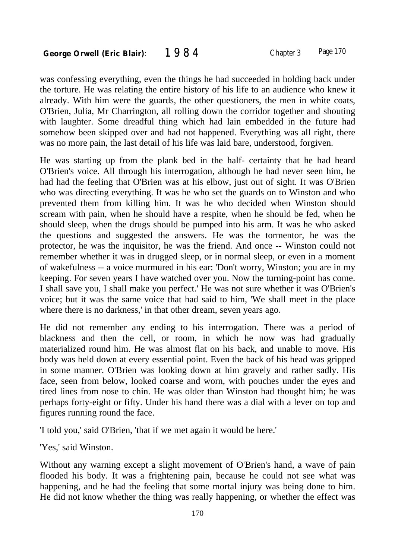was confessing everything, even the things he had succeeded in holding back under the torture. He was relating the entire history of his life to an audience who knew it already. With him were the guards, the other questioners, the men in white coats, O'Brien, Julia, Mr Charrington, all rolling down the corridor together and shouting with laughter. Some dreadful thing which had lain embedded in the future had somehow been skipped over and had not happened. Everything was all right, there was no more pain, the last detail of his life was laid bare, understood, forgiven.

He was starting up from the plank bed in the half- certainty that he had heard O'Brien's voice. All through his interrogation, although he had never seen him, he had had the feeling that O'Brien was at his elbow, just out of sight. It was O'Brien who was directing everything. It was he who set the guards on to Winston and who prevented them from killing him. It was he who decided when Winston should scream with pain, when he should have a respite, when he should be fed, when he should sleep, when the drugs should be pumped into his arm. It was he who asked the questions and suggested the answers. He was the tormentor, he was the protector, he was the inquisitor, he was the friend. And once -- Winston could not remember whether it was in drugged sleep, or in normal sleep, or even in a moment of wakefulness -- a voice murmured in his ear: 'Don't worry, Winston; you are in my keeping. For seven years I have watched over you. Now the turning-point has come. I shall save you, I shall make you perfect.' He was not sure whether it was O'Brien's voice; but it was the same voice that had said to him, 'We shall meet in the place where there is no darkness,' in that other dream, seven years ago.

He did not remember any ending to his interrogation. There was a period of blackness and then the cell, or room, in which he now was had gradually materialized round him. He was almost flat on his back, and unable to move. His body was held down at every essential point. Even the back of his head was gripped in some manner. O'Brien was looking down at him gravely and rather sadly. His face, seen from below, looked coarse and worn, with pouches under the eyes and tired lines from nose to chin. He was older than Winston had thought him; he was perhaps forty-eight or fifty. Under his hand there was a dial with a lever on top and figures running round the face.

'I told you,' said O'Brien, 'that if we met again it would be here.'

'Yes,' said Winston.

Without any warning except a slight movement of O'Brien's hand, a wave of pain flooded his body. It was a frightening pain, because he could not see what was happening, and he had the feeling that some mortal injury was being done to him. He did not know whether the thing was really happening, or whether the effect was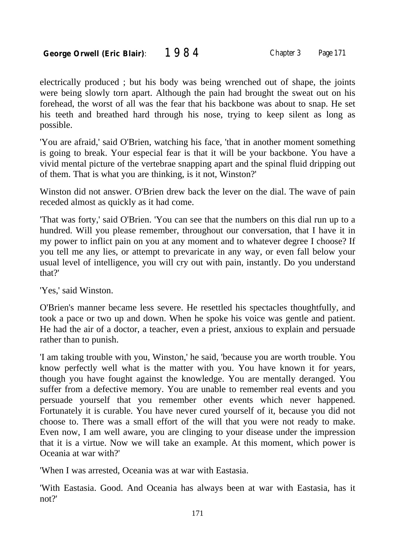electrically produced ; but his body was being wrenched out of shape, the joints were being slowly torn apart. Although the pain had brought the sweat out on his forehead, the worst of all was the fear that his backbone was about to snap. He set his teeth and breathed hard through his nose, trying to keep silent as long as possible.

'You are afraid,' said O'Brien, watching his face, 'that in another moment something is going to break. Your especial fear is that it will be your backbone. You have a vivid mental picture of the vertebrae snapping apart and the spinal fluid dripping out of them. That is what you are thinking, is it not, Winston?'

Winston did not answer. O'Brien drew back the lever on the dial. The wave of pain receded almost as quickly as it had come.

'That was forty,' said O'Brien. 'You can see that the numbers on this dial run up to a hundred. Will you please remember, throughout our conversation, that I have it in my power to inflict pain on you at any moment and to whatever degree I choose? If you tell me any lies, or attempt to prevaricate in any way, or even fall below your usual level of intelligence, you will cry out with pain, instantly. Do you understand that?'

'Yes,' said Winston.

O'Brien's manner became less severe. He resettled his spectacles thoughtfully, and took a pace or two up and down. When he spoke his voice was gentle and patient. He had the air of a doctor, a teacher, even a priest, anxious to explain and persuade rather than to punish.

'I am taking trouble with you, Winston,' he said, 'because you are worth trouble. You know perfectly well what is the matter with you. You have known it for years, though you have fought against the knowledge. You are mentally deranged. You suffer from a defective memory. You are unable to remember real events and you persuade yourself that you remember other events which never happened. Fortunately it is curable. You have never cured yourself of it, because you did not choose to. There was a small effort of the will that you were not ready to make. Even now, I am well aware, you are clinging to your disease under the impression that it is a virtue. Now we will take an example. At this moment, which power is Oceania at war with?'

'When I was arrested, Oceania was at war with Eastasia.

'With Eastasia. Good. And Oceania has always been at war with Eastasia, has it not?'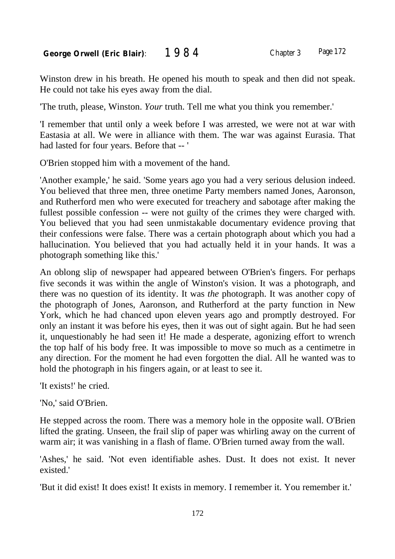Winston drew in his breath. He opened his mouth to speak and then did not speak. He could not take his eyes away from the dial.

'The truth, please, Winston. *Your* truth. Tell me what you think you remember.'

'I remember that until only a week before I was arrested, we were not at war with Eastasia at all. We were in alliance with them. The war was against Eurasia. That had lasted for four years. Before that -- '

O'Brien stopped him with a movement of the hand.

'Another example,' he said. 'Some years ago you had a very serious delusion indeed. You believed that three men, three onetime Party members named Jones, Aaronson, and Rutherford men who were executed for treachery and sabotage after making the fullest possible confession -- were not guilty of the crimes they were charged with. You believed that you had seen unmistakable documentary evidence proving that their confessions were false. There was a certain photograph about which you had a hallucination. You believed that you had actually held it in your hands. It was a photograph something like this.'

An oblong slip of newspaper had appeared between O'Brien's fingers. For perhaps five seconds it was within the angle of Winston's vision. It was a photograph, and there was no question of its identity. It was *the* photograph. It was another copy of the photograph of Jones, Aaronson, and Rutherford at the party function in New York, which he had chanced upon eleven years ago and promptly destroyed. For only an instant it was before his eyes, then it was out of sight again. But he had seen it, unquestionably he had seen it! He made a desperate, agonizing effort to wrench the top half of his body free. It was impossible to move so much as a centimetre in any direction. For the moment he had even forgotten the dial. All he wanted was to hold the photograph in his fingers again, or at least to see it.

'It exists!' he cried.

'No,' said O'Brien.

He stepped across the room. There was a memory hole in the opposite wall. O'Brien lifted the grating. Unseen, the frail slip of paper was whirling away on the current of warm air; it was vanishing in a flash of flame. O'Brien turned away from the wall.

'Ashes,' he said. 'Not even identifiable ashes. Dust. It does not exist. It never existed.'

'But it did exist! It does exist! It exists in memory. I remember it. You remember it.'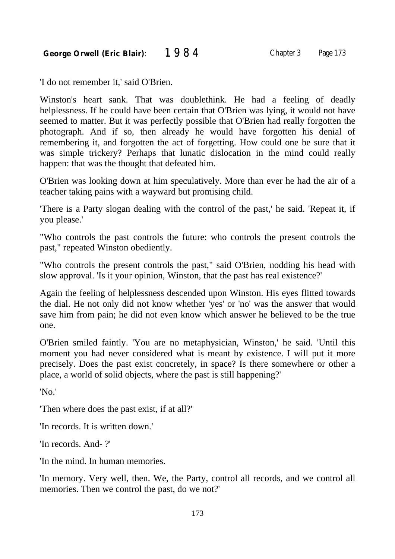'I do not remember it,' said O'Brien.

Winston's heart sank. That was doublethink. He had a feeling of deadly helplessness. If he could have been certain that O'Brien was lying, it would not have seemed to matter. But it was perfectly possible that O'Brien had really forgotten the photograph. And if so, then already he would have forgotten his denial of remembering it, and forgotten the act of forgetting. How could one be sure that it was simple trickery? Perhaps that lunatic dislocation in the mind could really happen: that was the thought that defeated him.

O'Brien was looking down at him speculatively. More than ever he had the air of a teacher taking pains with a wayward but promising child.

'There is a Party slogan dealing with the control of the past,' he said. 'Repeat it, if you please.'

"Who controls the past controls the future: who controls the present controls the past," repeated Winston obediently.

"Who controls the present controls the past," said O'Brien, nodding his head with slow approval. 'Is it your opinion, Winston, that the past has real existence?'

Again the feeling of helplessness descended upon Winston. His eyes flitted towards the dial. He not only did not know whether 'yes' or 'no' was the answer that would save him from pain; he did not even know which answer he believed to be the true one.

O'Brien smiled faintly. 'You are no metaphysician, Winston,' he said. 'Until this moment you had never considered what is meant by existence. I will put it more precisely. Does the past exist concretely, in space? Is there somewhere or other a place, a world of solid objects, where the past is still happening?'

'No.'

'Then where does the past exist, if at all?'

'In records. It is written down.'

'In records. And- ?'

'In the mind. In human memories.

'In memory. Very well, then. We, the Party, control all records, and we control all memories. Then we control the past, do we not?'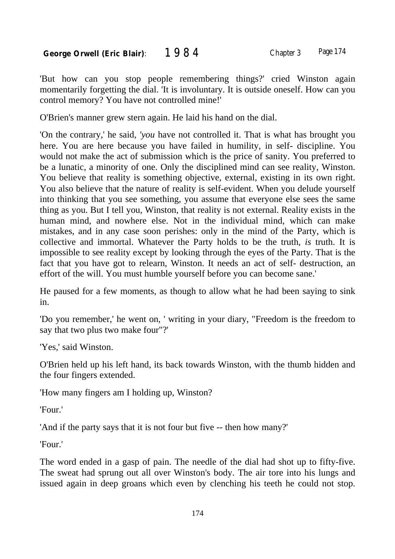'But how can you stop people remembering things?' cried Winston again momentarily forgetting the dial. 'It is involuntary. It is outside oneself. How can you control memory? You have not controlled mine!'

O'Brien's manner grew stern again. He laid his hand on the dial.

'On the contrary,' he said, *'you* have not controlled it. That is what has brought you here. You are here because you have failed in humility, in self- discipline. You would not make the act of submission which is the price of sanity. You preferred to be a lunatic, a minority of one. Only the disciplined mind can see reality, Winston. You believe that reality is something objective, external, existing in its own right. You also believe that the nature of reality is self-evident. When you delude yourself into thinking that you see something, you assume that everyone else sees the same thing as you. But I tell you, Winston, that reality is not external. Reality exists in the human mind, and nowhere else. Not in the individual mind, which can make mistakes, and in any case soon perishes: only in the mind of the Party, which is collective and immortal. Whatever the Party holds to be the truth, *is* truth. It is impossible to see reality except by looking through the eyes of the Party. That is the fact that you have got to relearn, Winston. It needs an act of self- destruction, an effort of the will. You must humble yourself before you can become sane.'

He paused for a few moments, as though to allow what he had been saying to sink in.

'Do you remember,' he went on, ' writing in your diary, "Freedom is the freedom to say that two plus two make four"?'

'Yes,' said Winston.

O'Brien held up his left hand, its back towards Winston, with the thumb hidden and the four fingers extended.

'How many fingers am I holding up, Winston?

'Four.'

'And if the party says that it is not four but five -- then how many?'

'Four.'

The word ended in a gasp of pain. The needle of the dial had shot up to fifty-five. The sweat had sprung out all over Winston's body. The air tore into his lungs and issued again in deep groans which even by clenching his teeth he could not stop.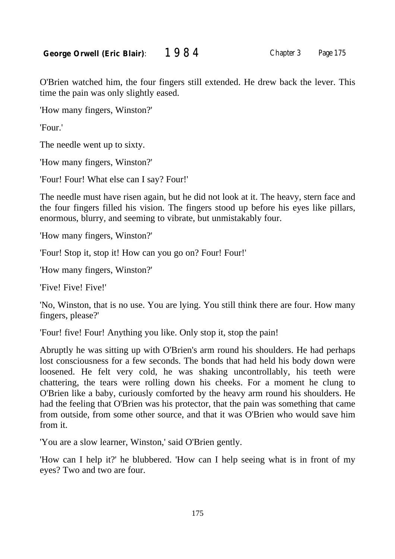O'Brien watched him, the four fingers still extended. He drew back the lever. This time the pain was only slightly eased.

'How many fingers, Winston?'

'Four.'

The needle went up to sixty.

'How many fingers, Winston?'

'Four! Four! What else can I say? Four!'

The needle must have risen again, but he did not look at it. The heavy, stern face and the four fingers filled his vision. The fingers stood up before his eyes like pillars, enormous, blurry, and seeming to vibrate, but unmistakably four.

'How many fingers, Winston?'

'Four! Stop it, stop it! How can you go on? Four! Four!'

'How many fingers, Winston?'

'Five! Five! Five!'

'No, Winston, that is no use. You are lying. You still think there are four. How many fingers, please?'

'Four! five! Four! Anything you like. Only stop it, stop the pain!

Abruptly he was sitting up with O'Brien's arm round his shoulders. He had perhaps lost consciousness for a few seconds. The bonds that had held his body down were loosened. He felt very cold, he was shaking uncontrollably, his teeth were chattering, the tears were rolling down his cheeks. For a moment he clung to O'Brien like a baby, curiously comforted by the heavy arm round his shoulders. He had the feeling that O'Brien was his protector, that the pain was something that came from outside, from some other source, and that it was O'Brien who would save him from it.

'You are a slow learner, Winston,' said O'Brien gently.

'How can I help it?' he blubbered. 'How can I help seeing what is in front of my eyes? Two and two are four.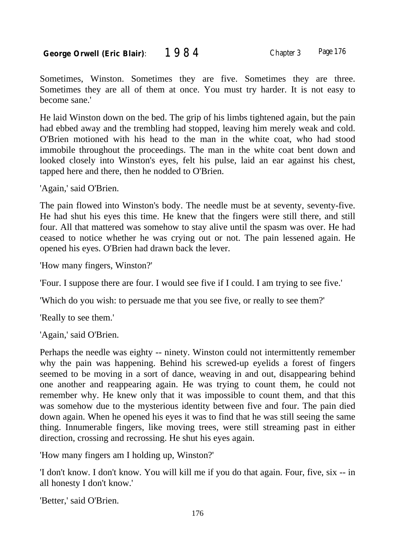Sometimes, Winston. Sometimes they are five. Sometimes they are three. Sometimes they are all of them at once. You must try harder. It is not easy to become sane.'

He laid Winston down on the bed. The grip of his limbs tightened again, but the pain had ebbed away and the trembling had stopped, leaving him merely weak and cold. O'Brien motioned with his head to the man in the white coat, who had stood immobile throughout the proceedings. The man in the white coat bent down and looked closely into Winston's eyes, felt his pulse, laid an ear against his chest, tapped here and there, then he nodded to O'Brien.

'Again,' said O'Brien.

The pain flowed into Winston's body. The needle must be at seventy, seventy-five. He had shut his eyes this time. He knew that the fingers were still there, and still four. All that mattered was somehow to stay alive until the spasm was over. He had ceased to notice whether he was crying out or not. The pain lessened again. He opened his eyes. O'Brien had drawn back the lever.

'How many fingers, Winston?'

'Four. I suppose there are four. I would see five if I could. I am trying to see five.'

'Which do you wish: to persuade me that you see five, or really to see them?'

'Really to see them.'

'Again,' said O'Brien.

Perhaps the needle was eighty -- ninety. Winston could not intermittently remember why the pain was happening. Behind his screwed-up eyelids a forest of fingers seemed to be moving in a sort of dance, weaving in and out, disappearing behind one another and reappearing again. He was trying to count them, he could not remember why. He knew only that it was impossible to count them, and that this was somehow due to the mysterious identity between five and four. The pain died down again. When he opened his eyes it was to find that he was still seeing the same thing. Innumerable fingers, like moving trees, were still streaming past in either direction, crossing and recrossing. He shut his eyes again.

'How many fingers am I holding up, Winston?'

'I don't know. I don't know. You will kill me if you do that again. Four, five, six -- in all honesty I don't know.'

'Better,' said O'Brien.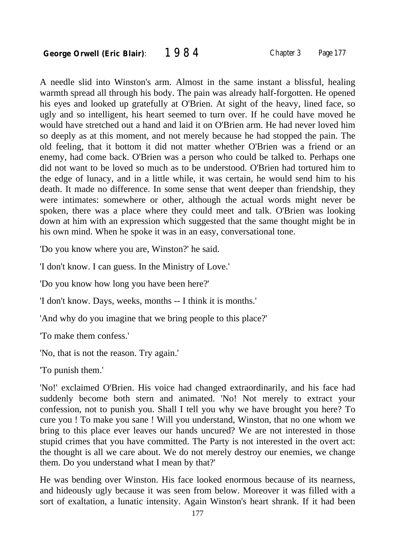A needle slid into Winston's arm. Almost in the same instant a blissful, healing warmth spread all through his body. The pain was already half-forgotten. He opened his eyes and looked up gratefully at O'Brien. At sight of the heavy, lined face, so ugly and so intelligent, his heart seemed to turn over. If he could have moved he would have stretched out a hand and laid it on O'Brien arm. He had never loved him so deeply as at this moment, and not merely because he had stopped the pain. The old feeling, that it bottom it did not matter whether O'Brien was a friend or an enemy, had come back. O'Brien was a person who could be talked to. Perhaps one did not want to be loved so much as to be understood. O'Brien had tortured him to the edge of lunacy, and in a little while, it was certain, he would send him to his death. It made no difference. In some sense that went deeper than friendship, they were intimates: somewhere or other, although the actual words might never be spoken, there was a place where they could meet and talk. O'Brien was looking down at him with an expression which suggested that the same thought might be in his own mind. When he spoke it was in an easy, conversational tone.

'Do you know where you are, Winston?' he said.

'I don't know. I can guess. In the Ministry of Love.'

'Do you know how long you have been here?'

'I don't know. Days, weeks, months -- I think it is months.'

'And why do you imagine that we bring people to this place?'

'To make them confess.'

'No, that is not the reason. Try again.'

'To punish them.'

'No!' exclaimed O'Brien. His voice had changed extraordinarily, and his face had suddenly become both stern and animated. 'No! Not merely to extract your confession, not to punish you. Shall I tell you why we have brought you here? To cure you ! To make you sane ! Will you understand, Winston, that no one whom we bring to this place ever leaves our hands uncured? We are not interested in those stupid crimes that you have committed. The Party is not interested in the overt act: the thought is all we care about. We do not merely destroy our enemies, we change them. Do you understand what I mean by that?'

He was bending over Winston. His face looked enormous because of its nearness, and hideously ugly because it was seen from below. Moreover it was filled with a sort of exaltation, a lunatic intensity. Again Winston's heart shrank. If it had been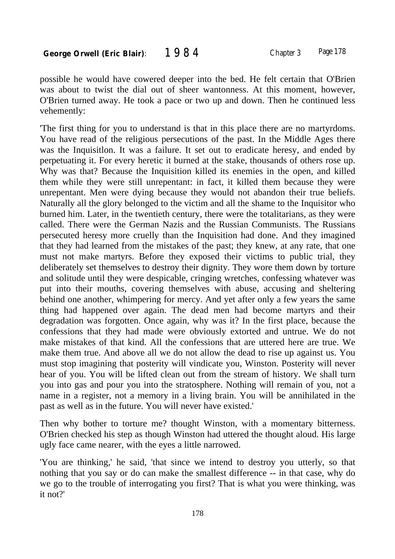possible he would have cowered deeper into the bed. He felt certain that O'Brien was about to twist the dial out of sheer wantonness. At this moment, however, O'Brien turned away. He took a pace or two up and down. Then he continued less vehemently:

'The first thing for you to understand is that in this place there are no martyrdoms. You have read of the religious persecutions of the past. In the Middle Ages there was the Inquisitlon. It was a failure. It set out to eradicate heresy, and ended by perpetuating it. For every heretic it burned at the stake, thousands of others rose up. Why was that? Because the Inquisition killed its enemies in the open, and killed them while they were still unrepentant: in fact, it killed them because they were unrepentant. Men were dying because they would not abandon their true beliefs. Naturally all the glory belonged to the victim and all the shame to the Inquisitor who burned him. Later, in the twentieth century, there were the totalitarians, as they were called. There were the German Nazis and the Russian Communists. The Russians persecuted heresy more cruelly than the Inquisition had done. And they imagined that they had learned from the mistakes of the past; they knew, at any rate, that one must not make martyrs. Before they exposed their victims to public trial, they deliberately set themselves to destroy their dignity. They wore them down by torture and solitude until they were despicable, cringing wretches, confessing whatever was put into their mouths, covering themselves with abuse, accusing and sheltering behind one another, whimpering for mercy. And yet after only a few years the same thing had happened over again. The dead men had become martyrs and their degradation was forgotten. Once again, why was it? In the first place, because the confessions that they had made were obviously extorted and untrue. We do not make mistakes of that kind. All the confessions that are uttered here are true. We make them true. And above all we do not allow the dead to rise up against us. You must stop imagining that posterity will vindicate you, Winston. Posterity will never hear of you. You will be lifted clean out from the stream of history. We shall turn you into gas and pour you into the stratosphere. Nothing will remain of you, not a name in a register, not a memory in a living brain. You will be annihilated in the past as well as in the future. You will never have existed.'

Then why bother to torture me? thought Winston, with a momentary bitterness. O'Brien checked his step as though Winston had uttered the thought aloud. His large ugly face came nearer, with the eyes a little narrowed.

'You are thinking,' he said, 'that since we intend to destroy you utterly, so that nothing that you say or do can make the smallest difference -- in that case, why do we go to the trouble of interrogating you first? That is what you were thinking, was it not?'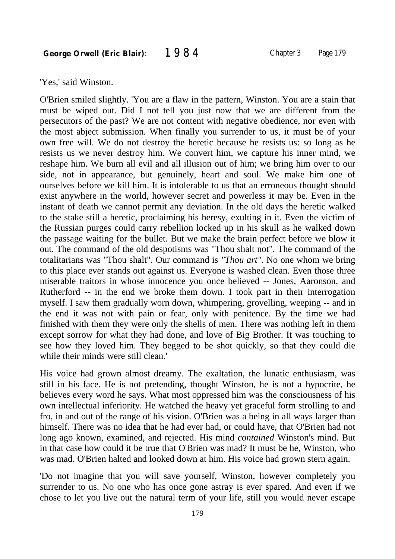'Yes,' said Winston.

O'Brien smiled slightly. 'You are a flaw in the pattern, Winston. You are a stain that must be wiped out. Did I not tell you just now that we are different from the persecutors of the past? We are not content with negative obedience, nor even with the most abject submission. When finally you surrender to us, it must be of your own free will. We do not destroy the heretic because he resists us: so long as he resists us we never destroy him. We convert him, we capture his inner mind, we reshape him. We burn all evil and all illusion out of him; we bring him over to our side, not in appearance, but genuinely, heart and soul. We make him one of ourselves before we kill him. It is intolerable to us that an erroneous thought should exist anywhere in the world, however secret and powerless it may be. Even in the instant of death we cannot permit any deviation. In the old days the heretic walked to the stake still a heretic, proclaiming his heresy, exulting in it. Even the victim of the Russian purges could carry rebellion locked up in his skull as he walked down the passage waiting for the bullet. But we make the brain perfect before we blow it out. The command of the old despotisms was "Thou shalt not". The command of the totalitarians was "Thou shalt". Our command is *"Thou art".* No one whom we bring to this place ever stands out against us. Everyone is washed clean. Even those three miserable traitors in whose innocence you once believed -- Jones, Aaronson, and Rutherford -- in the end we broke them down. I took part in their interrogation myself. I saw them gradually worn down, whimpering, grovelling, weeping -- and in the end it was not with pain or fear, only with penitence. By the time we had finished with them they were only the shells of men. There was nothing left in them except sorrow for what they had done, and love of Big Brother. It was touching to see how they loved him. They begged to be shot quickly, so that they could die while their minds were still clean.'

His voice had grown almost dreamy. The exaltation, the lunatic enthusiasm, was still in his face. He is not pretending, thought Winston, he is not a hypocrite, he believes every word he says. What most oppressed him was the consciousness of his own intellectual inferiority. He watched the heavy yet graceful form strolling to and fro, in and out of the range of his vision. O'Brien was a being in all ways larger than himself. There was no idea that he had ever had, or could have, that O'Brien had not long ago known, examined, and rejected. His mind *contained* Winston's mind. But in that case how could it be true that O'Brien was mad? It must be he, Winston, who was mad. O'Brien halted and looked down at him. His voice had grown stern again.

'Do not imagine that you will save yourself, Winston, however completely you surrender to us. No one who has once gone astray is ever spared. And even if we chose to let you live out the natural term of your life, still you would never escape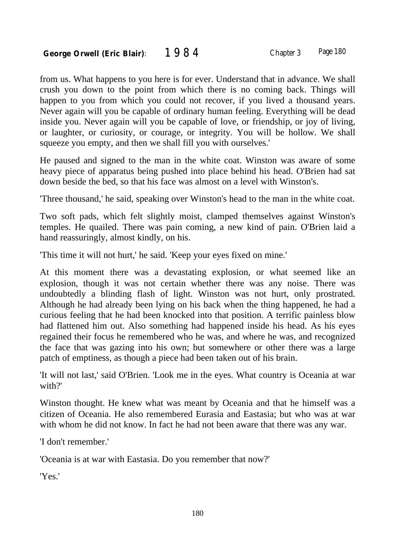from us. What happens to you here is for ever. Understand that in advance. We shall crush you down to the point from which there is no coming back. Things will happen to you from which you could not recover, if you lived a thousand years. Never again will you be capable of ordinary human feeling. Everything will be dead inside you. Never again will you be capable of love, or friendship, or joy of living, or laughter, or curiosity, or courage, or integrity. You will be hollow. We shall squeeze you empty, and then we shall fill you with ourselves.'

He paused and signed to the man in the white coat. Winston was aware of some heavy piece of apparatus being pushed into place behind his head. O'Brien had sat down beside the bed, so that his face was almost on a level with Winston's.

'Three thousand,' he said, speaking over Winston's head to the man in the white coat.

Two soft pads, which felt slightly moist, clamped themselves against Winston's temples. He quailed. There was pain coming, a new kind of pain. O'Brien laid a hand reassuringly, almost kindly, on his.

'This time it will not hurt,' he said. 'Keep your eyes fixed on mine.'

At this moment there was a devastating explosion, or what seemed like an explosion, though it was not certain whether there was any noise. There was undoubtedly a blinding flash of light. Winston was not hurt, only prostrated. Although he had already been lying on his back when the thing happened, he had a curious feeling that he had been knocked into that position. A terrific painless blow had flattened him out. Also something had happened inside his head. As his eyes regained their focus he remembered who he was, and where he was, and recognized the face that was gazing into his own; but somewhere or other there was a large patch of emptiness, as though a piece had been taken out of his brain.

'It will not last,' said O'Brien. 'Look me in the eyes. What country is Oceania at war with?'

Winston thought. He knew what was meant by Oceania and that he himself was a citizen of Oceania. He also remembered Eurasia and Eastasia; but who was at war with whom he did not know. In fact he had not been aware that there was any war.

'I don't remember.'

'Oceania is at war with Eastasia. Do you remember that now?'

'Yes.'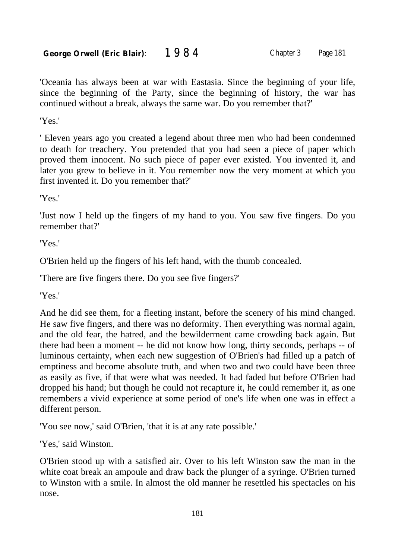'Oceania has always been at war with Eastasia. Since the beginning of your life, since the beginning of the Party, since the beginning of history, the war has continued without a break, always the same war. Do you remember that?'

'Yes.'

' Eleven years ago you created a legend about three men who had been condemned to death for treachery. You pretended that you had seen a piece of paper which proved them innocent. No such piece of paper ever existed. You invented it, and later you grew to believe in it. You remember now the very moment at which you first invented it. Do you remember that?'

'Yes.'

'Just now I held up the fingers of my hand to you. You saw five fingers. Do you remember that?'

'Yes.'

O'Brien held up the fingers of his left hand, with the thumb concealed.

'There are five fingers there. Do you see five fingers?'

'Yes.'

And he did see them, for a fleeting instant, before the scenery of his mind changed. He saw five fingers, and there was no deformity. Then everything was normal again, and the old fear, the hatred, and the bewilderment came crowding back again. But there had been a moment -- he did not know how long, thirty seconds, perhaps -- of luminous certainty, when each new suggestion of O'Brien's had filled up a patch of emptiness and become absolute truth, and when two and two could have been three as easily as five, if that were what was needed. It had faded but before O'Brien had dropped his hand; but though he could not recapture it, he could remember it, as one remembers a vivid experience at some period of one's life when one was in effect a different person.

'You see now,' said O'Brien, 'that it is at any rate possible.'

'Yes,' said Winston.

O'Brien stood up with a satisfied air. Over to his left Winston saw the man in the white coat break an ampoule and draw back the plunger of a syringe. O'Brien turned to Winston with a smile. In almost the old manner he resettled his spectacles on his nose.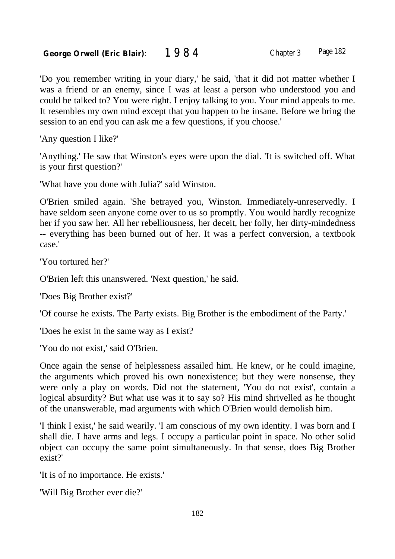## *George Orwell (Eric Blair)*: **1984** Chapter 3 Page 182

'Do you remember writing in your diary,' he said, 'that it did not matter whether I was a friend or an enemy, since I was at least a person who understood you and could be talked to? You were right. I enjoy talking to you. Your mind appeals to me. It resembles my own mind except that you happen to be insane. Before we bring the session to an end you can ask me a few questions, if you choose.'

'Any question I like?'

'Anything.' He saw that Winston's eyes were upon the dial. 'It is switched off. What is your first question?'

'What have you done with Julia?' said Winston.

O'Brien smiled again. 'She betrayed you, Winston. Immediately-unreservedly. I have seldom seen anyone come over to us so promptly. You would hardly recognize her if you saw her. All her rebelliousness, her deceit, her folly, her dirty-mindedness -- everything has been burned out of her. It was a perfect conversion, a textbook case.'

'You tortured her?'

O'Brien left this unanswered. 'Next question,' he said.

'Does Big Brother exist?'

'Of course he exists. The Party exists. Big Brother is the embodiment of the Party.'

'Does he exist in the same way as I exist?

'You do not exist,' said O'Brien.

Once again the sense of helplessness assailed him. He knew, or he could imagine, the arguments which proved his own nonexistence; but they were nonsense, they were only a play on words. Did not the statement, 'You do not exist', contain a logical absurdity? But what use was it to say so? His mind shrivelled as he thought of the unanswerable, mad arguments with which O'Brien would demolish him.

'I think I exist,' he said wearily. 'I am conscious of my own identity. I was born and I shall die. I have arms and legs. I occupy a particular point in space. No other solid object can occupy the same point simultaneously. In that sense, does Big Brother exist?'

'It is of no importance. He exists.'

'Will Big Brother ever die?'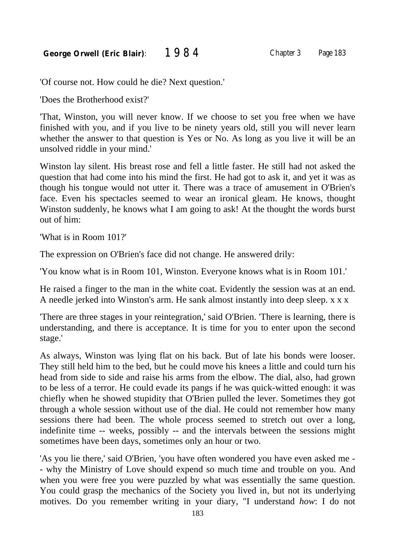'Of course not. How could he die? Next question.'

'Does the Brotherhood exist?'

'That, Winston, you will never know. If we choose to set you free when we have finished with you, and if you live to be ninety years old, still you will never learn whether the answer to that question is Yes or No. As long as you live it will be an unsolved riddle in your mind.'

Winston lay silent. His breast rose and fell a little faster. He still had not asked the question that had come into his mind the first. He had got to ask it, and yet it was as though his tongue would not utter it. There was a trace of amusement in O'Brien's face. Even his spectacles seemed to wear an ironical gleam. He knows, thought Winston suddenly, he knows what I am going to ask! At the thought the words burst out of him:

'What is in Room 101?'

The expression on O'Brien's face did not change. He answered drily:

'You know what is in Room 101, Winston. Everyone knows what is in Room 101.'

He raised a finger to the man in the white coat. Evidently the session was at an end. A needle jerked into Winston's arm. He sank almost instantly into deep sleep. x x x

'There are three stages in your reintegration,' said O'Brien. 'There is learning, there is understanding, and there is acceptance. It is time for you to enter upon the second stage.'

As always, Winston was lying flat on his back. But of late his bonds were looser. They still held him to the bed, but he could move his knees a little and could turn his head from side to side and raise his arms from the elbow. The dial, also, had grown to be less of a terror. He could evade its pangs if he was quick-witted enough: it was chiefly when he showed stupidity that O'Brien pulled the lever. Sometimes they got through a whole session without use of the dial. He could not remember how many sessions there had been. The whole process seemed to stretch out over a long, indefinite time -- weeks, possibly -- and the intervals between the sessions might sometimes have been days, sometimes only an hour or two.

'As you lie there,' said O'Brien, 'you have often wondered you have even asked me - - why the Ministry of Love should expend so much time and trouble on you. And when you were free you were puzzled by what was essentially the same question. You could grasp the mechanics of the Society you lived in, but not its underlying motives. Do you remember writing in your diary, "I understand *how*: I do not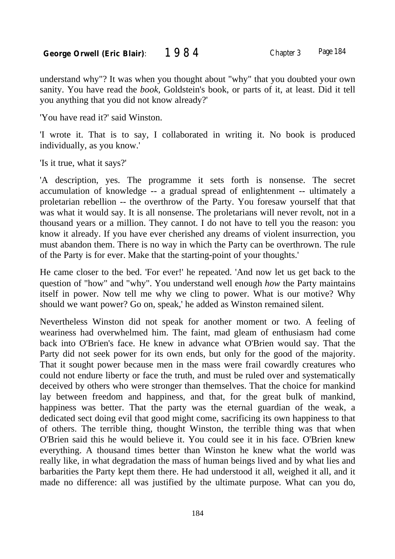#### *George Orwell (Eric Blair)*: **1984** Chapter 3 Page 184

understand why"? It was when you thought about "why" that you doubted your own sanity. You have read the *book,* Goldstein's book, or parts of it, at least. Did it tell you anything that you did not know already?'

'You have read it?' said Winston.

'I wrote it. That is to say, I collaborated in writing it. No book is produced individually, as you know.'

'Is it true, what it says?'

'A description, yes. The programme it sets forth is nonsense. The secret accumulation of knowledge -- a gradual spread of enlightenment -- ultimately a proletarian rebellion -- the overthrow of the Party. You foresaw yourself that that was what it would say. It is all nonsense. The proletarians will never revolt, not in a thousand years or a million. They cannot. I do not have to tell you the reason: you know it already. If you have ever cherished any dreams of violent insurrection, you must abandon them. There is no way in which the Party can be overthrown. The rule of the Party is for ever. Make that the starting-point of your thoughts.'

He came closer to the bed. 'For ever!' he repeated. 'And now let us get back to the question of "how" and "why". You understand well enough *how* the Party maintains itself in power. Now tell me why we cling to power. What is our motive? Why should we want power? Go on, speak,' he added as Winston remained silent.

Nevertheless Winston did not speak for another moment or two. A feeling of weariness had overwhelmed him. The faint, mad gleam of enthusiasm had come back into O'Brien's face. He knew in advance what O'Brien would say. That the Party did not seek power for its own ends, but only for the good of the majority. That it sought power because men in the mass were frail cowardly creatures who could not endure liberty or face the truth, and must be ruled over and systematically deceived by others who were stronger than themselves. That the choice for mankind lay between freedom and happiness, and that, for the great bulk of mankind, happiness was better. That the party was the eternal guardian of the weak, a dedicated sect doing evil that good might come, sacrificing its own happiness to that of others. The terrible thing, thought Winston, the terrible thing was that when O'Brien said this he would believe it. You could see it in his face. O'Brien knew everything. A thousand times better than Winston he knew what the world was really like, in what degradation the mass of human beings lived and by what lies and barbarities the Party kept them there. He had understood it all, weighed it all, and it made no difference: all was justified by the ultimate purpose. What can you do,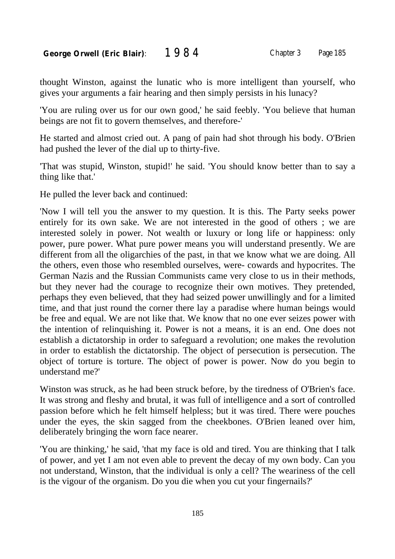thought Winston, against the lunatic who is more intelligent than yourself, who gives your arguments a fair hearing and then simply persists in his lunacy?

'You are ruling over us for our own good,' he said feebly. 'You believe that human beings are not fit to govern themselves, and therefore-'

He started and almost cried out. A pang of pain had shot through his body. O'Brien had pushed the lever of the dial up to thirty-five.

'That was stupid, Winston, stupid!' he said. 'You should know better than to say a thing like that.'

He pulled the lever back and continued:

'Now I will tell you the answer to my question. It is this. The Party seeks power entirely for its own sake. We are not interested in the good of others ; we are interested solely in power. Not wealth or luxury or long life or happiness: only power, pure power. What pure power means you will understand presently. We are different from all the oligarchies of the past, in that we know what we are doing. All the others, even those who resembled ourselves, were- cowards and hypocrites. The German Nazis and the Russian Communists came very close to us in their methods, but they never had the courage to recognize their own motives. They pretended, perhaps they even believed, that they had seized power unwillingly and for a limited time, and that just round the corner there lay a paradise where human beings would be free and equal. We are not like that. We know that no one ever seizes power with the intention of relinquishing it. Power is not a means, it is an end. One does not establish a dictatorship in order to safeguard a revolution; one makes the revolution in order to establish the dictatorship. The object of persecution is persecution. The object of torture is torture. The object of power is power. Now do you begin to understand me?'

Winston was struck, as he had been struck before, by the tiredness of O'Brien's face. It was strong and fleshy and brutal, it was full of intelligence and a sort of controlled passion before which he felt himself helpless; but it was tired. There were pouches under the eyes, the skin sagged from the cheekbones. O'Brien leaned over him, deliberately bringing the worn face nearer.

'You are thinking,' he said, 'that my face is old and tired. You are thinking that I talk of power, and yet I am not even able to prevent the decay of my own body. Can you not understand, Winston, that the individual is only a cell? The weariness of the cell is the vigour of the organism. Do you die when you cut your fingernails?'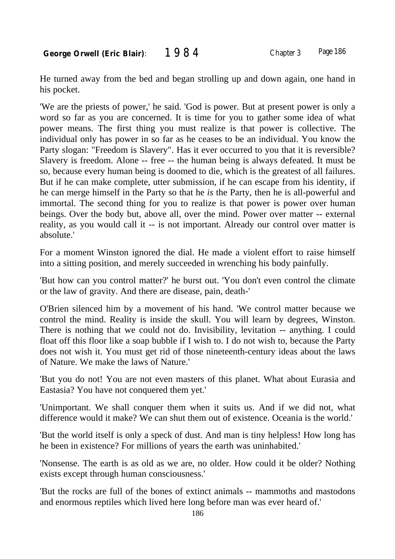He turned away from the bed and began strolling up and down again, one hand in his pocket.

'We are the priests of power,' he said. 'God is power. But at present power is only a word so far as you are concerned. It is time for you to gather some idea of what power means. The first thing you must realize is that power is collective. The individual only has power in so far as he ceases to be an individual. You know the Party slogan: "Freedom is Slavery". Has it ever occurred to you that it is reversible? Slavery is freedom. Alone -- free -- the human being is always defeated. It must be so, because every human being is doomed to die, which is the greatest of all failures. But if he can make complete, utter submission, if he can escape from his identity, if he can merge himself in the Party so that he *is* the Party, then he is all-powerful and immortal. The second thing for you to realize is that power is power over human beings. Over the body but, above all, over the mind. Power over matter -- external reality, as you would call it -- is not important. Already our control over matter is absolute.'

For a moment Winston ignored the dial. He made a violent effort to raise himself into a sitting position, and merely succeeded in wrenching his body painfully.

'But how can you control matter?' he burst out. 'You don't even control the climate or the law of gravity. And there are disease, pain, death-'

O'Brien silenced him by a movement of his hand. 'We control matter because we control the mind. Reality is inside the skull. You will learn by degrees, Winston. There is nothing that we could not do. Invisibility, levitation -- anything. I could float off this floor like a soap bubble if I wish to. I do not wish to, because the Party does not wish it. You must get rid of those nineteenth-century ideas about the laws of Nature. We make the laws of Nature.'

'But you do not! You are not even masters of this planet. What about Eurasia and Eastasia? You have not conquered them yet.'

'Unimportant. We shall conquer them when it suits us. And if we did not, what difference would it make? We can shut them out of existence. Oceania is the world.'

'But the world itself is only a speck of dust. And man is tiny helpless! How long has he been in existence? For millions of years the earth was uninhabited.'

'Nonsense. The earth is as old as we are, no older. How could it be older? Nothing exists except through human consciousness.'

'But the rocks are full of the bones of extinct animals -- mammoths and mastodons and enormous reptiles which lived here long before man was ever heard of.'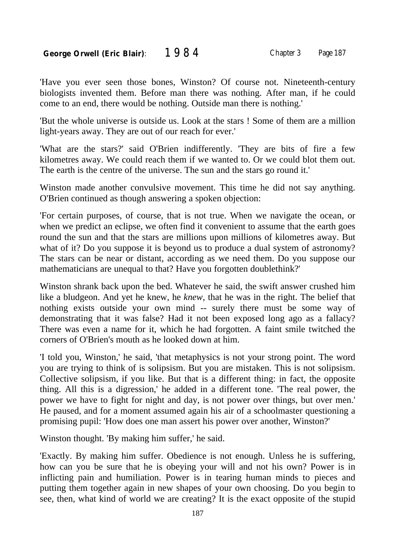### *George Orwell (Eric Blair)*: **1984** Chapter 3 Page 187

'Have you ever seen those bones, Winston? Of course not. Nineteenth-century biologists invented them. Before man there was nothing. After man, if he could come to an end, there would be nothing. Outside man there is nothing.'

'But the whole universe is outside us. Look at the stars ! Some of them are a million light-years away. They are out of our reach for ever.'

'What are the stars?' said O'Brien indifferently. 'They are bits of fire a few kilometres away. We could reach them if we wanted to. Or we could blot them out. The earth is the centre of the universe. The sun and the stars go round it.'

Winston made another convulsive movement. This time he did not say anything. O'Brien continued as though answering a spoken objection:

'For certain purposes, of course, that is not true. When we navigate the ocean, or when we predict an eclipse, we often find it convenient to assume that the earth goes round the sun and that the stars are millions upon millions of kilometres away. But what of it? Do you suppose it is beyond us to produce a dual system of astronomy? The stars can be near or distant, according as we need them. Do you suppose our mathematicians are unequal to that? Have you forgotten doublethink?'

Winston shrank back upon the bed. Whatever he said, the swift answer crushed him like a bludgeon. And yet he knew, he *knew,* that he was in the right. The belief that nothing exists outside your own mind -- surely there must be some way of demonstrating that it was false? Had it not been exposed long ago as a fallacy? There was even a name for it, which he had forgotten. A faint smile twitched the corners of O'Brien's mouth as he looked down at him.

'I told you, Winston,' he said, 'that metaphysics is not your strong point. The word you are trying to think of is solipsism. But you are mistaken. This is not solipsism. Collective solipsism, if you like. But that is a different thing: in fact, the opposite thing. All this is a digression,' he added in a different tone. 'The real power, the power we have to fight for night and day, is not power over things, but over men.' He paused, and for a moment assumed again his air of a schoolmaster questioning a promising pupil: 'How does one man assert his power over another, Winston?'

Winston thought. 'By making him suffer,' he said.

'Exactly. By making him suffer. Obedience is not enough. Unless he is suffering, how can you be sure that he is obeying your will and not his own? Power is in inflicting pain and humiliation. Power is in tearing human minds to pieces and putting them together again in new shapes of your own choosing. Do you begin to see, then, what kind of world we are creating? It is the exact opposite of the stupid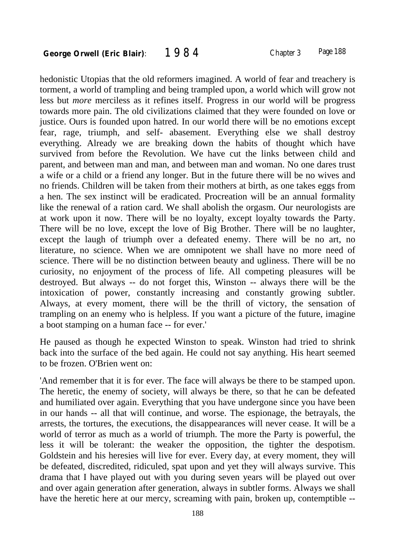hedonistic Utopias that the old reformers imagined. A world of fear and treachery is torment, a world of trampling and being trampled upon, a world which will grow not less but *more* merciless as it refines itself. Progress in our world will be progress towards more pain. The old civilizations claimed that they were founded on love or justice. Ours is founded upon hatred. In our world there will be no emotions except fear, rage, triumph, and self- abasement. Everything else we shall destroy everything. Already we are breaking down the habits of thought which have survived from before the Revolution. We have cut the links between child and parent, and between man and man, and between man and woman. No one dares trust a wife or a child or a friend any longer. But in the future there will be no wives and no friends. Children will be taken from their mothers at birth, as one takes eggs from a hen. The sex instinct will be eradicated. Procreation will be an annual formality like the renewal of a ration card. We shall abolish the orgasm. Our neurologists are at work upon it now. There will be no loyalty, except loyalty towards the Party. There will be no love, except the love of Big Brother. There will be no laughter, except the laugh of triumph over a defeated enemy. There will be no art, no literature, no science. When we are omnipotent we shall have no more need of science. There will be no distinction between beauty and ugliness. There will be no curiosity, no enjoyment of the process of life. All competing pleasures will be destroyed. But always -- do not forget this, Winston -- always there will be the intoxication of power, constantly increasing and constantly growing subtler. Always, at every moment, there will be the thrill of victory, the sensation of trampling on an enemy who is helpless. If you want a picture of the future, imagine a boot stamping on a human face -- for ever.'

He paused as though he expected Winston to speak. Winston had tried to shrink back into the surface of the bed again. He could not say anything. His heart seemed to be frozen. O'Brien went on:

'And remember that it is for ever. The face will always be there to be stamped upon. The heretic, the enemy of society, will always be there, so that he can be defeated and humiliated over again. Everything that you have undergone since you have been in our hands -- all that will continue, and worse. The espionage, the betrayals, the arrests, the tortures, the executions, the disappearances will never cease. It will be a world of terror as much as a world of triumph. The more the Party is powerful, the less it will be tolerant: the weaker the opposition, the tighter the despotism. Goldstein and his heresies will live for ever. Every day, at every moment, they will be defeated, discredited, ridiculed, spat upon and yet they will always survive. This drama that I have played out with you during seven years will be played out over and over again generation after generation, always in subtler forms. Always we shall have the heretic here at our mercy, screaming with pain, broken up, contemptible --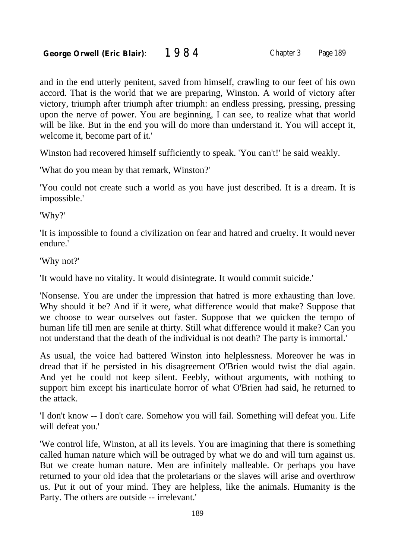and in the end utterly penitent, saved from himself, crawling to our feet of his own accord. That is the world that we are preparing, Winston. A world of victory after victory, triumph after triumph after triumph: an endless pressing, pressing, pressing upon the nerve of power. You are beginning, I can see, to realize what that world will be like. But in the end you will do more than understand it. You will accept it, welcome it, become part of it.'

Winston had recovered himself sufficiently to speak. 'You can't!' he said weakly.

'What do you mean by that remark, Winston?'

'You could not create such a world as you have just described. It is a dream. It is impossible.'

'Why?'

'It is impossible to found a civilization on fear and hatred and cruelty. It would never endure.'

'Why not?'

'It would have no vitality. It would disintegrate. It would commit suicide.'

'Nonsense. You are under the impression that hatred is more exhausting than love. Why should it be? And if it were, what difference would that make? Suppose that we choose to wear ourselves out faster. Suppose that we quicken the tempo of human life till men are senile at thirty. Still what difference would it make? Can you not understand that the death of the individual is not death? The party is immortal.'

As usual, the voice had battered Winston into helplessness. Moreover he was in dread that if he persisted in his disagreement O'Brien would twist the dial again. And yet he could not keep silent. Feebly, without arguments, with nothing to support him except his inarticulate horror of what O'Brien had said, he returned to the attack.

'I don't know -- I don't care. Somehow you will fail. Something will defeat you. Life will defeat you.'

'We control life, Winston, at all its levels. You are imagining that there is something called human nature which will be outraged by what we do and will turn against us. But we create human nature. Men are infinitely malleable. Or perhaps you have returned to your old idea that the proletarians or the slaves will arise and overthrow us. Put it out of your mind. They are helpless, like the animals. Humanity is the Party. The others are outside -- irrelevant.'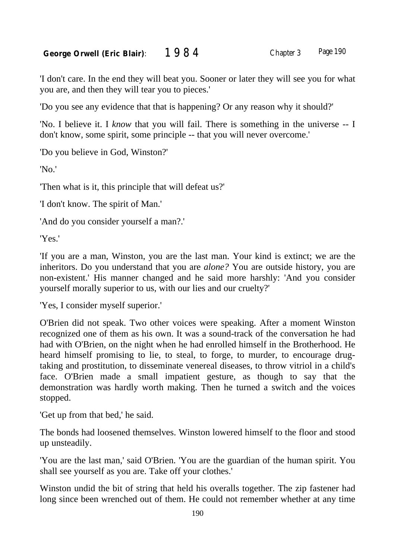# *George Orwell (Eric Blair)*: **1984** Chapter 3 Page 190

'I don't care. In the end they will beat you. Sooner or later they will see you for what you are, and then they will tear you to pieces.'

'Do you see any evidence that that is happening? Or any reason why it should?'

'No. I believe it. I *know* that you will fail. There is something in the universe -- I don't know, some spirit, some principle -- that you will never overcome.'

'Do you believe in God, Winston?'

'No.'

'Then what is it, this principle that will defeat us?'

'I don't know. The spirit of Man.'

'And do you consider yourself a man?.'

'Yes.'

'If you are a man, Winston, you are the last man. Your kind is extinct; we are the inheritors. Do you understand that you are *alone?* You are outside history, you are non-existent.' His manner changed and he said more harshly: 'And you consider yourself morally superior to us, with our lies and our cruelty?'

'Yes, I consider myself superior.'

O'Brien did not speak. Two other voices were speaking. After a moment Winston recognized one of them as his own. It was a sound-track of the conversation he had had with O'Brien, on the night when he had enrolled himself in the Brotherhood. He heard himself promising to lie, to steal, to forge, to murder, to encourage drugtaking and prostitution, to disseminate venereal diseases, to throw vitriol in a child's face. O'Brien made a small impatient gesture, as though to say that the demonstration was hardly worth making. Then he turned a switch and the voices stopped.

'Get up from that bed,' he said.

The bonds had loosened themselves. Winston lowered himself to the floor and stood up unsteadily.

'You are the last man,' said O'Brien. 'You are the guardian of the human spirit. You shall see yourself as you are. Take off your clothes.'

Winston undid the bit of string that held his overalls together. The zip fastener had long since been wrenched out of them. He could not remember whether at any time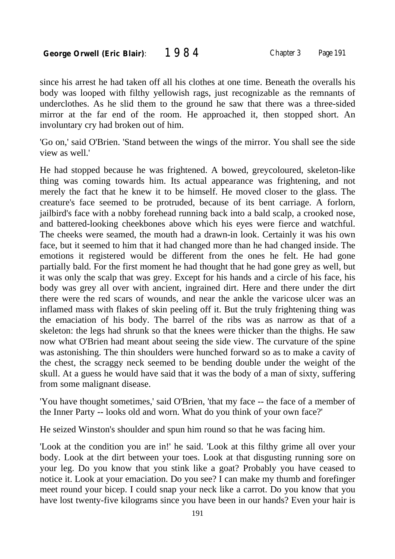since his arrest he had taken off all his clothes at one time. Beneath the overalls his body was looped with filthy yellowish rags, just recognizable as the remnants of underclothes. As he slid them to the ground he saw that there was a three-sided mirror at the far end of the room. He approached it, then stopped short. An involuntary cry had broken out of him.

'Go on,' said O'Brien. 'Stand between the wings of the mirror. You shall see the side view as well.'

He had stopped because he was frightened. A bowed, greycoloured, skeleton-like thing was coming towards him. Its actual appearance was frightening, and not merely the fact that he knew it to be himself. He moved closer to the glass. The creature's face seemed to be protruded, because of its bent carriage. A forlorn, jailbird's face with a nobby forehead running back into a bald scalp, a crooked nose, and battered-looking cheekbones above which his eyes were fierce and watchful. The cheeks were seamed, the mouth had a drawn-in look. Certainly it was his own face, but it seemed to him that it had changed more than he had changed inside. The emotions it registered would be different from the ones he felt. He had gone partially bald. For the first moment he had thought that he had gone grey as well, but it was only the scalp that was grey. Except for his hands and a circle of his face, his body was grey all over with ancient, ingrained dirt. Here and there under the dirt there were the red scars of wounds, and near the ankle the varicose ulcer was an inflamed mass with flakes of skin peeling off it. But the truly frightening thing was the emaciation of his body. The barrel of the ribs was as narrow as that of a skeleton: the legs had shrunk so that the knees were thicker than the thighs. He saw now what O'Brien had meant about seeing the side view. The curvature of the spine was astonishing. The thin shoulders were hunched forward so as to make a cavity of the chest, the scraggy neck seemed to be bending double under the weight of the skull. At a guess he would have said that it was the body of a man of sixty, suffering from some malignant disease.

'You have thought sometimes,' said O'Brien, 'that my face -- the face of a member of the Inner Party -- looks old and worn. What do you think of your own face?'

He seized Winston's shoulder and spun him round so that he was facing him.

'Look at the condition you are in!' he said. 'Look at this filthy grime all over your body. Look at the dirt between your toes. Look at that disgusting running sore on your leg. Do you know that you stink like a goat? Probably you have ceased to notice it. Look at your emaciation. Do you see? I can make my thumb and forefinger meet round your bicep. I could snap your neck like a carrot. Do you know that you have lost twenty-five kilograms since you have been in our hands? Even your hair is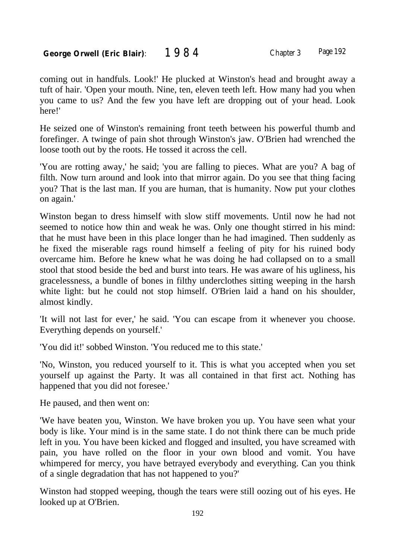coming out in handfuls. Look!' He plucked at Winston's head and brought away a tuft of hair. 'Open your mouth. Nine, ten, eleven teeth left. How many had you when you came to us? And the few you have left are dropping out of your head. Look here!'

He seized one of Winston's remaining front teeth between his powerful thumb and forefinger. A twinge of pain shot through Winston's jaw. O'Brien had wrenched the loose tooth out by the roots. He tossed it across the cell.

'You are rotting away,' he said; 'you are falling to pieces. What are you? A bag of filth. Now turn around and look into that mirror again. Do you see that thing facing you? That is the last man. If you are human, that is humanity. Now put your clothes on again.'

Winston began to dress himself with slow stiff movements. Until now he had not seemed to notice how thin and weak he was. Only one thought stirred in his mind: that he must have been in this place longer than he had imagined. Then suddenly as he fixed the miserable rags round himself a feeling of pity for his ruined body overcame him. Before he knew what he was doing he had collapsed on to a small stool that stood beside the bed and burst into tears. He was aware of his ugliness, his gracelessness, a bundle of bones in filthy underclothes sitting weeping in the harsh white light: but he could not stop himself. O'Brien laid a hand on his shoulder, almost kindly.

'It will not last for ever,' he said. 'You can escape from it whenever you choose. Everything depends on yourself.'

'You did it!' sobbed Winston. 'You reduced me to this state.'

'No, Winston, you reduced yourself to it. This is what you accepted when you set yourself up against the Party. It was all contained in that first act. Nothing has happened that you did not foresee.'

He paused, and then went on:

'We have beaten you, Winston. We have broken you up. You have seen what your body is like. Your mind is in the same state. I do not think there can be much pride left in you. You have been kicked and flogged and insulted, you have screamed with pain, you have rolled on the floor in your own blood and vomit. You have whimpered for mercy, you have betrayed everybody and everything. Can you think of a single degradation that has not happened to you?'

Winston had stopped weeping, though the tears were still oozing out of his eyes. He looked up at O'Brien.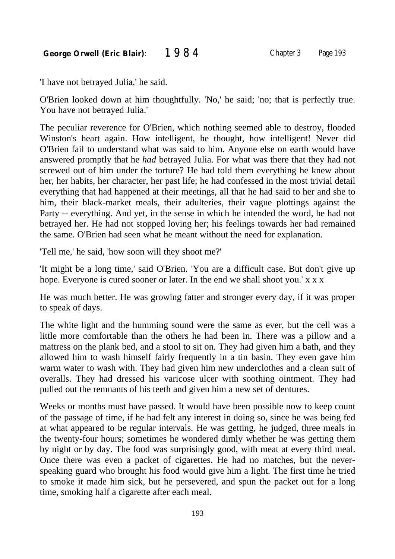'I have not betrayed Julia,' he said.

O'Brien looked down at him thoughtfully. 'No,' he said; 'no; that is perfectly true. You have not betrayed Julia.'

The peculiar reverence for O'Brien, which nothing seemed able to destroy, flooded Winston's heart again. How intelligent, he thought, how intelligent! Never did O'Brien fail to understand what was said to him. Anyone else on earth would have answered promptly that he *had* betrayed Julia. For what was there that they had not screwed out of him under the torture? He had told them everything he knew about her, her habits, her character, her past life; he had confessed in the most trivial detail everything that had happened at their meetings, all that he had said to her and she to him, their black-market meals, their adulteries, their vague plottings against the Party -- everything. And yet, in the sense in which he intended the word, he had not betrayed her. He had not stopped loving her; his feelings towards her had remained the same. O'Brien had seen what he meant without the need for explanation.

'Tell me,' he said, 'how soon will they shoot me?'

'It might be a long time,' said O'Brien. 'You are a difficult case. But don't give up hope. Everyone is cured sooner or later. In the end we shall shoot you.' x x x

He was much better. He was growing fatter and stronger every day, if it was proper to speak of days.

The white light and the humming sound were the same as ever, but the cell was a little more comfortable than the others he had been in. There was a pillow and a mattress on the plank bed, and a stool to sit on. They had given him a bath, and they allowed him to wash himself fairly frequently in a tin basin. They even gave him warm water to wash with. They had given him new underclothes and a clean suit of overalls. They had dressed his varicose ulcer with soothing ointment. They had pulled out the remnants of his teeth and given him a new set of dentures.

Weeks or months must have passed. It would have been possible now to keep count of the passage of time, if he had felt any interest in doing so, since he was being fed at what appeared to be regular intervals. He was getting, he judged, three meals in the twenty-four hours; sometimes he wondered dimly whether he was getting them by night or by day. The food was surprisingly good, with meat at every third meal. Once there was even a packet of cigarettes. He had no matches, but the neverspeaking guard who brought his food would give him a light. The first time he tried to smoke it made him sick, but he persevered, and spun the packet out for a long time, smoking half a cigarette after each meal.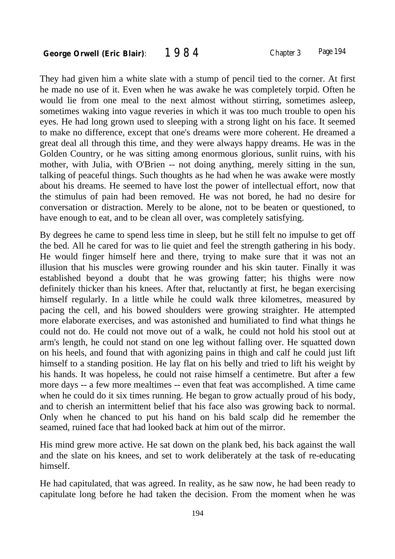They had given him a white slate with a stump of pencil tied to the corner. At first he made no use of it. Even when he was awake he was completely torpid. Often he would lie from one meal to the next almost without stirring, sometimes asleep, sometimes waking into vague reveries in which it was too much trouble to open his eyes. He had long grown used to sleeping with a strong light on his face. It seemed to make no difference, except that one's dreams were more coherent. He dreamed a great deal all through this time, and they were always happy dreams. He was in the Golden Country, or he was sitting among enormous glorious, sunlit ruins, with his mother, with Julia, with O'Brien -- not doing anything, merely sitting in the sun, talking of peaceful things. Such thoughts as he had when he was awake were mostly about his dreams. He seemed to have lost the power of intellectual effort, now that the stimulus of pain had been removed. He was not bored, he had no desire for conversation or distraction. Merely to be alone, not to be beaten or questioned, to have enough to eat, and to be clean all over, was completely satisfying.

By degrees he came to spend less time in sleep, but he still felt no impulse to get off the bed. All he cared for was to lie quiet and feel the strength gathering in his body. He would finger himself here and there, trying to make sure that it was not an illusion that his muscles were growing rounder and his skin tauter. Finally it was established beyond a doubt that he was growing fatter; his thighs were now definitely thicker than his knees. After that, reluctantly at first, he began exercising himself regularly. In a little while he could walk three kilometres, measured by pacing the cell, and his bowed shoulders were growing straighter. He attempted more elaborate exercises, and was astonished and humiliated to find what things he could not do. He could not move out of a walk, he could not hold his stool out at arm's length, he could not stand on one leg without falling over. He squatted down on his heels, and found that with agonizing pains in thigh and calf he could just lift himself to a standing position. He lay flat on his belly and tried to lift his weight by his hands. It was hopeless, he could not raise himself a centimetre. But after a few more days -- a few more mealtimes -- even that feat was accomplished. A time came when he could do it six times running. He began to grow actually proud of his body, and to cherish an intermittent belief that his face also was growing back to normal. Only when he chanced to put his hand on his bald scalp did he remember the seamed, ruined face that had looked back at him out of the mirror.

His mind grew more active. He sat down on the plank bed, his back against the wall and the slate on his knees, and set to work deliberately at the task of re-educating himself.

He had capitulated, that was agreed. In reality, as he saw now, he had been ready to capitulate long before he had taken the decision. From the moment when he was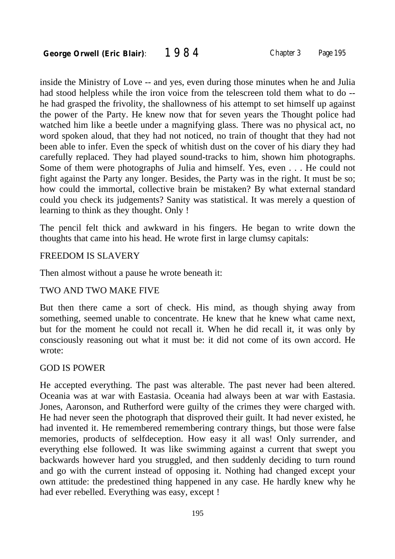inside the Ministry of Love -- and yes, even during those minutes when he and Julia had stood helpless while the iron voice from the telescreen told them what to do - he had grasped the frivolity, the shallowness of his attempt to set himself up against the power of the Party. He knew now that for seven years the Thought police had watched him like a beetle under a magnifying glass. There was no physical act, no word spoken aloud, that they had not noticed, no train of thought that they had not been able to infer. Even the speck of whitish dust on the cover of his diary they had carefully replaced. They had played sound-tracks to him, shown him photographs. Some of them were photographs of Julia and himself. Yes, even . . . He could not fight against the Party any longer. Besides, the Party was in the right. It must be so; how could the immortal, collective brain be mistaken? By what external standard could you check its judgements? Sanity was statistical. It was merely a question of learning to think as they thought. Only !

The pencil felt thick and awkward in his fingers. He began to write down the thoughts that came into his head. He wrote first in large clumsy capitals:

#### FREEDOM IS SLAVERY

Then almost without a pause he wrote beneath it:

#### TWO AND TWO MAKE FIVE

But then there came a sort of check. His mind, as though shying away from something, seemed unable to concentrate. He knew that he knew what came next, but for the moment he could not recall it. When he did recall it, it was only by consciously reasoning out what it must be: it did not come of its own accord. He wrote:

#### GOD IS POWER

He accepted everything. The past was alterable. The past never had been altered. Oceania was at war with Eastasia. Oceania had always been at war with Eastasia. Jones, Aaronson, and Rutherford were guilty of the crimes they were charged with. He had never seen the photograph that disproved their guilt. It had never existed, he had invented it. He remembered remembering contrary things, but those were false memories, products of selfdeception. How easy it all was! Only surrender, and everything else followed. It was like swimming against a current that swept you backwards however hard you struggled, and then suddenly deciding to turn round and go with the current instead of opposing it. Nothing had changed except your own attitude: the predestined thing happened in any case. He hardly knew why he had ever rebelled. Everything was easy, except !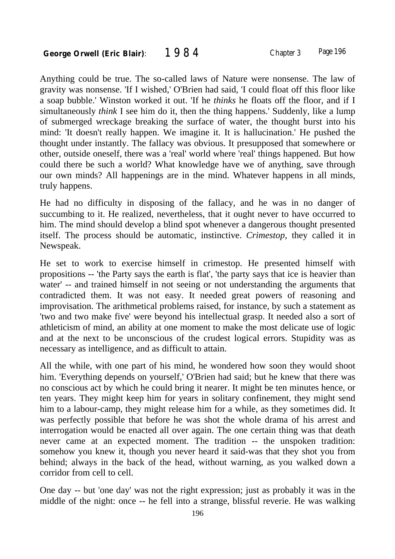Anything could be true. The so-called laws of Nature were nonsense. The law of gravity was nonsense. 'If I wished,' O'Brien had said, 'I could float off this floor like a soap bubble.' Winston worked it out. 'If he *thinks* he floats off the floor, and if I simultaneously *think* I see him do it, then the thing happens.' Suddenly, like a lump of submerged wreckage breaking the surface of water, the thought burst into his mind: 'It doesn't really happen. We imagine it. It is hallucination.' He pushed the thought under instantly. The fallacy was obvious. It presupposed that somewhere or other, outside oneself, there was a 'real' world where 'real' things happened. But how could there be such a world? What knowledge have we of anything, save through our own minds? All happenings are in the mind. Whatever happens in all minds, truly happens.

He had no difficulty in disposing of the fallacy, and he was in no danger of succumbing to it. He realized, nevertheless, that it ought never to have occurred to him. The mind should develop a blind spot whenever a dangerous thought presented itself. The process should be automatic, instinctive. *Crimestop,* they called it in Newspeak.

He set to work to exercise himself in crimestop. He presented himself with propositions -- 'the Party says the earth is flat', 'the party says that ice is heavier than water' -- and trained himself in not seeing or not understanding the arguments that contradicted them. It was not easy. It needed great powers of reasoning and improvisation. The arithmetical problems raised, for instance, by such a statement as 'two and two make five' were beyond his intellectual grasp. It needed also a sort of athleticism of mind, an ability at one moment to make the most delicate use of logic and at the next to be unconscious of the crudest logical errors. Stupidity was as necessary as intelligence, and as difficult to attain.

All the while, with one part of his mind, he wondered how soon they would shoot him. 'Everything depends on yourself,' O'Brien had said; but he knew that there was no conscious act by which he could bring it nearer. It might be ten minutes hence, or ten years. They might keep him for years in solitary confinement, they might send him to a labour-camp, they might release him for a while, as they sometimes did. It was perfectly possible that before he was shot the whole drama of his arrest and interrogation would be enacted all over again. The one certain thing was that death never came at an expected moment. The tradition -- the unspoken tradition: somehow you knew it, though you never heard it said-was that they shot you from behind; always in the back of the head, without warning, as you walked down a corridor from cell to cell.

One day -- but 'one day' was not the right expression; just as probably it was in the middle of the night: once -- he fell into a strange, blissful reverie. He was walking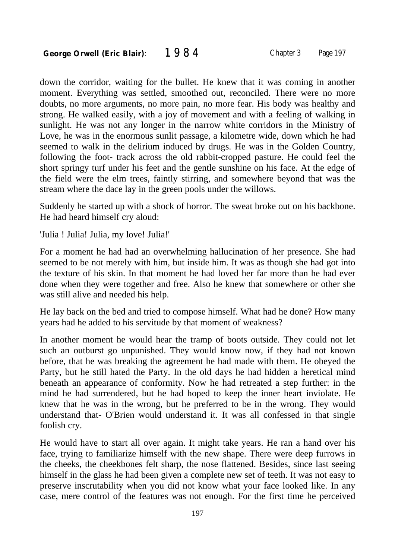down the corridor, waiting for the bullet. He knew that it was coming in another moment. Everything was settled, smoothed out, reconciled. There were no more doubts, no more arguments, no more pain, no more fear. His body was healthy and strong. He walked easily, with a joy of movement and with a feeling of walking in sunlight. He was not any longer in the narrow white corridors in the Ministry of Love, he was in the enormous sunlit passage, a kilometre wide, down which he had seemed to walk in the delirium induced by drugs. He was in the Golden Country, following the foot- track across the old rabbit-cropped pasture. He could feel the short springy turf under his feet and the gentle sunshine on his face. At the edge of the field were the elm trees, faintly stirring, and somewhere beyond that was the stream where the dace lay in the green pools under the willows.

Suddenly he started up with a shock of horror. The sweat broke out on his backbone. He had heard himself cry aloud:

'Julia ! Julia! Julia, my love! Julia!'

For a moment he had had an overwhelming hallucination of her presence. She had seemed to be not merely with him, but inside him. It was as though she had got into the texture of his skin. In that moment he had loved her far more than he had ever done when they were together and free. Also he knew that somewhere or other she was still alive and needed his help.

He lay back on the bed and tried to compose himself. What had he done? How many years had he added to his servitude by that moment of weakness?

In another moment he would hear the tramp of boots outside. They could not let such an outburst go unpunished. They would know now, if they had not known before, that he was breaking the agreement he had made with them. He obeyed the Party, but he still hated the Party. In the old days he had hidden a heretical mind beneath an appearance of conformity. Now he had retreated a step further: in the mind he had surrendered, but he had hoped to keep the inner heart inviolate. He knew that he was in the wrong, but he preferred to be in the wrong. They would understand that- O'Brien would understand it. It was all confessed in that single foolish cry.

He would have to start all over again. It might take years. He ran a hand over his face, trying to familiarize himself with the new shape. There were deep furrows in the cheeks, the cheekbones felt sharp, the nose flattened. Besides, since last seeing himself in the glass he had been given a complete new set of teeth. It was not easy to preserve inscrutability when you did not know what your face looked like. In any case, mere control of the features was not enough. For the first time he perceived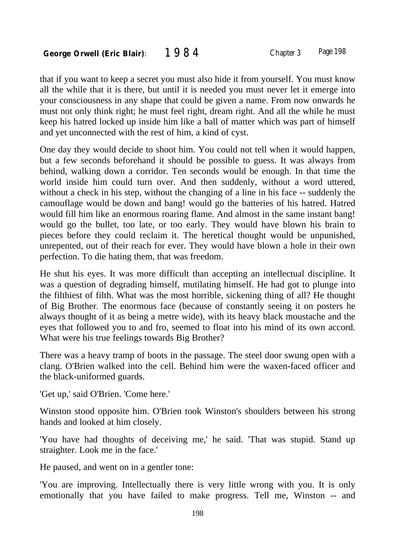that if you want to keep a secret you must also hide it from yourself. You must know all the while that it is there, but until it is needed you must never let it emerge into your consciousness in any shape that could be given a name. From now onwards he must not only think right; he must feel right, dream right. And all the while he must keep his hatred locked up inside him like a ball of matter which was part of himself and yet unconnected with the rest of him, a kind of cyst.

One day they would decide to shoot him. You could not tell when it would happen, but a few seconds beforehand it should be possible to guess. It was always from behind, walking down a corridor. Ten seconds would be enough. In that time the world inside him could turn over. And then suddenly, without a word uttered, without a check in his step, without the changing of a line in his face -- suddenly the camouflage would be down and bang! would go the batteries of his hatred. Hatred would fill him like an enormous roaring flame. And almost in the same instant bang! would go the bullet, too late, or too early. They would have blown his brain to pieces before they could reclaim it. The heretical thought would be unpunished, unrepented, out of their reach for ever. They would have blown a hole in their own perfection. To die hating them, that was freedom.

He shut his eyes. It was more difficult than accepting an intellectual discipline. It was a question of degrading himself, mutilating himself. He had got to plunge into the filthiest of filth. What was the most horrible, sickening thing of all? He thought of Big Brother. The enormous face (because of constantly seeing it on posters he always thought of it as being a metre wide), with its heavy black moustache and the eyes that followed you to and fro, seemed to float into his mind of its own accord. What were his true feelings towards Big Brother?

There was a heavy tramp of boots in the passage. The steel door swung open with a clang. O'Brien walked into the cell. Behind him were the waxen-faced officer and the black-uniformed guards.

'Get up,' said O'Brien. 'Come here.'

Winston stood opposite him. O'Brien took Winston's shoulders between his strong hands and looked at him closely.

'You have had thoughts of deceiving me,' he said. 'That was stupid. Stand up straighter. Look me in the face.'

He paused, and went on in a gentler tone:

'You are improving. Intellectually there is very little wrong with you. It is only emotionally that you have failed to make progress. Tell me, Winston -- and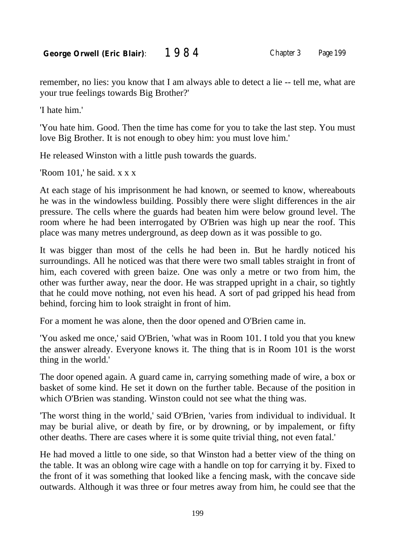remember, no lies: you know that I am always able to detect a lie -- tell me, what are your true feelings towards Big Brother?'

'I hate him.'

'You hate him. Good. Then the time has come for you to take the last step. You must love Big Brother. It is not enough to obey him: you must love him.'

He released Winston with a little push towards the guards.

'Room 101,' he said. x x x

At each stage of his imprisonment he had known, or seemed to know, whereabouts he was in the windowless building. Possibly there were slight differences in the air pressure. The cells where the guards had beaten him were below ground level. The room where he had been interrogated by O'Brien was high up near the roof. This place was many metres underground, as deep down as it was possible to go.

It was bigger than most of the cells he had been in. But he hardly noticed his surroundings. All he noticed was that there were two small tables straight in front of him, each covered with green baize. One was only a metre or two from him, the other was further away, near the door. He was strapped upright in a chair, so tightly that he could move nothing, not even his head. A sort of pad gripped his head from behind, forcing him to look straight in front of him.

For a moment he was alone, then the door opened and O'Brien came in.

'You asked me once,' said O'Brien, 'what was in Room 101. I told you that you knew the answer already. Everyone knows it. The thing that is in Room 101 is the worst thing in the world.'

The door opened again. A guard came in, carrying something made of wire, a box or basket of some kind. He set it down on the further table. Because of the position in which O'Brien was standing. Winston could not see what the thing was.

'The worst thing in the world,' said O'Brien, 'varies from individual to individual. It may be burial alive, or death by fire, or by drowning, or by impalement, or fifty other deaths. There are cases where it is some quite trivial thing, not even fatal.'

He had moved a little to one side, so that Winston had a better view of the thing on the table. It was an oblong wire cage with a handle on top for carrying it by. Fixed to the front of it was something that looked like a fencing mask, with the concave side outwards. Although it was three or four metres away from him, he could see that the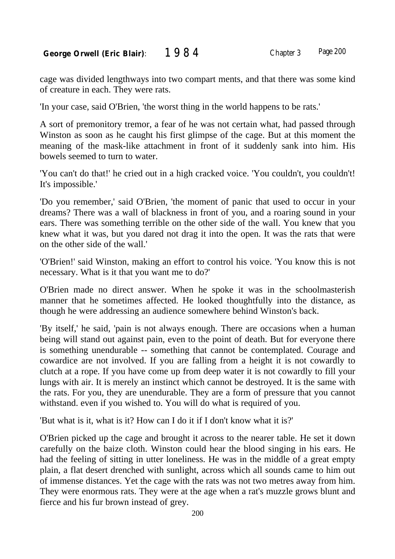## *George Orwell (Eric Blair)*: **1984** Chapter 3 Page 200

cage was divided lengthways into two compart ments, and that there was some kind of creature in each. They were rats.

'In your case, said O'Brien, 'the worst thing in the world happens to be rats.'

A sort of premonitory tremor, a fear of he was not certain what, had passed through Winston as soon as he caught his first glimpse of the cage. But at this moment the meaning of the mask-like attachment in front of it suddenly sank into him. His bowels seemed to turn to water.

'You can't do that!' he cried out in a high cracked voice. 'You couldn't, you couldn't! It's impossible.'

'Do you remember,' said O'Brien, 'the moment of panic that used to occur in your dreams? There was a wall of blackness in front of you, and a roaring sound in your ears. There was something terrible on the other side of the wall. You knew that you knew what it was, but you dared not drag it into the open. It was the rats that were on the other side of the wall.'

'O'Brien!' said Winston, making an effort to control his voice. 'You know this is not necessary. What is it that you want me to do?'

O'Brien made no direct answer. When he spoke it was in the schoolmasterish manner that he sometimes affected. He looked thoughtfully into the distance, as though he were addressing an audience somewhere behind Winston's back.

'By itself,' he said, 'pain is not always enough. There are occasions when a human being will stand out against pain, even to the point of death. But for everyone there is something unendurable -- something that cannot be contemplated. Courage and cowardice are not involved. If you are falling from a height it is not cowardly to clutch at a rope. If you have come up from deep water it is not cowardly to fill your lungs with air. It is merely an instinct which cannot be destroyed. It is the same with the rats. For you, they are unendurable. They are a form of pressure that you cannot withstand. even if you wished to. You will do what is required of you.

'But what is it, what is it? How can I do it if I don't know what it is?'

O'Brien picked up the cage and brought it across to the nearer table. He set it down carefully on the baize cloth. Winston could hear the blood singing in his ears. He had the feeling of sitting in utter loneliness. He was in the middle of a great empty plain, a flat desert drenched with sunlight, across which all sounds came to him out of immense distances. Yet the cage with the rats was not two metres away from him. They were enormous rats. They were at the age when a rat's muzzle grows blunt and fierce and his fur brown instead of grey.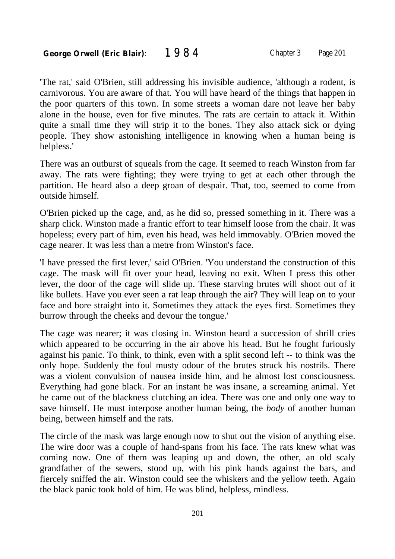'The rat,' said O'Brien, still addressing his invisible audience, 'although a rodent, is carnivorous. You are aware of that. You will have heard of the things that happen in the poor quarters of this town. In some streets a woman dare not leave her baby alone in the house, even for five minutes. The rats are certain to attack it. Within quite a small time they will strip it to the bones. They also attack sick or dying people. They show astonishing intelligence in knowing when a human being is helpless.'

There was an outburst of squeals from the cage. It seemed to reach Winston from far away. The rats were fighting; they were trying to get at each other through the partition. He heard also a deep groan of despair. That, too, seemed to come from outside himself.

O'Brien picked up the cage, and, as he did so, pressed something in it. There was a sharp click. Winston made a frantic effort to tear himself loose from the chair. It was hopeless; every part of him, even his head, was held immovably. O'Brien moved the cage nearer. It was less than a metre from Winston's face.

'I have pressed the first lever,' said O'Brien. 'You understand the construction of this cage. The mask will fit over your head, leaving no exit. When I press this other lever, the door of the cage will slide up. These starving brutes will shoot out of it like bullets. Have you ever seen a rat leap through the air? They will leap on to your face and bore straight into it. Sometimes they attack the eyes first. Sometimes they burrow through the cheeks and devour the tongue.'

The cage was nearer; it was closing in. Winston heard a succession of shrill cries which appeared to be occurring in the air above his head. But he fought furiously against his panic. To think, to think, even with a split second left -- to think was the only hope. Suddenly the foul musty odour of the brutes struck his nostrils. There was a violent convulsion of nausea inside him, and he almost lost consciousness. Everything had gone black. For an instant he was insane, a screaming animal. Yet he came out of the blackness clutching an idea. There was one and only one way to save himself. He must interpose another human being, the *body* of another human being, between himself and the rats.

The circle of the mask was large enough now to shut out the vision of anything else. The wire door was a couple of hand-spans from his face. The rats knew what was coming now. One of them was leaping up and down, the other, an old scaly grandfather of the sewers, stood up, with his pink hands against the bars, and fiercely sniffed the air. Winston could see the whiskers and the yellow teeth. Again the black panic took hold of him. He was blind, helpless, mindless.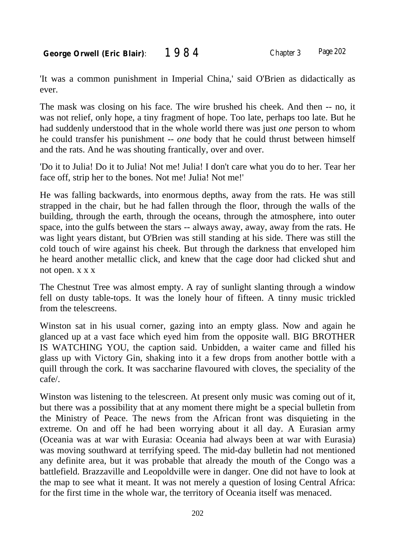## *George Orwell (Eric Blair)*: **1984** Chapter 3 Page 202

'It was a common punishment in Imperial China,' said O'Brien as didactically as ever.

The mask was closing on his face. The wire brushed his cheek. And then -- no, it was not relief, only hope, a tiny fragment of hope. Too late, perhaps too late. But he had suddenly understood that in the whole world there was just *one* person to whom he could transfer his punishment -- *one* body that he could thrust between himself and the rats. And he was shouting frantically, over and over.

'Do it to Julia! Do it to Julia! Not me! Julia! I don't care what you do to her. Tear her face off, strip her to the bones. Not me! Julia! Not me!'

He was falling backwards, into enormous depths, away from the rats. He was still strapped in the chair, but he had fallen through the floor, through the walls of the building, through the earth, through the oceans, through the atmosphere, into outer space, into the gulfs between the stars -- always away, away, away from the rats. He was light years distant, but O'Brien was still standing at his side. There was still the cold touch of wire against his cheek. But through the darkness that enveloped him he heard another metallic click, and knew that the cage door had clicked shut and not open. x x x

The Chestnut Tree was almost empty. A ray of sunlight slanting through a window fell on dusty table-tops. It was the lonely hour of fifteen. A tinny music trickled from the telescreens.

Winston sat in his usual corner, gazing into an empty glass. Now and again he glanced up at a vast face which eyed him from the opposite wall. BIG BROTHER IS WATCHING YOU, the caption said. Unbidden, a waiter came and filled his glass up with Victory Gin, shaking into it a few drops from another bottle with a quill through the cork. It was saccharine flavoured with cloves, the speciality of the cafe/.

Winston was listening to the telescreen. At present only music was coming out of it, but there was a possibility that at any moment there might be a special bulletin from the Ministry of Peace. The news from the African front was disquieting in the extreme. On and off he had been worrying about it all day. A Eurasian army (Oceania was at war with Eurasia: Oceania had always been at war with Eurasia) was moving southward at terrifying speed. The mid-day bulletin had not mentioned any definite area, but it was probable that already the mouth of the Congo was a battlefield. Brazzaville and Leopoldville were in danger. One did not have to look at the map to see what it meant. It was not merely a question of losing Central Africa: for the first time in the whole war, the territory of Oceania itself was menaced.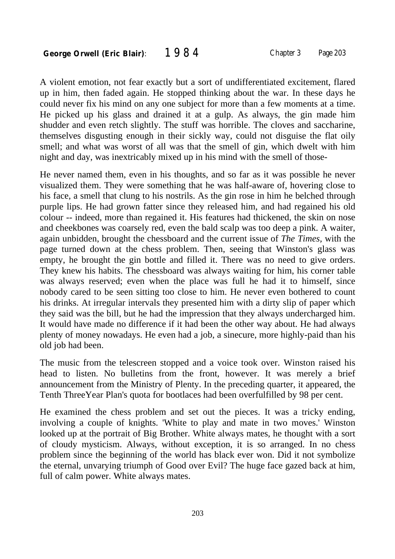A violent emotion, not fear exactly but a sort of undifferentiated excitement, flared up in him, then faded again. He stopped thinking about the war. In these days he could never fix his mind on any one subject for more than a few moments at a time. He picked up his glass and drained it at a gulp. As always, the gin made him shudder and even retch slightly. The stuff was horrible. The cloves and saccharine, themselves disgusting enough in their sickly way, could not disguise the flat oily smell; and what was worst of all was that the smell of gin, which dwelt with him night and day, was inextricably mixed up in his mind with the smell of those-

He never named them, even in his thoughts, and so far as it was possible he never visualized them. They were something that he was half-aware of, hovering close to his face, a smell that clung to his nostrils. As the gin rose in him he belched through purple lips. He had grown fatter since they released him, and had regained his old colour -- indeed, more than regained it. His features had thickened, the skin on nose and cheekbones was coarsely red, even the bald scalp was too deep a pink. A waiter, again unbidden, brought the chessboard and the current issue of *The Times,* with the page turned down at the chess problem. Then, seeing that Winston's glass was empty, he brought the gin bottle and filled it. There was no need to give orders. They knew his habits. The chessboard was always waiting for him, his corner table was always reserved; even when the place was full he had it to himself, since nobody cared to be seen sitting too close to him. He never even bothered to count his drinks. At irregular intervals they presented him with a dirty slip of paper which they said was the bill, but he had the impression that they always undercharged him. It would have made no difference if it had been the other way about. He had always plenty of money nowadays. He even had a job, a sinecure, more highly-paid than his old job had been.

The music from the telescreen stopped and a voice took over. Winston raised his head to listen. No bulletins from the front, however. It was merely a brief announcement from the Ministry of Plenty. In the preceding quarter, it appeared, the Tenth ThreeYear Plan's quota for bootlaces had been overfulfilled by 98 per cent.

He examined the chess problem and set out the pieces. It was a tricky ending, involving a couple of knights. 'White to play and mate in two moves.' Winston looked up at the portrait of Big Brother. White always mates, he thought with a sort of cloudy mysticism. Always, without exception, it is so arranged. In no chess problem since the beginning of the world has black ever won. Did it not symbolize the eternal, unvarying triumph of Good over Evil? The huge face gazed back at him, full of calm power. White always mates.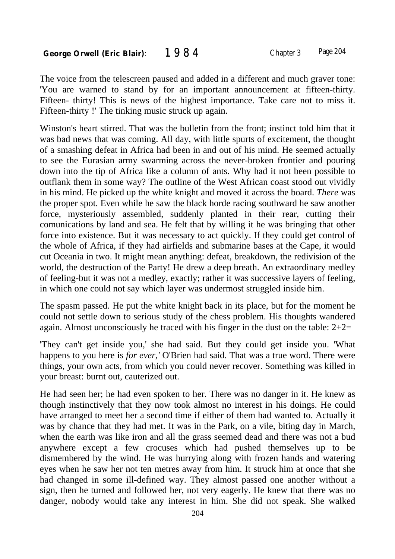The voice from the telescreen paused and added in a different and much graver tone: 'You are warned to stand by for an important announcement at fifteen-thirty. Fifteen- thirty! This is news of the highest importance. Take care not to miss it. Fifteen-thirty !' The tinking music struck up again.

Winston's heart stirred. That was the bulletin from the front; instinct told him that it was bad news that was coming. All day, with little spurts of excitement, the thought of a smashing defeat in Africa had been in and out of his mind. He seemed actually to see the Eurasian army swarming across the never-broken frontier and pouring down into the tip of Africa like a column of ants. Why had it not been possible to outflank them in some way? The outline of the West African coast stood out vividly in his mind. He picked up the white knight and moved it across the board. *There* was the proper spot. Even while he saw the black horde racing southward he saw another force, mysteriously assembled, suddenly planted in their rear, cutting their comunications by land and sea. He felt that by willing it he was bringing that other force into existence. But it was necessary to act quickly. If they could get control of the whole of Africa, if they had airfields and submarine bases at the Cape, it would cut Oceania in two. It might mean anything: defeat, breakdown, the redivision of the world, the destruction of the Party! He drew a deep breath. An extraordinary medley of feeling-but it was not a medley, exactly; rather it was successive layers of feeling, in which one could not say which layer was undermost struggled inside him.

The spasm passed. He put the white knight back in its place, but for the moment he could not settle down to serious study of the chess problem. His thoughts wandered again. Almost unconsciously he traced with his finger in the dust on the table:  $2+2=$ 

'They can't get inside you,' she had said. But they could get inside you. 'What happens to you here is *for ever,'* O'Brien had said. That was a true word. There were things, your own acts, from which you could never recover. Something was killed in your breast: burnt out, cauterized out.

He had seen her; he had even spoken to her. There was no danger in it. He knew as though instinctively that they now took almost no interest in his doings. He could have arranged to meet her a second time if either of them had wanted to. Actually it was by chance that they had met. It was in the Park, on a vile, biting day in March, when the earth was like iron and all the grass seemed dead and there was not a bud anywhere except a few crocuses which had pushed themselves up to be dismembered by the wind. He was hurrying along with frozen hands and watering eyes when he saw her not ten metres away from him. It struck him at once that she had changed in some ill-defined way. They almost passed one another without a sign, then he turned and followed her, not very eagerly. He knew that there was no danger, nobody would take any interest in him. She did not speak. She walked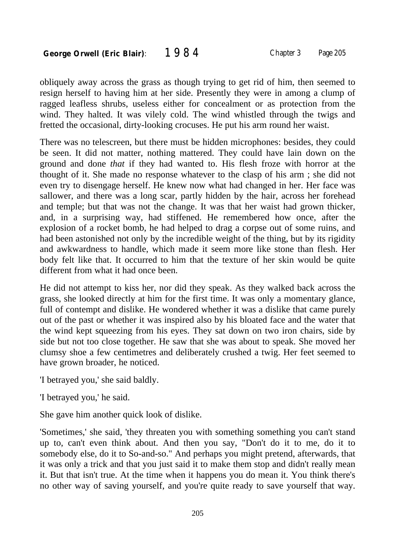obliquely away across the grass as though trying to get rid of him, then seemed to resign herself to having him at her side. Presently they were in among a clump of ragged leafless shrubs, useless either for concealment or as protection from the wind. They halted. It was vilely cold. The wind whistled through the twigs and fretted the occasional, dirty-looking crocuses. He put his arm round her waist.

There was no telescreen, but there must be hidden microphones: besides, they could be seen. It did not matter, nothing mattered. They could have lain down on the ground and done *that* if they had wanted to. His flesh froze with horror at the thought of it. She made no response whatever to the clasp of his arm ; she did not even try to disengage herself. He knew now what had changed in her. Her face was sallower, and there was a long scar, partly hidden by the hair, across her forehead and temple; but that was not the change. It was that her waist had grown thicker, and, in a surprising way, had stiffened. He remembered how once, after the explosion of a rocket bomb, he had helped to drag a corpse out of some ruins, and had been astonished not only by the incredible weight of the thing, but by its rigidity and awkwardness to handle, which made it seem more like stone than flesh. Her body felt like that. It occurred to him that the texture of her skin would be quite different from what it had once been.

He did not attempt to kiss her, nor did they speak. As they walked back across the grass, she looked directly at him for the first time. It was only a momentary glance, full of contempt and dislike. He wondered whether it was a dislike that came purely out of the past or whether it was inspired also by his bloated face and the water that the wind kept squeezing from his eyes. They sat down on two iron chairs, side by side but not too close together. He saw that she was about to speak. She moved her clumsy shoe a few centimetres and deliberately crushed a twig. Her feet seemed to have grown broader, he noticed.

'I betrayed you,' she said baldly.

'I betrayed you,' he said.

She gave him another quick look of dislike.

'Sometimes,' she said, 'they threaten you with something something you can't stand up to, can't even think about. And then you say, "Don't do it to me, do it to somebody else, do it to So-and-so." And perhaps you might pretend, afterwards, that it was only a trick and that you just said it to make them stop and didn't really mean it. But that isn't true. At the time when it happens you do mean it. You think there's no other way of saving yourself, and you're quite ready to save yourself that way.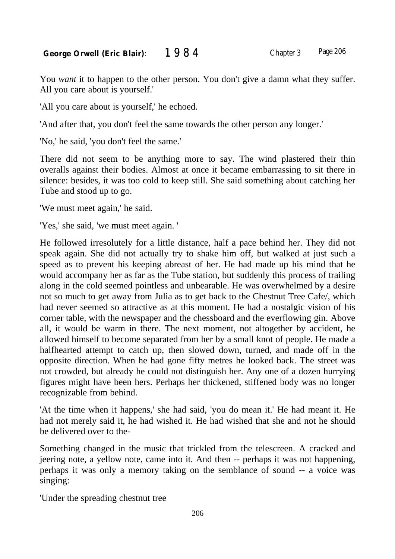## *George Orwell (Eric Blair)*: **1984** Chapter 3 Page 206

You *want* it to happen to the other person. You don't give a damn what they suffer. All you care about is yourself.'

'All you care about is yourself,' he echoed.

'And after that, you don't feel the same towards the other person any longer.'

'No,' he said, 'you don't feel the same.'

There did not seem to be anything more to say. The wind plastered their thin overalls against their bodies. Almost at once it became embarrassing to sit there in silence: besides, it was too cold to keep still. She said something about catching her Tube and stood up to go.

'We must meet again,' he said.

'Yes,' she said, 'we must meet again. '

He followed irresolutely for a little distance, half a pace behind her. They did not speak again. She did not actually try to shake him off, but walked at just such a speed as to prevent his keeping abreast of her. He had made up his mind that he would accompany her as far as the Tube station, but suddenly this process of trailing along in the cold seemed pointless and unbearable. He was overwhelmed by a desire not so much to get away from Julia as to get back to the Chestnut Tree Cafe/, which had never seemed so attractive as at this moment. He had a nostalgic vision of his corner table, with the newspaper and the chessboard and the everflowing gin. Above all, it would be warm in there. The next moment, not altogether by accident, he allowed himself to become separated from her by a small knot of people. He made a halfhearted attempt to catch up, then slowed down, turned, and made off in the opposite direction. When he had gone fifty metres he looked back. The street was not crowded, but already he could not distinguish her. Any one of a dozen hurrying figures might have been hers. Perhaps her thickened, stiffened body was no longer recognizable from behind.

'At the time when it happens,' she had said, 'you do mean it.' He had meant it. He had not merely said it, he had wished it. He had wished that she and not he should be delivered over to the-

Something changed in the music that trickled from the telescreen. A cracked and jeering note, a yellow note, came into it. And then -- perhaps it was not happening, perhaps it was only a memory taking on the semblance of sound -- a voice was singing:

'Under the spreading chestnut tree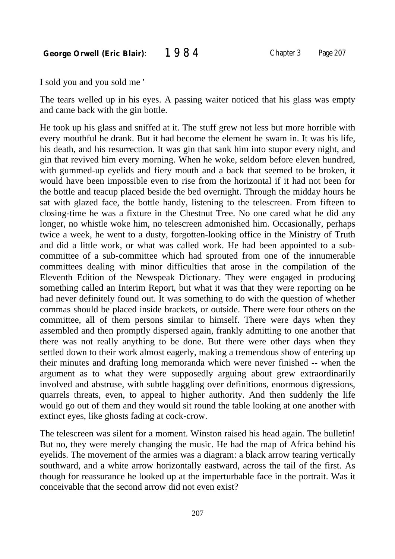I sold you and you sold me '

The tears welled up in his eyes. A passing waiter noticed that his glass was empty and came back with the gin bottle.

He took up his glass and sniffed at it. The stuff grew not less but more horrible with every mouthful he drank. But it had become the element he swam in. It was his life, his death, and his resurrection. It was gin that sank him into stupor every night, and gin that revived him every morning. When he woke, seldom before eleven hundred, with gummed-up eyelids and fiery mouth and a back that seemed to be broken, it would have been impossible even to rise from the horizontal if it had not been for the bottle and teacup placed beside the bed overnight. Through the midday hours he sat with glazed face, the bottle handy, listening to the telescreen. From fifteen to closing-time he was a fixture in the Chestnut Tree. No one cared what he did any longer, no whistle woke him, no telescreen admonished him. Occasionally, perhaps twice a week, he went to a dusty, forgotten-looking office in the Ministry of Truth and did a little work, or what was called work. He had been appointed to a subcommittee of a sub-committee which had sprouted from one of the innumerable committees dealing with minor difficulties that arose in the compilation of the Eleventh Edition of the Newspeak Dictionary. They were engaged in producing something called an Interim Report, but what it was that they were reporting on he had never definitely found out. It was something to do with the question of whether commas should be placed inside brackets, or outside. There were four others on the committee, all of them persons similar to himself. There were days when they assembled and then promptly dispersed again, frankly admitting to one another that there was not really anything to be done. But there were other days when they settled down to their work almost eagerly, making a tremendous show of entering up their minutes and drafting long memoranda which were never finished -- when the argument as to what they were supposedly arguing about grew extraordinarily involved and abstruse, with subtle haggling over definitions, enormous digressions, quarrels threats, even, to appeal to higher authority. And then suddenly the life would go out of them and they would sit round the table looking at one another with extinct eyes, like ghosts fading at cock-crow.

The telescreen was silent for a moment. Winston raised his head again. The bulletin! But no, they were merely changing the music. He had the map of Africa behind his eyelids. The movement of the armies was a diagram: a black arrow tearing vertically southward, and a white arrow horizontally eastward, across the tail of the first. As though for reassurance he looked up at the imperturbable face in the portrait. Was it conceivable that the second arrow did not even exist?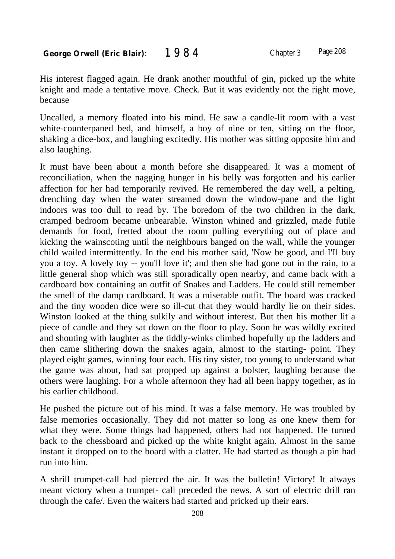Uncalled, a memory floated into his mind. He saw a candle-lit room with a vast white-counterpaned bed, and himself, a boy of nine or ten, sitting on the floor, shaking a dice-box, and laughing excitedly. His mother was sitting opposite him and also laughing.

It must have been about a month before she disappeared. It was a moment of reconciliation, when the nagging hunger in his belly was forgotten and his earlier affection for her had temporarily revived. He remembered the day well, a pelting, drenching day when the water streamed down the window-pane and the light indoors was too dull to read by. The boredom of the two children in the dark, cramped bedroom became unbearable. Winston whined and grizzled, made futile demands for food, fretted about the room pulling everything out of place and kicking the wainscoting until the neighbours banged on the wall, while the younger child wailed intermittently. In the end his mother said, 'Now be good, and I'Il buy you a toy. A lovely toy -- you'll love it'; and then she had gone out in the rain, to a little general shop which was still sporadically open nearby, and came back with a cardboard box containing an outfit of Snakes and Ladders. He could still remember the smell of the damp cardboard. It was a miserable outfit. The board was cracked and the tiny wooden dice were so ill-cut that they would hardly lie on their sides. Winston looked at the thing sulkily and without interest. But then his mother lit a piece of candle and they sat down on the floor to play. Soon he was wildly excited and shouting with laughter as the tiddly-winks climbed hopefully up the ladders and then came slithering down the snakes again, almost to the starting- point. They played eight games, winning four each. His tiny sister, too young to understand what the game was about, had sat propped up against a bolster, laughing because the others were laughing. For a whole afternoon they had all been happy together, as in his earlier childhood.

He pushed the picture out of his mind. It was a false memory. He was troubled by false memories occasionally. They did not matter so long as one knew them for what they were. Some things had happened, others had not happened. He turned back to the chessboard and picked up the white knight again. Almost in the same instant it dropped on to the board with a clatter. He had started as though a pin had run into him.

A shrill trumpet-call had pierced the air. It was the bulletin! Victory! It always meant victory when a trumpet- call preceded the news. A sort of electric drill ran through the cafe/. Even the waiters had started and pricked up their ears.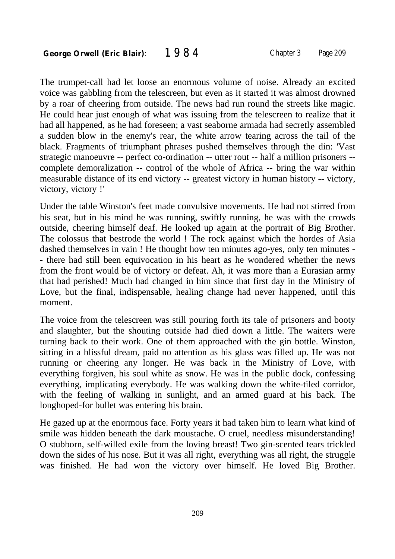The trumpet-call had let loose an enormous volume of noise. Already an excited voice was gabbling from the telescreen, but even as it started it was almost drowned by a roar of cheering from outside. The news had run round the streets like magic. He could hear just enough of what was issuing from the telescreen to realize that it had all happened, as he had foreseen; a vast seaborne armada had secretly assembled a sudden blow in the enemy's rear, the white arrow tearing across the tail of the black. Fragments of triumphant phrases pushed themselves through the din: 'Vast strategic manoeuvre -- perfect co-ordination -- utter rout -- half a million prisoners - complete demoralization -- control of the whole of Africa -- bring the war within measurable distance of its end victory -- greatest victory in human history -- victory, victory, victory !'

Under the table Winston's feet made convulsive movements. He had not stirred from his seat, but in his mind he was running, swiftly running, he was with the crowds outside, cheering himself deaf. He looked up again at the portrait of Big Brother. The colossus that bestrode the world ! The rock against which the hordes of Asia dashed themselves in vain ! He thought how ten minutes ago-yes, only ten minutes - - there had still been equivocation in his heart as he wondered whether the news from the front would be of victory or defeat. Ah, it was more than a Eurasian army that had perished! Much had changed in him since that first day in the Ministry of Love, but the final, indispensable, healing change had never happened, until this moment.

The voice from the telescreen was still pouring forth its tale of prisoners and booty and slaughter, but the shouting outside had died down a little. The waiters were turning back to their work. One of them approached with the gin bottle. Winston, sitting in a blissful dream, paid no attention as his glass was filled up. He was not running or cheering any longer. He was back in the Ministry of Love, with everything forgiven, his soul white as snow. He was in the public dock, confessing everything, implicating everybody. He was walking down the white-tiled corridor, with the feeling of walking in sunlight, and an armed guard at his back. The longhoped-for bullet was entering his brain.

He gazed up at the enormous face. Forty years it had taken him to learn what kind of smile was hidden beneath the dark moustache. O cruel, needless misunderstanding! O stubborn, self-willed exile from the loving breast! Two gin-scented tears trickled down the sides of his nose. But it was all right, everything was all right, the struggle was finished. He had won the victory over himself. He loved Big Brother.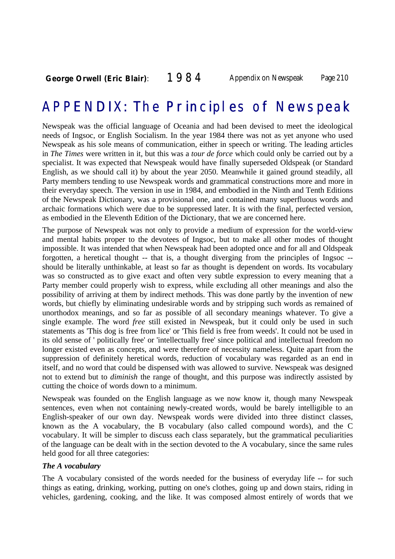# APPENDIX: The Principles of Newspeak

Newspeak was the official language of Oceania and had been devised to meet the ideological needs of Ingsoc, or English Socialism. In the year 1984 there was not as yet anyone who used Newspeak as his sole means of communication, either in speech or writing. The leading articles in *The Times* were written in it, but this was a *tour de force* which could only be carried out by a specialist. It was expected that Newspeak would have finally superseded Oldspeak (or Standard English, as we should call it) by about the year 2050. Meanwhile it gained ground steadily, all Party members tending to use Newspeak words and grammatical constructions more and more in their everyday speech. The version in use in 1984, and embodied in the Ninth and Tenth Editions of the Newspeak Dictionary, was a provisional one, and contained many superfluous words and archaic formations which were due to be suppressed later. It is with the final, perfected version, as embodied in the Eleventh Edition of the Dictionary, that we are concerned here.

The purpose of Newspeak was not only to provide a medium of expression for the world-view and mental habits proper to the devotees of Ingsoc, but to make all other modes of thought impossible. It was intended that when Newspeak had been adopted once and for all and Oldspeak forgotten, a heretical thought -- that is, a thought diverging from the principles of Ingsoc - should be literally unthinkable, at least so far as thought is dependent on words. Its vocabulary was so constructed as to give exact and often very subtle expression to every meaning that a Party member could properly wish to express, while excluding all other meanings and also the possibility of arriving at them by indirect methods. This was done partly by the invention of new words, but chiefly by eliminating undesirable words and by stripping such words as remained of unorthodox meanings, and so far as possible of all secondary meanings whatever. To give a single example. The word *free* still existed in Newspeak, but it could only be used in such statements as 'This dog is free from lice' or 'This field is free from weeds'. It could not be used in its old sense of ' politically free' or 'intellectually free' since political and intellectual freedom no longer existed even as concepts, and were therefore of necessity nameless. Quite apart from the suppression of definitely heretical words, reduction of vocabulary was regarded as an end in itself, and no word that could be dispensed with was allowed to survive. Newspeak was designed not to extend but to *diminish* the range of thought, and this purpose was indirectly assisted by cutting the choice of words down to a minimum.

Newspeak was founded on the English language as we now know it, though many Newspeak sentences, even when not containing newly-created words, would be barely intelligible to an English-speaker of our own day. Newspeak words were divided into three distinct classes, known as the A vocabulary, the B vocabulary (also called compound words), and the C vocabulary. It will be simpler to discuss each class separately, but the grammatical peculiarities of the language can be dealt with in the section devoted to the A vocabulary, since the same rules held good for all three categories:

#### *The A vocabulary*

The A vocabulary consisted of the words needed for the business of everyday life -- for such things as eating, drinking, working, putting on one's clothes, going up and down stairs, riding in vehicles, gardening, cooking, and the like. It was composed almost entirely of words that we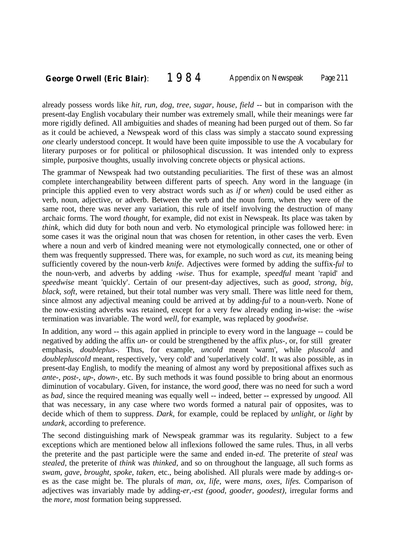already possess words like *hit, run, dog, tree, sugar, house, field* -- but in comparison with the present-day English vocabulary their number was extremely small, while their meanings were far more rigidly defined. All ambiguities and shades of meaning had been purged out of them. So far as it could be achieved, a Newspeak word of this class was simply a staccato sound expressing *one* clearly understood concept. It would have been quite impossible to use the A vocabulary for literary purposes or for political or philosophical discussion. It was intended only to express simple, purposive thoughts, usually involving concrete objects or physical actions.

The grammar of Newspeak had two outstanding peculiarities. The first of these was an almost complete interchangeability between different parts of speech. Any word in the language (in principle this applied even to very abstract words such as *if* or *when*) could be used either as verb, noun, adjective, or adverb. Between the verb and the noun form, when they were of the same root, there was never any variation, this rule of itself involving the destruction of many archaic forms. The word *thought,* for example, did not exist in Newspeak. Its place was taken by *think,* which did duty for both noun and verb. No etymological principle was followed here: in some cases it was the original noun that was chosen for retention, in other cases the verb. Even where a noun and verb of kindred meaning were not etymologically connected, one or other of them was frequently suppressed. There was, for example, no such word as *cut,* its meaning being sufficiently covered by the noun-verb *knife.* Adjectives were formed by adding the suffix-*ful* to the noun-verb, and adverbs by adding *-wise*. Thus for example, *speedful* meant 'rapid' and *speedwise* meant 'quickly'. Certain of our present-day adjectives, such as *good, strong, big, black, soft,* were retained, but their total number was very small. There was little need for them, since almost any adjectival meaning could be arrived at by adding-*ful* to a noun-verb. None of the now-existing adverbs was retained, except for a very few already ending in-wise: the *-wise* termination was invariable. The word *well,* for example, was replaced by *goodwise.*

In addition, any word -- this again applied in principle to every word in the language -- could be negatived by adding the affix *un-* or could be strengthened by the affix *plus-*, or, for still greater emphasis, *doubleplus-.* Thus, for example, *uncold* meant 'warm', while *pluscold* and *doublepluscold* meant, respectively, 'very cold' and 'superlatively cold'. It was also possible, as in present-day English, to modify the meaning of almost any word by prepositional affixes such as *ante-*, *post-*, *up-*, *down-*, etc. By such methods it was found possible to bring about an enormous diminution of vocabulary. Given, for instance, the word *good,* there was no need for such a word as *bad,* since the required meaning was equally well -- indeed, better -- expressed by *ungood.* All that was necessary, in any case where two words formed a natural pair of opposites, was to decide which of them to suppress. *Dark,* for example, could be replaced by *unlight,* or *light* by *undark,* according to preference.

The second distinguishing mark of Newspeak grammar was its regularity. Subject to a few exceptions which are mentioned below all inflexions followed the same rules. Thus, in all verbs the preterite and the past participle were the same and ended in-*ed.* The preterite of *steal* was *stealed,* the preterite of *think* was *thinked,* and so on throughout the language, all such forms as *swam*, *gave, brought, spoke, taken,* etc., being abolished. All plurals were made by adding-s ores as the case might be. The plurals of *man, ox, life,* were *mans, oxes, lifes.* Comparison of adjectives was invariably made by adding-*er,-est (good, gooder, goodest),* irregular forms and the *more, most* formation being suppressed.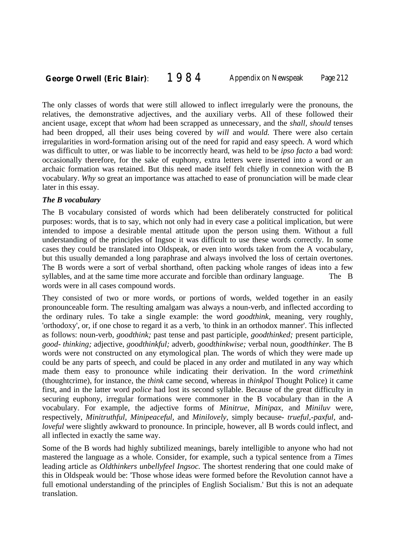The only classes of words that were still allowed to inflect irregularly were the pronouns, the relatives, the demonstrative adjectives, and the auxiliary verbs. All of these followed their ancient usage, except that *whom* had been scrapped as unnecessary, and the *shall, should* tenses had been dropped, all their uses being covered by *will* and *would.* There were also certain irregularities in word-formation arising out of the need for rapid and easy speech. A word which was difficult to utter, or was liable to be incorrectly heard, was held to be *ipso facto* a bad word: occasionally therefore, for the sake of euphony, extra letters were inserted into a word or an archaic formation was retained. But this need made itself felt chiefly in connexion with the B vocabulary. *Why* so great an importance was attached to ease of pronunciation will be made clear later in this essay.

#### *The B vocabulary*

The B vocabulary consisted of words which had been deliberately constructed for political purposes: words, that is to say, which not only had in every case a political implication, but were intended to impose a desirable mental attitude upon the person using them. Without a full understanding of the principles of Ingsoc it was difficult to use these words correctly. In some cases they couId be translated into Oldspeak, or even into words taken from the A vocabulary, but this usually demanded a long paraphrase and always involved the loss of certain overtones. The B words were a sort of verbal shorthand, often packing whole ranges of ideas into a few syllables, and at the same time more accurate and forcible than ordinary language. The B words were in all cases compound words.

They consisted of two or more words, or portions of words, welded together in an easily pronounceable form. The resulting amalgam was always a noun-verb, and inflected according to the ordinary rules. To take a single example: the word *goodthink,* meaning, very roughly, 'orthodoxy', or, if one chose to regard it as a verb, 'to think in an orthodox manner'. This inflected as follows: noun-verb, *goodthink;* past tense and past participle, *goodthinked;* present participle, *good- thinking;* adjective, *goodthinkful;* adverb, *goodthinkwise;* verbal noun, *goodthinker.* The B words were not constructed on any etymological plan. The words of which they were made up could be any parts of speech, and could be placed in any order and mutilated in any way which made them easy to pronounce while indicating their derivation. In the word *crimethink* (thoughtcrime), for instance, the *think* came second, whereas in *thinkpol* Thought Police) it came first, and in the latter word *police* had lost its second syllable. Because of the great difficuIty in securing euphony, irregular formations were commoner in the B vocabulary than in the A vocabulary. For example, the adjective forms of *Minitrue, Minipax,* and *Miniluv* were, respectively, *Minitruthful, Minipeaceful,* and *Minilovely,* simply because- *trueful,-paxful,* and*loveful* were slightly awkward to pronounce. In principle, however, all B words could inflect, and all inflected in exactly the same way.

Some of the B words had highly subtilized meanings, barely intelligible to anyone who had not mastered the language as a whole. Consider, for example, such a typical sentence from a *Times* leading article as *Oldthinkers unbellyfeel Ingsoc.* The shortest rendering that one could make of this in Oldspeak would be: 'Those whose ideas were formed before the Revolution cannot have a full emotional understanding of the principles of English Socialism.' But this is not an adequate translation.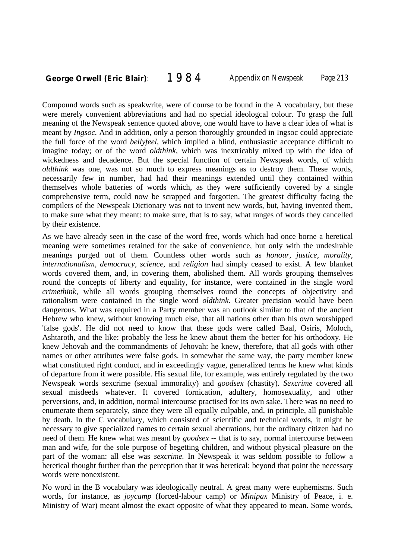Compound words such as speakwrite, were of course to be found in the A vocabulary, but these were merely convenient abbreviations and had no special ideologcal colour. To grasp the full meaning of the Newspeak sentence quoted above, one would have to have a clear idea of what is meant by *Ingsoc.* And in addition, only a person thoroughly grounded in Ingsoc could appreciate the full force of the word *bellyfeel,* which implied a blind, enthusiastic acceptance difficult to imagine today; or of the word *oldthink,* which was inextricably mixed up with the idea of wickedness and decadence. But the special function of certain Newspeak words, of which *oldthink* was one, was not so much to express meanings as to destroy them. These words, necessarily few in number, had had their meanings extended until they contained within themselves whole batteries of words which, as they were sufficiently covered by a single comprehensive term, could now be scrapped and forgotten. The greatest difficulty facing the compilers of the Newspeak Dictionary was not to invent new words, but, having invented them, to make sure what they meant: to make sure, that is to say, what ranges of words they cancelled by their existence.

As we have already seen in the case of the word free, words which had once borne a heretical meaning were sometimes retained for the sake of convenience, but only with the undesirable meanings purged out of them. Countless other words such as *honour, justice, morality, internationalism, democracy, science,* and *religion* had simply ceased to exist. A few blanket words covered them, and, in covering them, abolished them. All words grouping themselves round the concepts of liberty and equality, for instance, were contained in the single word *crimethink,* while all words grouping themselves round the concepts of objectivity and rationalism were contained in the single word *oldthink.* Greater precision would have been dangerous. What was required in a Party member was an outlook similar to that of the ancient Hebrew who knew, without knowing much else, that all nations other than his own worshipped 'false gods'. He did not need to know that these gods were called Baal, Osiris, Moloch, Ashtaroth, and the like: probably the less he knew about them the better for his orthodoxy. He knew Jehovah and the commandments of Jehovah: he knew, therefore, that all gods with other names or other attributes were false gods. In somewhat the same way, the party member knew what constituted right conduct, and in exceedingly vague, generalized terms he knew what kinds of departure from it were possible. His sexual life, for example, was entirely regulated by the two Newspeak words sexcrime (sexual immorality) and *goodsex* (chastity). *Sexcrime* covered all sexual misdeeds whatever. It covered fornication, adultery, homosexuality, and other perversions, and, in addition, normal intercourse practised for its own sake. There was no need to enumerate them separately, since they were all equally culpable, and, in principle, all punishable by death. In the C vocabulary, which consisted of scientific and technical words, it might be necessary to give specialized names to certain sexual aberrations, but the ordinary citizen had no need of them. He knew what was meant by *goodsex* -- that is to say, normal intercourse between man and wife, for the sole purpose of begetting children, and without physical pleasure on the part of the woman: all else was *sexcrime.* In Newspeak it was seldom possible to follow a heretical thought further than the perception that it was heretical: beyond that point the necessary words were nonexistent.

No word in the B vocabulary was ideologically neutral. A great many were euphemisms. Such words, for instance, as *joycamp* (forced-labour camp) or *Minipax* Ministry of Peace, i. e. Ministry of War) meant almost the exact opposite of what they appeared to mean. Some words,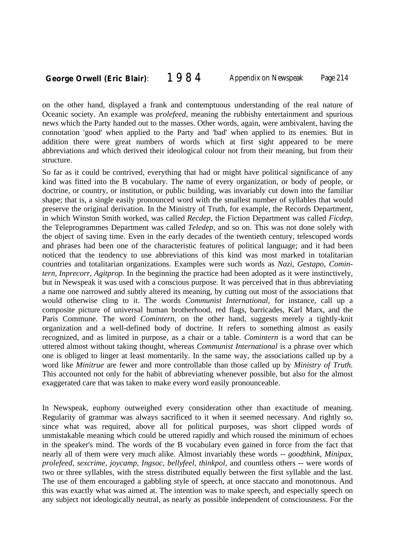on the other hand, displayed a frank and contemptuous understanding of the real nature of Oceanic society. An example was *prolefeed,* meaning the rubbishy entertainment and spurious news which the Party handed out to the masses. Other words, again, were ambivalent, having the connotation 'good' when applied to the Party and 'bad' when applied to its enemies. But in addition there were great numbers of words which at first sight appeared to be mere abbreviations and which derived their ideological colour not from their meaning, but from their structure.

So far as it could be contrived, everything that had or might have political significance of any kind was fitted into the B vocabulary. The name of every organization, or body of people, or doctrine, or country, or institution, or public building, was invariably cut down into the familiar shape; that is, a single easily pronounced word with the smallest number of syllables that would preserve the original derivation. In the Ministry of Truth, for example, the Records Department, in which Winston Smith worked, was called *Recdep,* the Fiction Department was called *Ficdep,* the Teleprogrammes Department was called *Teledep,* and so on. This was not done solely with the object of saving time. Even in the early decades of the twentieth century, telescoped words and phrases had been one of the characteristic features of political language; and it had been noticed that the tendency to use abbreviations of this kind was most marked in totalitarian countries and totalitarian organizations. Examples were such words as *Nazi, Gestapo, Comintern, Inprecorr, Agitprop.* In the beginning the practice had been adopted as it were instinctively, but in Newspeak it was used with a conscious purpose. It was perceived that in thus abbreviating a name one narrowed and subtly altered its meaning, by cutting out most of the associations that would otherwise cling to it. The words *Communist International,* for instance, call up a composite picture of universal human brotherhood, red flags, barricades, Karl Marx, and the Paris Commune. The word *Comintern,* on the other hand, suggests merely a tightly-knit organization and a well-defined body of doctrine. It refers to something almost as easily recognized, and as limited in purpose, as a chair or a table. *Comintern* is a word that can be uttered almost without taking thought, whereas *Communist International* is a phrase over which one is obliged to linger at least momentarily. In the same way, the associations called up by a word like *Minitrue* are fewer and more controllable than those called up by *Ministry of Truth.* This accounted not only for the habit of abbreviating whenever possible, but also for the almost exaggerated care that was taken to make every word easily pronounceable.

In Newspeak, euphony outweighed every consideration other than exactitude of meaning. Regularity of grammar was always sacrificed to it when it seemed necessary. And rightly so, since what was required, above all for political purposes, was short clipped words of unmistakable meaning which could be uttered rapidly and which roused the minimum of echoes in the speaker's mind. The words of the B vocabulary even gained in force from the fact that nearly all of them were very much alike. Almost invariably these words -- *goodthink, Minipax, prolefeed, sexcrime, joycamp, Ingsoc, bellyfeel, thinkpol,* and countless others -- were words of two or three syllables, with the stress distributed equally between the first syllable and the last. The use of them encouraged a gabbling style of speech, at once staccato and monotonous. And this was exactly what was aimed at. The intention was to make speech, and especially speech on any subject not ideologically neutral, as nearly as possible independent of consciousness. For the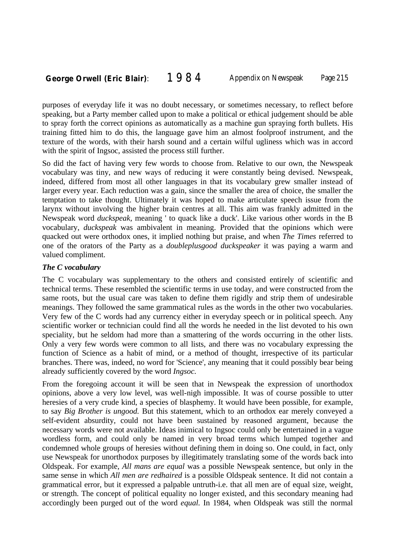purposes of everyday life it was no doubt necessary, or sometimes necessary, to reflect before speaking, but a Party member called upon to make a political or ethical judgement should be able to spray forth the correct opinions as automatically as a machine gun spraying forth bullets. His training fitted him to do this, the language gave him an almost foolproof instrument, and the texture of the words, with their harsh sound and a certain wilful ugliness which was in accord with the spirit of Ingsoc, assisted the process still further.

So did the fact of having very few words to choose from. Relative to our own, the Newspeak vocabulary was tiny, and new ways of reducing it were constantly being devised. Newspeak, indeed, differed from most all other languages in that its vocabulary grew smaller instead of larger every year. Each reduction was a gain, since the smaller the area of choice, the smaller the temptation to take thought. Ultimately it was hoped to make articulate speech issue from the larynx without involving the higher brain centres at all. This aim was frankly admitted in the Newspeak word *duckspeak,* meaning ' to quack like a duck'. Like various other words in the B vocabulary, *duckspeak* was ambivalent in meaning. Provided that the opinions which were quacked out were orthodox ones, it implied nothing but praise, and when *The Times* referred to one of the orators of the Party as a *doubleplusgood duckspeaker* it was paying a warm and valued compliment.

#### *The C vocabulary*

The C vocabulary was supplementary to the others and consisted entirely of scientific and technical terms. These resembled the scientific terms in use today, and were constructed from the same roots, but the usual care was taken to define them rigidly and strip them of undesirable meanings. They followed the same grammatical rules as the words in the other two vocabularies. Very few of the C words had any currency either in everyday speech or in political speech. Any scientific worker or technician could find all the words he needed in the list devoted to his own speciality, but he seldom had more than a smattering of the words occurring in the other lists. Only a very few words were common to all lists, and there was no vocabulary expressing the function of Science as a habit of mind, or a method of thought, irrespective of its particular branches. There was, indeed, no word for 'Science', any meaning that it could possibly bear being already sufficiently covered by the word *Ingsoc.*

From the foregoing account it will be seen that in Newspeak the expression of unorthodox opinions, above a very low level, was well-nigh impossible. It was of course possible to utter heresies of a very crude kind, a species of blasphemy. It would have been possible, for example, to say *Big Brother is ungood.* But this statement, which to an orthodox ear merely conveyed a self-evident absurdity, could not have been sustained by reasoned argument, because the necessary words were not available. Ideas inimical to Ingsoc could only be entertained in a vague wordless form, and could only be named in very broad terms which lumped together and condemned whole groups of heresies without defining them in doing so. One could, in fact, only use Newspeak for unorthodox purposes by illegitimately translating some of the words back into Oldspeak. For example, *All mans are equal* was a possible Newspeak sentence, but only in the same sense in which *All men are redhaired* is a possible Oldspeak sentence. It did not contain a grammatical error, but it expressed a palpable untruth-i.e. that all men are of equal size, weight, or strength. The concept of political equality no longer existed, and this secondary meaning had accordingly been purged out of the word *equal.* In 1984, when Oldspeak was still the normal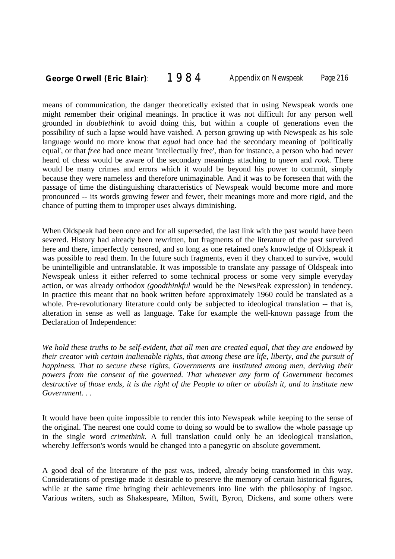## *George Orwell (Eric Blair):* 1984 Appendix on Newspeak Page 216

means of communication, the danger theoretically existed that in using Newspeak words one might remember their original meanings. In practice it was not difficult for any person well grounded in *doublethink* to avoid doing this, but within a couple of generations even the possibility of such a lapse would have vaished. A person growing up with Newspeak as his sole language would no more know that *equal* had once had the secondary meaning of 'politically equal', or that *free* had once meant 'intellectually free', than for instance, a person who had never heard of chess would be aware of the secondary meanings attaching to *queen* and *rook.* There would be many crimes and errors which it would be beyond his power to commit, simply because they were nameless and therefore unimaginable. And it was to be foreseen that with the passage of time the distinguishing characteristics of Newspeak would become more and more pronounced -- its words growing fewer and fewer, their meanings more and more rigid, and the chance of putting them to improper uses always diminishing.

When Oldspeak had been once and for all superseded, the last link with the past would have been severed. History had already been rewritten, but fragments of the literature of the past survived here and there, imperfectly censored, and so long as one retained one's knowledge of Oldspeak it was possible to read them. In the future such fragments, even if they chanced to survive, would be unintelligible and untranslatable. It was impossible to translate any passage of Oldspeak into Newspeak unless it either referred to some technical process or some very simple everyday action, or was already orthodox *(goodthinkful* would be the NewsPeak expression) in tendency. In practice this meant that no book written before approximately 1960 could be translated as a whole. Pre-revolutionary literature could only be subjected to ideological translation -- that is, alteration in sense as well as language. Take for example the well-known passage from the Declaration of Independence:

*We hold these truths to be self-evident, that all men are created equal, that they are endowed by their creator with certain inalienable rights, that among these are life, liberty, and the pursuit of happiness. That to secure these rights, Governments are instituted among men, deriving their powers from the consent of the governed. That whenever any form of Government becomes destructive of those ends, it is the right of the People to alter or abolish it, and to institute new Government. . .*

It would have been quite impossible to render this into Newspeak while keeping to the sense of the original. The nearest one could come to doing so would be to swallow the whole passage up in the single word *crimethink.* A full translation could only be an ideological translation, whereby Jefferson's words would be changed into a panegyric on absolute government.

A good deal of the literature of the past was, indeed, already being transformed in this way. Considerations of prestige made it desirable to preserve the memory of certain historical figures, while at the same time bringing their achievements into line with the philosophy of Ingsoc. Various writers, such as Shakespeare, Milton, Swift, Byron, Dickens, and some others were